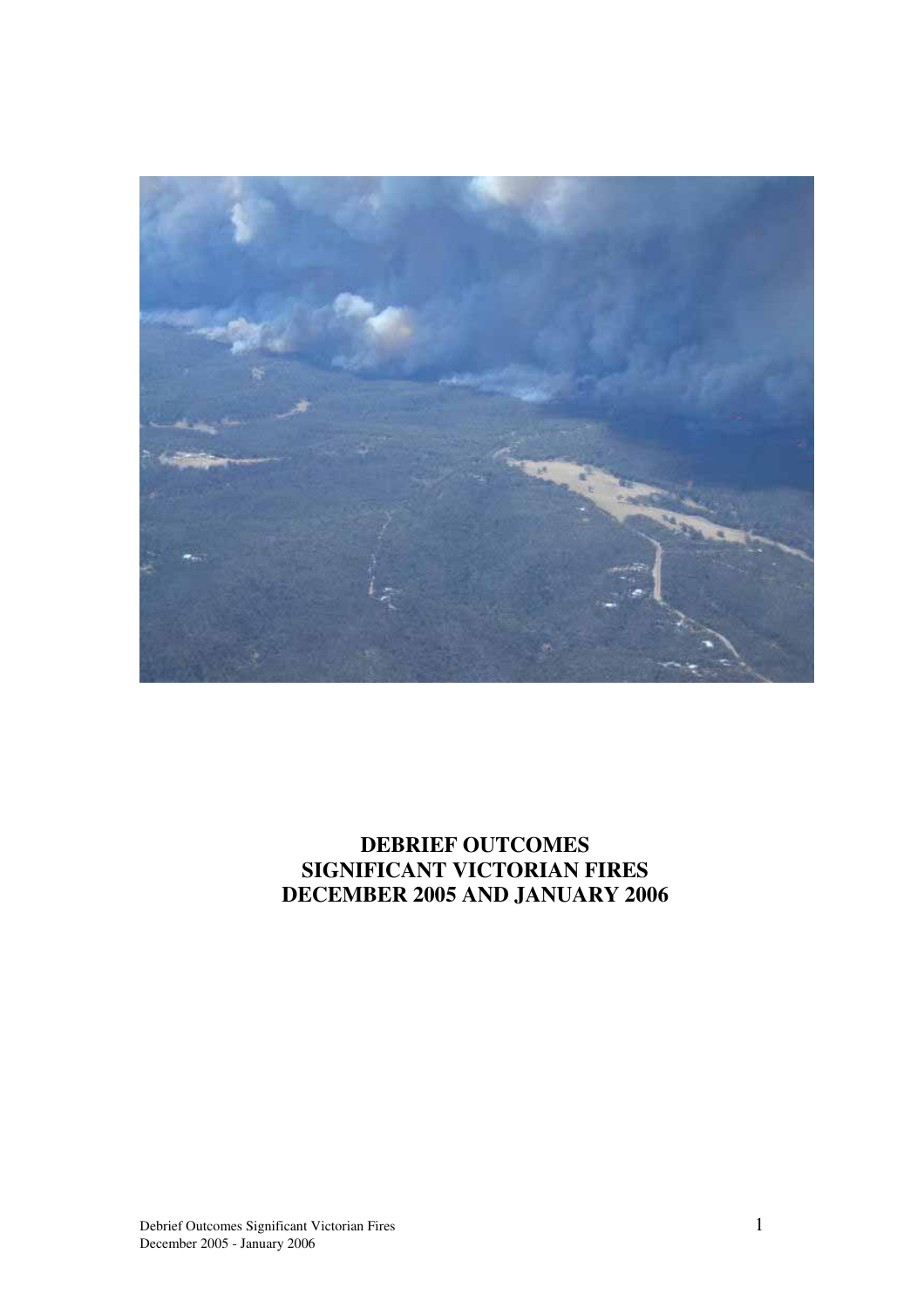

## **DEBRIEF OUTCOMES SIGNIFICANT VICTORIAN FIRES DECEMBER 2005 AND JANUARY 2006**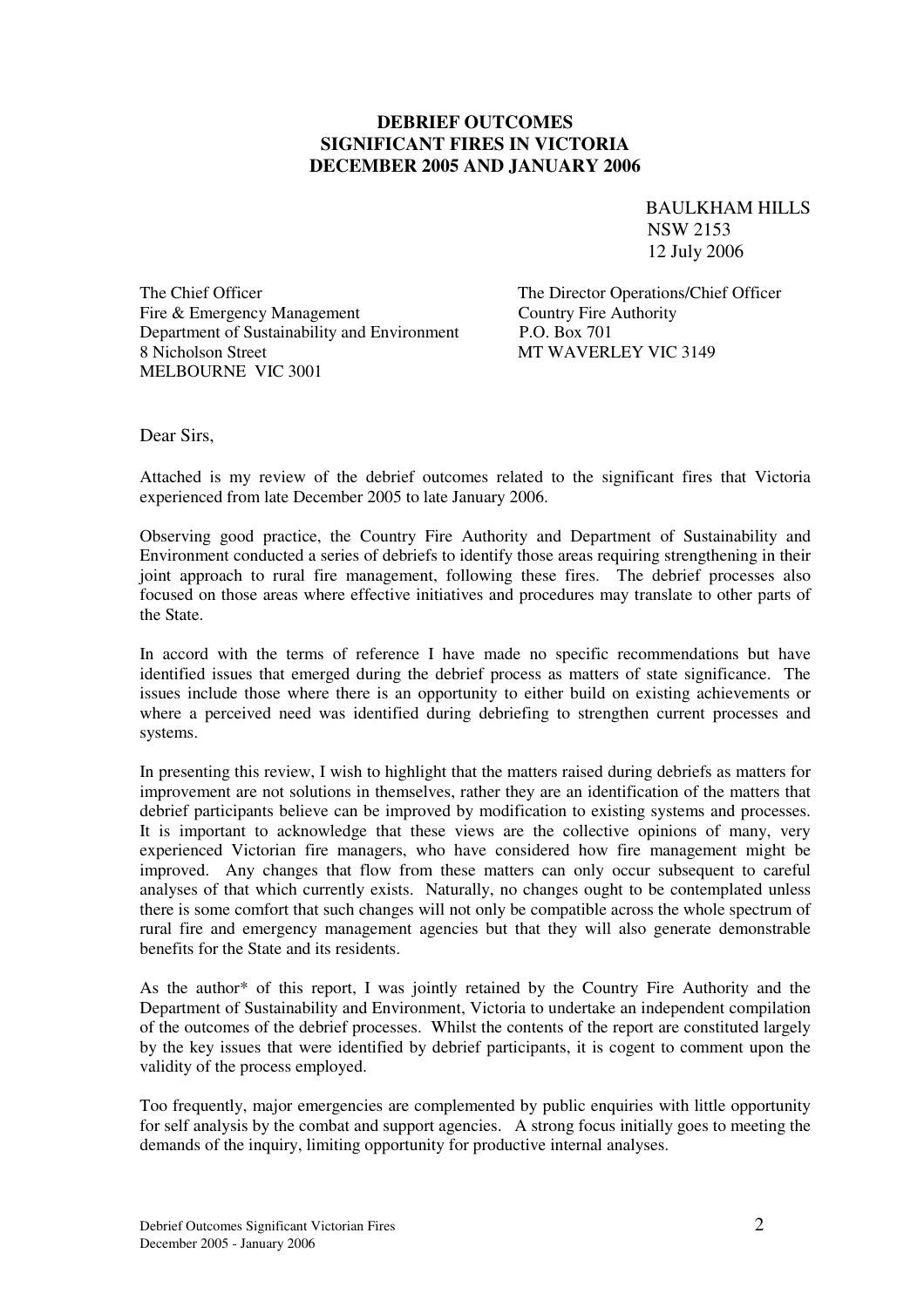#### **DEBRIEF OUTCOMES SIGNIFICANT FIRES IN VICTORIA DECEMBER 2005 AND JANUARY 2006**

BAULKHAM HILLS NSW 2153 12 July 2006

The Chief Officer The Director Operations/Chief Officer Fire & Emergency Management<br>
Country Fire Authority<br>
Department of Sustainability and Environment<br>
P.O. Box 701 Department of Sustainability and Environment 8 Nicholson Street MT WAVERLEY VIC 3149 MELBOURNE VIC 3001

Dear Sirs,

Attached is my review of the debrief outcomes related to the significant fires that Victoria experienced from late December 2005 to late January 2006.

Observing good practice, the Country Fire Authority and Department of Sustainability and Environment conducted a series of debriefs to identify those areas requiring strengthening in their joint approach to rural fire management, following these fires. The debrief processes also focused on those areas where effective initiatives and procedures may translate to other parts of the State.

In accord with the terms of reference I have made no specific recommendations but have identified issues that emerged during the debrief process as matters of state significance. The issues include those where there is an opportunity to either build on existing achievements or where a perceived need was identified during debriefing to strengthen current processes and systems.

In presenting this review, I wish to highlight that the matters raised during debriefs as matters for improvement are not solutions in themselves, rather they are an identification of the matters that debrief participants believe can be improved by modification to existing systems and processes. It is important to acknowledge that these views are the collective opinions of many, very experienced Victorian fire managers, who have considered how fire management might be improved. Any changes that flow from these matters can only occur subsequent to careful analyses of that which currently exists. Naturally, no changes ought to be contemplated unless there is some comfort that such changes will not only be compatible across the whole spectrum of rural fire and emergency management agencies but that they will also generate demonstrable benefits for the State and its residents.

As the author\* of this report, I was jointly retained by the Country Fire Authority and the Department of Sustainability and Environment, Victoria to undertake an independent compilation of the outcomes of the debrief processes. Whilst the contents of the report are constituted largely by the key issues that were identified by debrief participants, it is cogent to comment upon the validity of the process employed.

Too frequently, major emergencies are complemented by public enquiries with little opportunity for self analysis by the combat and support agencies. A strong focus initially goes to meeting the demands of the inquiry, limiting opportunity for productive internal analyses.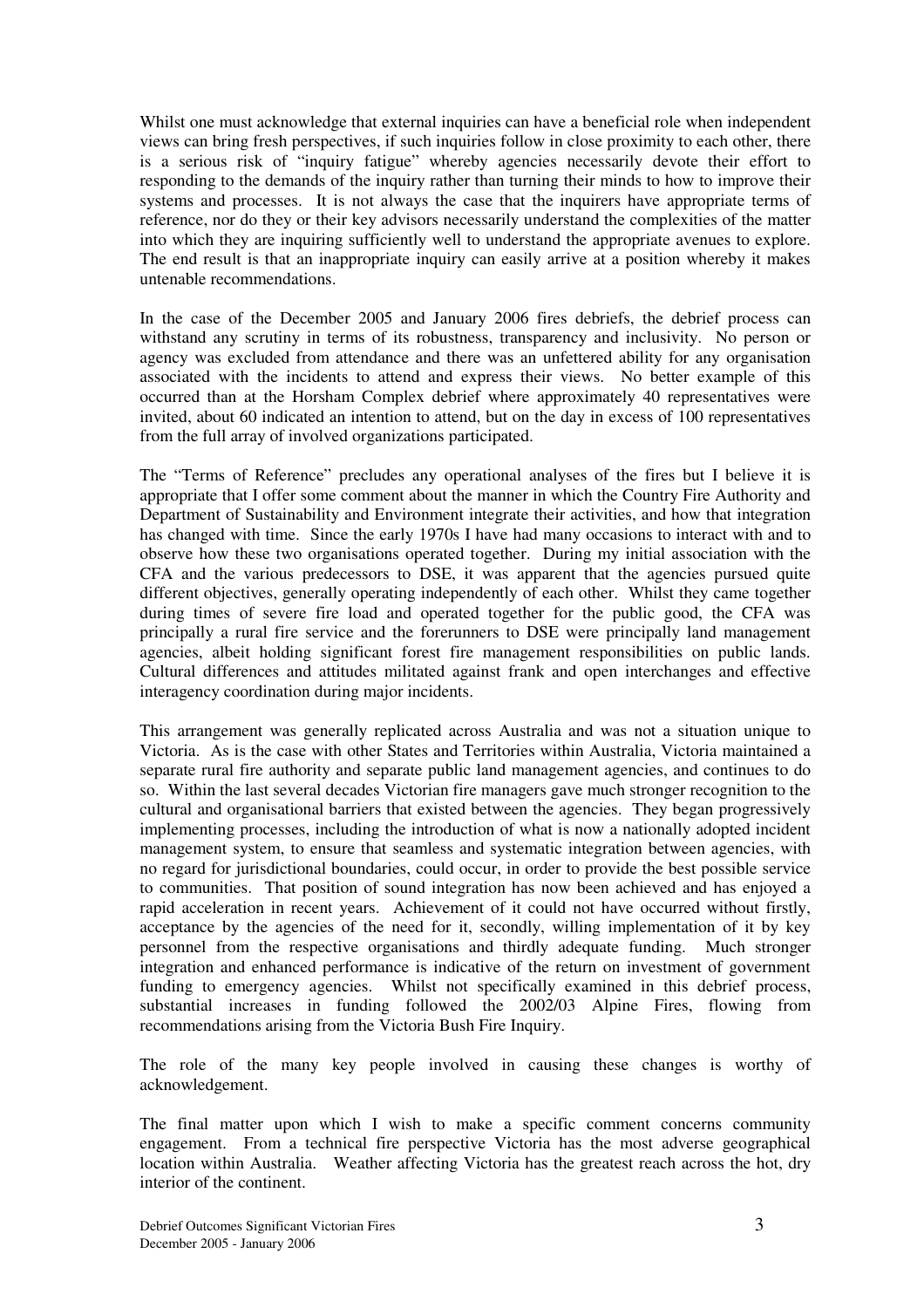Whilst one must acknowledge that external inquiries can have a beneficial role when independent views can bring fresh perspectives, if such inquiries follow in close proximity to each other, there is a serious risk of "inquiry fatigue" whereby agencies necessarily devote their effort to responding to the demands of the inquiry rather than turning their minds to how to improve their systems and processes. It is not always the case that the inquirers have appropriate terms of reference, nor do they or their key advisors necessarily understand the complexities of the matter into which they are inquiring sufficiently well to understand the appropriate avenues to explore. The end result is that an inappropriate inquiry can easily arrive at a position whereby it makes untenable recommendations.

In the case of the December 2005 and January 2006 fires debriefs, the debrief process can withstand any scrutiny in terms of its robustness, transparency and inclusivity. No person or agency was excluded from attendance and there was an unfettered ability for any organisation associated with the incidents to attend and express their views. No better example of this occurred than at the Horsham Complex debrief where approximately 40 representatives were invited, about 60 indicated an intention to attend, but on the day in excess of 100 representatives from the full array of involved organizations participated.

The "Terms of Reference" precludes any operational analyses of the fires but I believe it is appropriate that I offer some comment about the manner in which the Country Fire Authority and Department of Sustainability and Environment integrate their activities, and how that integration has changed with time. Since the early 1970s I have had many occasions to interact with and to observe how these two organisations operated together. During my initial association with the CFA and the various predecessors to DSE, it was apparent that the agencies pursued quite different objectives, generally operating independently of each other. Whilst they came together during times of severe fire load and operated together for the public good, the CFA was principally a rural fire service and the forerunners to DSE were principally land management agencies, albeit holding significant forest fire management responsibilities on public lands. Cultural differences and attitudes militated against frank and open interchanges and effective interagency coordination during major incidents.

This arrangement was generally replicated across Australia and was not a situation unique to Victoria. As is the case with other States and Territories within Australia, Victoria maintained a separate rural fire authority and separate public land management agencies, and continues to do so. Within the last several decades Victorian fire managers gave much stronger recognition to the cultural and organisational barriers that existed between the agencies. They began progressively implementing processes, including the introduction of what is now a nationally adopted incident management system, to ensure that seamless and systematic integration between agencies, with no regard for jurisdictional boundaries, could occur, in order to provide the best possible service to communities. That position of sound integration has now been achieved and has enjoyed a rapid acceleration in recent years. Achievement of it could not have occurred without firstly, acceptance by the agencies of the need for it, secondly, willing implementation of it by key personnel from the respective organisations and thirdly adequate funding. Much stronger integration and enhanced performance is indicative of the return on investment of government funding to emergency agencies. Whilst not specifically examined in this debrief process, substantial increases in funding followed the 2002/03 Alpine Fires, flowing from recommendations arising from the Victoria Bush Fire Inquiry.

The role of the many key people involved in causing these changes is worthy of acknowledgement.

The final matter upon which I wish to make a specific comment concerns community engagement. From a technical fire perspective Victoria has the most adverse geographical location within Australia. Weather affecting Victoria has the greatest reach across the hot, dry interior of the continent.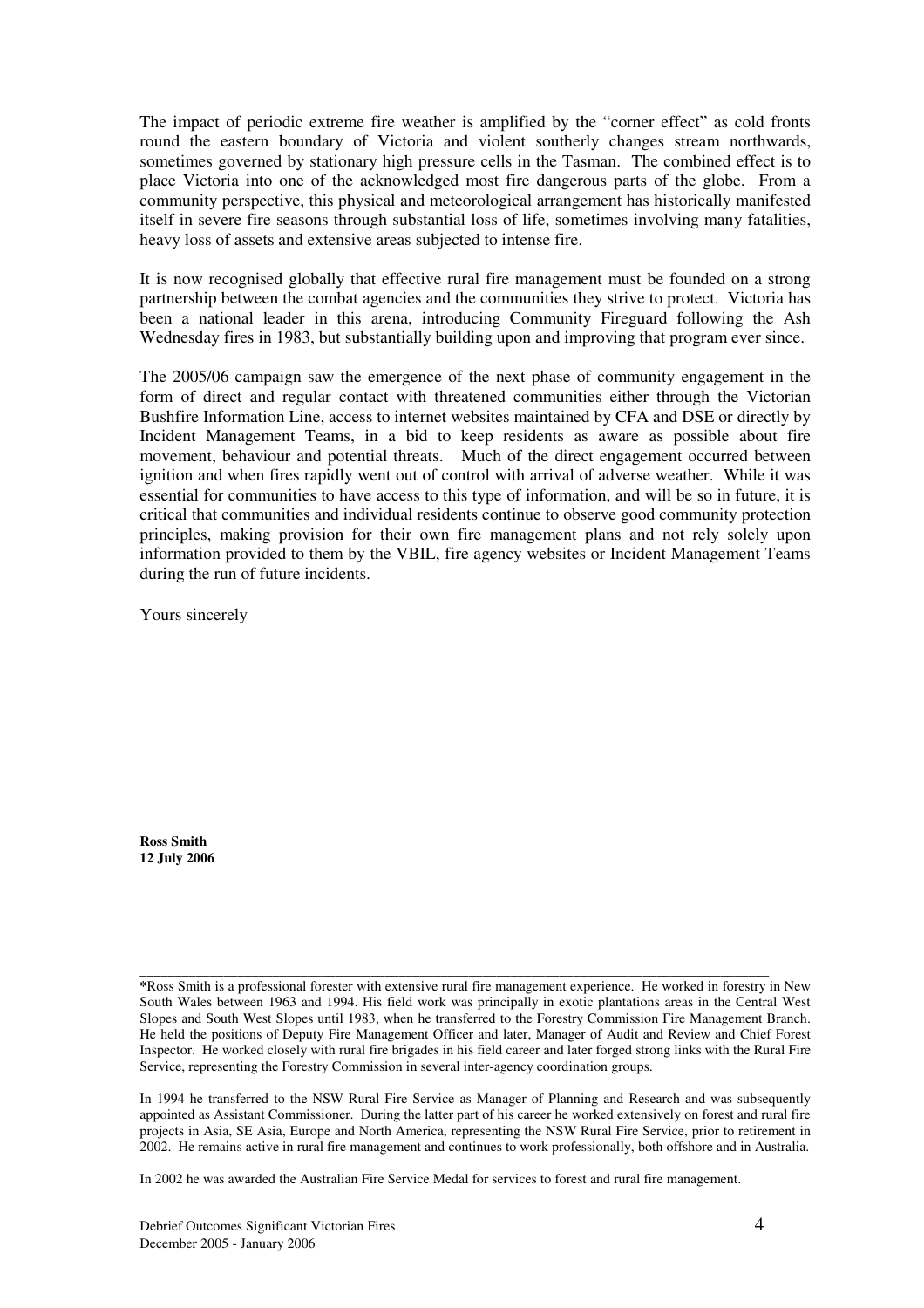The impact of periodic extreme fire weather is amplified by the "corner effect" as cold fronts round the eastern boundary of Victoria and violent southerly changes stream northwards, sometimes governed by stationary high pressure cells in the Tasman. The combined effect is to place Victoria into one of the acknowledged most fire dangerous parts of the globe. From a community perspective, this physical and meteorological arrangement has historically manifested itself in severe fire seasons through substantial loss of life, sometimes involving many fatalities, heavy loss of assets and extensive areas subjected to intense fire.

It is now recognised globally that effective rural fire management must be founded on a strong partnership between the combat agencies and the communities they strive to protect. Victoria has been a national leader in this arena, introducing Community Fireguard following the Ash Wednesday fires in 1983, but substantially building upon and improving that program ever since.

The 2005/06 campaign saw the emergence of the next phase of community engagement in the form of direct and regular contact with threatened communities either through the Victorian Bushfire Information Line, access to internet websites maintained by CFA and DSE or directly by Incident Management Teams, in a bid to keep residents as aware as possible about fire movement, behaviour and potential threats. Much of the direct engagement occurred between ignition and when fires rapidly went out of control with arrival of adverse weather. While it was essential for communities to have access to this type of information, and will be so in future, it is critical that communities and individual residents continue to observe good community protection principles, making provision for their own fire management plans and not rely solely upon information provided to them by the VBIL, fire agency websites or Incident Management Teams during the run of future incidents.

Yours sincerely

**Ross Smith 12 July 2006**

**\_\_\_\_\_\_\_\_\_\_\_\_\_\_\_\_\_\_\_\_\_\_\_\_\_\_\_\_\_\_\_\_\_\_\_\_\_\_\_\_\_\_\_\_\_\_\_\_\_\_\_\_\_\_\_\_\_\_\_\_\_\_\_\_\_\_\_\_\_\_\_\_\_\_\_\_\_\_\_\_\_\_\_\_\_\_\_\_\_\_ \***Ross Smith is a professional forester with extensive rural fire management experience. He worked in forestry in New South Wales between 1963 and 1994. His field work was principally in exotic plantations areas in the Central West Slopes and South West Slopes until 1983, when he transferred to the Forestry Commission Fire Management Branch. He held the positions of Deputy Fire Management Officer and later, Manager of Audit and Review and Chief Forest Inspector. He worked closely with rural fire brigades in his field career and later forged strong links with the Rural Fire Service, representing the Forestry Commission in several inter-agency coordination groups.

In 1994 he transferred to the NSW Rural Fire Service as Manager of Planning and Research and was subsequently appointed as Assistant Commissioner. During the latter part of his career he worked extensively on forest and rural fire projects in Asia, SE Asia, Europe and North America, representing the NSW Rural Fire Service, prior to retirement in 2002. He remains active in rural fire management and continues to work professionally, both offshore and in Australia.

In 2002 he was awarded the Australian Fire Service Medal for services to forest and rural fire management.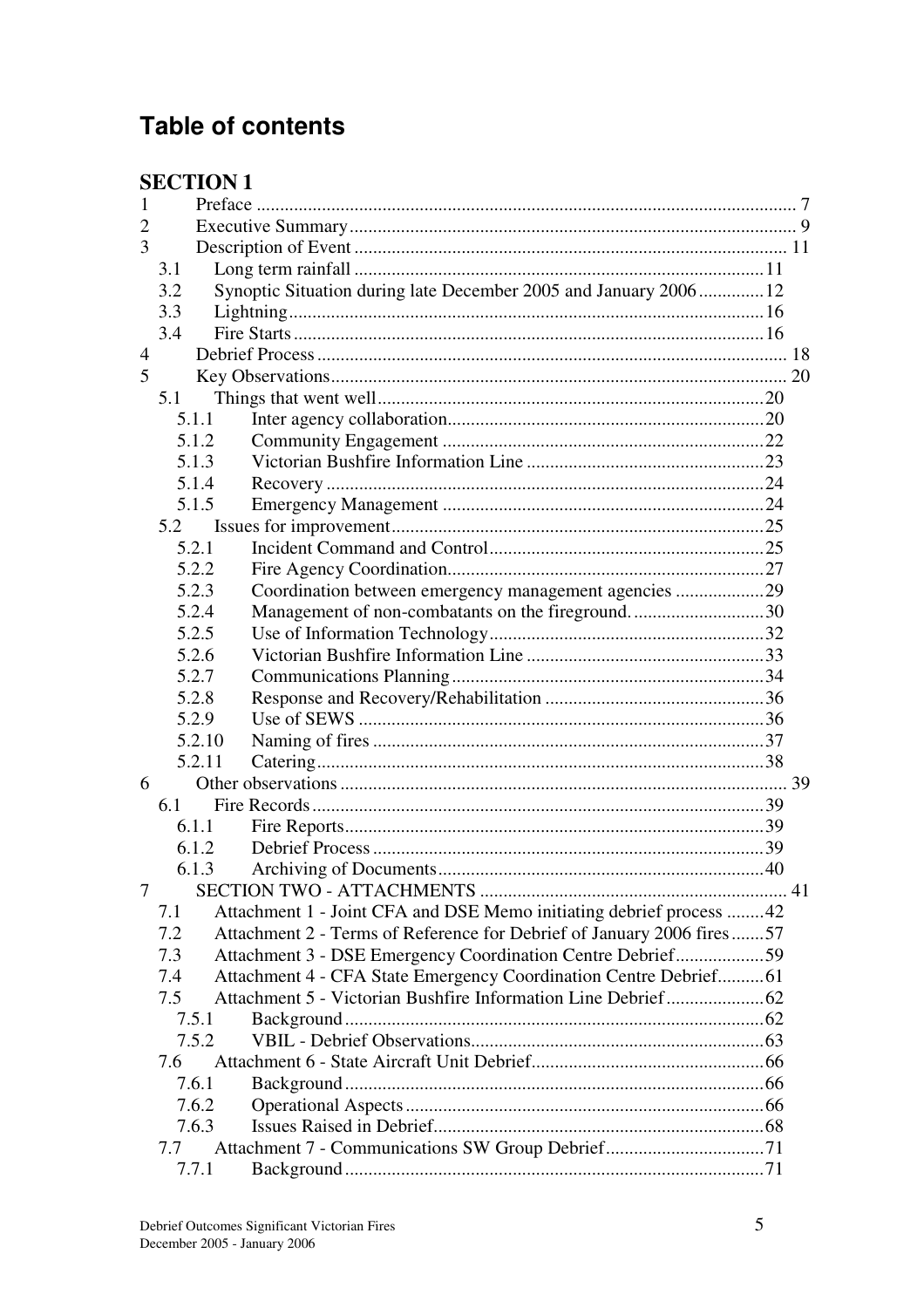# **Table of contents**

## **SECTION 1**

| 1                                                                       |                                                                       |  |  |  |  |
|-------------------------------------------------------------------------|-----------------------------------------------------------------------|--|--|--|--|
| $\overline{2}$                                                          |                                                                       |  |  |  |  |
| 3                                                                       |                                                                       |  |  |  |  |
| 3.1                                                                     |                                                                       |  |  |  |  |
| 3.2                                                                     | Synoptic Situation during late December 2005 and January 2006 12      |  |  |  |  |
| 3.3                                                                     |                                                                       |  |  |  |  |
| 3.4                                                                     |                                                                       |  |  |  |  |
| $\overline{4}$                                                          |                                                                       |  |  |  |  |
| 5                                                                       |                                                                       |  |  |  |  |
| 5.1                                                                     |                                                                       |  |  |  |  |
| 5.1.1                                                                   |                                                                       |  |  |  |  |
| 5.1.2                                                                   |                                                                       |  |  |  |  |
| 5.1.3                                                                   |                                                                       |  |  |  |  |
| 5.1.4                                                                   |                                                                       |  |  |  |  |
| 5.1.5                                                                   |                                                                       |  |  |  |  |
| 5.2                                                                     |                                                                       |  |  |  |  |
| 5.2.1                                                                   |                                                                       |  |  |  |  |
|                                                                         |                                                                       |  |  |  |  |
| 5.2.2                                                                   |                                                                       |  |  |  |  |
| 5.2.3                                                                   | Coordination between emergency management agencies 29                 |  |  |  |  |
| 5.2.4                                                                   | Management of non-combatants on the fireground30                      |  |  |  |  |
| 5.2.5                                                                   |                                                                       |  |  |  |  |
| 5.2.6                                                                   |                                                                       |  |  |  |  |
| 5.2.7                                                                   |                                                                       |  |  |  |  |
| 5.2.8                                                                   |                                                                       |  |  |  |  |
| 5.2.9                                                                   |                                                                       |  |  |  |  |
| 5.2.10                                                                  |                                                                       |  |  |  |  |
| 5.2.11                                                                  |                                                                       |  |  |  |  |
| 6                                                                       |                                                                       |  |  |  |  |
| 6.1                                                                     |                                                                       |  |  |  |  |
| 6.1.1                                                                   |                                                                       |  |  |  |  |
| 6.1.2                                                                   |                                                                       |  |  |  |  |
| 6.1.3                                                                   |                                                                       |  |  |  |  |
| 7                                                                       |                                                                       |  |  |  |  |
| 7.1                                                                     | Attachment 1 - Joint CFA and DSE Memo initiating debrief process 42   |  |  |  |  |
| 7.2                                                                     | Attachment 2 - Terms of Reference for Debrief of January 2006 fires57 |  |  |  |  |
| 7.3<br>Attachment 3 - DSE Emergency Coordination Centre Debrief59       |                                                                       |  |  |  |  |
| Attachment 4 - CFA State Emergency Coordination Centre Debrief61<br>7.4 |                                                                       |  |  |  |  |
| 7.5                                                                     |                                                                       |  |  |  |  |
| 7.5.1                                                                   |                                                                       |  |  |  |  |
| 7.5.2                                                                   |                                                                       |  |  |  |  |
| 7.6                                                                     |                                                                       |  |  |  |  |
|                                                                         |                                                                       |  |  |  |  |
| 7.6.1                                                                   |                                                                       |  |  |  |  |
| 7.6.2                                                                   |                                                                       |  |  |  |  |
| 7.6.3                                                                   |                                                                       |  |  |  |  |
| 7.7                                                                     |                                                                       |  |  |  |  |
| 7.7.1                                                                   |                                                                       |  |  |  |  |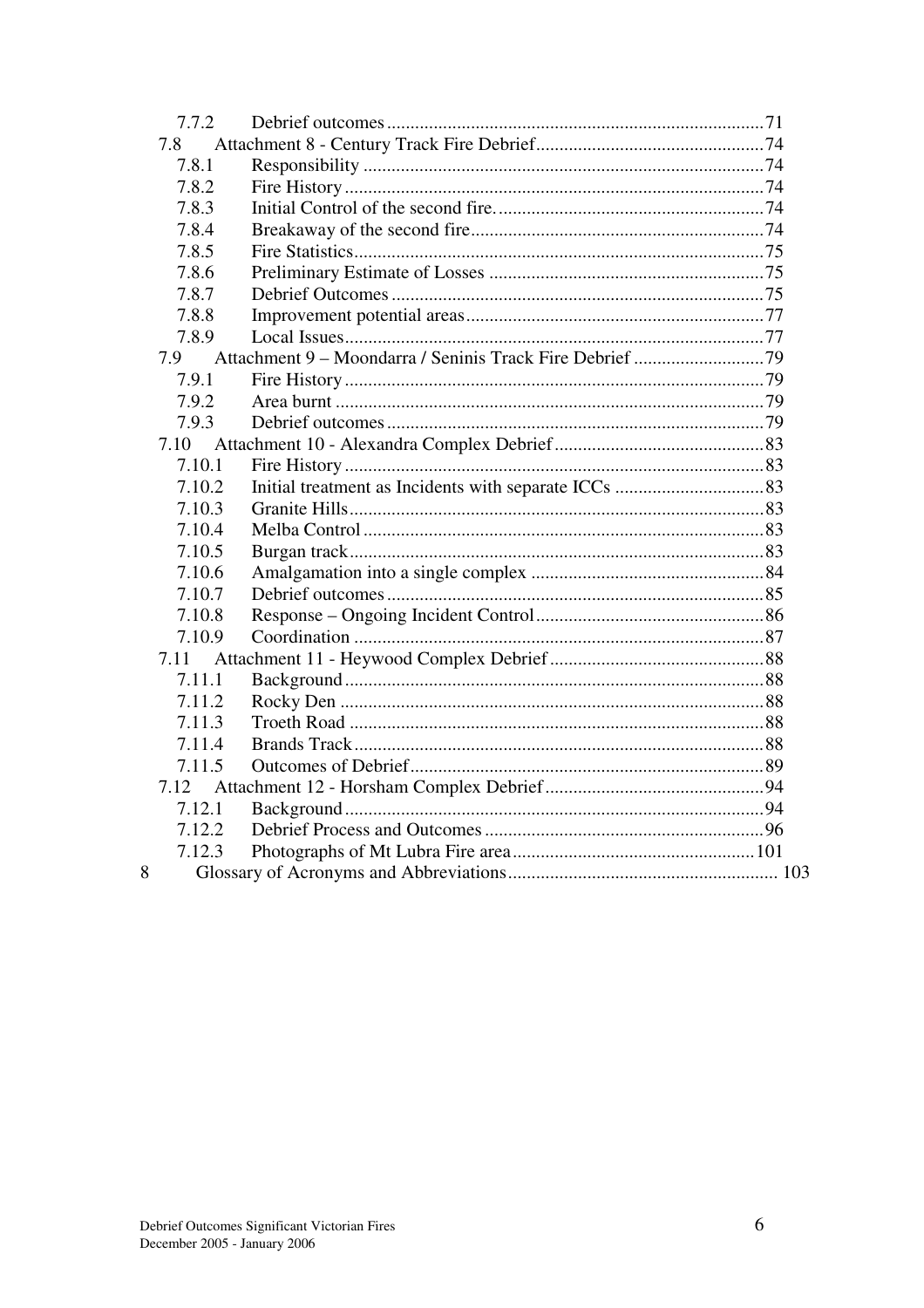| 7.7.2  |  |  |
|--------|--|--|
| 7.8    |  |  |
| 7.8.1  |  |  |
| 7.8.2  |  |  |
| 7.8.3  |  |  |
| 7.8.4  |  |  |
| 7.8.5  |  |  |
| 7.8.6  |  |  |
| 7.8.7  |  |  |
| 7.8.8  |  |  |
| 7.8.9  |  |  |
| 7.9    |  |  |
| 7.9.1  |  |  |
| 7.9.2  |  |  |
| 7.9.3  |  |  |
| 7.10   |  |  |
| 7.10.1 |  |  |
| 7.10.2 |  |  |
| 7.10.3 |  |  |
| 7.10.4 |  |  |
| 7.10.5 |  |  |
| 7.10.6 |  |  |
| 7.10.7 |  |  |
| 7.10.8 |  |  |
| 7.10.9 |  |  |
| 7.11   |  |  |
| 7.11.1 |  |  |
| 7.11.2 |  |  |
| 7.11.3 |  |  |
| 7.11.4 |  |  |
| 7.11.5 |  |  |
| 7.12   |  |  |
| 7.12.1 |  |  |
| 7.12.2 |  |  |
| 7.12.3 |  |  |
| 8      |  |  |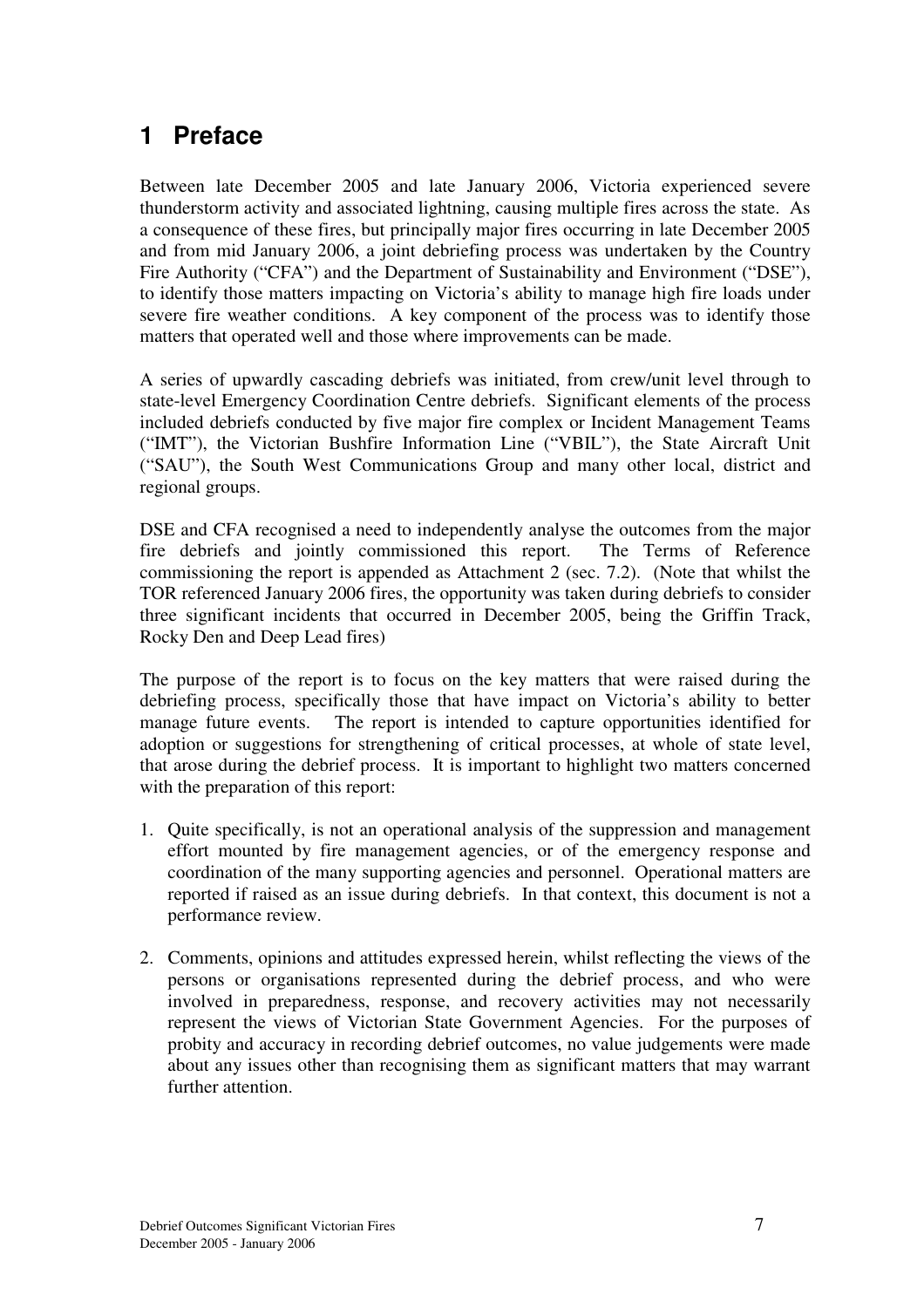# **1 Preface**

Between late December 2005 and late January 2006, Victoria experienced severe thunderstorm activity and associated lightning, causing multiple fires across the state. As a consequence of these fires, but principally major fires occurring in late December 2005 and from mid January 2006, a joint debriefing process was undertaken by the Country Fire Authority ("CFA") and the Department of Sustainability and Environment ("DSE"), to identify those matters impacting on Victoria's ability to manage high fire loads under severe fire weather conditions. A key component of the process was to identify those matters that operated well and those where improvements can be made.

A series of upwardly cascading debriefs was initiated, from crew/unit level through to state-level Emergency Coordination Centre debriefs. Significant elements of the process included debriefs conducted by five major fire complex or Incident Management Teams ("IMT"), the Victorian Bushfire Information Line ("VBIL"), the State Aircraft Unit ("SAU"), the South West Communications Group and many other local, district and regional groups.

DSE and CFA recognised a need to independently analyse the outcomes from the major fire debriefs and jointly commissioned this report. The Terms of Reference commissioning the report is appended as Attachment 2 (sec. 7.2). (Note that whilst the TOR referenced January 2006 fires, the opportunity was taken during debriefs to consider three significant incidents that occurred in December 2005, being the Griffin Track, Rocky Den and Deep Lead fires)

The purpose of the report is to focus on the key matters that were raised during the debriefing process, specifically those that have impact on Victoria's ability to better manage future events. The report is intended to capture opportunities identified for adoption or suggestions for strengthening of critical processes, at whole of state level, that arose during the debrief process. It is important to highlight two matters concerned with the preparation of this report:

- 1. Quite specifically, is not an operational analysis of the suppression and management effort mounted by fire management agencies, or of the emergency response and coordination of the many supporting agencies and personnel. Operational matters are reported if raised as an issue during debriefs. In that context, this document is not a performance review.
- 2. Comments, opinions and attitudes expressed herein, whilst reflecting the views of the persons or organisations represented during the debrief process, and who were involved in preparedness, response, and recovery activities may not necessarily represent the views of Victorian State Government Agencies. For the purposes of probity and accuracy in recording debrief outcomes, no value judgements were made about any issues other than recognising them as significant matters that may warrant further attention.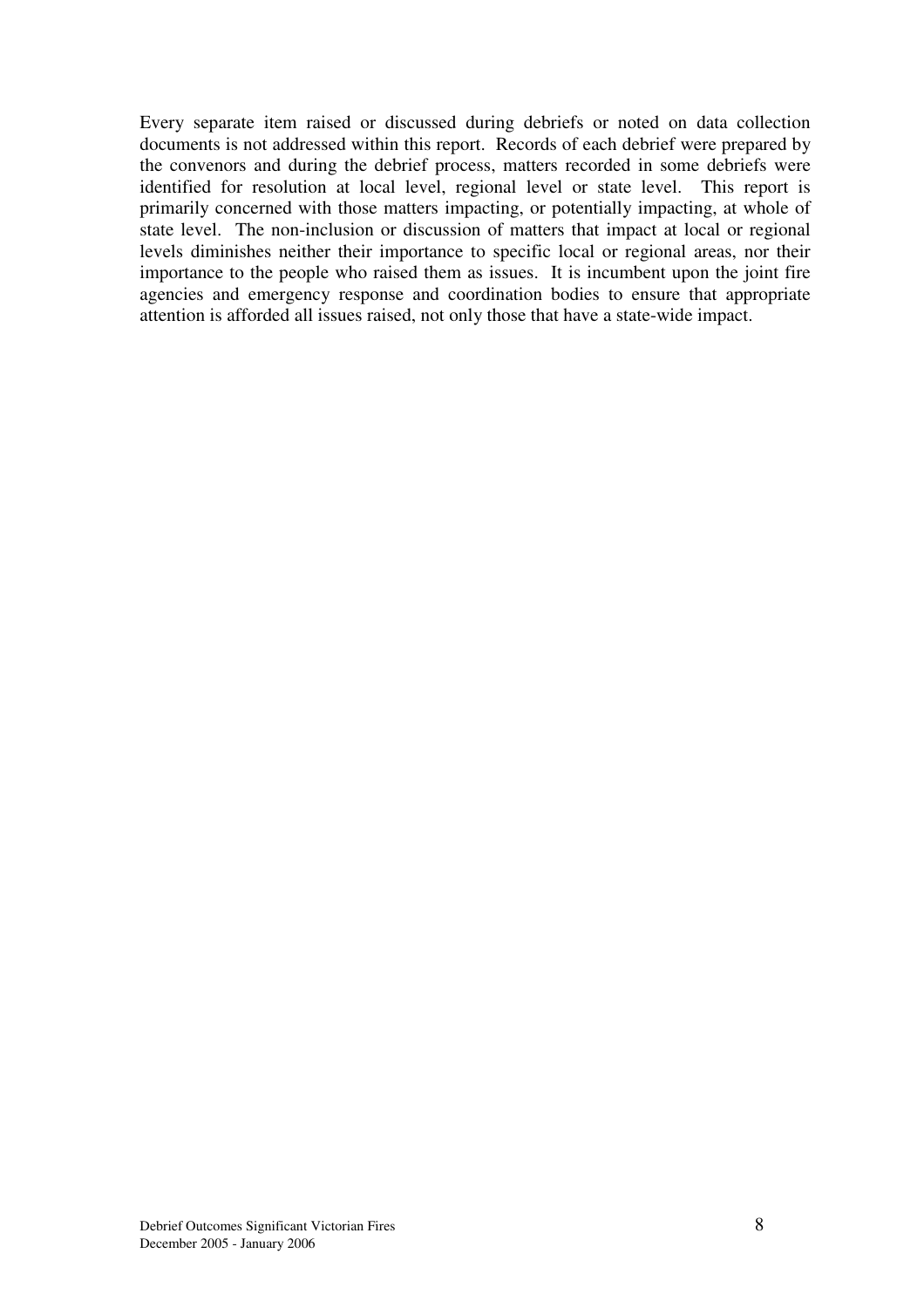Every separate item raised or discussed during debriefs or noted on data collection documents is not addressed within this report. Records of each debrief were prepared by the convenors and during the debrief process, matters recorded in some debriefs were identified for resolution at local level, regional level or state level. This report is primarily concerned with those matters impacting, or potentially impacting, at whole of state level. The non-inclusion or discussion of matters that impact at local or regional levels diminishes neither their importance to specific local or regional areas, nor their importance to the people who raised them as issues. It is incumbent upon the joint fire agencies and emergency response and coordination bodies to ensure that appropriate attention is afforded all issues raised, not only those that have a state-wide impact.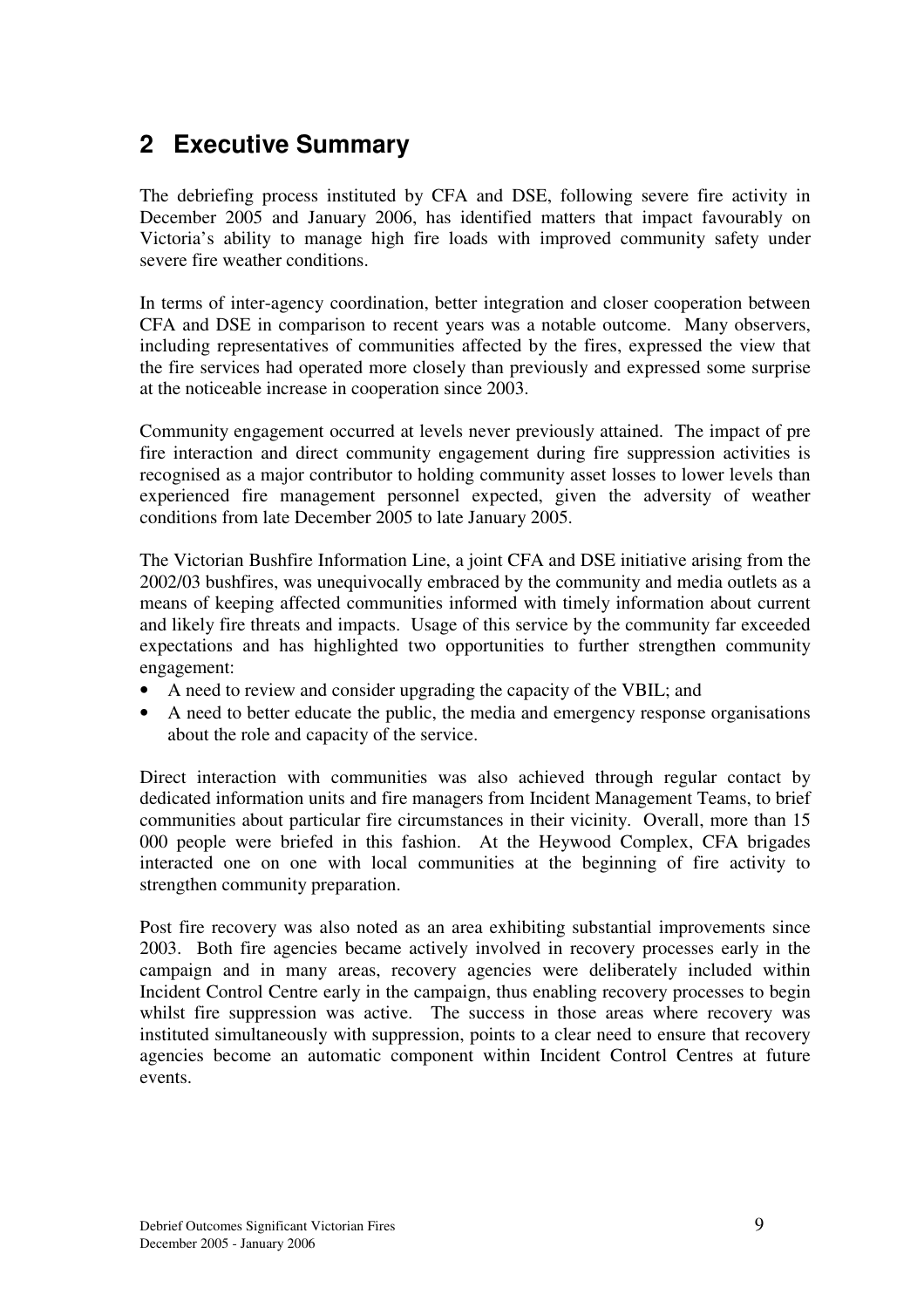# **2 Executive Summary**

The debriefing process instituted by CFA and DSE, following severe fire activity in December 2005 and January 2006, has identified matters that impact favourably on Victoria's ability to manage high fire loads with improved community safety under severe fire weather conditions.

In terms of inter-agency coordination, better integration and closer cooperation between CFA and DSE in comparison to recent years was a notable outcome. Many observers, including representatives of communities affected by the fires, expressed the view that the fire services had operated more closely than previously and expressed some surprise at the noticeable increase in cooperation since 2003.

Community engagement occurred at levels never previously attained. The impact of pre fire interaction and direct community engagement during fire suppression activities is recognised as a major contributor to holding community asset losses to lower levels than experienced fire management personnel expected, given the adversity of weather conditions from late December 2005 to late January 2005.

The Victorian Bushfire Information Line, a joint CFA and DSE initiative arising from the 2002/03 bushfires, was unequivocally embraced by the community and media outlets as a means of keeping affected communities informed with timely information about current and likely fire threats and impacts. Usage of this service by the community far exceeded expectations and has highlighted two opportunities to further strengthen community engagement:

- A need to review and consider upgrading the capacity of the VBIL; and
- A need to better educate the public, the media and emergency response organisations about the role and capacity of the service.

Direct interaction with communities was also achieved through regular contact by dedicated information units and fire managers from Incident Management Teams, to brief communities about particular fire circumstances in their vicinity. Overall, more than 15 000 people were briefed in this fashion. At the Heywood Complex, CFA brigades interacted one on one with local communities at the beginning of fire activity to strengthen community preparation.

Post fire recovery was also noted as an area exhibiting substantial improvements since 2003. Both fire agencies became actively involved in recovery processes early in the campaign and in many areas, recovery agencies were deliberately included within Incident Control Centre early in the campaign, thus enabling recovery processes to begin whilst fire suppression was active. The success in those areas where recovery was instituted simultaneously with suppression, points to a clear need to ensure that recovery agencies become an automatic component within Incident Control Centres at future events.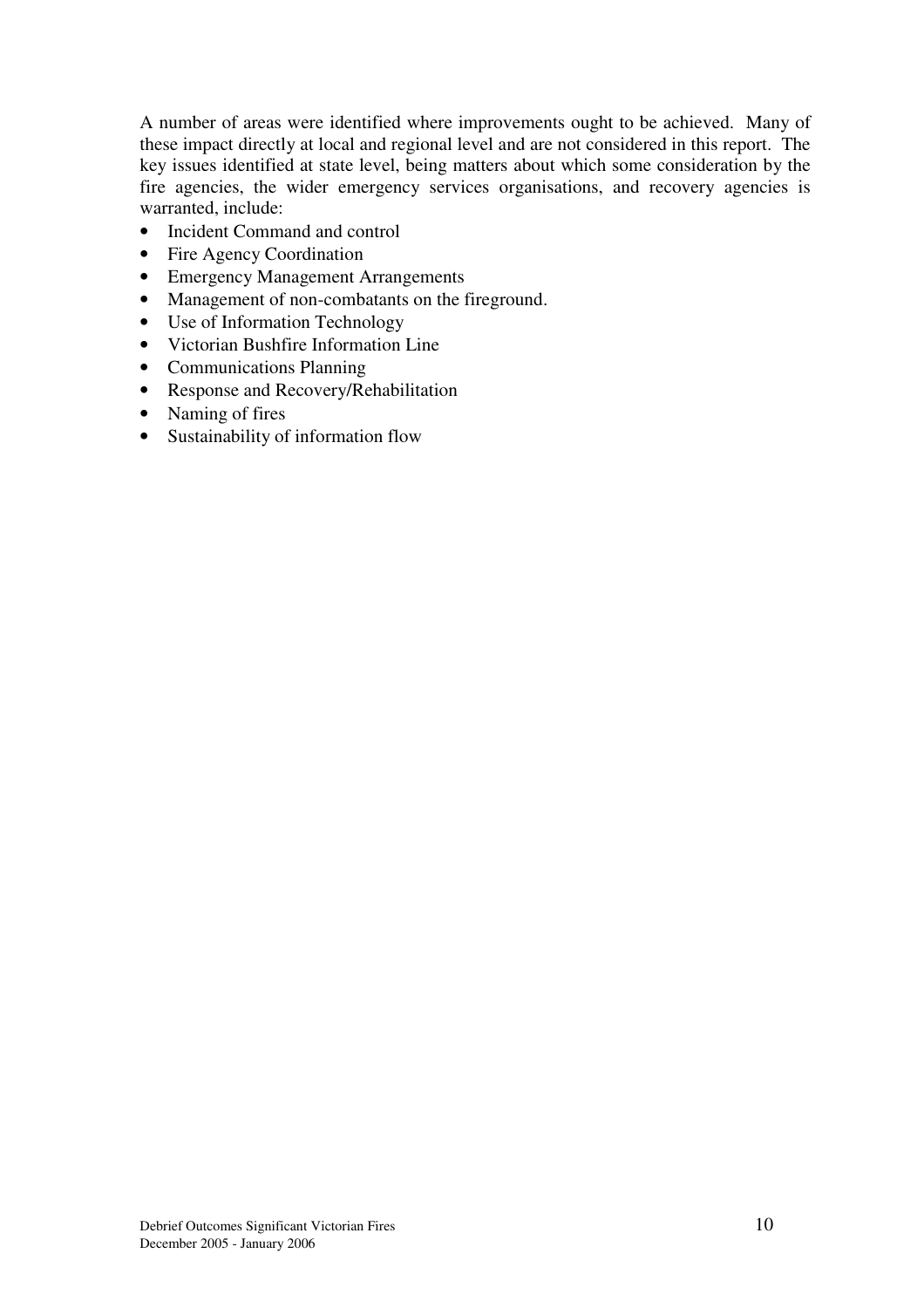A number of areas were identified where improvements ought to be achieved. Many of these impact directly at local and regional level and are not considered in this report. The key issues identified at state level, being matters about which some consideration by the fire agencies, the wider emergency services organisations, and recovery agencies is warranted, include:

- Incident Command and control
- Fire Agency Coordination
- Emergency Management Arrangements
- Management of non-combatants on the fireground.
- Use of Information Technology
- Victorian Bushfire Information Line
- Communications Planning
- Response and Recovery/Rehabilitation
- Naming of fires
- Sustainability of information flow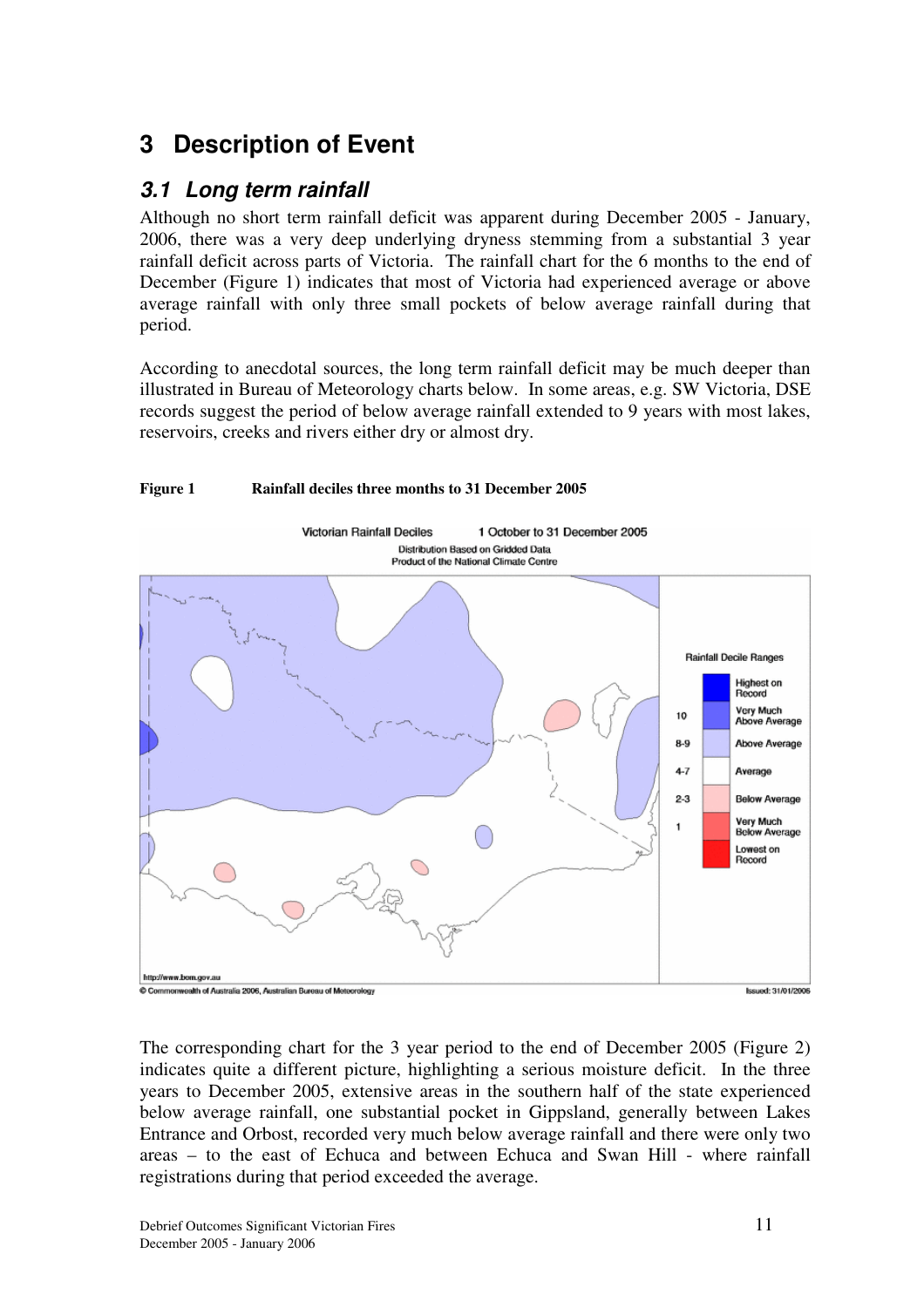# **3 Description of Event**

## *3.1 Long term rainfall*

Although no short term rainfall deficit was apparent during December 2005 - January, 2006, there was a very deep underlying dryness stemming from a substantial 3 year rainfall deficit across parts of Victoria. The rainfall chart for the 6 months to the end of December (Figure 1) indicates that most of Victoria had experienced average or above average rainfall with only three small pockets of below average rainfall during that period.

According to anecdotal sources, the long term rainfall deficit may be much deeper than illustrated in Bureau of Meteorology charts below. In some areas, e.g. SW Victoria, DSE records suggest the period of below average rainfall extended to 9 years with most lakes, reservoirs, creeks and rivers either dry or almost dry.



The corresponding chart for the 3 year period to the end of December 2005 (Figure 2) indicates quite a different picture, highlighting a serious moisture deficit. In the three years to December 2005, extensive areas in the southern half of the state experienced below average rainfall, one substantial pocket in Gippsland, generally between Lakes Entrance and Orbost, recorded very much below average rainfall and there were only two areas – to the east of Echuca and between Echuca and Swan Hill - where rainfall registrations during that period exceeded the average.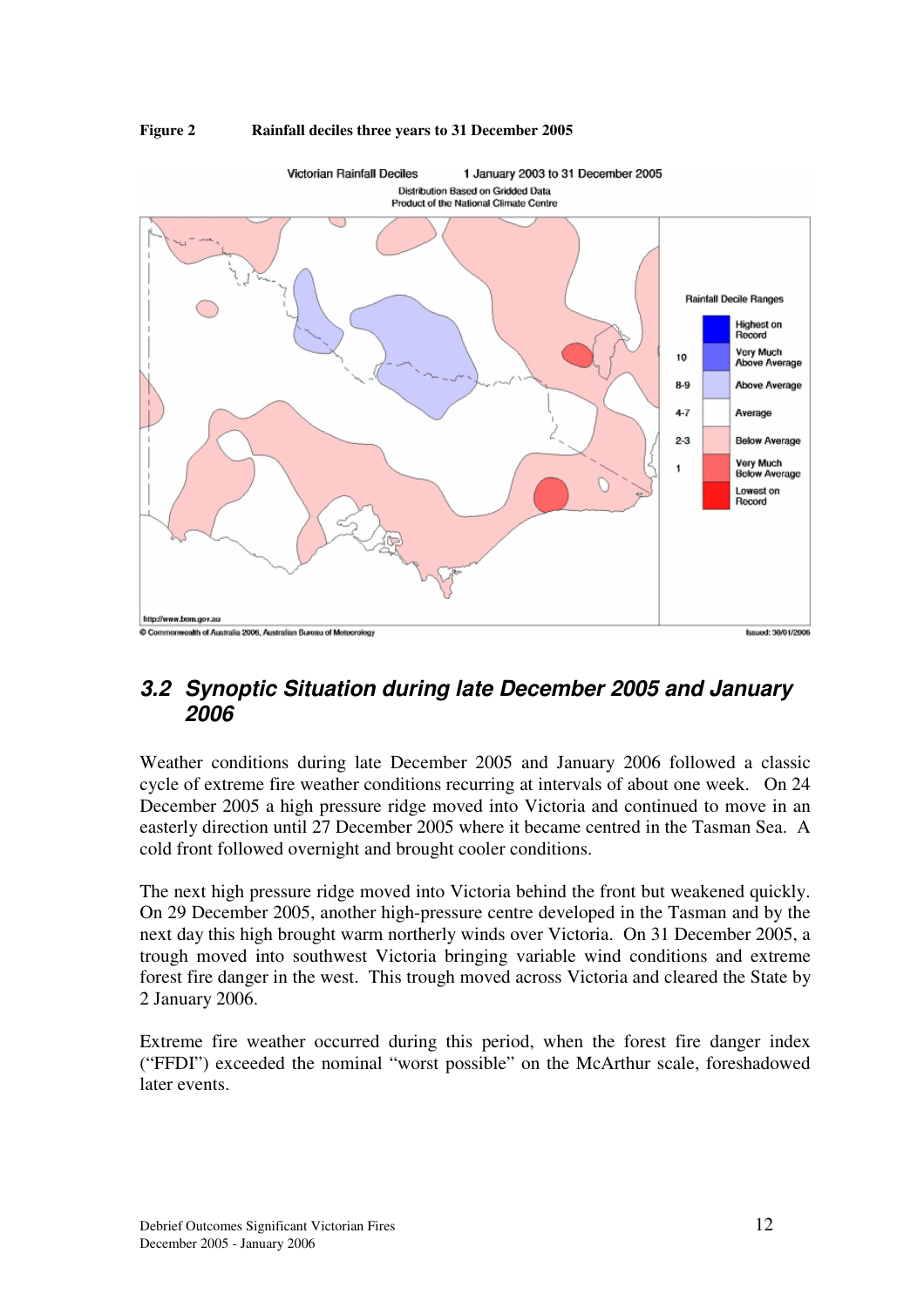

#### **Figure 2 Rainfall deciles three years to 31 December 2005**

## *3.2 Synoptic Situation during late December 2005 and January 2006*

Weather conditions during late December 2005 and January 2006 followed a classic cycle of extreme fire weather conditions recurring at intervals of about one week. On 24 December 2005 a high pressure ridge moved into Victoria and continued to move in an easterly direction until 27 December 2005 where it became centred in the Tasman Sea. A cold front followed overnight and brought cooler conditions.

The next high pressure ridge moved into Victoria behind the front but weakened quickly. On 29 December 2005, another high-pressure centre developed in the Tasman and by the next day this high brought warm northerly winds over Victoria. On 31 December 2005, a trough moved into southwest Victoria bringing variable wind conditions and extreme forest fire danger in the west. This trough moved across Victoria and cleared the State by 2 January 2006.

Extreme fire weather occurred during this period, when the forest fire danger index ("FFDI") exceeded the nominal "worst possible" on the McArthur scale, foreshadowed later events.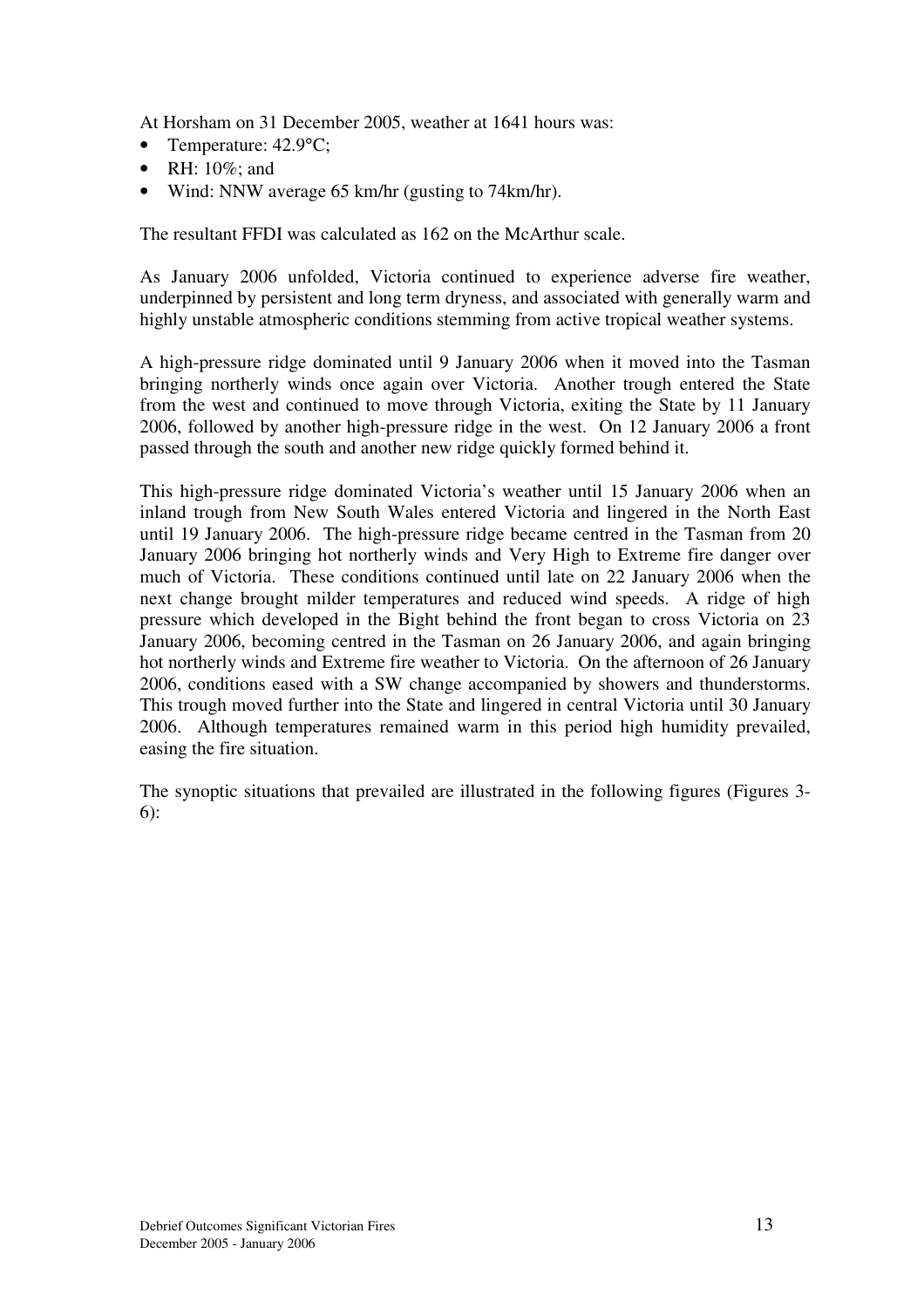At Horsham on 31 December 2005, weather at 1641 hours was:

- Temperature: 42.9°C;
- RH: 10%; and
- Wind: NNW average 65 km/hr (gusting to 74km/hr).

The resultant FFDI was calculated as 162 on the McArthur scale.

As January 2006 unfolded, Victoria continued to experience adverse fire weather, underpinned by persistent and long term dryness, and associated with generally warm and highly unstable atmospheric conditions stemming from active tropical weather systems.

A high-pressure ridge dominated until 9 January 2006 when it moved into the Tasman bringing northerly winds once again over Victoria. Another trough entered the State from the west and continued to move through Victoria, exiting the State by 11 January 2006, followed by another high-pressure ridge in the west. On 12 January 2006 a front passed through the south and another new ridge quickly formed behind it.

This high-pressure ridge dominated Victoria's weather until 15 January 2006 when an inland trough from New South Wales entered Victoria and lingered in the North East until 19 January 2006. The high-pressure ridge became centred in the Tasman from 20 January 2006 bringing hot northerly winds and Very High to Extreme fire danger over much of Victoria. These conditions continued until late on 22 January 2006 when the next change brought milder temperatures and reduced wind speeds. A ridge of high pressure which developed in the Bight behind the front began to cross Victoria on 23 January 2006, becoming centred in the Tasman on 26 January 2006, and again bringing hot northerly winds and Extreme fire weather to Victoria. On the afternoon of 26 January 2006, conditions eased with a SW change accompanied by showers and thunderstorms. This trough moved further into the State and lingered in central Victoria until 30 January 2006. Although temperatures remained warm in this period high humidity prevailed, easing the fire situation.

The synoptic situations that prevailed are illustrated in the following figures (Figures 3- 6):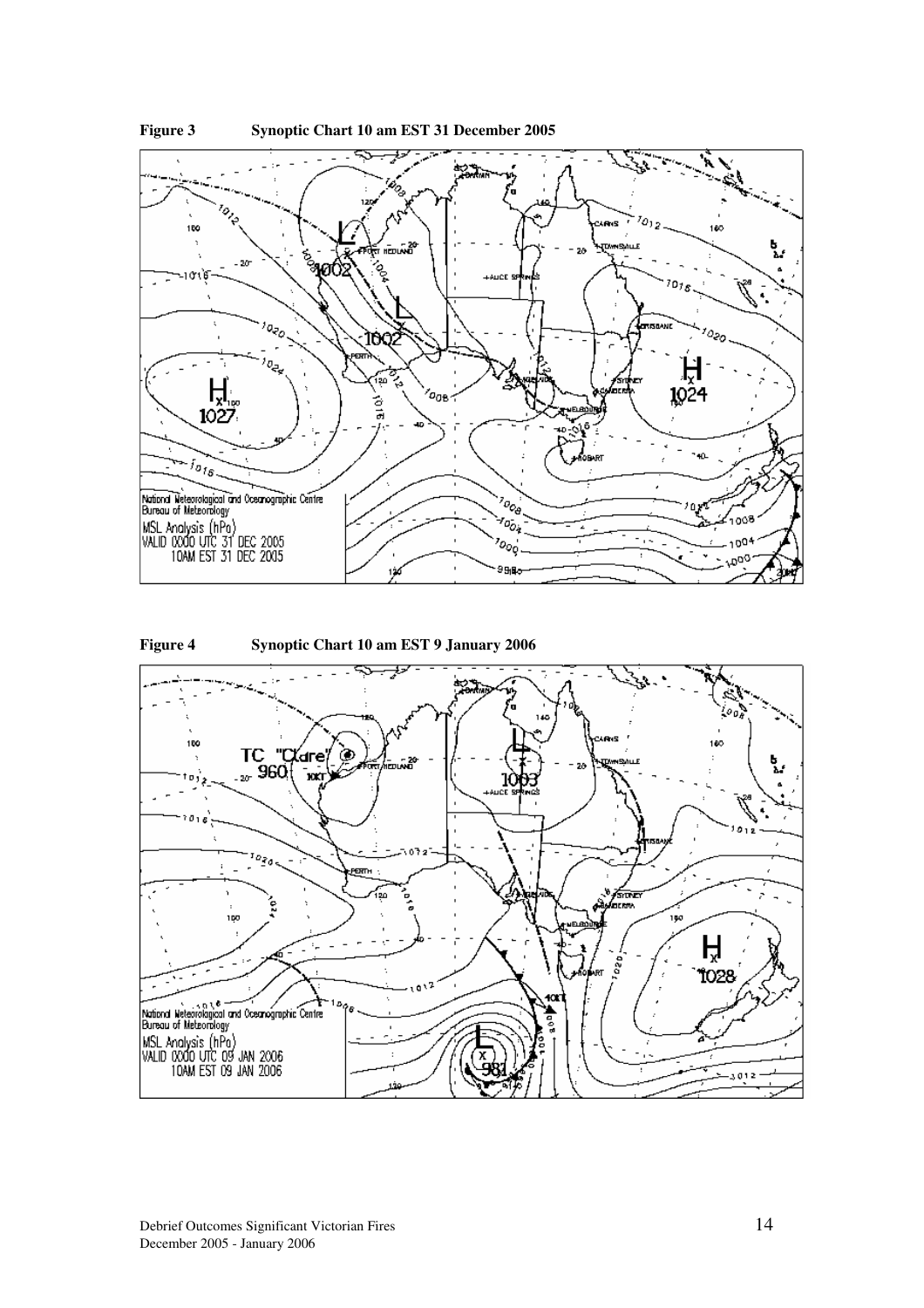





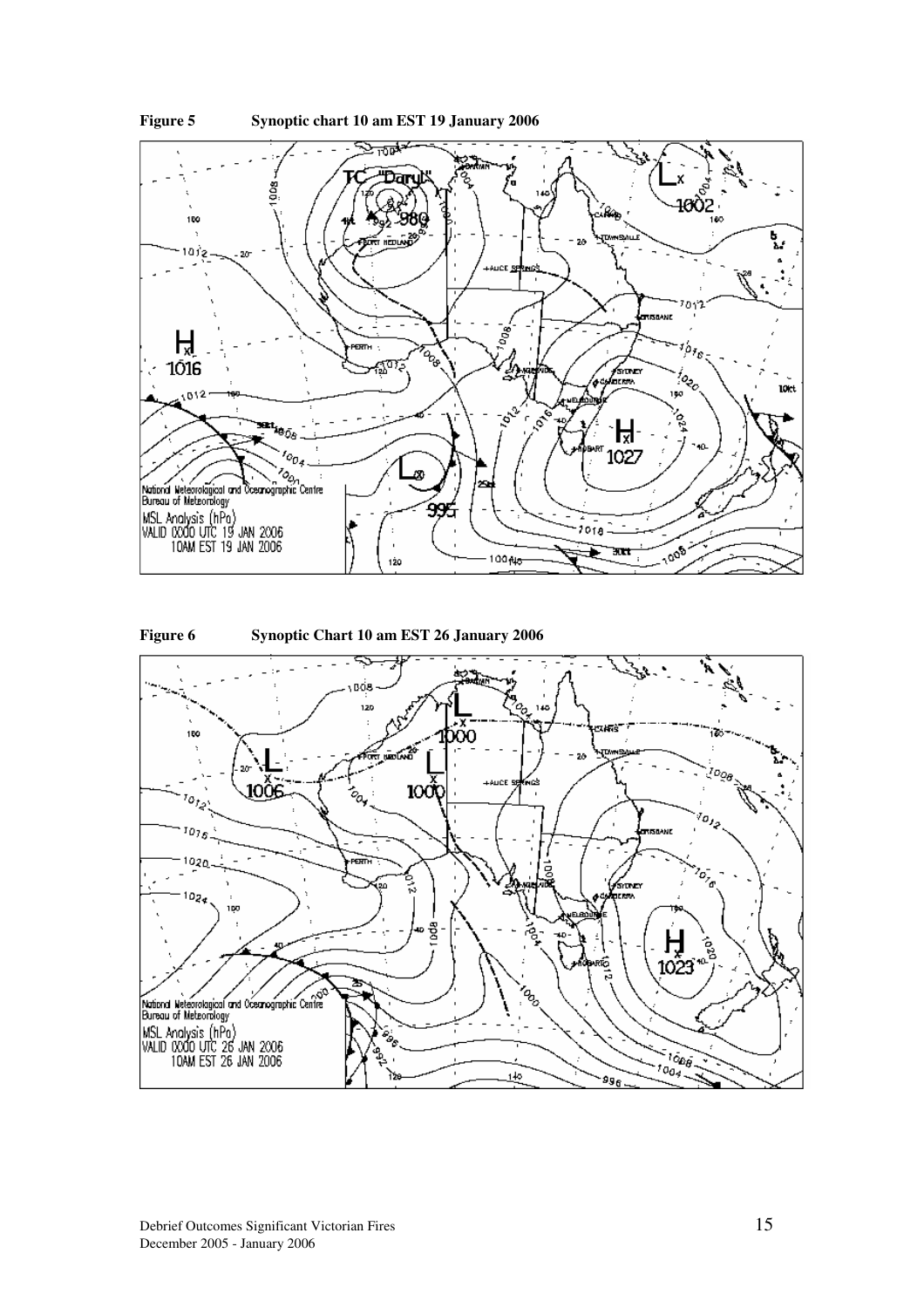



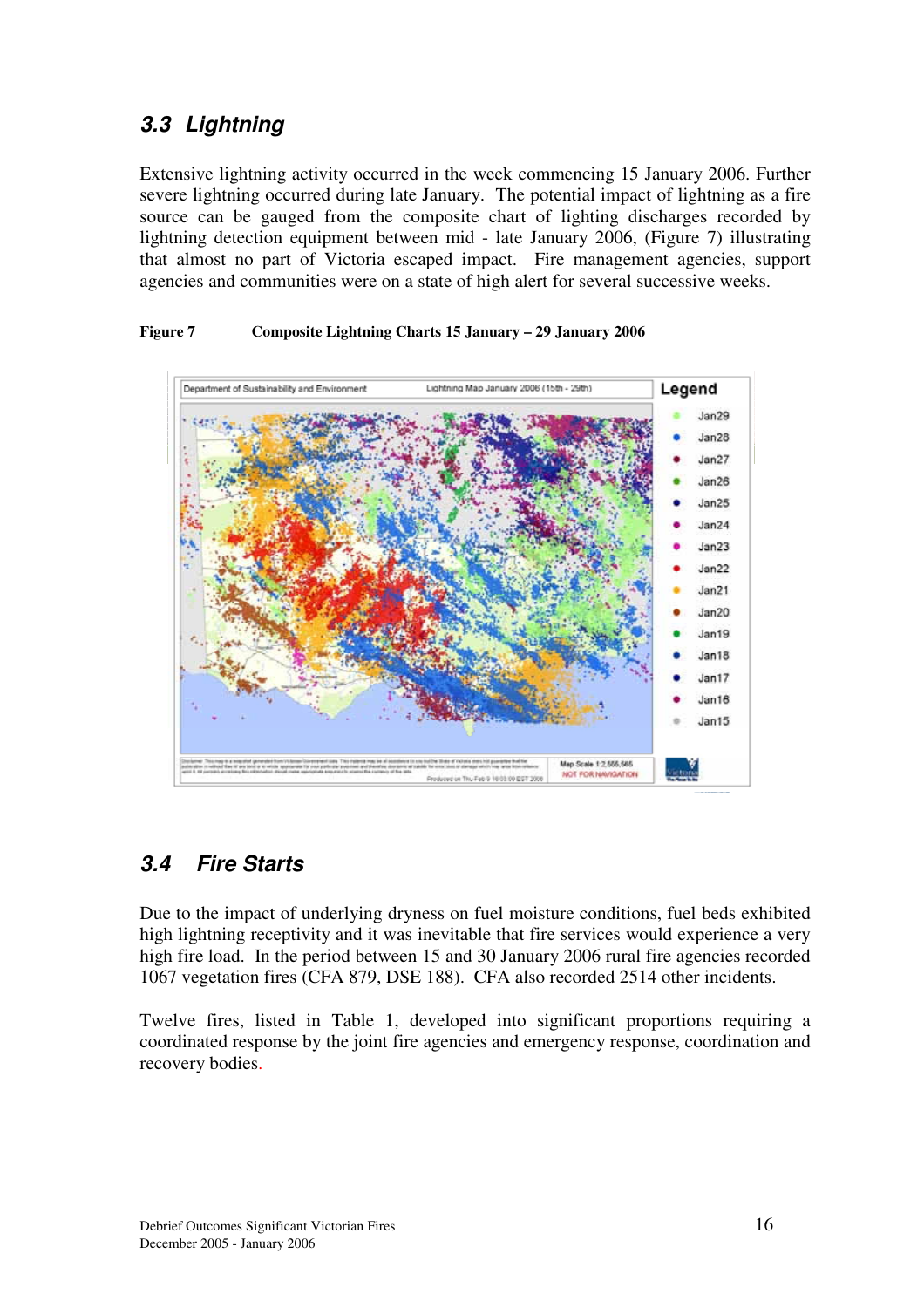## *3.3 Lightning*

Extensive lightning activity occurred in the week commencing 15 January 2006. Further severe lightning occurred during late January. The potential impact of lightning as a fire source can be gauged from the composite chart of lighting discharges recorded by lightning detection equipment between mid - late January 2006, (Figure 7) illustrating that almost no part of Victoria escaped impact. Fire management agencies, support agencies and communities were on a state of high alert for several successive weeks.

#### **Figure 7 Composite Lightning Charts 15 January – 29 January 2006**



## *3.4 Fire Starts*

Due to the impact of underlying dryness on fuel moisture conditions, fuel beds exhibited high lightning receptivity and it was inevitable that fire services would experience a very high fire load. In the period between 15 and 30 January 2006 rural fire agencies recorded 1067 vegetation fires (CFA 879, DSE 188). CFA also recorded 2514 other incidents.

Twelve fires, listed in Table 1, developed into significant proportions requiring a coordinated response by the joint fire agencies and emergency response, coordination and recovery bodies.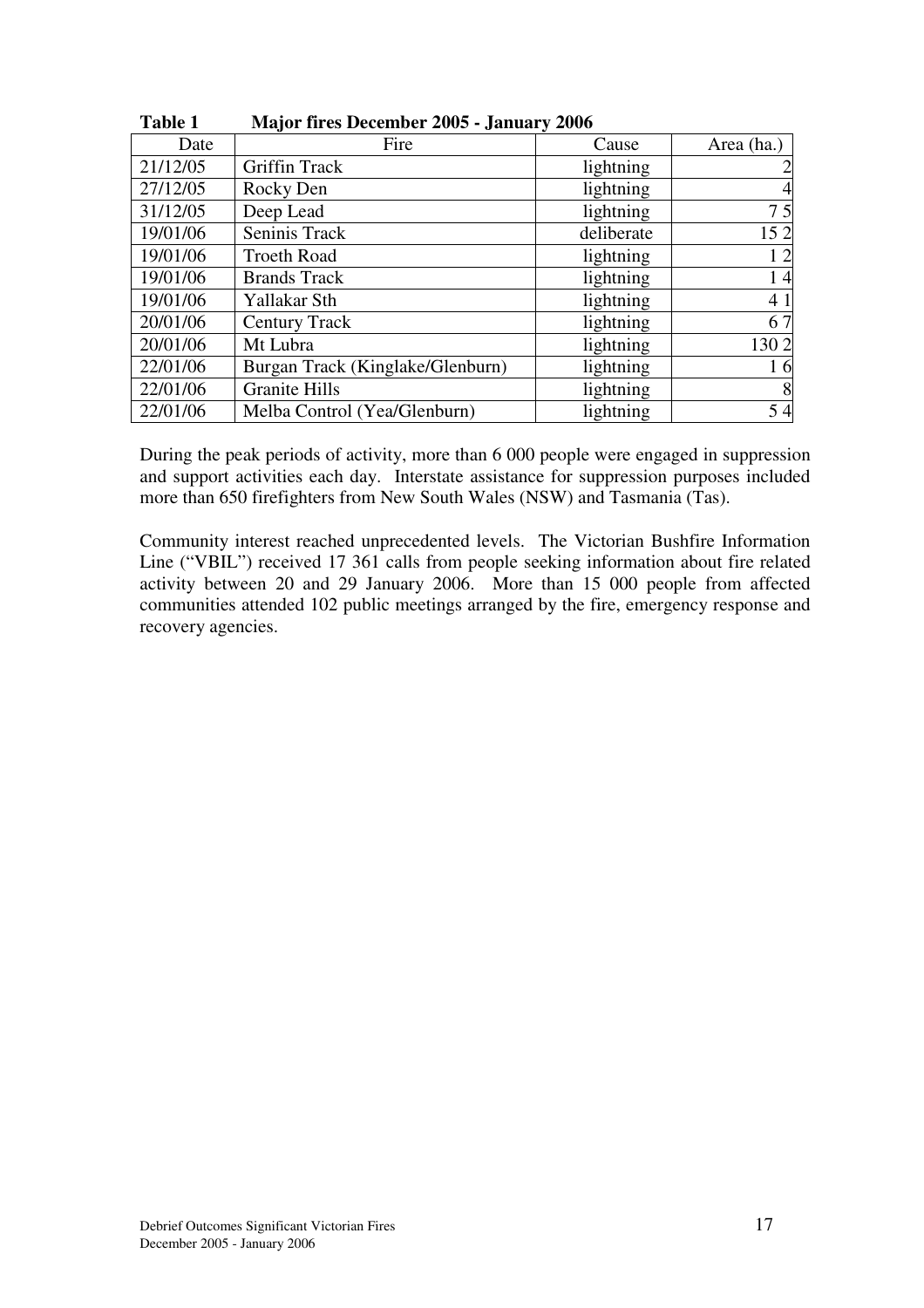| <b>Table 1</b> | <b>Major fires December 2005 - January 2006</b> |            |            |
|----------------|-------------------------------------------------|------------|------------|
| Date           | Fire                                            | Cause      | Area (ha.) |
| 21/12/05       | <b>Griffin Track</b>                            | lightning  |            |
| 27/12/05       | Rocky Den                                       | lightning  |            |
| 31/12/05       | Deep Lead                                       | lightning  | 75         |
| 19/01/06       | Seninis Track                                   | deliberate | 152        |
| 19/01/06       | <b>Troeth Road</b>                              | lightning  | 12         |
| 19/01/06       | <b>Brands Track</b>                             | lightning  | 14         |
| 19/01/06       | Yallakar Sth                                    | lightning  | 41         |
| 20/01/06       | <b>Century Track</b>                            | lightning  | 67         |
| 20/01/06       | Mt Lubra                                        | lightning  | 1302       |
| 22/01/06       | Burgan Track (Kinglake/Glenburn)                | lightning  | 16         |
| 22/01/06       | <b>Granite Hills</b>                            | lightning  | 8          |
| 22/01/06       | Melba Control (Yea/Glenburn)                    | lightning  | 54         |

During the peak periods of activity, more than 6 000 people were engaged in suppression and support activities each day. Interstate assistance for suppression purposes included more than 650 firefighters from New South Wales (NSW) and Tasmania (Tas).

Community interest reached unprecedented levels. The Victorian Bushfire Information Line ("VBIL") received 17 361 calls from people seeking information about fire related activity between 20 and 29 January 2006. More than 15 000 people from affected communities attended 102 public meetings arranged by the fire, emergency response and recovery agencies.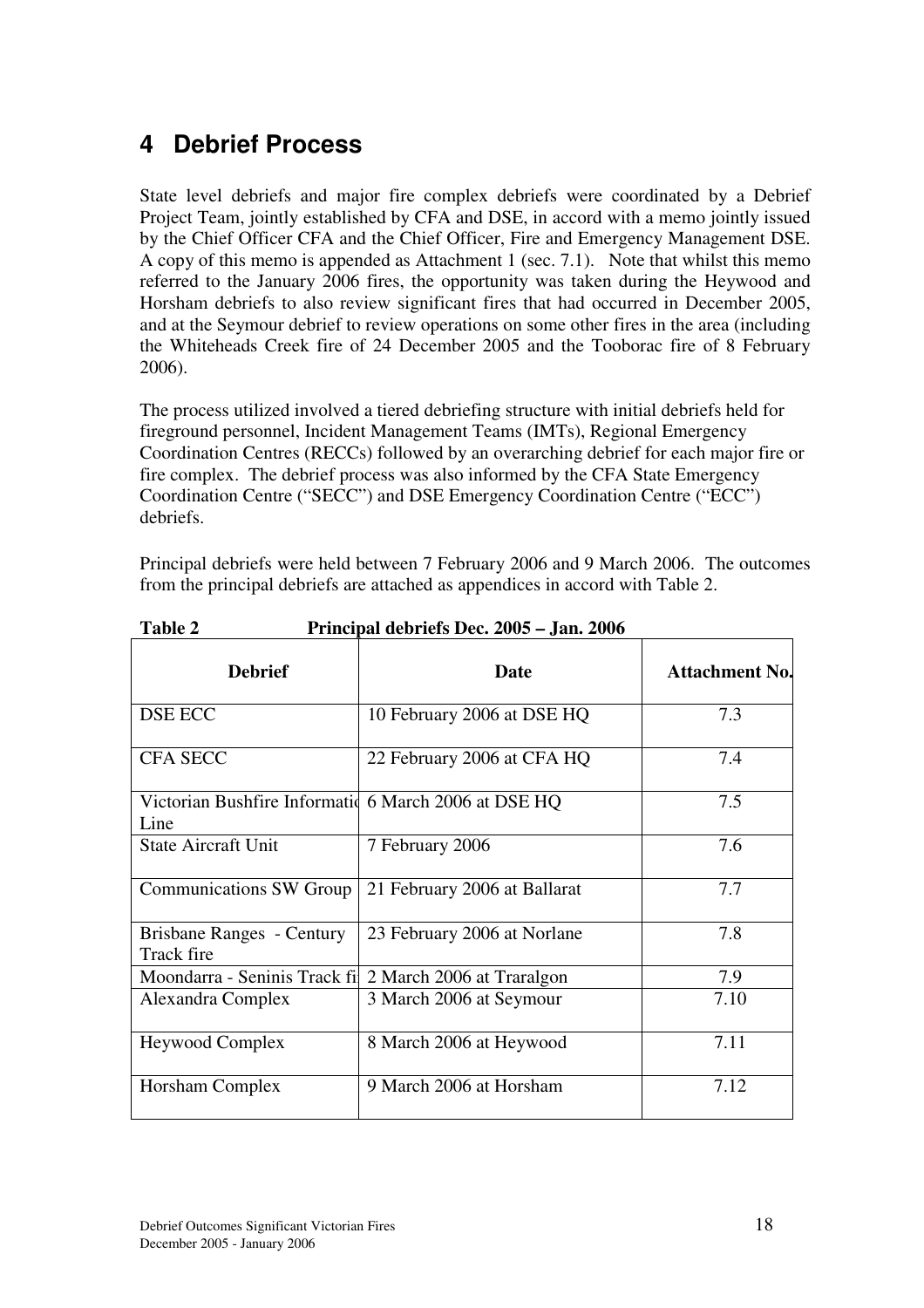# **4 Debrief Process**

State level debriefs and major fire complex debriefs were coordinated by a Debrief Project Team, jointly established by CFA and DSE, in accord with a memo jointly issued by the Chief Officer CFA and the Chief Officer, Fire and Emergency Management DSE. A copy of this memo is appended as Attachment 1 (sec. 7.1). Note that whilst this memo referred to the January 2006 fires, the opportunity was taken during the Heywood and Horsham debriefs to also review significant fires that had occurred in December 2005, and at the Seymour debrief to review operations on some other fires in the area (including the Whiteheads Creek fire of 24 December 2005 and the Tooborac fire of 8 February 2006).

The process utilized involved a tiered debriefing structure with initial debriefs held for fireground personnel, Incident Management Teams (IMTs), Regional Emergency Coordination Centres (RECCs) followed by an overarching debrief for each major fire or fire complex. The debrief process was also informed by the CFA State Emergency Coordination Centre ("SECC") and DSE Emergency Coordination Centre ("ECC") debriefs.

Principal debriefs were held between 7 February 2006 and 9 March 2006. The outcomes from the principal debriefs are attached as appendices in accord with Table 2.

| <b>Debrief</b>                                                | Date                         | <b>Attachment No.</b> |
|---------------------------------------------------------------|------------------------------|-----------------------|
| DSE ECC                                                       | 10 February 2006 at DSE HQ   | 7.3                   |
| <b>CFA SECC</b>                                               | 22 February 2006 at CFA HQ   | 7.4                   |
| Victorian Bushfire Information 6 March 2006 at DSE HQ<br>Line |                              | 7.5                   |
| <b>State Aircraft Unit</b>                                    | 7 February 2006              | 7.6                   |
| <b>Communications SW Group</b>                                | 21 February 2006 at Ballarat | 7.7                   |
| Brisbane Ranges - Century<br>Track fire                       | 23 February 2006 at Norlane  | 7.8                   |
| Moondarra - Seninis Track fil                                 | 2 March 2006 at Traralgon    | 7.9                   |
| Alexandra Complex                                             | 3 March 2006 at Seymour      | 7.10                  |
| <b>Heywood Complex</b>                                        | 8 March 2006 at Heywood      | 7.11                  |
| Horsham Complex                                               | 9 March 2006 at Horsham      | 7.12                  |

**Table 2 Principal debriefs Dec. 2005 – Jan. 2006**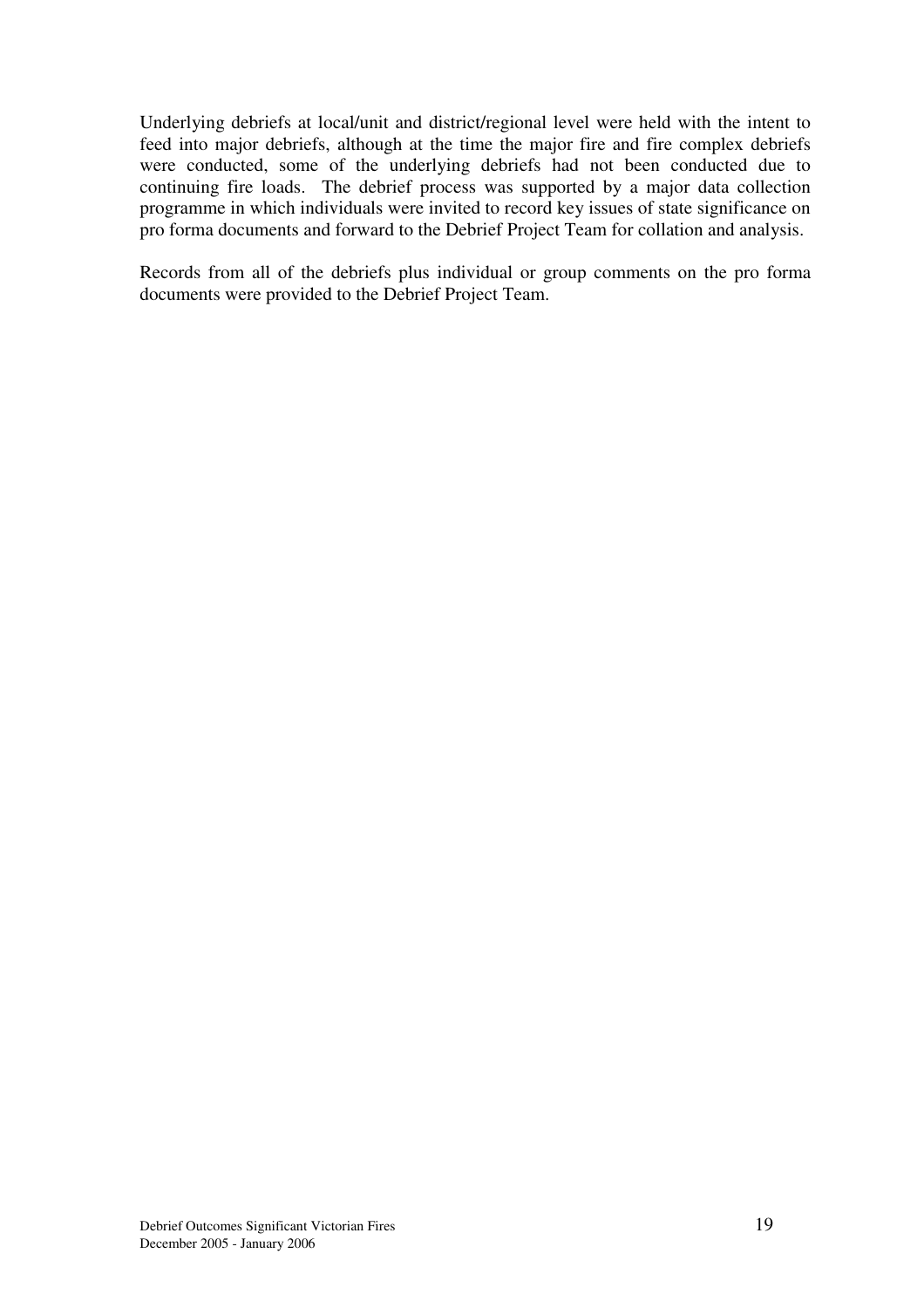Underlying debriefs at local/unit and district/regional level were held with the intent to feed into major debriefs, although at the time the major fire and fire complex debriefs were conducted, some of the underlying debriefs had not been conducted due to continuing fire loads. The debrief process was supported by a major data collection programme in which individuals were invited to record key issues of state significance on pro forma documents and forward to the Debrief Project Team for collation and analysis.

Records from all of the debriefs plus individual or group comments on the pro forma documents were provided to the Debrief Project Team.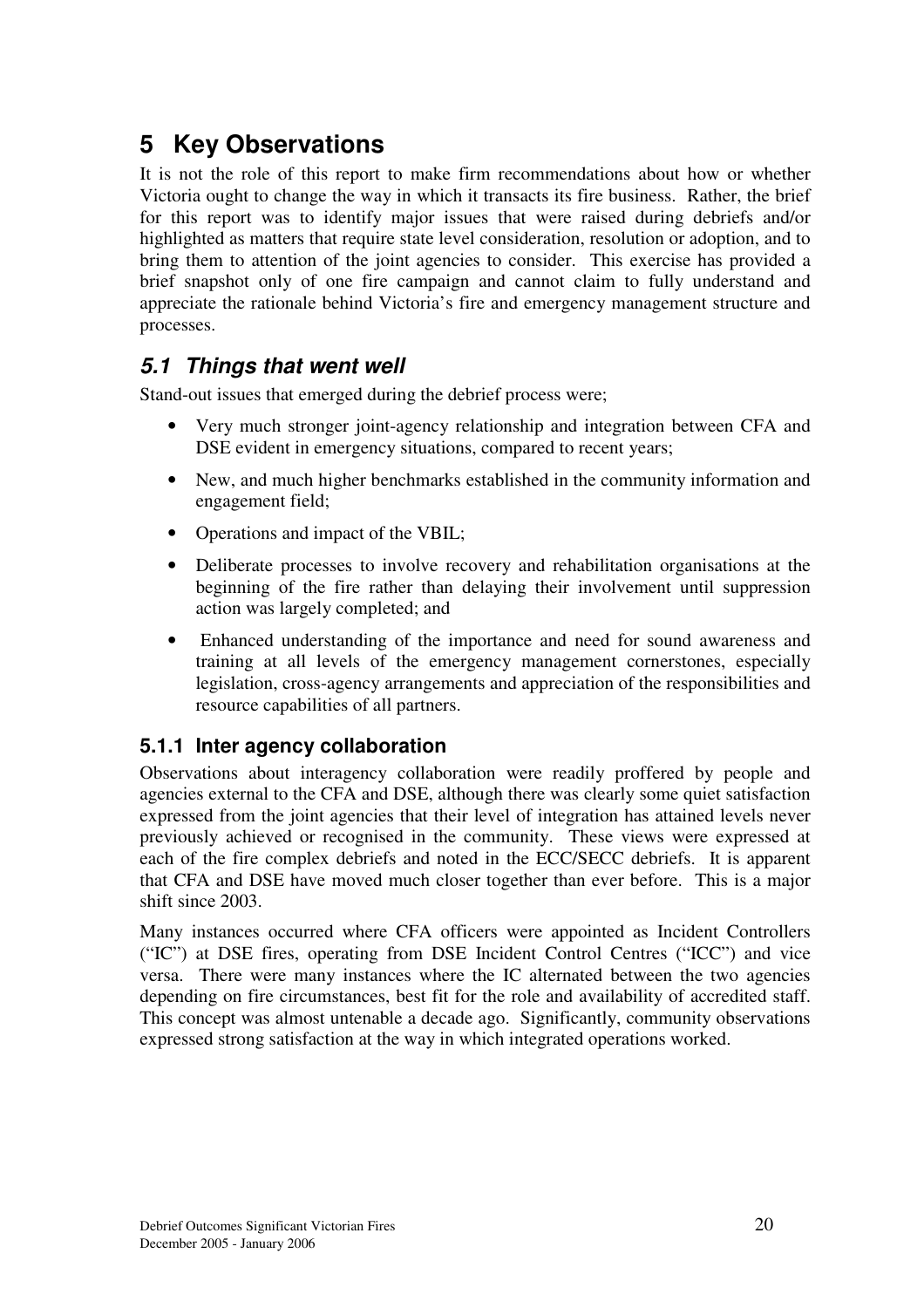# **5 Key Observations**

It is not the role of this report to make firm recommendations about how or whether Victoria ought to change the way in which it transacts its fire business. Rather, the brief for this report was to identify major issues that were raised during debriefs and/or highlighted as matters that require state level consideration, resolution or adoption, and to bring them to attention of the joint agencies to consider. This exercise has provided a brief snapshot only of one fire campaign and cannot claim to fully understand and appreciate the rationale behind Victoria's fire and emergency management structure and processes.

## *5.1 Things that went well*

Stand-out issues that emerged during the debrief process were;

- Very much stronger joint-agency relationship and integration between CFA and DSE evident in emergency situations, compared to recent years;
- New, and much higher benchmarks established in the community information and engagement field;
- Operations and impact of the VBIL;
- Deliberate processes to involve recovery and rehabilitation organisations at the beginning of the fire rather than delaying their involvement until suppression action was largely completed; and
- Enhanced understanding of the importance and need for sound awareness and training at all levels of the emergency management cornerstones, especially legislation, cross-agency arrangements and appreciation of the responsibilities and resource capabilities of all partners.

## **5.1.1 Inter agency collaboration**

Observations about interagency collaboration were readily proffered by people and agencies external to the CFA and DSE, although there was clearly some quiet satisfaction expressed from the joint agencies that their level of integration has attained levels never previously achieved or recognised in the community. These views were expressed at each of the fire complex debriefs and noted in the ECC/SECC debriefs. It is apparent that CFA and DSE have moved much closer together than ever before. This is a major shift since 2003.

Many instances occurred where CFA officers were appointed as Incident Controllers ("IC") at DSE fires, operating from DSE Incident Control Centres ("ICC") and vice versa. There were many instances where the IC alternated between the two agencies depending on fire circumstances, best fit for the role and availability of accredited staff. This concept was almost untenable a decade ago. Significantly, community observations expressed strong satisfaction at the way in which integrated operations worked.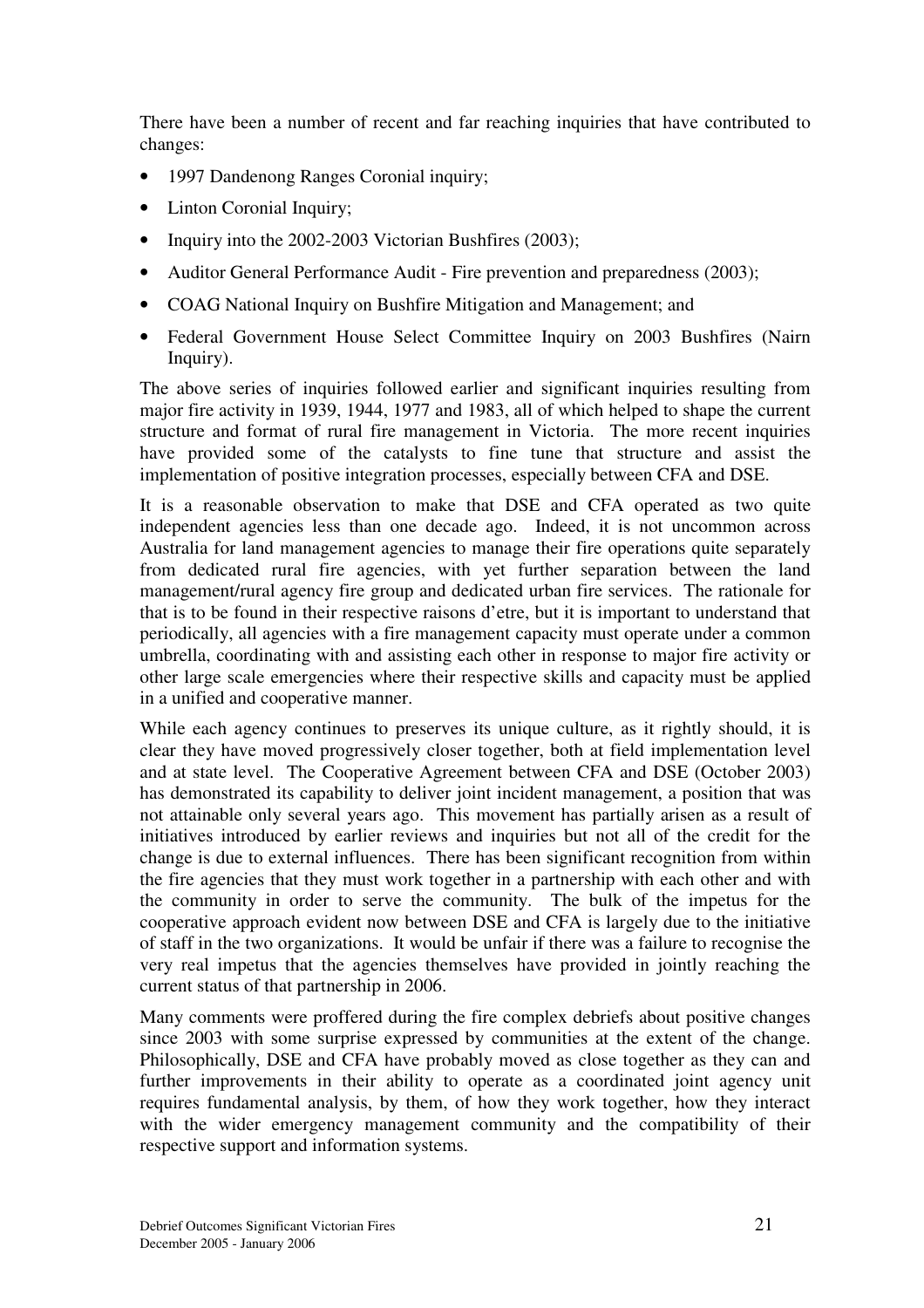There have been a number of recent and far reaching inquiries that have contributed to changes:

- 1997 Dandenong Ranges Coronial inquiry;
- Linton Coronial Inquiry;
- Inquiry into the 2002-2003 Victorian Bushfires (2003);
- Auditor General Performance Audit Fire prevention and preparedness (2003);
- COAG National Inquiry on Bushfire Mitigation and Management; and
- Federal Government House Select Committee Inquiry on 2003 Bushfires (Nairn Inquiry).

The above series of inquiries followed earlier and significant inquiries resulting from major fire activity in 1939, 1944, 1977 and 1983, all of which helped to shape the current structure and format of rural fire management in Victoria. The more recent inquiries have provided some of the catalysts to fine tune that structure and assist the implementation of positive integration processes, especially between CFA and DSE.

It is a reasonable observation to make that DSE and CFA operated as two quite independent agencies less than one decade ago. Indeed, it is not uncommon across Australia for land management agencies to manage their fire operations quite separately from dedicated rural fire agencies, with yet further separation between the land management/rural agency fire group and dedicated urban fire services. The rationale for that is to be found in their respective raisons d'etre, but it is important to understand that periodically, all agencies with a fire management capacity must operate under a common umbrella, coordinating with and assisting each other in response to major fire activity or other large scale emergencies where their respective skills and capacity must be applied in a unified and cooperative manner.

While each agency continues to preserves its unique culture, as it rightly should, it is clear they have moved progressively closer together, both at field implementation level and at state level. The Cooperative Agreement between CFA and DSE (October 2003) has demonstrated its capability to deliver joint incident management, a position that was not attainable only several years ago. This movement has partially arisen as a result of initiatives introduced by earlier reviews and inquiries but not all of the credit for the change is due to external influences. There has been significant recognition from within the fire agencies that they must work together in a partnership with each other and with the community in order to serve the community. The bulk of the impetus for the cooperative approach evident now between DSE and CFA is largely due to the initiative of staff in the two organizations. It would be unfair if there was a failure to recognise the very real impetus that the agencies themselves have provided in jointly reaching the current status of that partnership in 2006.

Many comments were proffered during the fire complex debriefs about positive changes since 2003 with some surprise expressed by communities at the extent of the change. Philosophically, DSE and CFA have probably moved as close together as they can and further improvements in their ability to operate as a coordinated joint agency unit requires fundamental analysis, by them, of how they work together, how they interact with the wider emergency management community and the compatibility of their respective support and information systems.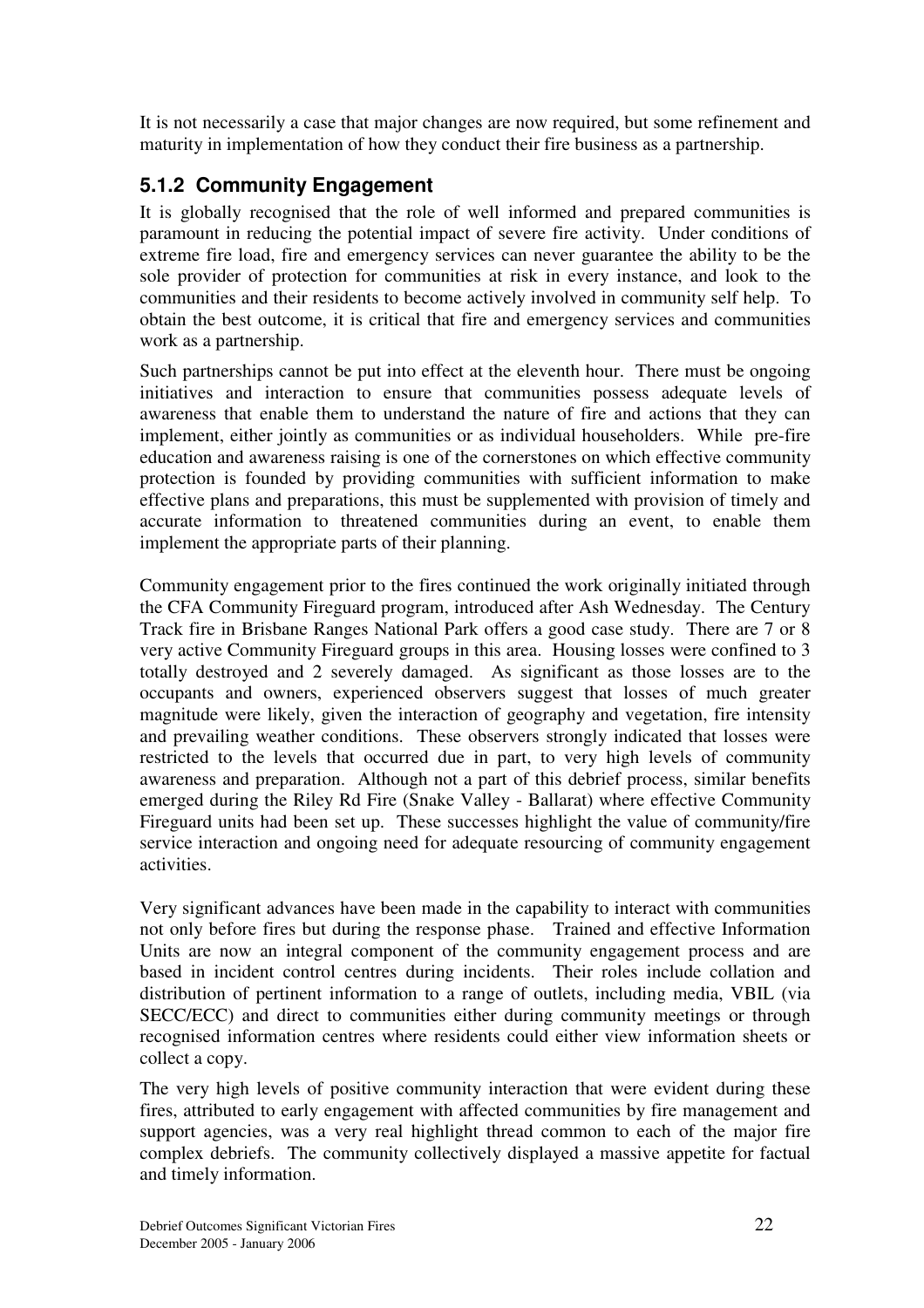It is not necessarily a case that major changes are now required, but some refinement and maturity in implementation of how they conduct their fire business as a partnership.

## **5.1.2 Community Engagement**

It is globally recognised that the role of well informed and prepared communities is paramount in reducing the potential impact of severe fire activity. Under conditions of extreme fire load, fire and emergency services can never guarantee the ability to be the sole provider of protection for communities at risk in every instance, and look to the communities and their residents to become actively involved in community self help. To obtain the best outcome, it is critical that fire and emergency services and communities work as a partnership.

Such partnerships cannot be put into effect at the eleventh hour. There must be ongoing initiatives and interaction to ensure that communities possess adequate levels of awareness that enable them to understand the nature of fire and actions that they can implement, either jointly as communities or as individual householders. While pre-fire education and awareness raising is one of the cornerstones on which effective community protection is founded by providing communities with sufficient information to make effective plans and preparations, this must be supplemented with provision of timely and accurate information to threatened communities during an event, to enable them implement the appropriate parts of their planning.

Community engagement prior to the fires continued the work originally initiated through the CFA Community Fireguard program, introduced after Ash Wednesday. The Century Track fire in Brisbane Ranges National Park offers a good case study. There are 7 or 8 very active Community Fireguard groups in this area. Housing losses were confined to 3 totally destroyed and 2 severely damaged. As significant as those losses are to the occupants and owners, experienced observers suggest that losses of much greater magnitude were likely, given the interaction of geography and vegetation, fire intensity and prevailing weather conditions. These observers strongly indicated that losses were restricted to the levels that occurred due in part, to very high levels of community awareness and preparation. Although not a part of this debrief process, similar benefits emerged during the Riley Rd Fire (Snake Valley - Ballarat) where effective Community Fireguard units had been set up. These successes highlight the value of community/fire service interaction and ongoing need for adequate resourcing of community engagement activities.

Very significant advances have been made in the capability to interact with communities not only before fires but during the response phase. Trained and effective Information Units are now an integral component of the community engagement process and are based in incident control centres during incidents. Their roles include collation and distribution of pertinent information to a range of outlets, including media, VBIL (via SECC/ECC) and direct to communities either during community meetings or through recognised information centres where residents could either view information sheets or collect a copy.

The very high levels of positive community interaction that were evident during these fires, attributed to early engagement with affected communities by fire management and support agencies, was a very real highlight thread common to each of the major fire complex debriefs. The community collectively displayed a massive appetite for factual and timely information.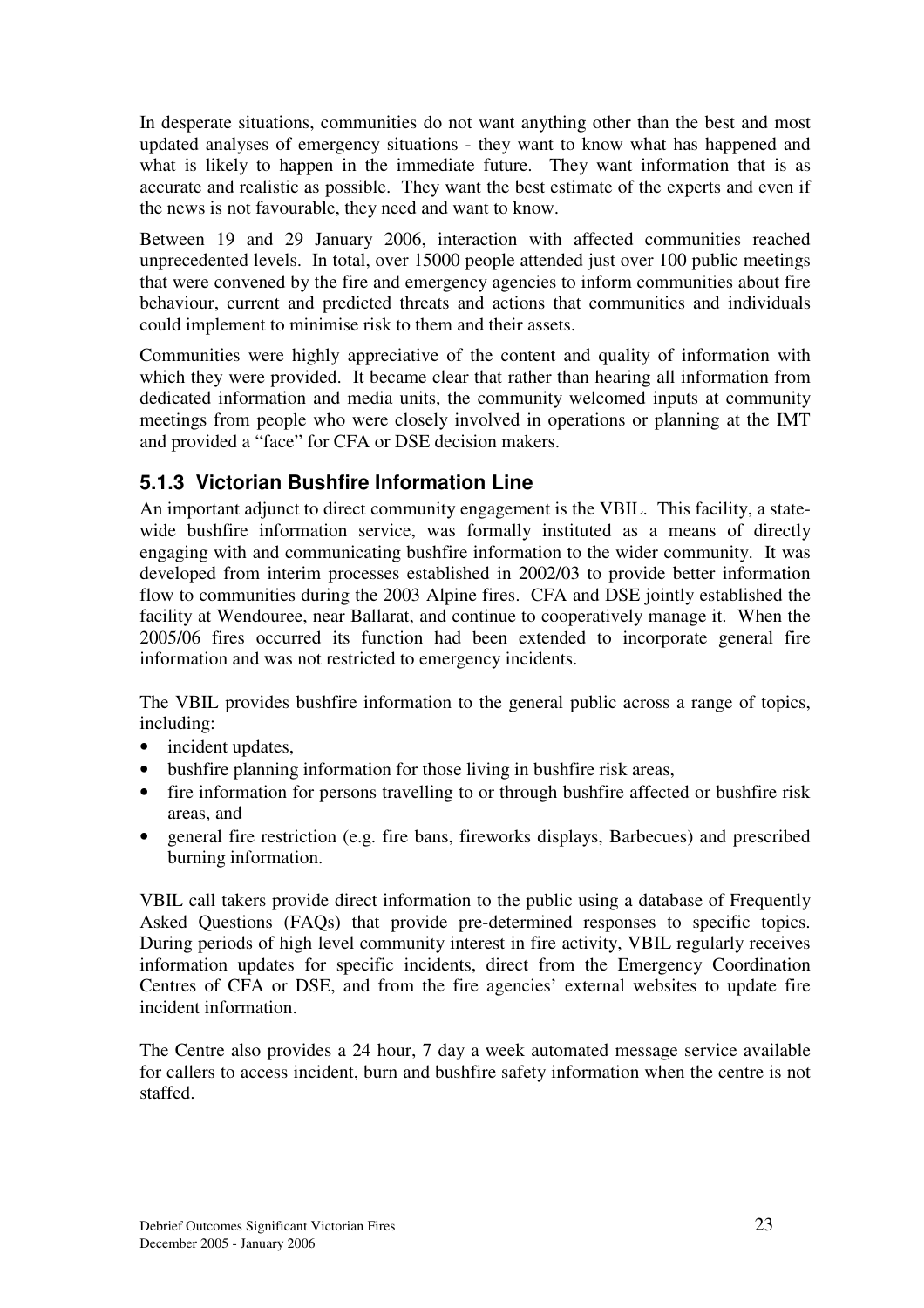In desperate situations, communities do not want anything other than the best and most updated analyses of emergency situations - they want to know what has happened and what is likely to happen in the immediate future. They want information that is as accurate and realistic as possible. They want the best estimate of the experts and even if the news is not favourable, they need and want to know.

Between 19 and 29 January 2006, interaction with affected communities reached unprecedented levels. In total, over 15000 people attended just over 100 public meetings that were convened by the fire and emergency agencies to inform communities about fire behaviour, current and predicted threats and actions that communities and individuals could implement to minimise risk to them and their assets.

Communities were highly appreciative of the content and quality of information with which they were provided. It became clear that rather than hearing all information from dedicated information and media units, the community welcomed inputs at community meetings from people who were closely involved in operations or planning at the IMT and provided a "face" for CFA or DSE decision makers.

## **5.1.3 Victorian Bushfire Information Line**

An important adjunct to direct community engagement is the VBIL. This facility, a statewide bushfire information service, was formally instituted as a means of directly engaging with and communicating bushfire information to the wider community. It was developed from interim processes established in 2002/03 to provide better information flow to communities during the 2003 Alpine fires. CFA and DSE jointly established the facility at Wendouree, near Ballarat, and continue to cooperatively manage it. When the 2005/06 fires occurred its function had been extended to incorporate general fire information and was not restricted to emergency incidents.

The VBIL provides bushfire information to the general public across a range of topics, including:

- incident updates,
- bushfire planning information for those living in bushfire risk areas,
- fire information for persons travelling to or through bushfire affected or bushfire risk areas, and
- general fire restriction (e.g. fire bans, fireworks displays, Barbecues) and prescribed burning information.

VBIL call takers provide direct information to the public using a database of Frequently Asked Questions (FAQs) that provide pre-determined responses to specific topics. During periods of high level community interest in fire activity, VBIL regularly receives information updates for specific incidents, direct from the Emergency Coordination Centres of CFA or DSE, and from the fire agencies' external websites to update fire incident information.

The Centre also provides a 24 hour, 7 day a week automated message service available for callers to access incident, burn and bushfire safety information when the centre is not staffed.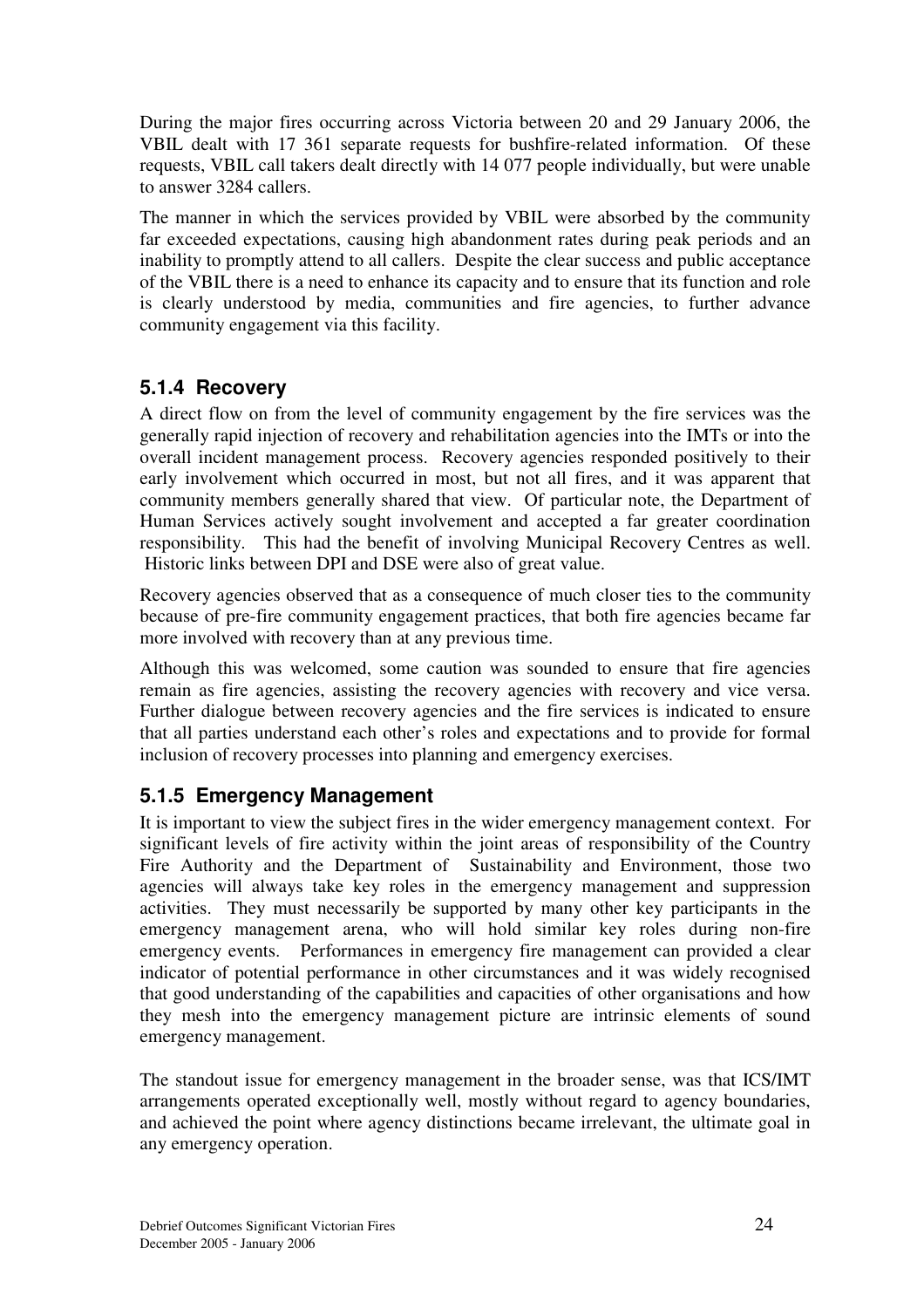During the major fires occurring across Victoria between 20 and 29 January 2006, the VBIL dealt with 17 361 separate requests for bushfire-related information. Of these requests, VBIL call takers dealt directly with 14 077 people individually, but were unable to answer 3284 callers.

The manner in which the services provided by VBIL were absorbed by the community far exceeded expectations, causing high abandonment rates during peak periods and an inability to promptly attend to all callers. Despite the clear success and public acceptance of the VBIL there is a need to enhance its capacity and to ensure that its function and role is clearly understood by media, communities and fire agencies, to further advance community engagement via this facility.

## **5.1.4 Recovery**

A direct flow on from the level of community engagement by the fire services was the generally rapid injection of recovery and rehabilitation agencies into the IMTs or into the overall incident management process. Recovery agencies responded positively to their early involvement which occurred in most, but not all fires, and it was apparent that community members generally shared that view. Of particular note, the Department of Human Services actively sought involvement and accepted a far greater coordination responsibility. This had the benefit of involving Municipal Recovery Centres as well. Historic links between DPI and DSE were also of great value.

Recovery agencies observed that as a consequence of much closer ties to the community because of pre-fire community engagement practices, that both fire agencies became far more involved with recovery than at any previous time.

Although this was welcomed, some caution was sounded to ensure that fire agencies remain as fire agencies, assisting the recovery agencies with recovery and vice versa. Further dialogue between recovery agencies and the fire services is indicated to ensure that all parties understand each other's roles and expectations and to provide for formal inclusion of recovery processes into planning and emergency exercises.

## **5.1.5 Emergency Management**

It is important to view the subject fires in the wider emergency management context. For significant levels of fire activity within the joint areas of responsibility of the Country Fire Authority and the Department of Sustainability and Environment, those two agencies will always take key roles in the emergency management and suppression activities. They must necessarily be supported by many other key participants in the emergency management arena, who will hold similar key roles during non-fire emergency events. Performances in emergency fire management can provided a clear indicator of potential performance in other circumstances and it was widely recognised that good understanding of the capabilities and capacities of other organisations and how they mesh into the emergency management picture are intrinsic elements of sound emergency management.

The standout issue for emergency management in the broader sense, was that ICS/IMT arrangements operated exceptionally well, mostly without regard to agency boundaries, and achieved the point where agency distinctions became irrelevant, the ultimate goal in any emergency operation.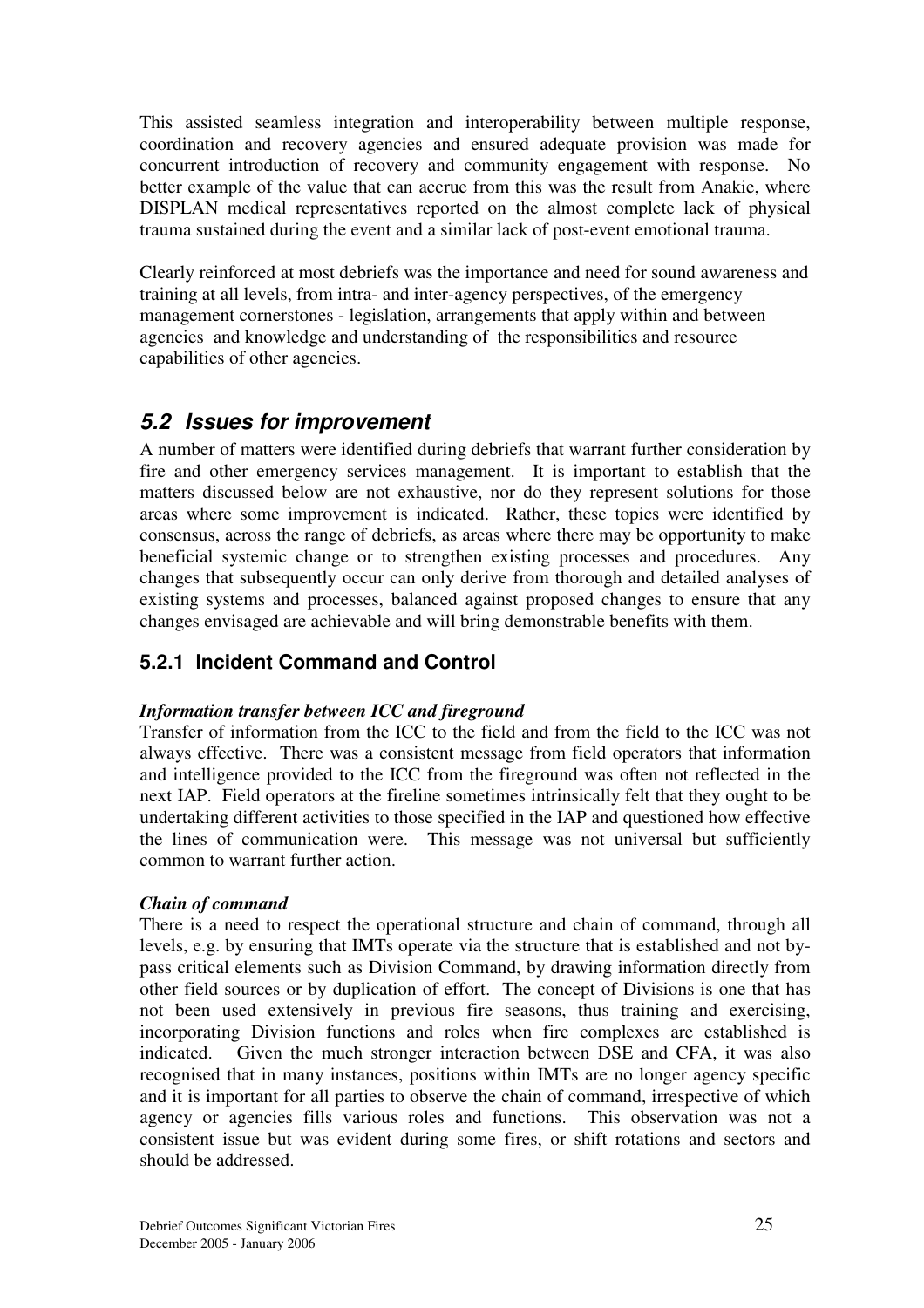This assisted seamless integration and interoperability between multiple response, coordination and recovery agencies and ensured adequate provision was made for concurrent introduction of recovery and community engagement with response. No better example of the value that can accrue from this was the result from Anakie, where DISPLAN medical representatives reported on the almost complete lack of physical trauma sustained during the event and a similar lack of post-event emotional trauma.

Clearly reinforced at most debriefs was the importance and need for sound awareness and training at all levels, from intra- and inter-agency perspectives, of the emergency management cornerstones - legislation, arrangements that apply within and between agencies and knowledge and understanding of the responsibilities and resource capabilities of other agencies.

## *5.2 Issues for improvement*

A number of matters were identified during debriefs that warrant further consideration by fire and other emergency services management. It is important to establish that the matters discussed below are not exhaustive, nor do they represent solutions for those areas where some improvement is indicated. Rather, these topics were identified by consensus, across the range of debriefs, as areas where there may be opportunity to make beneficial systemic change or to strengthen existing processes and procedures. Any changes that subsequently occur can only derive from thorough and detailed analyses of existing systems and processes, balanced against proposed changes to ensure that any changes envisaged are achievable and will bring demonstrable benefits with them.

## **5.2.1 Incident Command and Control**

#### *Information transfer between ICC and fireground*

Transfer of information from the ICC to the field and from the field to the ICC was not always effective. There was a consistent message from field operators that information and intelligence provided to the ICC from the fireground was often not reflected in the next IAP. Field operators at the fireline sometimes intrinsically felt that they ought to be undertaking different activities to those specified in the IAP and questioned how effective the lines of communication were. This message was not universal but sufficiently common to warrant further action.

#### *Chain of command*

There is a need to respect the operational structure and chain of command, through all levels, e.g. by ensuring that IMTs operate via the structure that is established and not bypass critical elements such as Division Command, by drawing information directly from other field sources or by duplication of effort. The concept of Divisions is one that has not been used extensively in previous fire seasons, thus training and exercising, incorporating Division functions and roles when fire complexes are established is indicated. Given the much stronger interaction between DSE and CFA, it was also recognised that in many instances, positions within IMTs are no longer agency specific and it is important for all parties to observe the chain of command, irrespective of which agency or agencies fills various roles and functions. This observation was not a consistent issue but was evident during some fires, or shift rotations and sectors and should be addressed.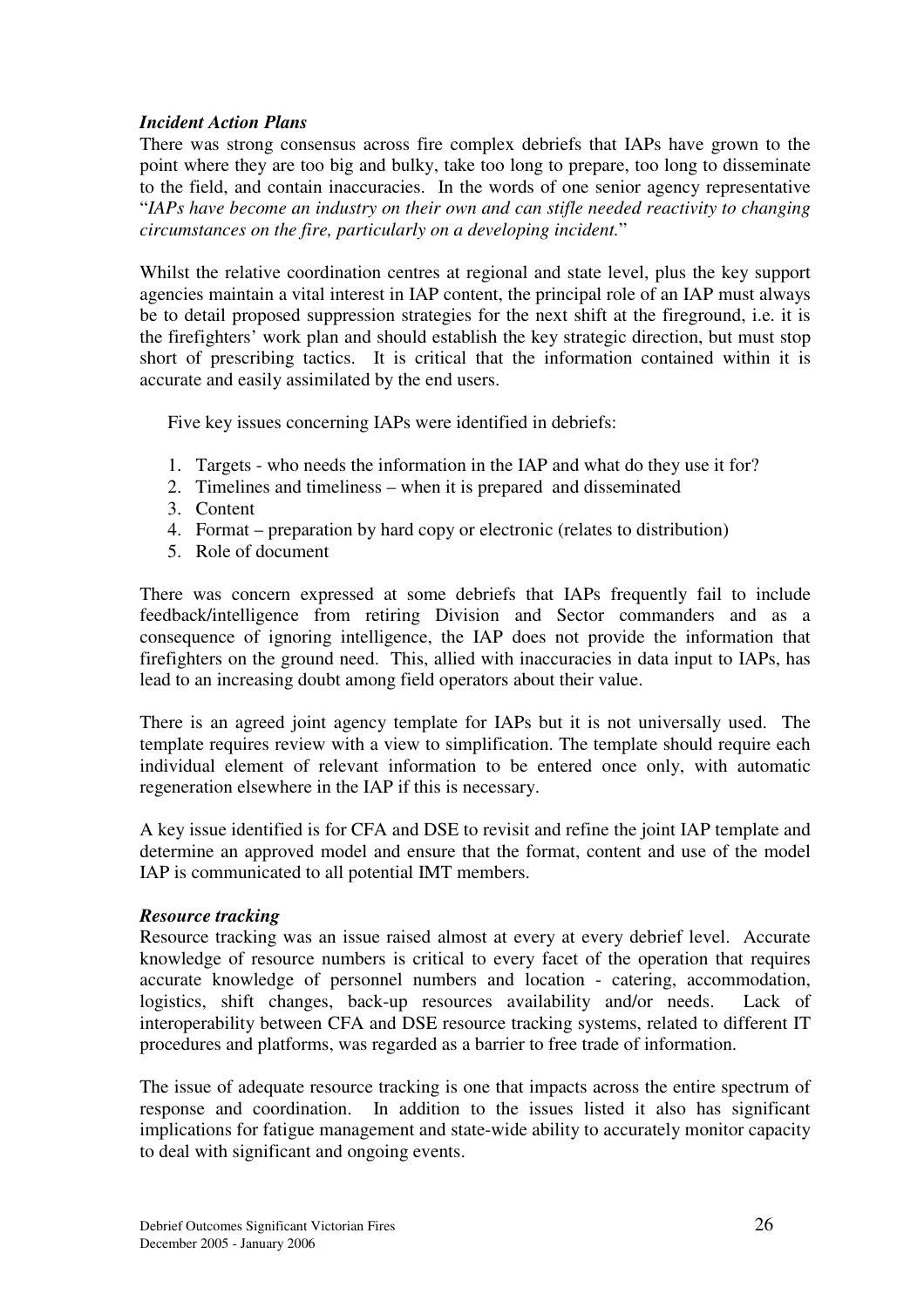#### *Incident Action Plans*

There was strong consensus across fire complex debriefs that IAPs have grown to the point where they are too big and bulky, take too long to prepare, too long to disseminate to the field, and contain inaccuracies. In the words of one senior agency representative "*IAPs have become an industry on their own and can stifle needed reactivity to changing circumstances on the fire, particularly on a developing incident.*"

Whilst the relative coordination centres at regional and state level, plus the key support agencies maintain a vital interest in IAP content, the principal role of an IAP must always be to detail proposed suppression strategies for the next shift at the fireground, i.e. it is the firefighters' work plan and should establish the key strategic direction, but must stop short of prescribing tactics. It is critical that the information contained within it is accurate and easily assimilated by the end users.

Five key issues concerning IAPs were identified in debriefs:

- 1. Targets who needs the information in the IAP and what do they use it for?
- 2. Timelines and timeliness when it is prepared and disseminated
- 3. Content
- 4. Format preparation by hard copy or electronic (relates to distribution)
- 5. Role of document

There was concern expressed at some debriefs that IAPs frequently fail to include feedback/intelligence from retiring Division and Sector commanders and as a consequence of ignoring intelligence, the IAP does not provide the information that firefighters on the ground need. This, allied with inaccuracies in data input to IAPs, has lead to an increasing doubt among field operators about their value.

There is an agreed joint agency template for IAPs but it is not universally used. The template requires review with a view to simplification. The template should require each individual element of relevant information to be entered once only, with automatic regeneration elsewhere in the IAP if this is necessary.

A key issue identified is for CFA and DSE to revisit and refine the joint IAP template and determine an approved model and ensure that the format, content and use of the model IAP is communicated to all potential IMT members.

#### *Resource tracking*

Resource tracking was an issue raised almost at every at every debrief level. Accurate knowledge of resource numbers is critical to every facet of the operation that requires accurate knowledge of personnel numbers and location - catering, accommodation, logistics, shift changes, back-up resources availability and/or needs. Lack of interoperability between CFA and DSE resource tracking systems, related to different IT procedures and platforms, was regarded as a barrier to free trade of information.

The issue of adequate resource tracking is one that impacts across the entire spectrum of response and coordination. In addition to the issues listed it also has significant implications for fatigue management and state-wide ability to accurately monitor capacity to deal with significant and ongoing events.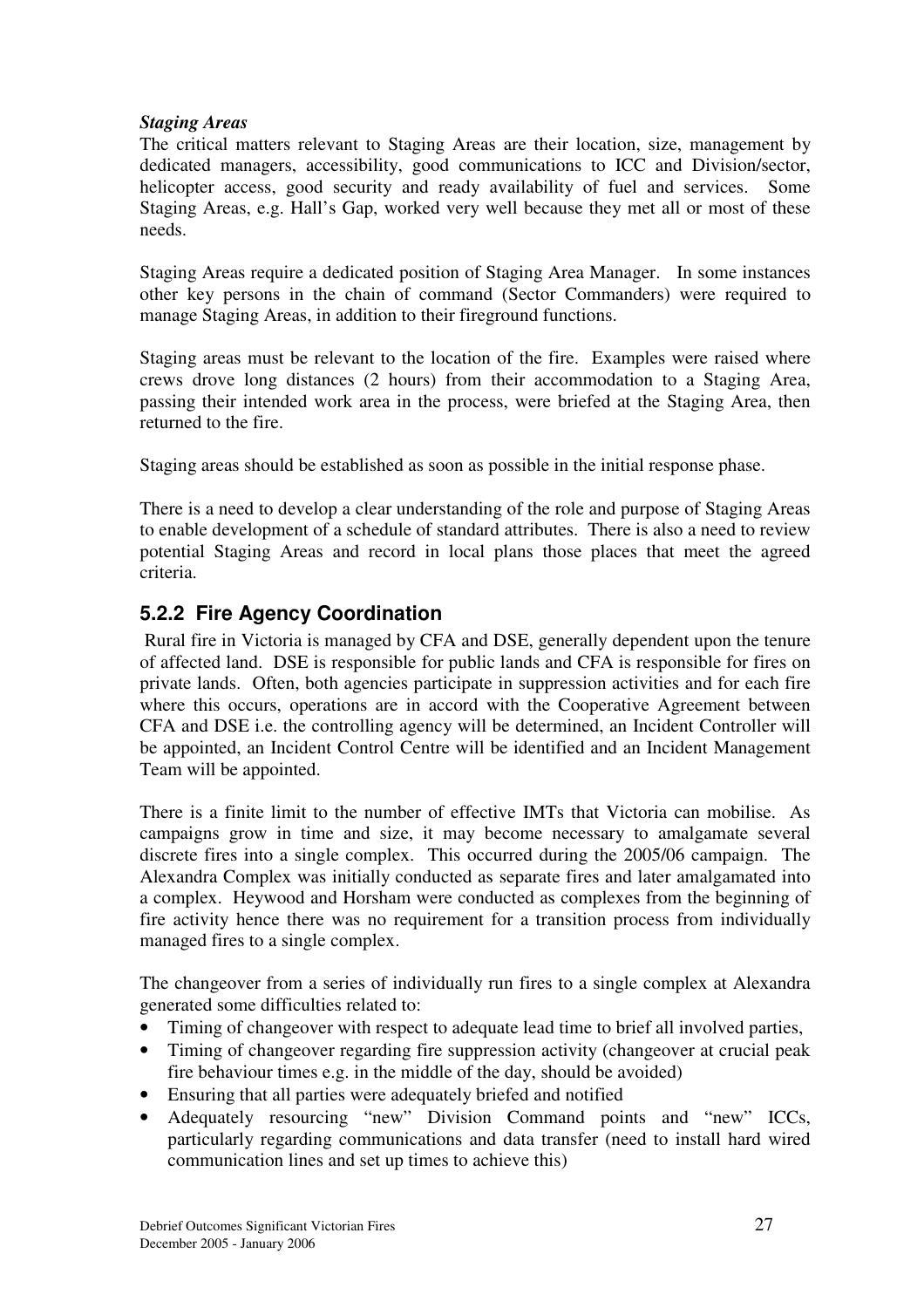#### *Staging Areas*

The critical matters relevant to Staging Areas are their location, size, management by dedicated managers, accessibility, good communications to ICC and Division/sector, helicopter access, good security and ready availability of fuel and services. Some Staging Areas, e.g. Hall's Gap, worked very well because they met all or most of these needs.

Staging Areas require a dedicated position of Staging Area Manager. In some instances other key persons in the chain of command (Sector Commanders) were required to manage Staging Areas, in addition to their fireground functions.

Staging areas must be relevant to the location of the fire. Examples were raised where crews drove long distances (2 hours) from their accommodation to a Staging Area, passing their intended work area in the process, were briefed at the Staging Area, then returned to the fire.

Staging areas should be established as soon as possible in the initial response phase.

There is a need to develop a clear understanding of the role and purpose of Staging Areas to enable development of a schedule of standard attributes. There is also a need to review potential Staging Areas and record in local plans those places that meet the agreed criteria.

### **5.2.2 Fire Agency Coordination**

Rural fire in Victoria is managed by CFA and DSE, generally dependent upon the tenure of affected land. DSE is responsible for public lands and CFA is responsible for fires on private lands. Often, both agencies participate in suppression activities and for each fire where this occurs, operations are in accord with the Cooperative Agreement between CFA and DSE i.e. the controlling agency will be determined, an Incident Controller will be appointed, an Incident Control Centre will be identified and an Incident Management Team will be appointed.

There is a finite limit to the number of effective IMTs that Victoria can mobilise. As campaigns grow in time and size, it may become necessary to amalgamate several discrete fires into a single complex. This occurred during the 2005/06 campaign. The Alexandra Complex was initially conducted as separate fires and later amalgamated into a complex. Heywood and Horsham were conducted as complexes from the beginning of fire activity hence there was no requirement for a transition process from individually managed fires to a single complex.

The changeover from a series of individually run fires to a single complex at Alexandra generated some difficulties related to:

- Timing of changeover with respect to adequate lead time to brief all involved parties,
- Timing of changeover regarding fire suppression activity (changeover at crucial peak fire behaviour times e.g. in the middle of the day, should be avoided)
- Ensuring that all parties were adequately briefed and notified
- Adequately resourcing "new" Division Command points and "new" ICCs, particularly regarding communications and data transfer (need to install hard wired communication lines and set up times to achieve this)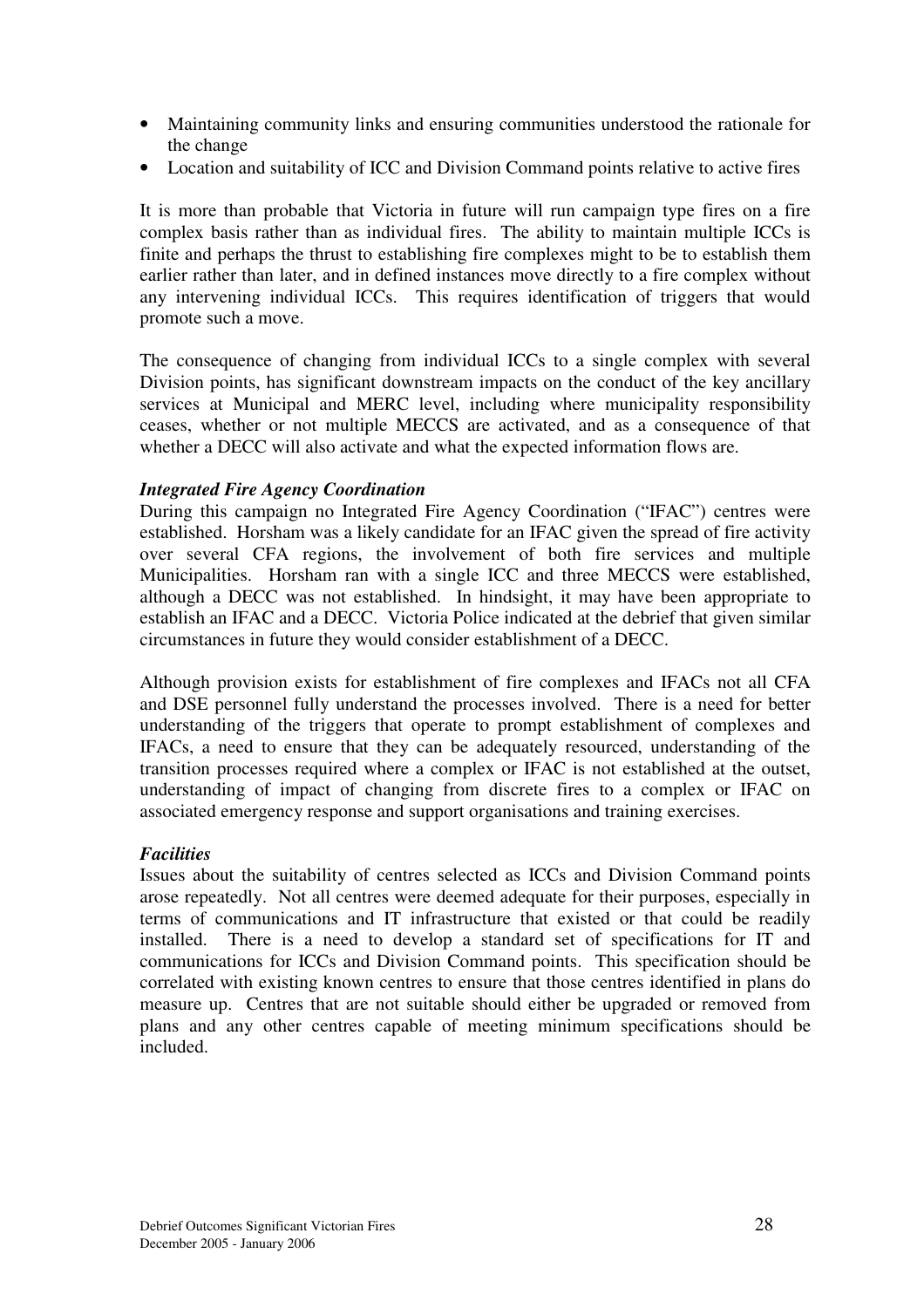- Maintaining community links and ensuring communities understood the rationale for the change
- Location and suitability of ICC and Division Command points relative to active fires

It is more than probable that Victoria in future will run campaign type fires on a fire complex basis rather than as individual fires. The ability to maintain multiple ICCs is finite and perhaps the thrust to establishing fire complexes might to be to establish them earlier rather than later, and in defined instances move directly to a fire complex without any intervening individual ICCs. This requires identification of triggers that would promote such a move.

The consequence of changing from individual ICCs to a single complex with several Division points, has significant downstream impacts on the conduct of the key ancillary services at Municipal and MERC level, including where municipality responsibility ceases, whether or not multiple MECCS are activated, and as a consequence of that whether a DECC will also activate and what the expected information flows are.

#### *Integrated Fire Agency Coordination*

During this campaign no Integrated Fire Agency Coordination ("IFAC") centres were established. Horsham was a likely candidate for an IFAC given the spread of fire activity over several CFA regions, the involvement of both fire services and multiple Municipalities. Horsham ran with a single ICC and three MECCS were established, although a DECC was not established. In hindsight, it may have been appropriate to establish an IFAC and a DECC. Victoria Police indicated at the debrief that given similar circumstances in future they would consider establishment of a DECC.

Although provision exists for establishment of fire complexes and IFACs not all CFA and DSE personnel fully understand the processes involved. There is a need for better understanding of the triggers that operate to prompt establishment of complexes and IFACs, a need to ensure that they can be adequately resourced, understanding of the transition processes required where a complex or IFAC is not established at the outset, understanding of impact of changing from discrete fires to a complex or IFAC on associated emergency response and support organisations and training exercises.

#### *Facilities*

Issues about the suitability of centres selected as ICCs and Division Command points arose repeatedly. Not all centres were deemed adequate for their purposes, especially in terms of communications and IT infrastructure that existed or that could be readily installed. There is a need to develop a standard set of specifications for IT and communications for ICCs and Division Command points. This specification should be correlated with existing known centres to ensure that those centres identified in plans do measure up. Centres that are not suitable should either be upgraded or removed from plans and any other centres capable of meeting minimum specifications should be included.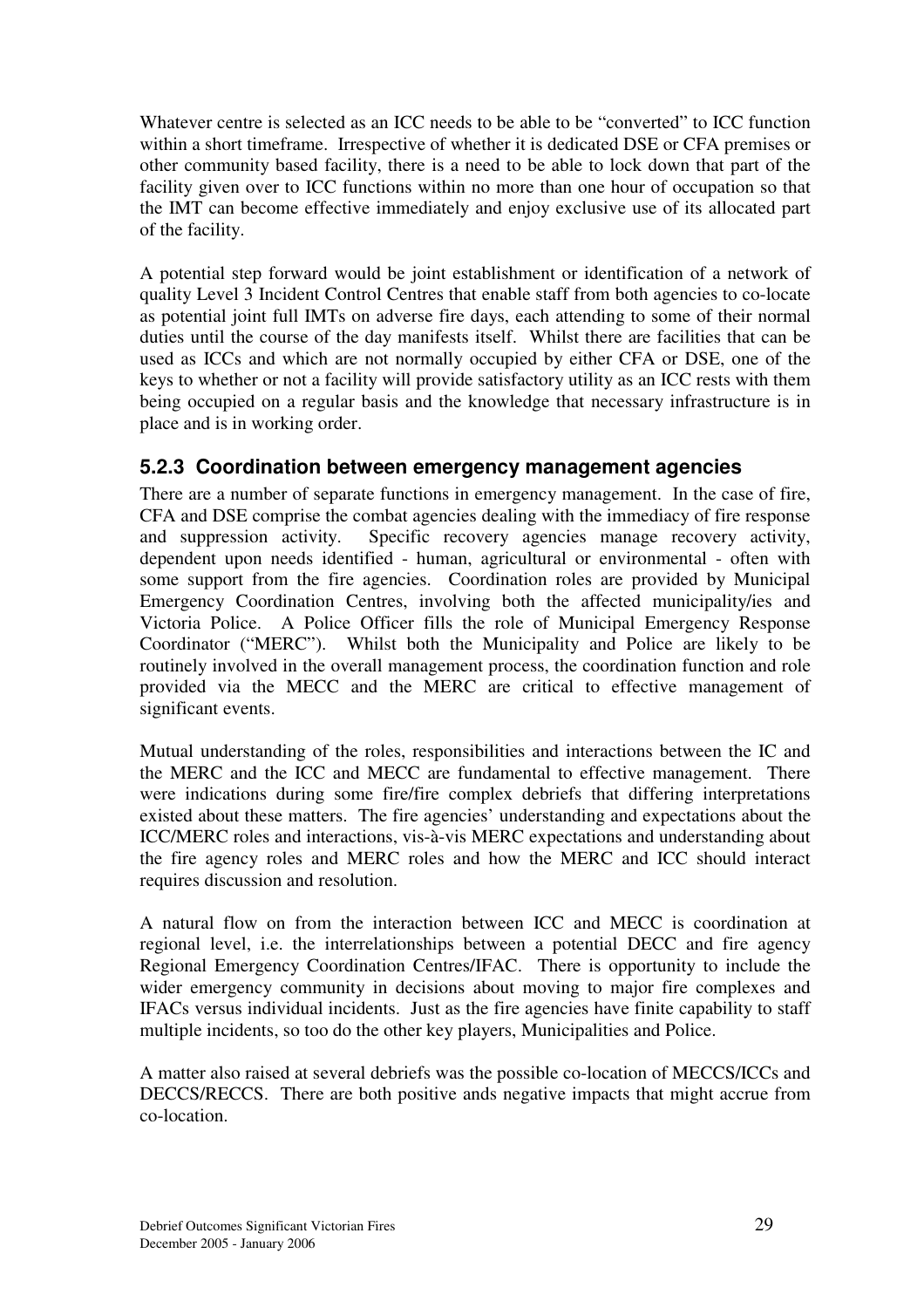Whatever centre is selected as an ICC needs to be able to be "converted" to ICC function within a short timeframe. Irrespective of whether it is dedicated DSE or CFA premises or other community based facility, there is a need to be able to lock down that part of the facility given over to ICC functions within no more than one hour of occupation so that the IMT can become effective immediately and enjoy exclusive use of its allocated part of the facility.

A potential step forward would be joint establishment or identification of a network of quality Level 3 Incident Control Centres that enable staff from both agencies to co-locate as potential joint full IMTs on adverse fire days, each attending to some of their normal duties until the course of the day manifests itself. Whilst there are facilities that can be used as ICCs and which are not normally occupied by either CFA or DSE, one of the keys to whether or not a facility will provide satisfactory utility as an ICC rests with them being occupied on a regular basis and the knowledge that necessary infrastructure is in place and is in working order.

### **5.2.3 Coordination between emergency management agencies**

There are a number of separate functions in emergency management. In the case of fire, CFA and DSE comprise the combat agencies dealing with the immediacy of fire response and suppression activity. Specific recovery agencies manage recovery activity, dependent upon needs identified - human, agricultural or environmental - often with some support from the fire agencies. Coordination roles are provided by Municipal Emergency Coordination Centres, involving both the affected municipality/ies and Victoria Police. A Police Officer fills the role of Municipal Emergency Response Coordinator ("MERC"). Whilst both the Municipality and Police are likely to be routinely involved in the overall management process, the coordination function and role provided via the MECC and the MERC are critical to effective management of significant events.

Mutual understanding of the roles, responsibilities and interactions between the IC and the MERC and the ICC and MECC are fundamental to effective management. There were indications during some fire/fire complex debriefs that differing interpretations existed about these matters. The fire agencies' understanding and expectations about the ICC/MERC roles and interactions, vis-à-vis MERC expectations and understanding about the fire agency roles and MERC roles and how the MERC and ICC should interact requires discussion and resolution.

A natural flow on from the interaction between ICC and MECC is coordination at regional level, i.e. the interrelationships between a potential DECC and fire agency Regional Emergency Coordination Centres/IFAC. There is opportunity to include the wider emergency community in decisions about moving to major fire complexes and IFACs versus individual incidents. Just as the fire agencies have finite capability to staff multiple incidents, so too do the other key players, Municipalities and Police.

A matter also raised at several debriefs was the possible co-location of MECCS/ICCs and DECCS/RECCS. There are both positive ands negative impacts that might accrue from co-location.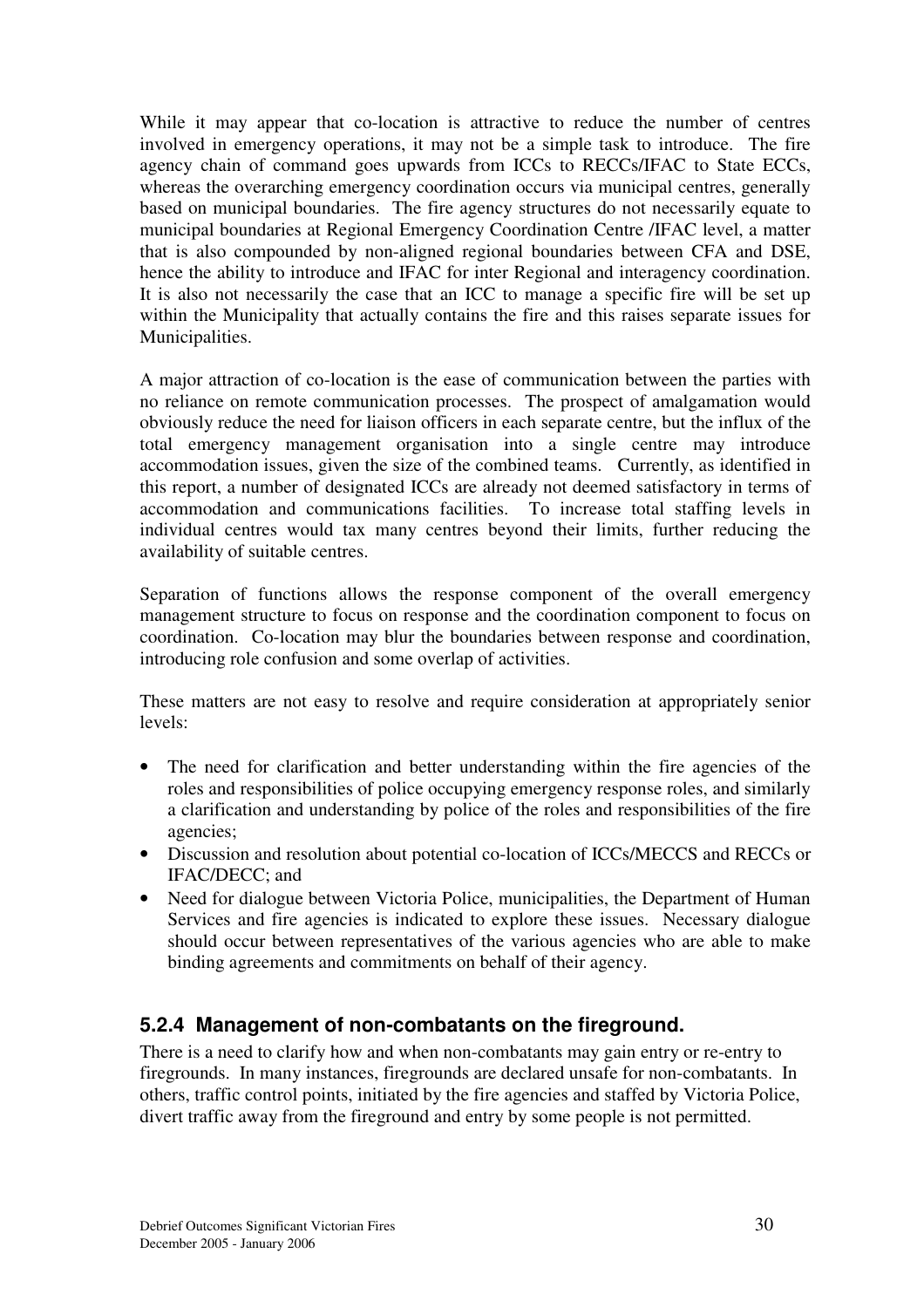While it may appear that co-location is attractive to reduce the number of centres involved in emergency operations, it may not be a simple task to introduce. The fire agency chain of command goes upwards from ICCs to RECCs/IFAC to State ECCs, whereas the overarching emergency coordination occurs via municipal centres, generally based on municipal boundaries. The fire agency structures do not necessarily equate to municipal boundaries at Regional Emergency Coordination Centre /IFAC level, a matter that is also compounded by non-aligned regional boundaries between CFA and DSE, hence the ability to introduce and IFAC for inter Regional and interagency coordination. It is also not necessarily the case that an ICC to manage a specific fire will be set up within the Municipality that actually contains the fire and this raises separate issues for Municipalities.

A major attraction of co-location is the ease of communication between the parties with no reliance on remote communication processes. The prospect of amalgamation would obviously reduce the need for liaison officers in each separate centre, but the influx of the total emergency management organisation into a single centre may introduce accommodation issues, given the size of the combined teams. Currently, as identified in this report, a number of designated ICCs are already not deemed satisfactory in terms of accommodation and communications facilities. To increase total staffing levels in individual centres would tax many centres beyond their limits, further reducing the availability of suitable centres.

Separation of functions allows the response component of the overall emergency management structure to focus on response and the coordination component to focus on coordination. Co-location may blur the boundaries between response and coordination, introducing role confusion and some overlap of activities.

These matters are not easy to resolve and require consideration at appropriately senior levels:

- The need for clarification and better understanding within the fire agencies of the roles and responsibilities of police occupying emergency response roles, and similarly a clarification and understanding by police of the roles and responsibilities of the fire agencies;
- Discussion and resolution about potential co-location of ICCs/MECCS and RECCs or IFAC/DECC; and
- Need for dialogue between Victoria Police, municipalities, the Department of Human Services and fire agencies is indicated to explore these issues. Necessary dialogue should occur between representatives of the various agencies who are able to make binding agreements and commitments on behalf of their agency.

## **5.2.4 Management of non-combatants on the fireground.**

There is a need to clarify how and when non-combatants may gain entry or re-entry to firegrounds. In many instances, firegrounds are declared unsafe for non-combatants. In others, traffic control points, initiated by the fire agencies and staffed by Victoria Police, divert traffic away from the fireground and entry by some people is not permitted.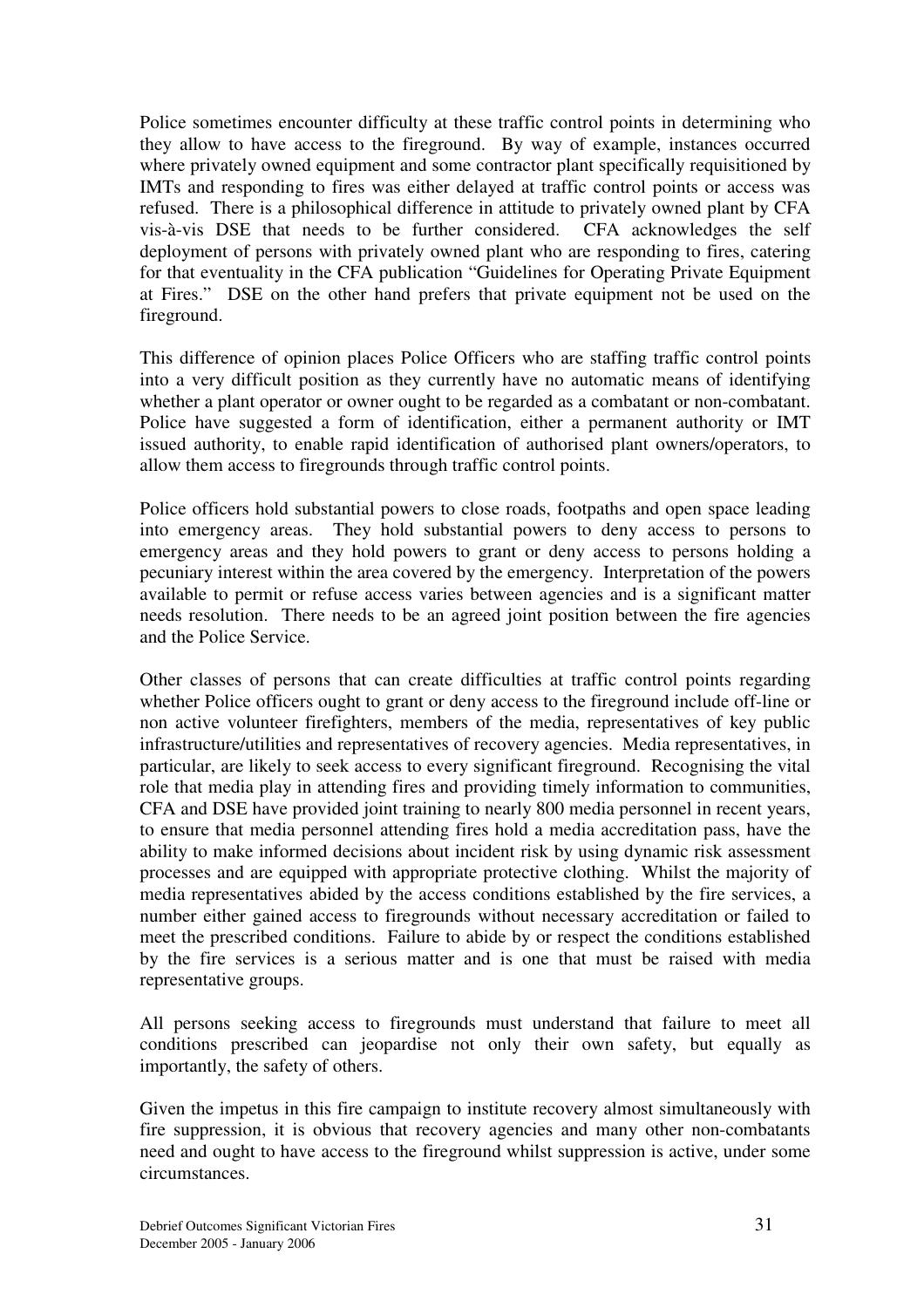Police sometimes encounter difficulty at these traffic control points in determining who they allow to have access to the fireground. By way of example, instances occurred where privately owned equipment and some contractor plant specifically requisitioned by IMTs and responding to fires was either delayed at traffic control points or access was refused. There is a philosophical difference in attitude to privately owned plant by CFA vis-à-vis DSE that needs to be further considered. CFA acknowledges the self deployment of persons with privately owned plant who are responding to fires, catering for that eventuality in the CFA publication "Guidelines for Operating Private Equipment at Fires." DSE on the other hand prefers that private equipment not be used on the fireground.

This difference of opinion places Police Officers who are staffing traffic control points into a very difficult position as they currently have no automatic means of identifying whether a plant operator or owner ought to be regarded as a combatant or non-combatant. Police have suggested a form of identification, either a permanent authority or IMT issued authority, to enable rapid identification of authorised plant owners/operators, to allow them access to firegrounds through traffic control points.

Police officers hold substantial powers to close roads, footpaths and open space leading into emergency areas. They hold substantial powers to deny access to persons to emergency areas and they hold powers to grant or deny access to persons holding a pecuniary interest within the area covered by the emergency. Interpretation of the powers available to permit or refuse access varies between agencies and is a significant matter needs resolution. There needs to be an agreed joint position between the fire agencies and the Police Service.

Other classes of persons that can create difficulties at traffic control points regarding whether Police officers ought to grant or deny access to the fireground include off-line or non active volunteer firefighters, members of the media, representatives of key public infrastructure/utilities and representatives of recovery agencies. Media representatives, in particular, are likely to seek access to every significant fireground. Recognising the vital role that media play in attending fires and providing timely information to communities, CFA and DSE have provided joint training to nearly 800 media personnel in recent years, to ensure that media personnel attending fires hold a media accreditation pass, have the ability to make informed decisions about incident risk by using dynamic risk assessment processes and are equipped with appropriate protective clothing. Whilst the majority of media representatives abided by the access conditions established by the fire services, a number either gained access to firegrounds without necessary accreditation or failed to meet the prescribed conditions. Failure to abide by or respect the conditions established by the fire services is a serious matter and is one that must be raised with media representative groups.

All persons seeking access to firegrounds must understand that failure to meet all conditions prescribed can jeopardise not only their own safety, but equally as importantly, the safety of others.

Given the impetus in this fire campaign to institute recovery almost simultaneously with fire suppression, it is obvious that recovery agencies and many other non-combatants need and ought to have access to the fireground whilst suppression is active, under some circumstances.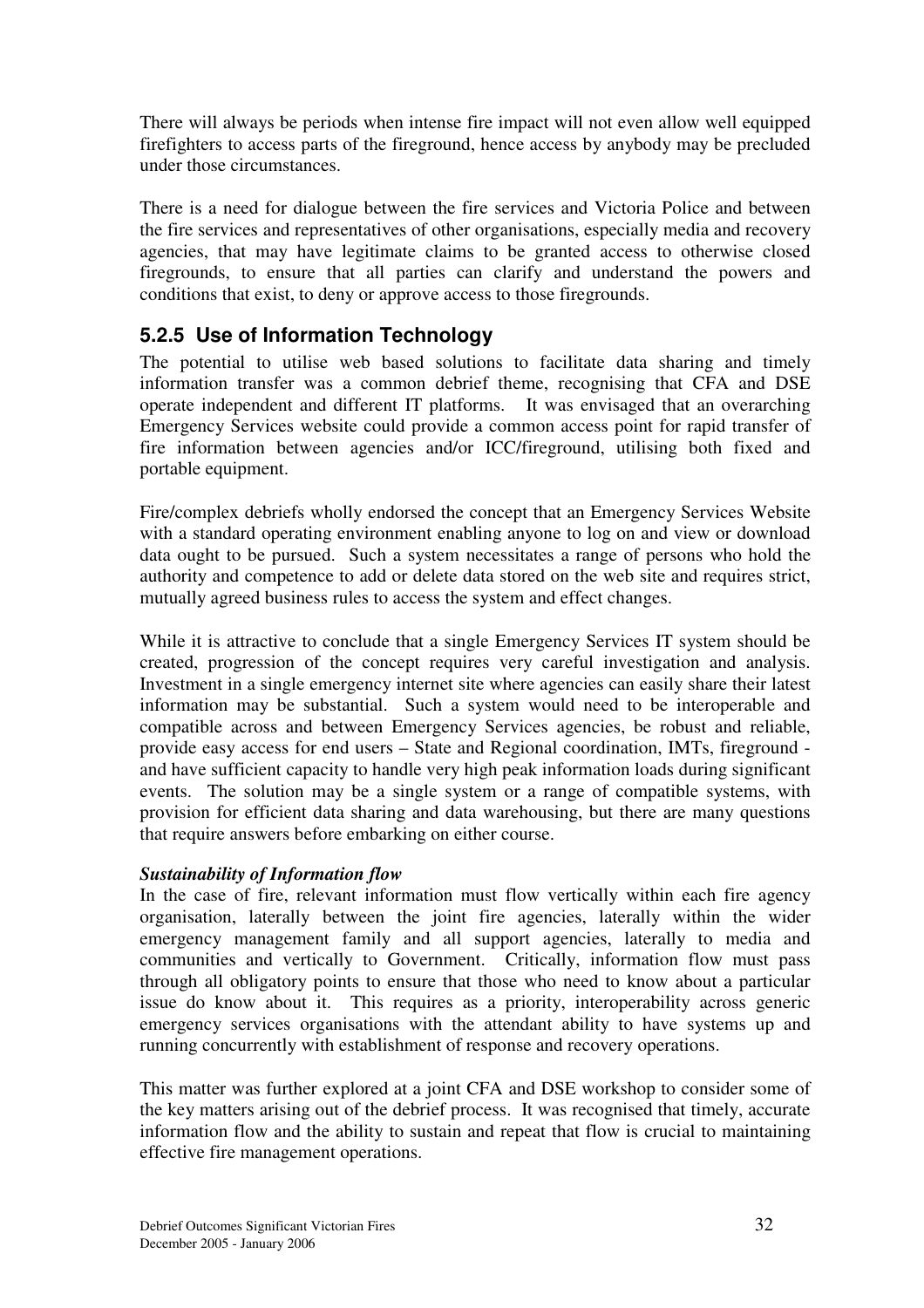There will always be periods when intense fire impact will not even allow well equipped firefighters to access parts of the fireground, hence access by anybody may be precluded under those circumstances.

There is a need for dialogue between the fire services and Victoria Police and between the fire services and representatives of other organisations, especially media and recovery agencies, that may have legitimate claims to be granted access to otherwise closed firegrounds, to ensure that all parties can clarify and understand the powers and conditions that exist, to deny or approve access to those firegrounds.

## **5.2.5 Use of Information Technology**

The potential to utilise web based solutions to facilitate data sharing and timely information transfer was a common debrief theme, recognising that CFA and DSE operate independent and different IT platforms. It was envisaged that an overarching Emergency Services website could provide a common access point for rapid transfer of fire information between agencies and/or ICC/fireground, utilising both fixed and portable equipment.

Fire/complex debriefs wholly endorsed the concept that an Emergency Services Website with a standard operating environment enabling anyone to log on and view or download data ought to be pursued. Such a system necessitates a range of persons who hold the authority and competence to add or delete data stored on the web site and requires strict, mutually agreed business rules to access the system and effect changes.

While it is attractive to conclude that a single Emergency Services IT system should be created, progression of the concept requires very careful investigation and analysis. Investment in a single emergency internet site where agencies can easily share their latest information may be substantial. Such a system would need to be interoperable and compatible across and between Emergency Services agencies, be robust and reliable, provide easy access for end users – State and Regional coordination, IMTs, fireground and have sufficient capacity to handle very high peak information loads during significant events. The solution may be a single system or a range of compatible systems, with provision for efficient data sharing and data warehousing, but there are many questions that require answers before embarking on either course.

#### *Sustainability of Information flow*

In the case of fire, relevant information must flow vertically within each fire agency organisation, laterally between the joint fire agencies, laterally within the wider emergency management family and all support agencies, laterally to media and communities and vertically to Government. Critically, information flow must pass through all obligatory points to ensure that those who need to know about a particular issue do know about it. This requires as a priority, interoperability across generic emergency services organisations with the attendant ability to have systems up and running concurrently with establishment of response and recovery operations.

This matter was further explored at a joint CFA and DSE workshop to consider some of the key matters arising out of the debrief process. It was recognised that timely, accurate information flow and the ability to sustain and repeat that flow is crucial to maintaining effective fire management operations.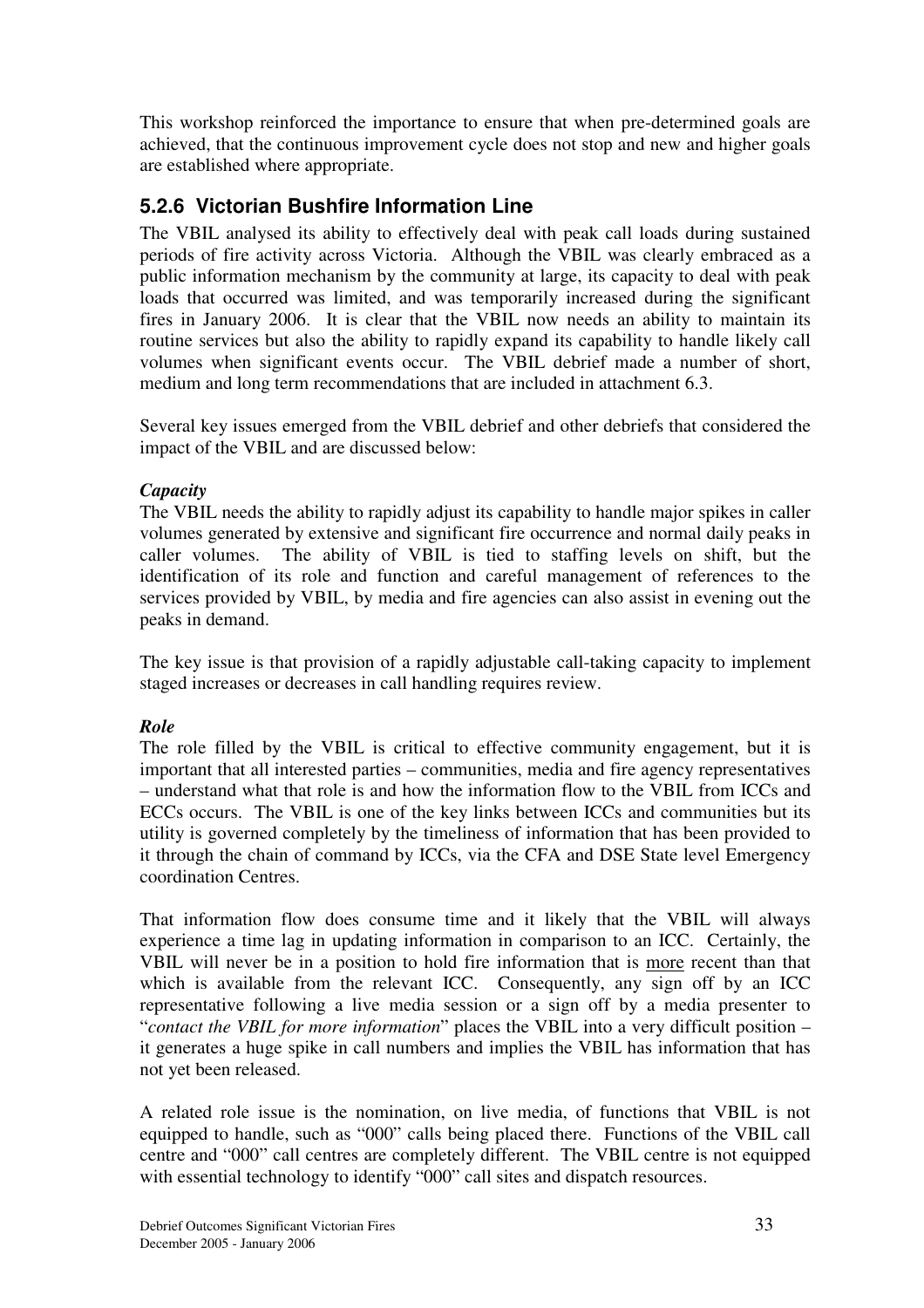This workshop reinforced the importance to ensure that when pre-determined goals are achieved, that the continuous improvement cycle does not stop and new and higher goals are established where appropriate.

## **5.2.6 Victorian Bushfire Information Line**

The VBIL analysed its ability to effectively deal with peak call loads during sustained periods of fire activity across Victoria. Although the VBIL was clearly embraced as a public information mechanism by the community at large, its capacity to deal with peak loads that occurred was limited, and was temporarily increased during the significant fires in January 2006. It is clear that the VBIL now needs an ability to maintain its routine services but also the ability to rapidly expand its capability to handle likely call volumes when significant events occur. The VBIL debrief made a number of short, medium and long term recommendations that are included in attachment 6.3.

Several key issues emerged from the VBIL debrief and other debriefs that considered the impact of the VBIL and are discussed below:

#### *Capacity*

The VBIL needs the ability to rapidly adjust its capability to handle major spikes in caller volumes generated by extensive and significant fire occurrence and normal daily peaks in caller volumes. The ability of VBIL is tied to staffing levels on shift, but the identification of its role and function and careful management of references to the services provided by VBIL, by media and fire agencies can also assist in evening out the peaks in demand.

The key issue is that provision of a rapidly adjustable call-taking capacity to implement staged increases or decreases in call handling requires review.

#### *Role*

The role filled by the VBIL is critical to effective community engagement, but it is important that all interested parties – communities, media and fire agency representatives – understand what that role is and how the information flow to the VBIL from ICCs and ECCs occurs. The VBIL is one of the key links between ICCs and communities but its utility is governed completely by the timeliness of information that has been provided to it through the chain of command by ICCs, via the CFA and DSE State level Emergency coordination Centres.

That information flow does consume time and it likely that the VBIL will always experience a time lag in updating information in comparison to an ICC. Certainly, the VBIL will never be in a position to hold fire information that is more recent than that which is available from the relevant ICC. Consequently, any sign off by an ICC representative following a live media session or a sign off by a media presenter to "*contact the VBIL for more information*" places the VBIL into a very difficult position – it generates a huge spike in call numbers and implies the VBIL has information that has not yet been released.

A related role issue is the nomination, on live media, of functions that VBIL is not equipped to handle, such as "000" calls being placed there. Functions of the VBIL call centre and "000" call centres are completely different. The VBIL centre is not equipped with essential technology to identify "000" call sites and dispatch resources.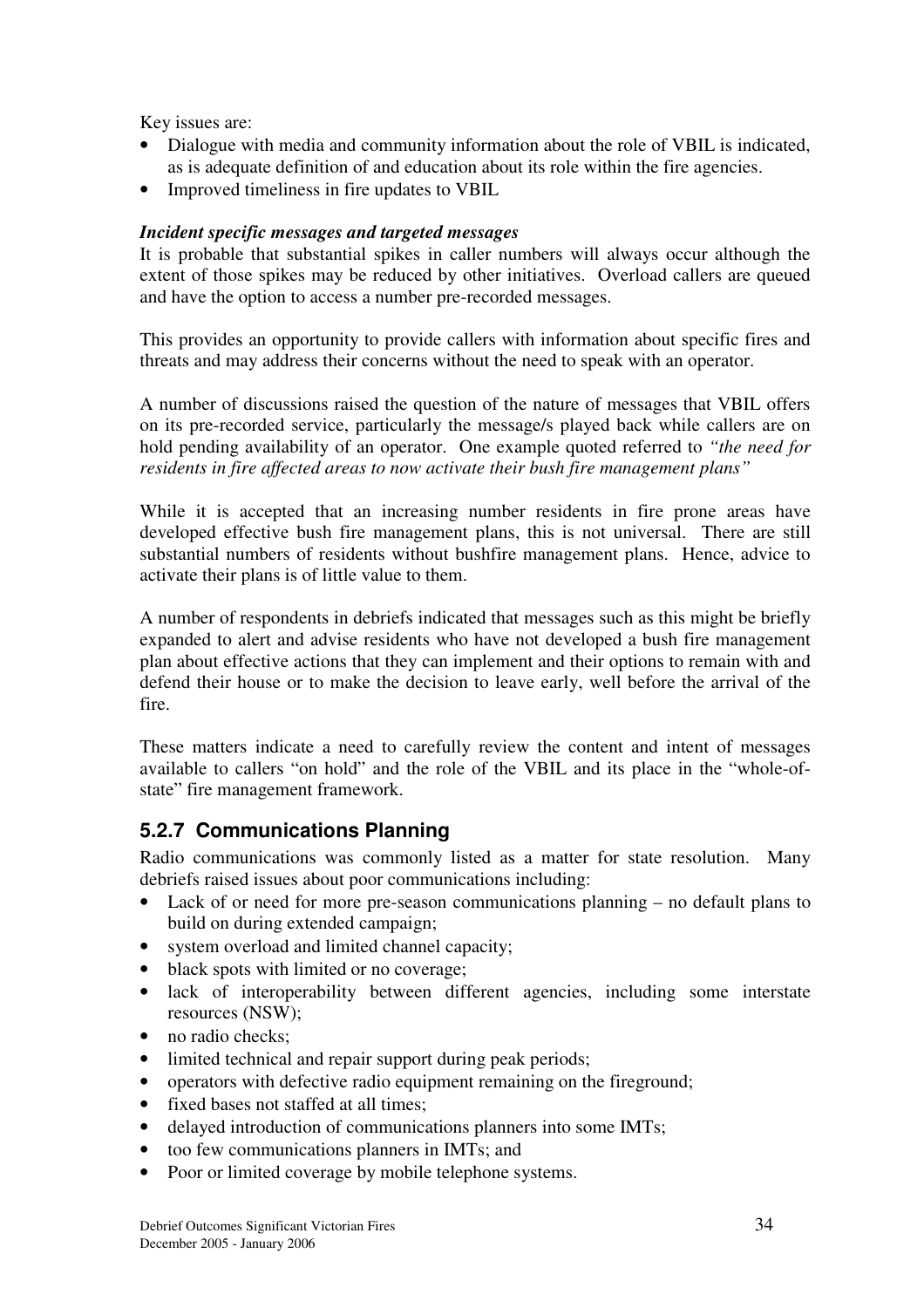Key issues are:

- Dialogue with media and community information about the role of VBIL is indicated, as is adequate definition of and education about its role within the fire agencies.
- Improved timeliness in fire updates to VBIL

#### *Incident specific messages and targeted messages*

It is probable that substantial spikes in caller numbers will always occur although the extent of those spikes may be reduced by other initiatives. Overload callers are queued and have the option to access a number pre-recorded messages.

This provides an opportunity to provide callers with information about specific fires and threats and may address their concerns without the need to speak with an operator.

A number of discussions raised the question of the nature of messages that VBIL offers on its pre-recorded service, particularly the message/s played back while callers are on hold pending availability of an operator. One example quoted referred to *"the need for residents in fire affected areas to now activate their bush fire management plans"*

While it is accepted that an increasing number residents in fire prone areas have developed effective bush fire management plans, this is not universal. There are still substantial numbers of residents without bushfire management plans. Hence, advice to activate their plans is of little value to them.

A number of respondents in debriefs indicated that messages such as this might be briefly expanded to alert and advise residents who have not developed a bush fire management plan about effective actions that they can implement and their options to remain with and defend their house or to make the decision to leave early, well before the arrival of the fire.

These matters indicate a need to carefully review the content and intent of messages available to callers "on hold" and the role of the VBIL and its place in the "whole-ofstate" fire management framework.

## **5.2.7 Communications Planning**

Radio communications was commonly listed as a matter for state resolution. Many debriefs raised issues about poor communications including:

- Lack of or need for more pre-season communications planning no default plans to build on during extended campaign;
- system overload and limited channel capacity;
- black spots with limited or no coverage;
- lack of interoperability between different agencies, including some interstate resources (NSW);
- no radio checks:
- limited technical and repair support during peak periods;
- operators with defective radio equipment remaining on the fireground;
- fixed bases not staffed at all times:
- delayed introduction of communications planners into some IMTs;
- too few communications planners in IMTs; and
- Poor or limited coverage by mobile telephone systems.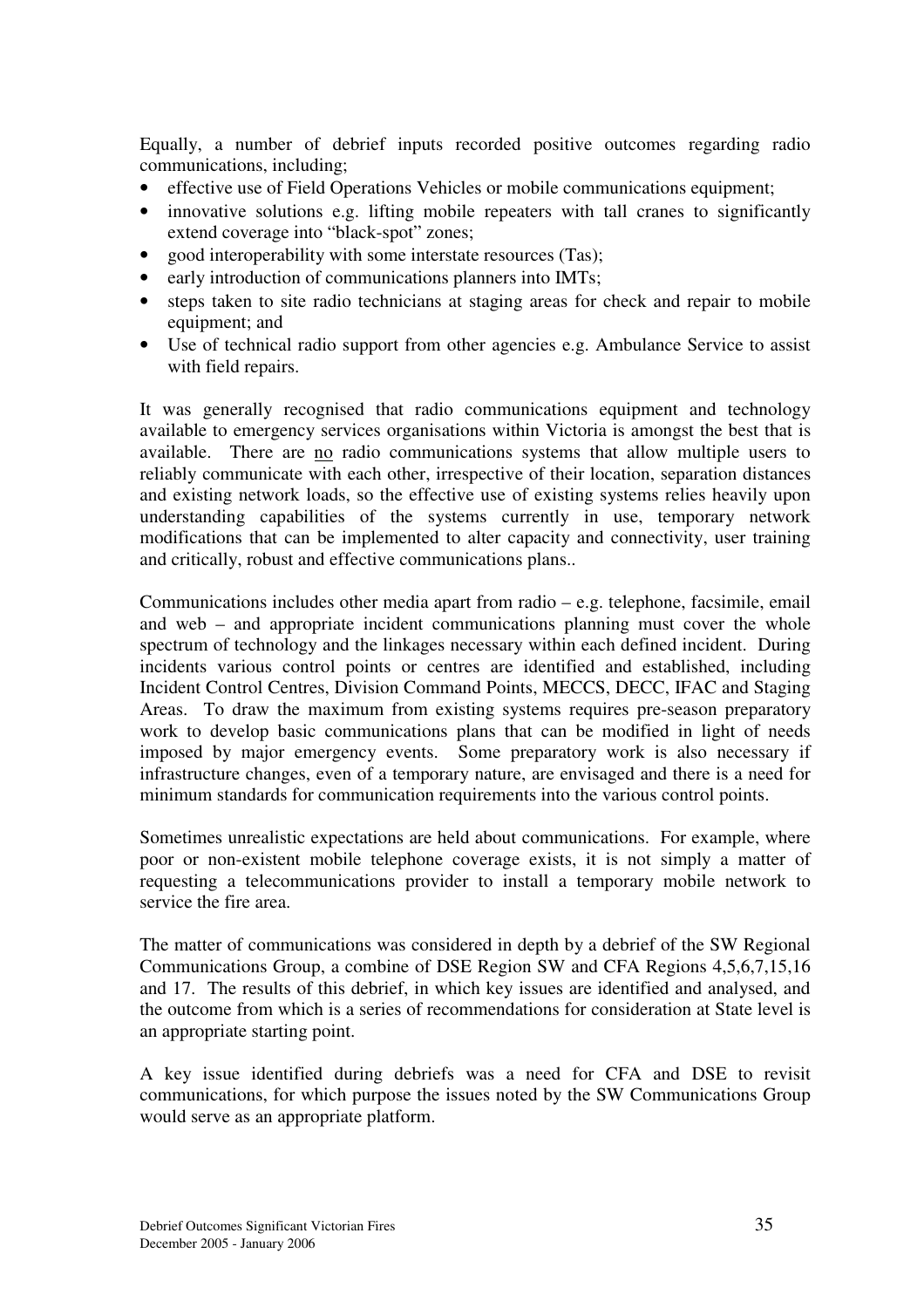Equally, a number of debrief inputs recorded positive outcomes regarding radio communications, including;

- effective use of Field Operations Vehicles or mobile communications equipment;
- innovative solutions e.g. lifting mobile repeaters with tall cranes to significantly extend coverage into "black-spot" zones;
- good interoperability with some interstate resources (Tas);
- early introduction of communications planners into IMTs;
- steps taken to site radio technicians at staging areas for check and repair to mobile equipment; and
- Use of technical radio support from other agencies e.g. Ambulance Service to assist with field repairs.

It was generally recognised that radio communications equipment and technology available to emergency services organisations within Victoria is amongst the best that is available. There are no radio communications systems that allow multiple users to reliably communicate with each other, irrespective of their location, separation distances and existing network loads, so the effective use of existing systems relies heavily upon understanding capabilities of the systems currently in use, temporary network modifications that can be implemented to alter capacity and connectivity, user training and critically, robust and effective communications plans..

Communications includes other media apart from radio – e.g. telephone, facsimile, email and web – and appropriate incident communications planning must cover the whole spectrum of technology and the linkages necessary within each defined incident. During incidents various control points or centres are identified and established, including Incident Control Centres, Division Command Points, MECCS, DECC, IFAC and Staging Areas. To draw the maximum from existing systems requires pre-season preparatory work to develop basic communications plans that can be modified in light of needs imposed by major emergency events. Some preparatory work is also necessary if infrastructure changes, even of a temporary nature, are envisaged and there is a need for minimum standards for communication requirements into the various control points.

Sometimes unrealistic expectations are held about communications. For example, where poor or non-existent mobile telephone coverage exists, it is not simply a matter of requesting a telecommunications provider to install a temporary mobile network to service the fire area.

The matter of communications was considered in depth by a debrief of the SW Regional Communications Group, a combine of DSE Region SW and CFA Regions 4,5,6,7,15,16 and 17. The results of this debrief, in which key issues are identified and analysed, and the outcome from which is a series of recommendations for consideration at State level is an appropriate starting point.

A key issue identified during debriefs was a need for CFA and DSE to revisit communications, for which purpose the issues noted by the SW Communications Group would serve as an appropriate platform.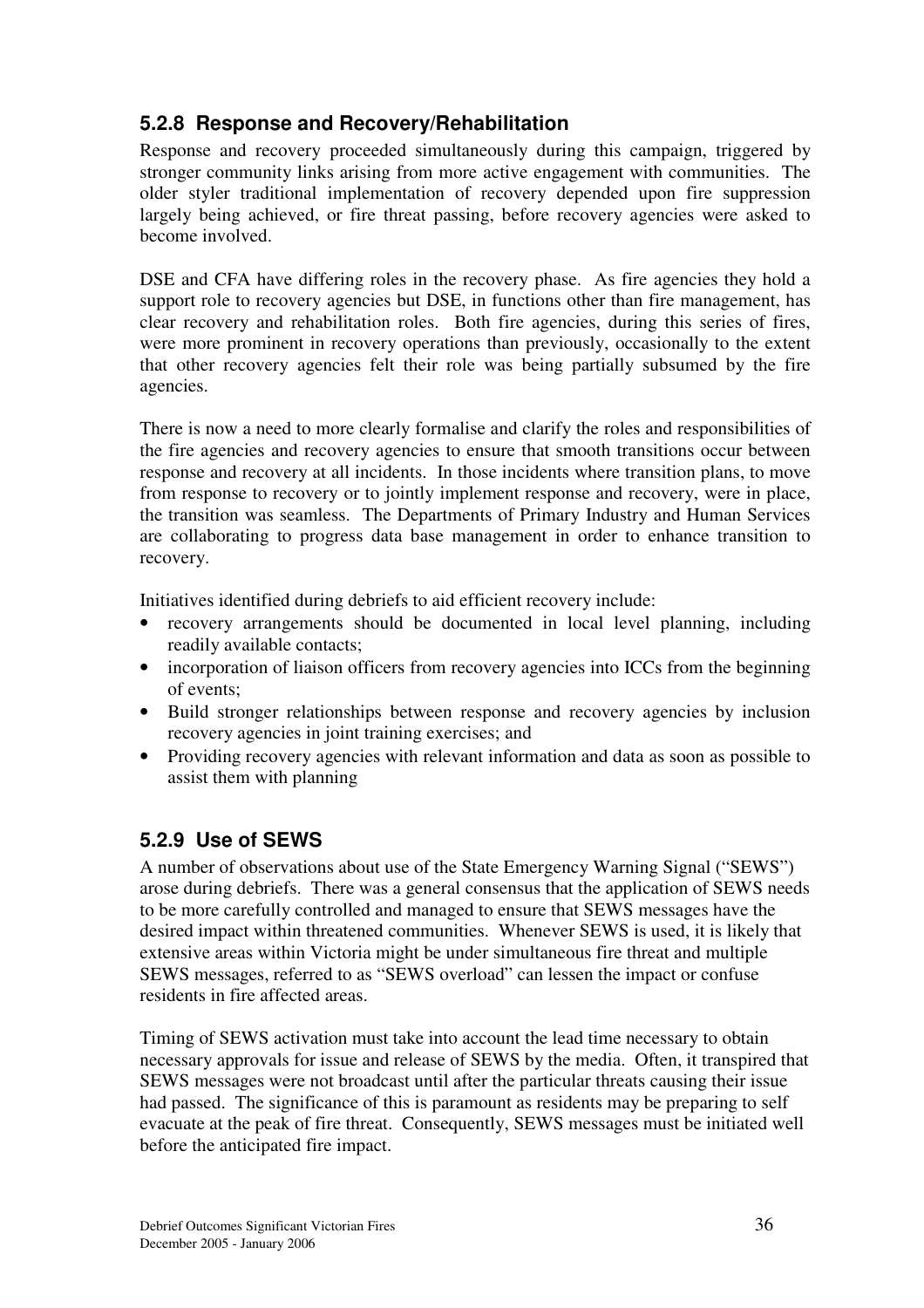## **5.2.8 Response and Recovery/Rehabilitation**

Response and recovery proceeded simultaneously during this campaign, triggered by stronger community links arising from more active engagement with communities. The older styler traditional implementation of recovery depended upon fire suppression largely being achieved, or fire threat passing, before recovery agencies were asked to become involved.

DSE and CFA have differing roles in the recovery phase. As fire agencies they hold a support role to recovery agencies but DSE, in functions other than fire management, has clear recovery and rehabilitation roles. Both fire agencies, during this series of fires, were more prominent in recovery operations than previously, occasionally to the extent that other recovery agencies felt their role was being partially subsumed by the fire agencies.

There is now a need to more clearly formalise and clarify the roles and responsibilities of the fire agencies and recovery agencies to ensure that smooth transitions occur between response and recovery at all incidents. In those incidents where transition plans, to move from response to recovery or to jointly implement response and recovery, were in place, the transition was seamless. The Departments of Primary Industry and Human Services are collaborating to progress data base management in order to enhance transition to recovery.

Initiatives identified during debriefs to aid efficient recovery include:

- recovery arrangements should be documented in local level planning, including readily available contacts;
- incorporation of liaison officers from recovery agencies into ICCs from the beginning of events;
- Build stronger relationships between response and recovery agencies by inclusion recovery agencies in joint training exercises; and
- Providing recovery agencies with relevant information and data as soon as possible to assist them with planning

## **5.2.9 Use of SEWS**

A number of observations about use of the State Emergency Warning Signal ("SEWS") arose during debriefs. There was a general consensus that the application of SEWS needs to be more carefully controlled and managed to ensure that SEWS messages have the desired impact within threatened communities. Whenever SEWS is used, it is likely that extensive areas within Victoria might be under simultaneous fire threat and multiple SEWS messages, referred to as "SEWS overload" can lessen the impact or confuse residents in fire affected areas.

Timing of SEWS activation must take into account the lead time necessary to obtain necessary approvals for issue and release of SEWS by the media. Often, it transpired that SEWS messages were not broadcast until after the particular threats causing their issue had passed. The significance of this is paramount as residents may be preparing to self evacuate at the peak of fire threat. Consequently, SEWS messages must be initiated well before the anticipated fire impact.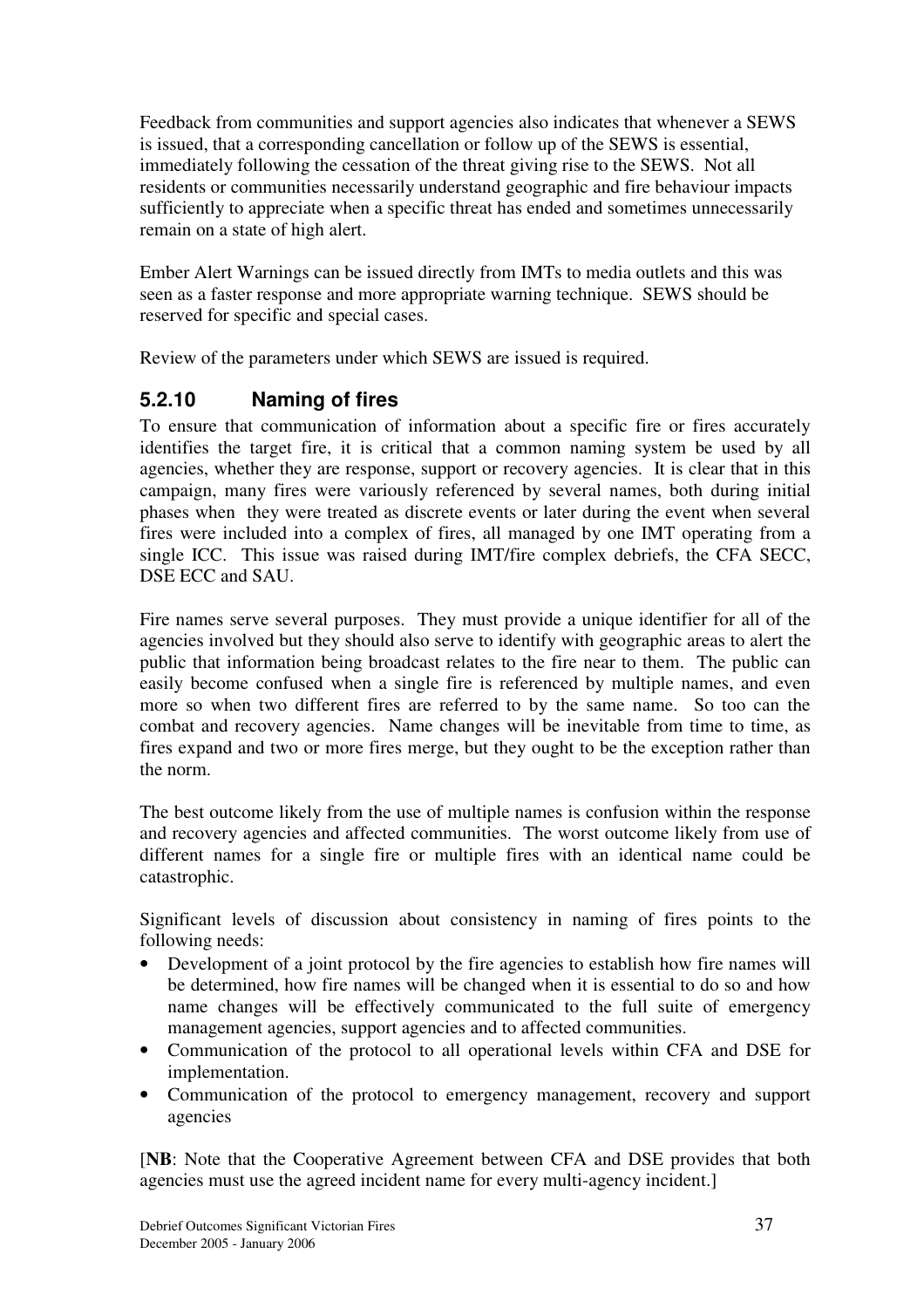Feedback from communities and support agencies also indicates that whenever a SEWS is issued, that a corresponding cancellation or follow up of the SEWS is essential, immediately following the cessation of the threat giving rise to the SEWS. Not all residents or communities necessarily understand geographic and fire behaviour impacts sufficiently to appreciate when a specific threat has ended and sometimes unnecessarily remain on a state of high alert.

Ember Alert Warnings can be issued directly from IMTs to media outlets and this was seen as a faster response and more appropriate warning technique. SEWS should be reserved for specific and special cases.

Review of the parameters under which SEWS are issued is required.

## **5.2.10 Naming of fires**

To ensure that communication of information about a specific fire or fires accurately identifies the target fire, it is critical that a common naming system be used by all agencies, whether they are response, support or recovery agencies. It is clear that in this campaign, many fires were variously referenced by several names, both during initial phases when they were treated as discrete events or later during the event when several fires were included into a complex of fires, all managed by one IMT operating from a single ICC. This issue was raised during IMT/fire complex debriefs, the CFA SECC, DSE ECC and SAU.

Fire names serve several purposes. They must provide a unique identifier for all of the agencies involved but they should also serve to identify with geographic areas to alert the public that information being broadcast relates to the fire near to them. The public can easily become confused when a single fire is referenced by multiple names, and even more so when two different fires are referred to by the same name. So too can the combat and recovery agencies. Name changes will be inevitable from time to time, as fires expand and two or more fires merge, but they ought to be the exception rather than the norm.

The best outcome likely from the use of multiple names is confusion within the response and recovery agencies and affected communities. The worst outcome likely from use of different names for a single fire or multiple fires with an identical name could be catastrophic.

Significant levels of discussion about consistency in naming of fires points to the following needs:

- Development of a joint protocol by the fire agencies to establish how fire names will be determined, how fire names will be changed when it is essential to do so and how name changes will be effectively communicated to the full suite of emergency management agencies, support agencies and to affected communities.
- Communication of the protocol to all operational levels within CFA and DSE for implementation.
- Communication of the protocol to emergency management, recovery and support agencies

[**NB**: Note that the Cooperative Agreement between CFA and DSE provides that both agencies must use the agreed incident name for every multi-agency incident.]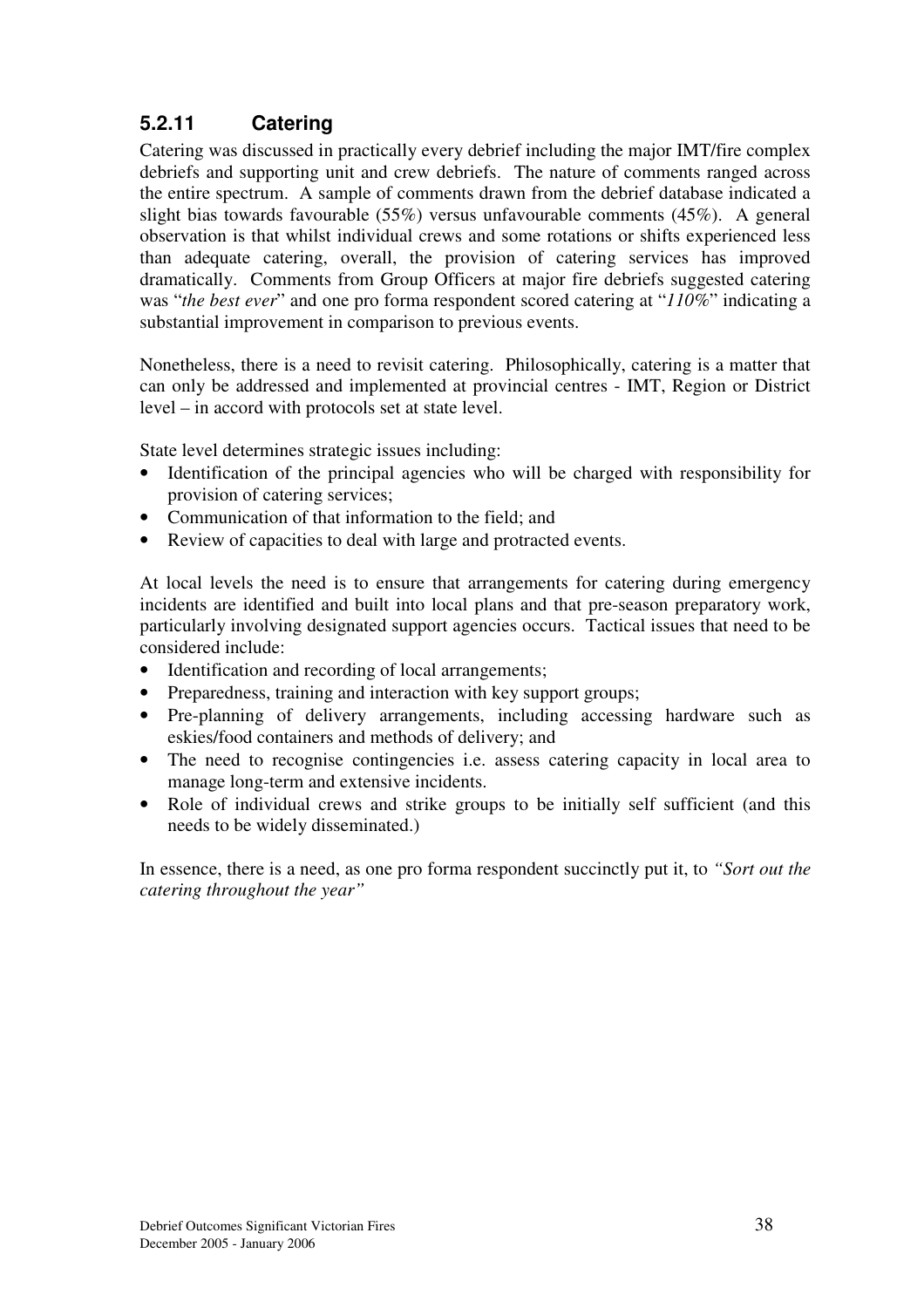## **5.2.11 Catering**

Catering was discussed in practically every debrief including the major IMT/fire complex debriefs and supporting unit and crew debriefs. The nature of comments ranged across the entire spectrum. A sample of comments drawn from the debrief database indicated a slight bias towards favourable (55%) versus unfavourable comments (45%). A general observation is that whilst individual crews and some rotations or shifts experienced less than adequate catering, overall, the provision of catering services has improved dramatically. Comments from Group Officers at major fire debriefs suggested catering was "*the best ever*" and one pro forma respondent scored catering at "*110%*" indicating a substantial improvement in comparison to previous events.

Nonetheless, there is a need to revisit catering. Philosophically, catering is a matter that can only be addressed and implemented at provincial centres - IMT, Region or District level – in accord with protocols set at state level.

State level determines strategic issues including:

- Identification of the principal agencies who will be charged with responsibility for provision of catering services;
- Communication of that information to the field; and
- Review of capacities to deal with large and protracted events.

At local levels the need is to ensure that arrangements for catering during emergency incidents are identified and built into local plans and that pre-season preparatory work, particularly involving designated support agencies occurs. Tactical issues that need to be considered include:

- Identification and recording of local arrangements;
- Preparedness, training and interaction with key support groups;
- Pre-planning of delivery arrangements, including accessing hardware such as eskies/food containers and methods of delivery; and
- The need to recognise contingencies i.e. assess catering capacity in local area to manage long-term and extensive incidents.
- Role of individual crews and strike groups to be initially self sufficient (and this needs to be widely disseminated.)

In essence, there is a need, as one pro forma respondent succinctly put it, to *"Sort out the catering throughout the year"*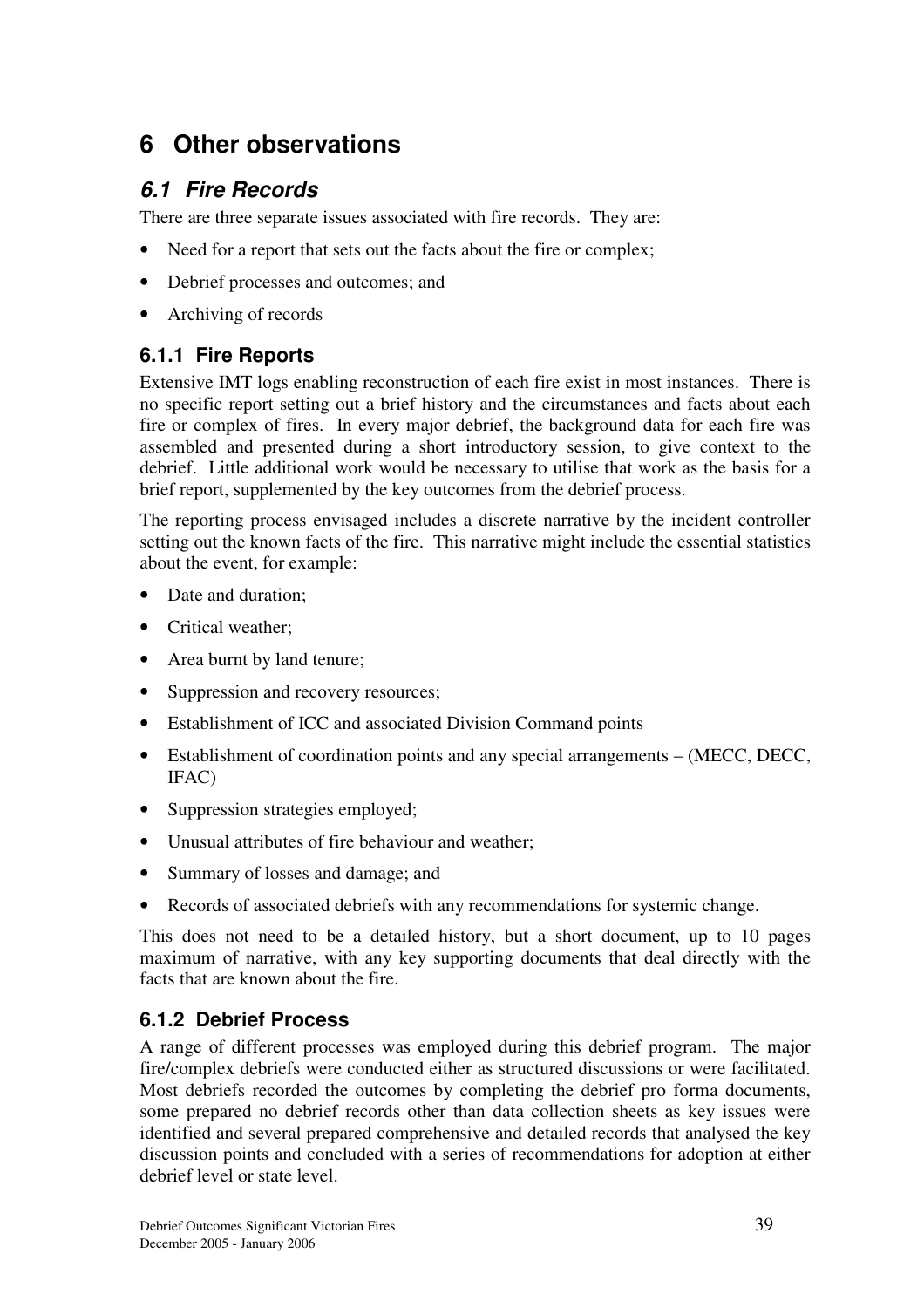# **6 Other observations**

## *6.1 Fire Records*

There are three separate issues associated with fire records. They are:

- Need for a report that sets out the facts about the fire or complex;
- Debrief processes and outcomes; and
- Archiving of records

## **6.1.1 Fire Reports**

Extensive IMT logs enabling reconstruction of each fire exist in most instances. There is no specific report setting out a brief history and the circumstances and facts about each fire or complex of fires. In every major debrief, the background data for each fire was assembled and presented during a short introductory session, to give context to the debrief. Little additional work would be necessary to utilise that work as the basis for a brief report, supplemented by the key outcomes from the debrief process.

The reporting process envisaged includes a discrete narrative by the incident controller setting out the known facts of the fire. This narrative might include the essential statistics about the event, for example:

- Date and duration:
- Critical weather:
- Area burnt by land tenure;
- Suppression and recovery resources;
- Establishment of ICC and associated Division Command points
- Establishment of coordination points and any special arrangements (MECC, DECC, IFAC)
- Suppression strategies employed;
- Unusual attributes of fire behaviour and weather;
- Summary of losses and damage; and
- Records of associated debriefs with any recommendations for systemic change.

This does not need to be a detailed history, but a short document, up to 10 pages maximum of narrative, with any key supporting documents that deal directly with the facts that are known about the fire.

## **6.1.2 Debrief Process**

A range of different processes was employed during this debrief program. The major fire/complex debriefs were conducted either as structured discussions or were facilitated. Most debriefs recorded the outcomes by completing the debrief pro forma documents, some prepared no debrief records other than data collection sheets as key issues were identified and several prepared comprehensive and detailed records that analysed the key discussion points and concluded with a series of recommendations for adoption at either debrief level or state level.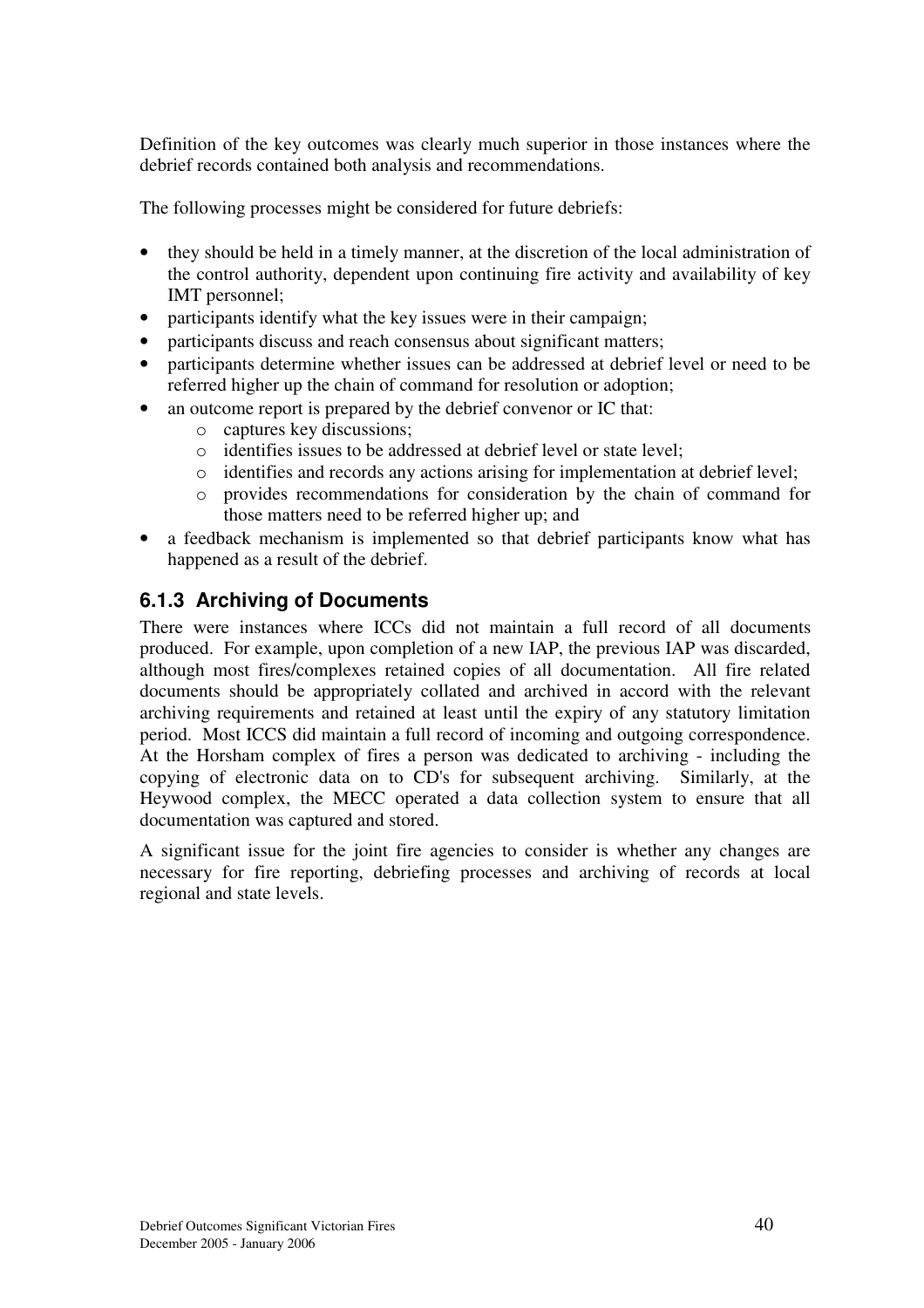Definition of the key outcomes was clearly much superior in those instances where the debrief records contained both analysis and recommendations.

The following processes might be considered for future debriefs:

- they should be held in a timely manner, at the discretion of the local administration of the control authority, dependent upon continuing fire activity and availability of key IMT personnel;
- participants identify what the key issues were in their campaign;
- participants discuss and reach consensus about significant matters;
- participants determine whether issues can be addressed at debrief level or need to be referred higher up the chain of command for resolution or adoption;
- an outcome report is prepared by the debrief convenor or IC that:
	- o captures key discussions;
	- o identifies issues to be addressed at debrief level or state level;
	- o identifies and records any actions arising for implementation at debrief level;
	- o provides recommendations for consideration by the chain of command for those matters need to be referred higher up; and
- a feedback mechanism is implemented so that debrief participants know what has happened as a result of the debrief.

### **6.1.3 Archiving of Documents**

There were instances where ICCs did not maintain a full record of all documents produced. For example, upon completion of a new IAP, the previous IAP was discarded, although most fires/complexes retained copies of all documentation. All fire related documents should be appropriately collated and archived in accord with the relevant archiving requirements and retained at least until the expiry of any statutory limitation period. Most ICCS did maintain a full record of incoming and outgoing correspondence. At the Horsham complex of fires a person was dedicated to archiving - including the copying of electronic data on to CD's for subsequent archiving. Similarly, at the Heywood complex, the MECC operated a data collection system to ensure that all documentation was captured and stored.

A significant issue for the joint fire agencies to consider is whether any changes are necessary for fire reporting, debriefing processes and archiving of records at local regional and state levels.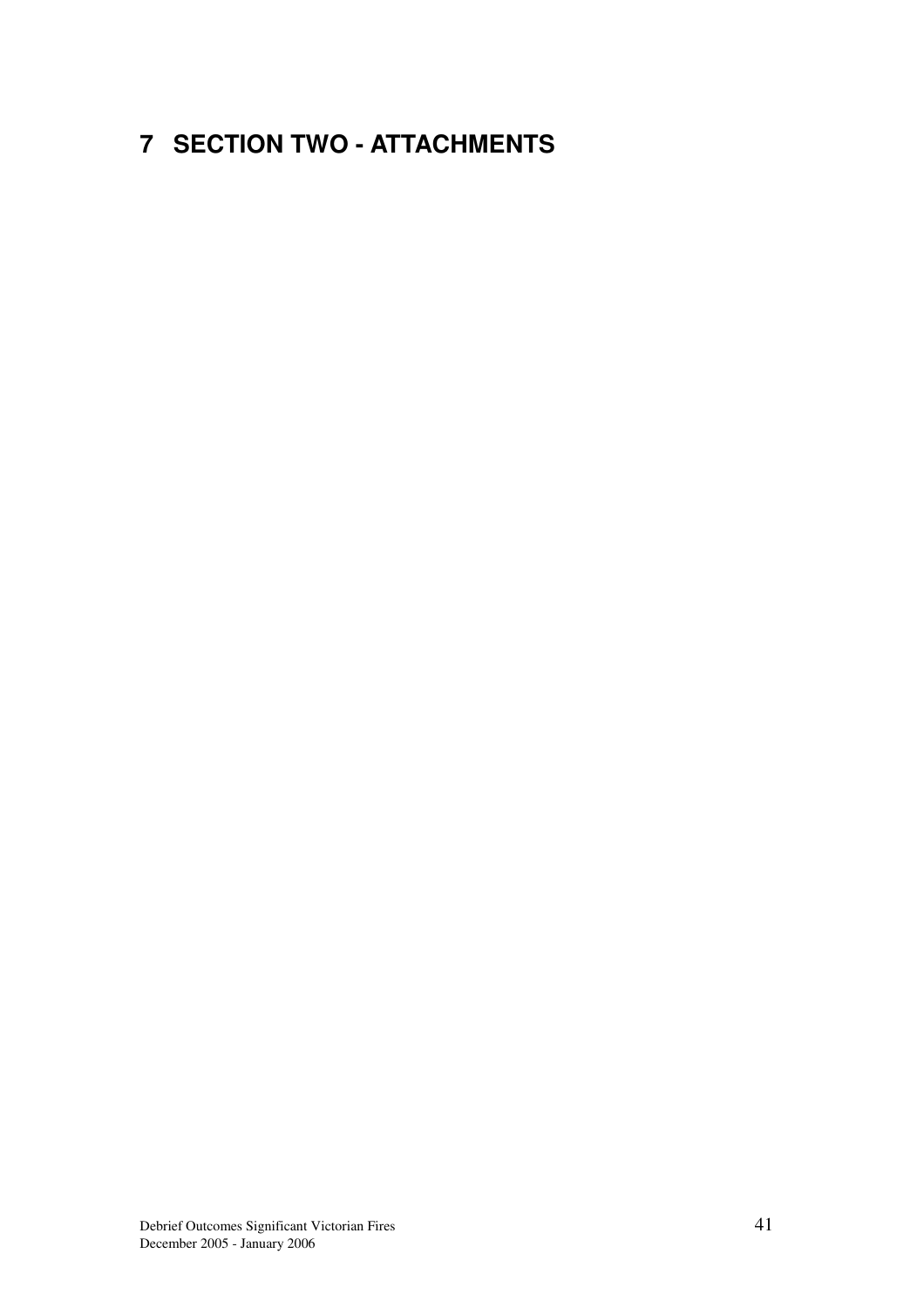# **7 SECTION TWO - ATTACHMENTS**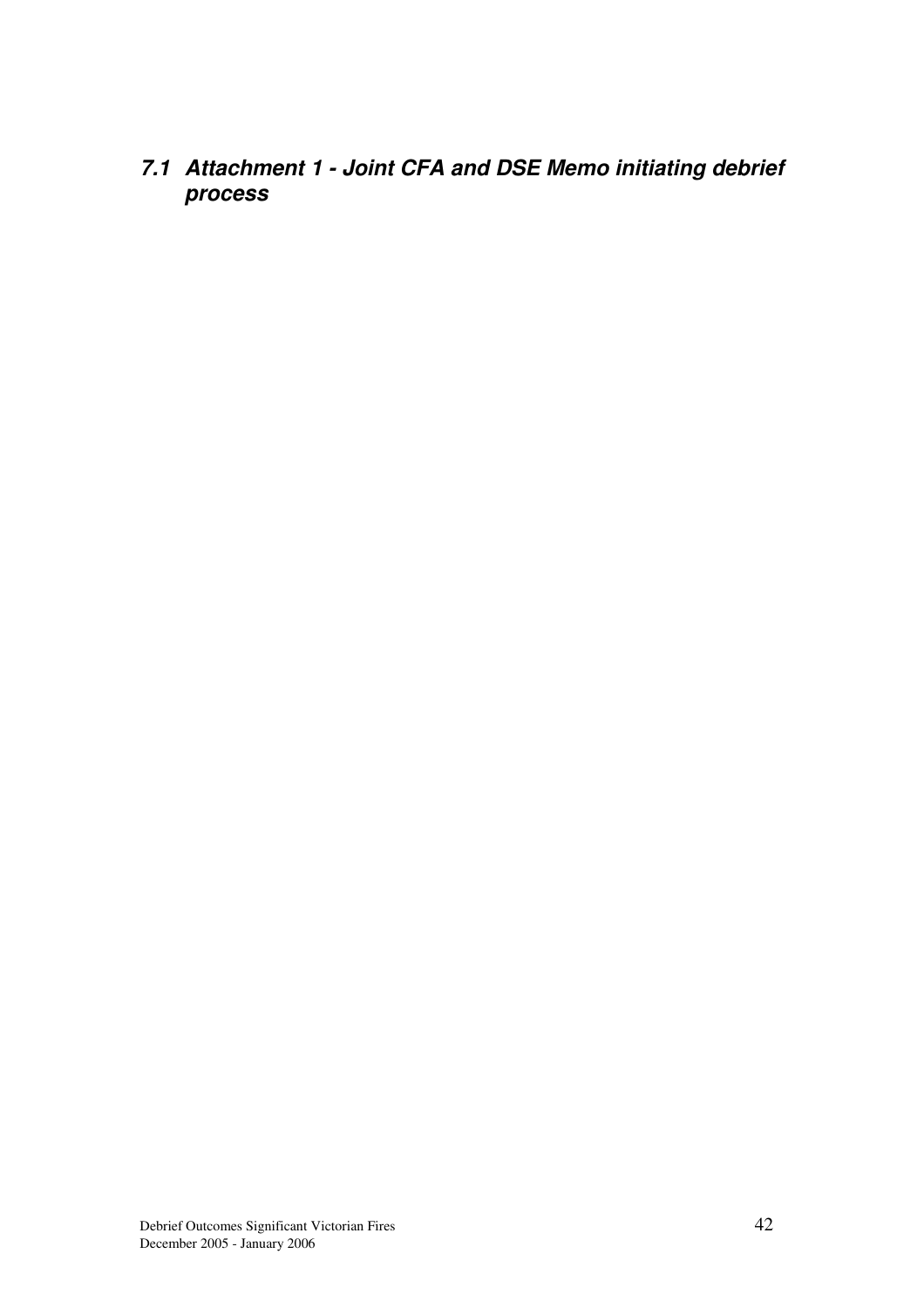*7.1 Attachment 1 - Joint CFA and DSE Memo initiating debrief process*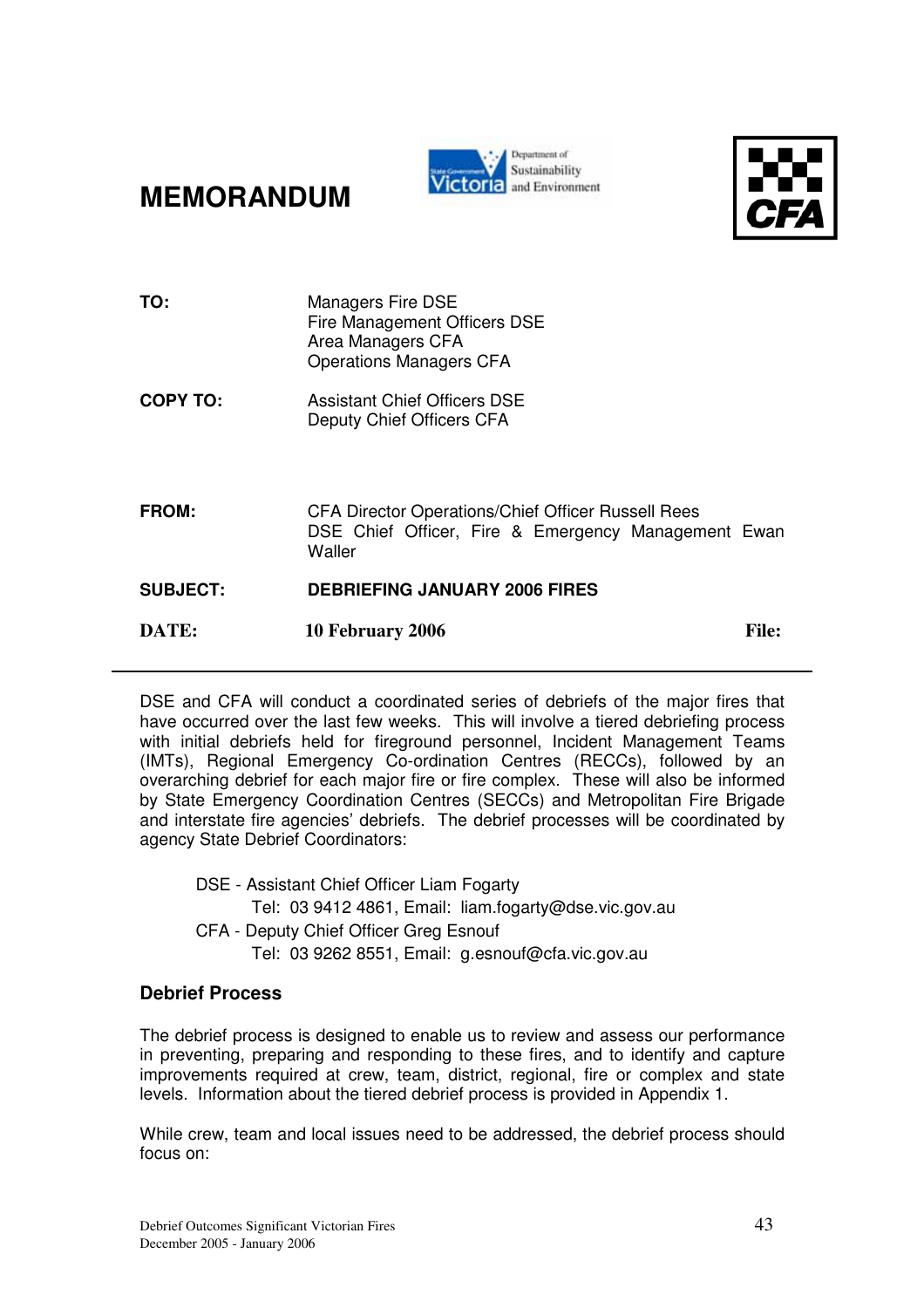**MEMORANDUM**





| TO:             | <b>Managers Fire DSE</b>                                      |              |
|-----------------|---------------------------------------------------------------|--------------|
|                 | Fire Management Officers DSE<br>Area Managers CFA             |              |
|                 | <b>Operations Managers CFA</b>                                |              |
| <b>COPY TO:</b> | Assistant Chief Officers DSE<br>Deputy Chief Officers CFA     |              |
|                 |                                                               |              |
| <b>FROM:</b>    | <b>CFA Director Operations/Chief Officer Russell Rees</b>     |              |
|                 | DSE Chief Officer, Fire & Emergency Management Ewan<br>Waller |              |
| <b>SUBJECT:</b> | <b>DEBRIEFING JANUARY 2006 FIRES</b>                          |              |
| DATE:           | 10 February 2006                                              | <b>File:</b> |
|                 |                                                               |              |

DSE and CFA will conduct a coordinated series of debriefs of the major fires that have occurred over the last few weeks. This will involve a tiered debriefing process with initial debriefs held for fireground personnel, Incident Management Teams (IMTs), Regional Emergency Co-ordination Centres (RECCs), followed by an overarching debrief for each major fire or fire complex. These will also be informed by State Emergency Coordination Centres (SECCs) and Metropolitan Fire Brigade and interstate fire agencies' debriefs. The debrief processes will be coordinated by agency State Debrief Coordinators:

DSE - Assistant Chief Officer Liam Fogarty Tel: 03 9412 4861, Email: liam.fogarty@dse.vic.gov.au CFA - Deputy Chief Officer Greg Esnouf Tel: 03 9262 8551, Email: g.esnouf@cfa.vic.gov.au

### **Debrief Process**

The debrief process is designed to enable us to review and assess our performance in preventing, preparing and responding to these fires, and to identify and capture improvements required at crew, team, district, regional, fire or complex and state levels. Information about the tiered debrief process is provided in Appendix 1.

While crew, team and local issues need to be addressed, the debrief process should focus on: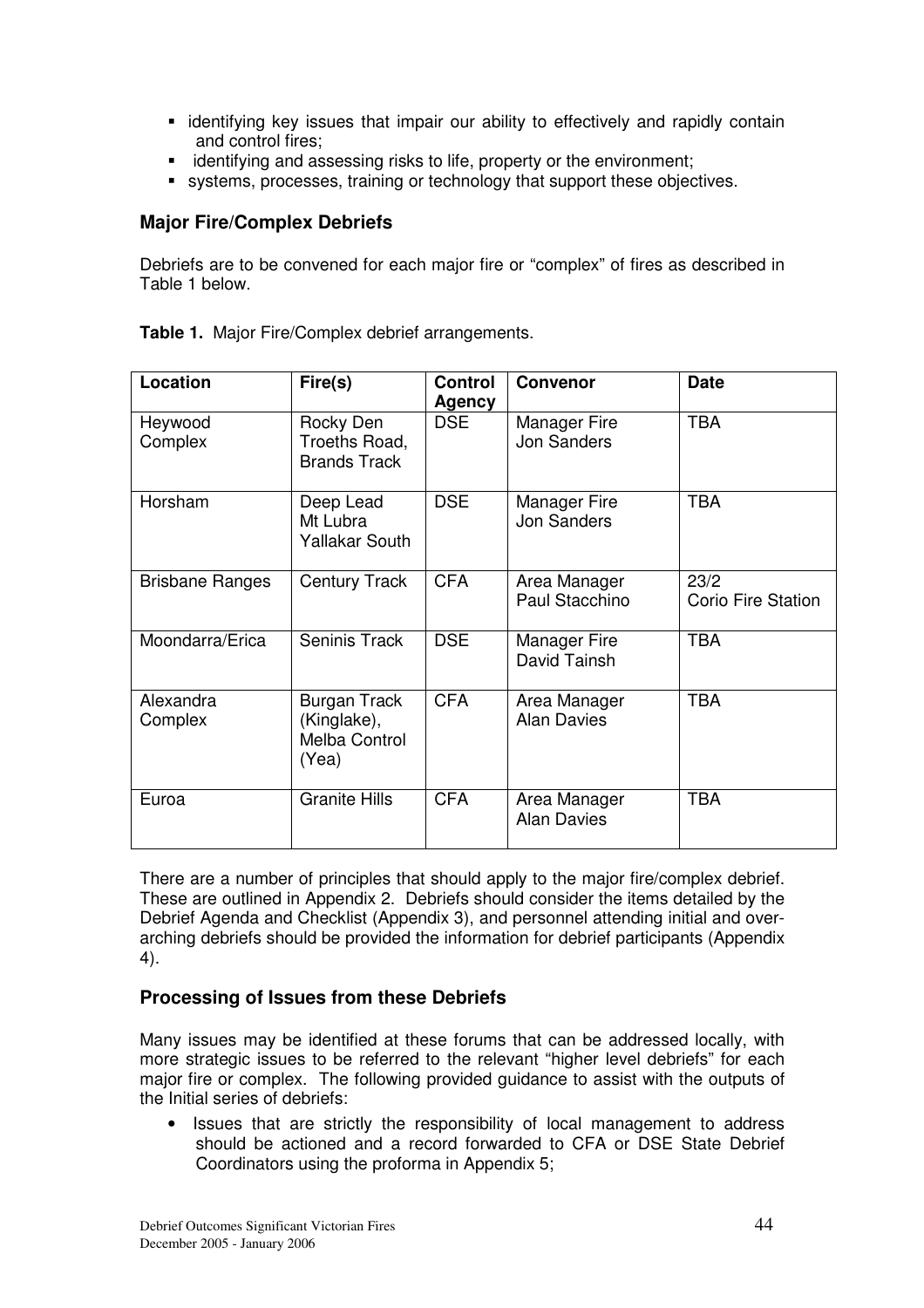- identifying key issues that impair our ability to effectively and rapidly contain and control fires;
- identifying and assessing risks to life, property or the environment;
- systems, processes, training or technology that support these objectives.

### **Major Fire/Complex Debriefs**

Debriefs are to be convened for each major fire or "complex" of fires as described in Table 1 below.

| Location               | Fire(s)                                                      | <b>Control</b><br>Agency | <b>Convenor</b>                    | <b>Date</b>                       |
|------------------------|--------------------------------------------------------------|--------------------------|------------------------------------|-----------------------------------|
| Heywood<br>Complex     | Rocky Den<br>Troeths Road,<br><b>Brands Track</b>            | <b>DSE</b>               | Manager Fire<br><b>Jon Sanders</b> | <b>TBA</b>                        |
| Horsham                | Deep Lead<br>Mt Lubra<br><b>Yallakar South</b>               | <b>DSE</b>               | Manager Fire<br><b>Jon Sanders</b> | <b>TBA</b>                        |
| <b>Brisbane Ranges</b> | <b>Century Track</b>                                         | <b>CFA</b>               | Area Manager<br>Paul Stacchino     | 23/2<br><b>Corio Fire Station</b> |
| Moondarra/Erica        | Seninis Track                                                | <b>DSE</b>               | Manager Fire<br>David Tainsh       | <b>TBA</b>                        |
| Alexandra<br>Complex   | <b>Burgan Track</b><br>(Kinglake),<br>Melba Control<br>(Yea) | <b>CFA</b>               | Area Manager<br><b>Alan Davies</b> | <b>TBA</b>                        |
| Euroa                  | <b>Granite Hills</b>                                         | <b>CFA</b>               | Area Manager<br><b>Alan Davies</b> | <b>TBA</b>                        |

**Table 1.** Major Fire/Complex debrief arrangements.

There are a number of principles that should apply to the major fire/complex debrief. These are outlined in Appendix 2. Debriefs should consider the items detailed by the Debrief Agenda and Checklist (Appendix 3), and personnel attending initial and overarching debriefs should be provided the information for debrief participants (Appendix 4).

### **Processing of Issues from these Debriefs**

Many issues may be identified at these forums that can be addressed locally, with more strategic issues to be referred to the relevant "higher level debriefs" for each major fire or complex. The following provided guidance to assist with the outputs of the Initial series of debriefs:

• Issues that are strictly the responsibility of local management to address should be actioned and a record forwarded to CFA or DSE State Debrief Coordinators using the proforma in Appendix 5;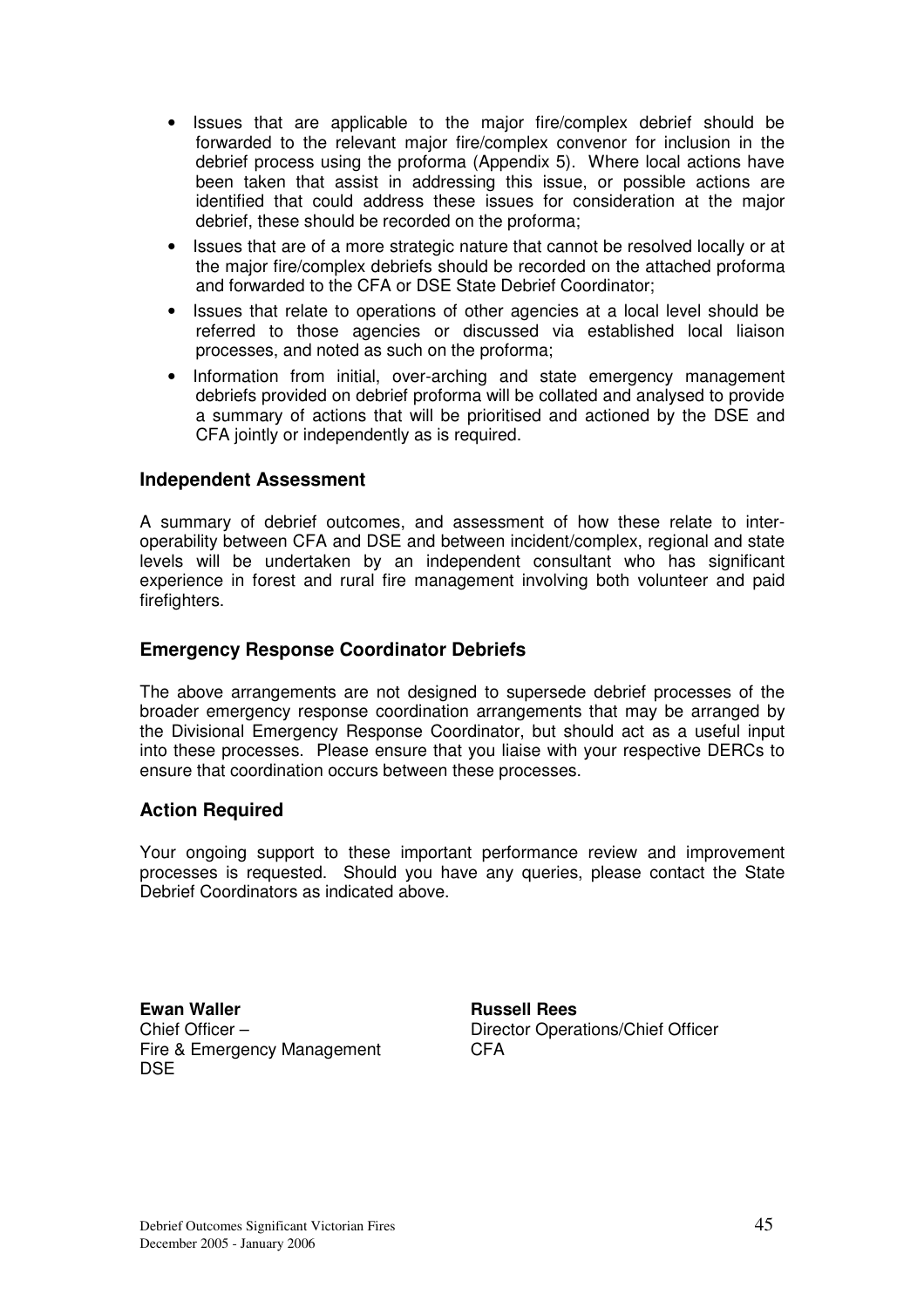- Issues that are applicable to the major fire/complex debrief should be forwarded to the relevant major fire/complex convenor for inclusion in the debrief process using the proforma (Appendix 5). Where local actions have been taken that assist in addressing this issue, or possible actions are identified that could address these issues for consideration at the major debrief, these should be recorded on the proforma;
- Issues that are of a more strategic nature that cannot be resolved locally or at the major fire/complex debriefs should be recorded on the attached proforma and forwarded to the CFA or DSE State Debrief Coordinator;
- Issues that relate to operations of other agencies at a local level should be referred to those agencies or discussed via established local liaison processes, and noted as such on the proforma;
- Information from initial, over-arching and state emergency management debriefs provided on debrief proforma will be collated and analysed to provide a summary of actions that will be prioritised and actioned by the DSE and CFA jointly or independently as is required.

### **Independent Assessment**

A summary of debrief outcomes, and assessment of how these relate to interoperability between CFA and DSE and between incident/complex, regional and state levels will be undertaken by an independent consultant who has significant experience in forest and rural fire management involving both volunteer and paid firefighters.

### **Emergency Response Coordinator Debriefs**

The above arrangements are not designed to supersede debrief processes of the broader emergency response coordination arrangements that may be arranged by the Divisional Emergency Response Coordinator, but should act as a useful input into these processes. Please ensure that you liaise with your respective DERCs to ensure that coordination occurs between these processes.

### **Action Required**

Your ongoing support to these important performance review and improvement processes is requested. Should you have any queries, please contact the State Debrief Coordinators as indicated above.

**Ewan Waller Construction Construction Russell Rees** Chief Officer – Fire & Emergency Management **DSE** 

Director Operations/Chief Officer CFA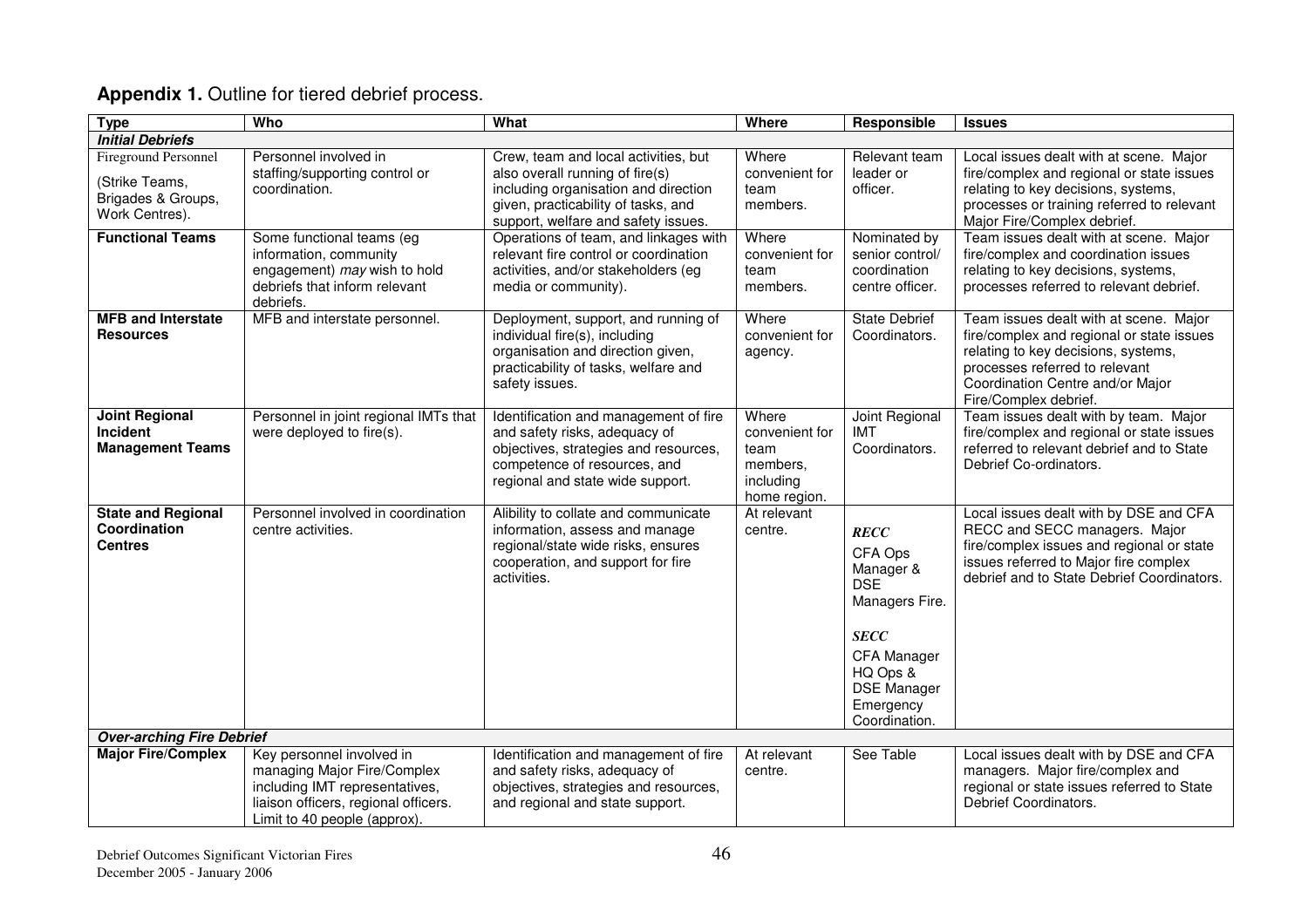| <b>Type</b>                                                                           | Who                                                                                                                                                                | What                                                                                                                                                                                          | Where                                                                    | Responsible                                                                                                                                                       | <b>Issues</b>                                                                                                                                                                                                             |
|---------------------------------------------------------------------------------------|--------------------------------------------------------------------------------------------------------------------------------------------------------------------|-----------------------------------------------------------------------------------------------------------------------------------------------------------------------------------------------|--------------------------------------------------------------------------|-------------------------------------------------------------------------------------------------------------------------------------------------------------------|---------------------------------------------------------------------------------------------------------------------------------------------------------------------------------------------------------------------------|
| <b>Initial Debriefs</b>                                                               |                                                                                                                                                                    |                                                                                                                                                                                               |                                                                          |                                                                                                                                                                   |                                                                                                                                                                                                                           |
| <b>Fireground Personnel</b><br>(Strike Teams,<br>Brigades & Groups,<br>Work Centres). | Personnel involved in<br>staffing/supporting control or<br>coordination.                                                                                           | Crew, team and local activities, but<br>also overall running of fire(s)<br>including organisation and direction<br>given, practicability of tasks, and<br>support, welfare and safety issues. | Where<br>convenient for<br>team<br>members.                              | Relevant team<br>leader or<br>officer.                                                                                                                            | Local issues dealt with at scene. Major<br>fire/complex and regional or state issues<br>relating to key decisions, systems,<br>processes or training referred to relevant<br>Major Fire/Complex debrief.                  |
| <b>Functional Teams</b>                                                               | Some functional teams (eg<br>information, community<br>engagement) may wish to hold<br>debriefs that inform relevant<br>debriefs.                                  | Operations of team, and linkages with<br>relevant fire control or coordination<br>activities, and/or stakeholders (eg<br>media or community).                                                 | Where<br>convenient for<br>team<br>members.                              | Nominated by<br>senior control/<br>coordination<br>centre officer.                                                                                                | Team issues dealt with at scene. Major<br>fire/complex and coordination issues<br>relating to key decisions, systems,<br>processes referred to relevant debrief.                                                          |
| <b>MFB and Interstate</b><br><b>Resources</b>                                         | MFB and interstate personnel.                                                                                                                                      | Deployment, support, and running of<br>individual fire(s), including<br>organisation and direction given,<br>practicability of tasks, welfare and<br>safety issues.                           | Where<br>convenient for<br>agency.                                       | <b>State Debrief</b><br>Coordinators.                                                                                                                             | Team issues dealt with at scene. Major<br>fire/complex and regional or state issues<br>relating to key decisions, systems,<br>processes referred to relevant<br>Coordination Centre and/or Major<br>Fire/Complex debrief. |
| <b>Joint Regional</b><br>Incident<br><b>Management Teams</b>                          | Personnel in joint regional IMTs that<br>were deployed to fire(s).                                                                                                 | Identification and management of fire<br>and safety risks, adequacy of<br>objectives, strategies and resources,<br>competence of resources, and<br>regional and state wide support.           | Where<br>convenient for<br>team<br>members,<br>including<br>home region. | Joint Regional<br>IMT<br>Coordinators.                                                                                                                            | Team issues dealt with by team. Major<br>fire/complex and regional or state issues<br>referred to relevant debrief and to State<br>Debrief Co-ordinators.                                                                 |
| <b>State and Regional</b><br>Coordination<br><b>Centres</b>                           | Personnel involved in coordination<br>centre activities.                                                                                                           | Alibility to collate and communicate<br>information, assess and manage<br>regional/state wide risks, ensures<br>cooperation, and support for fire<br>activities.                              | At relevant<br>centre.                                                   | <b>RECC</b><br>CFA Ops<br>Manager &<br><b>DSE</b><br>Managers Fire.<br><b>SECC</b><br>CFA Manager<br>HQ Ops &<br><b>DSE</b> Manager<br>Emergency<br>Coordination. | Local issues dealt with by DSE and CFA<br>RECC and SECC managers. Major<br>fire/complex issues and regional or state<br>issues referred to Major fire complex<br>debrief and to State Debrief Coordinators.               |
| <b>Over-arching Fire Debrief</b>                                                      |                                                                                                                                                                    |                                                                                                                                                                                               |                                                                          |                                                                                                                                                                   |                                                                                                                                                                                                                           |
| <b>Major Fire/Complex</b>                                                             | Key personnel involved in<br>managing Major Fire/Complex<br>including IMT representatives,<br>liaison officers, regional officers.<br>Limit to 40 people (approx). | Identification and management of fire<br>and safety risks, adequacy of<br>objectives, strategies and resources,<br>and regional and state support.                                            | At relevant<br>centre.                                                   | See Table                                                                                                                                                         | Local issues dealt with by DSE and CFA<br>managers. Major fire/complex and<br>regional or state issues referred to State<br>Debrief Coordinators.                                                                         |

### **Appendix 1.** Outline for tiered debrief process.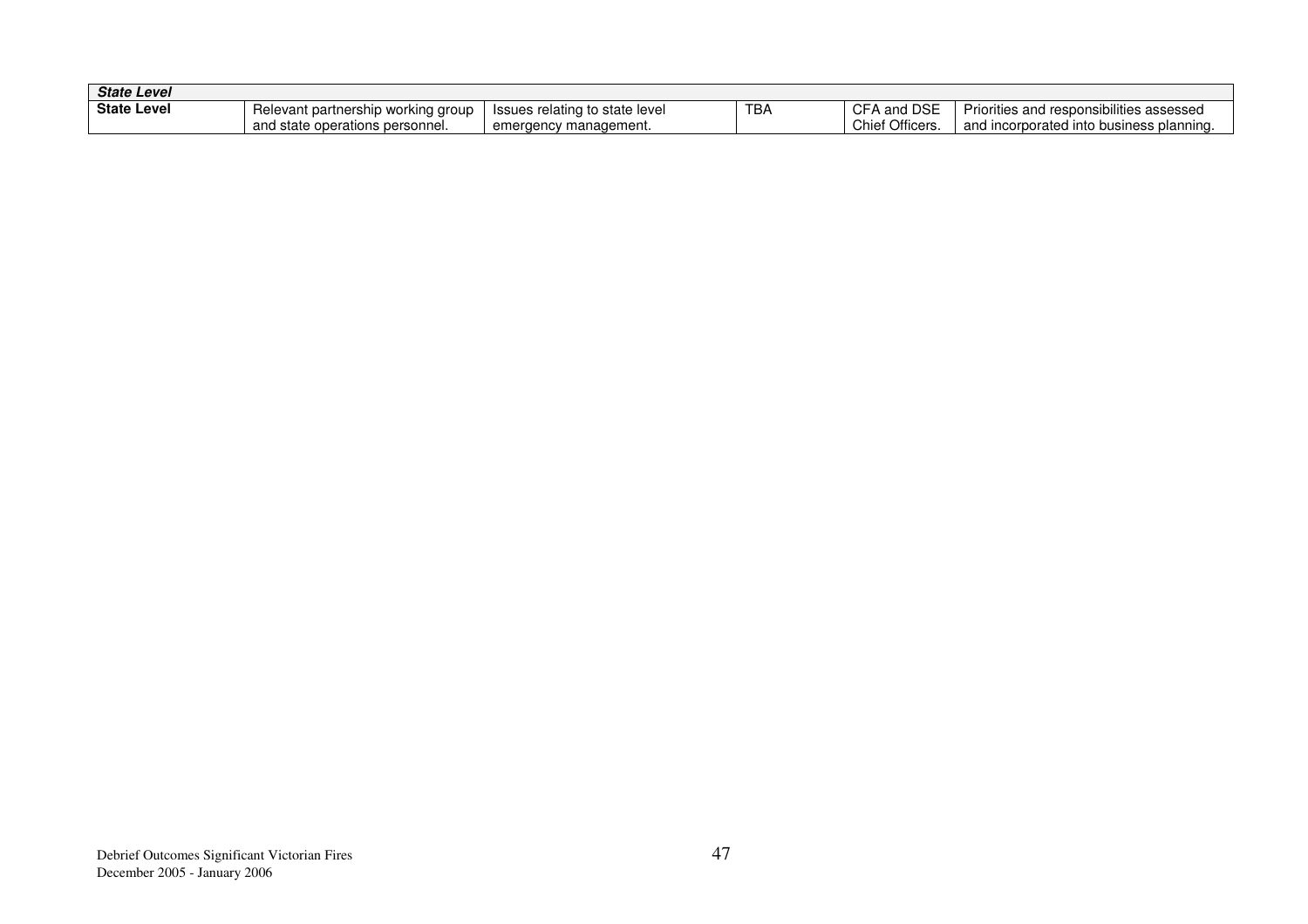| <b>State Level</b> |                                              |                                   |     |                           |                                                    |
|--------------------|----------------------------------------------|-----------------------------------|-----|---------------------------|----------------------------------------------------|
| <b>State Level</b> | <b>Relevant partnership</b><br>working group | Issues relating to state level    | TBA | . DSE<br>CF/<br>and       | Priorities and responsibilities assessed           |
|                    | and<br>l state operations personnel.         | nanagement.<br>emeraencv<br>, mar |     | <b>Officers</b><br>N<br>ັ | and incorporated into<br>d into business planning. |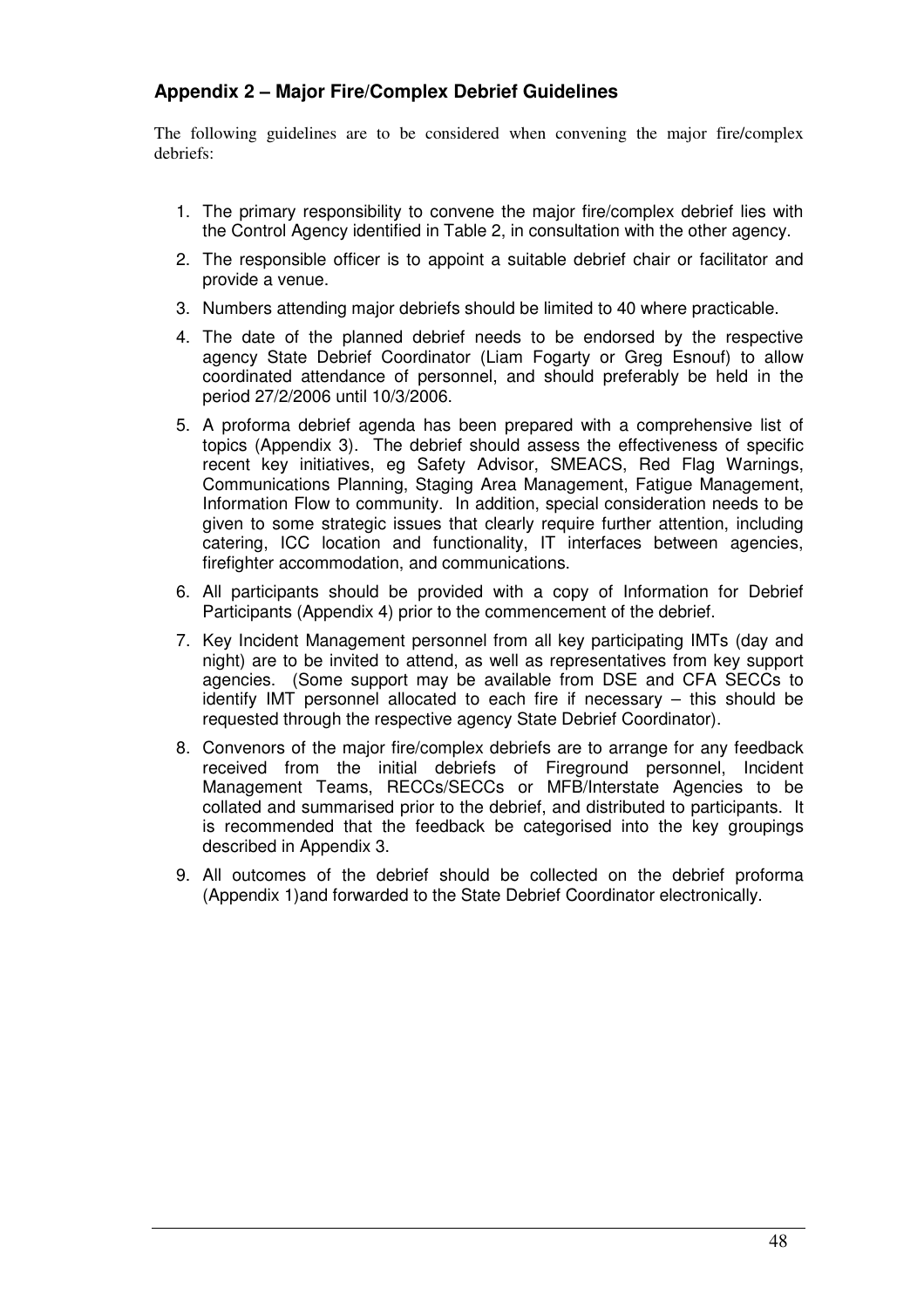### **Appendix 2 – Major Fire/Complex Debrief Guidelines**

The following guidelines are to be considered when convening the major fire/complex debriefs:

- 1. The primary responsibility to convene the major fire/complex debrief lies with the Control Agency identified in Table 2, in consultation with the other agency.
- 2. The responsible officer is to appoint a suitable debrief chair or facilitator and provide a venue.
- 3. Numbers attending major debriefs should be limited to 40 where practicable.
- 4. The date of the planned debrief needs to be endorsed by the respective agency State Debrief Coordinator (Liam Fogarty or Greg Esnouf) to allow coordinated attendance of personnel, and should preferably be held in the period 27/2/2006 until 10/3/2006.
- 5. A proforma debrief agenda has been prepared with a comprehensive list of topics (Appendix 3). The debrief should assess the effectiveness of specific recent key initiatives, eg Safety Advisor, SMEACS, Red Flag Warnings, Communications Planning, Staging Area Management, Fatigue Management, Information Flow to community. In addition, special consideration needs to be given to some strategic issues that clearly require further attention, including catering, ICC location and functionality, IT interfaces between agencies, firefighter accommodation, and communications.
- 6. All participants should be provided with a copy of Information for Debrief Participants (Appendix 4) prior to the commencement of the debrief.
- 7. Key Incident Management personnel from all key participating IMTs (day and night) are to be invited to attend, as well as representatives from key support agencies. (Some support may be available from DSE and CFA SECCs to identify IMT personnel allocated to each fire if necessary – this should be requested through the respective agency State Debrief Coordinator).
- 8. Convenors of the major fire/complex debriefs are to arrange for any feedback received from the initial debriefs of Fireground personnel, Incident Management Teams, RECCs/SECCs or MFB/Interstate Agencies to be collated and summarised prior to the debrief, and distributed to participants. It is recommended that the feedback be categorised into the key groupings described in Appendix 3.
- 9. All outcomes of the debrief should be collected on the debrief proforma (Appendix 1)and forwarded to the State Debrief Coordinator electronically.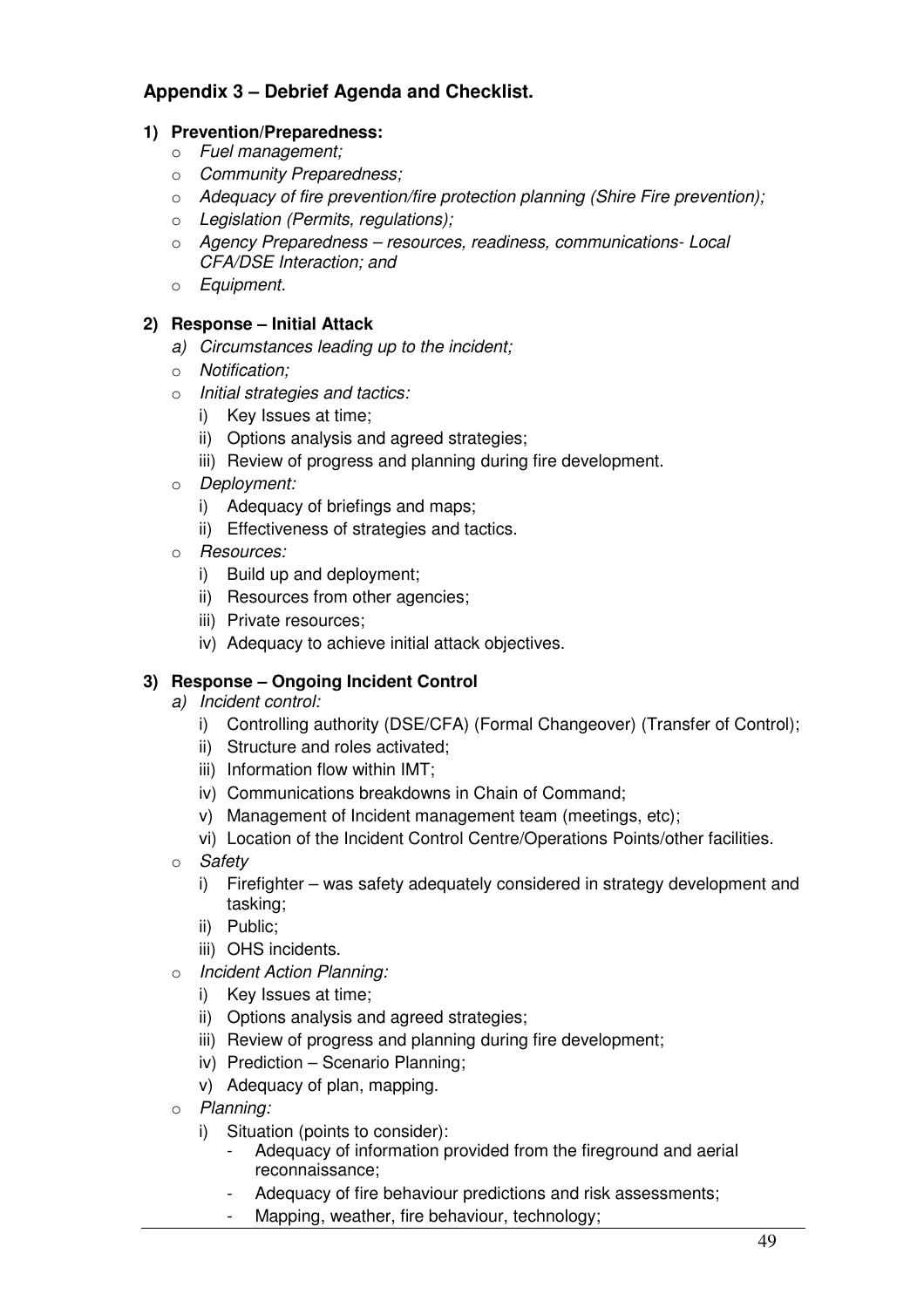## **Appendix 3 – Debrief Agenda and Checklist.**

### **1) Prevention/Preparedness:**

- o Fuel management;
- o Community Preparedness;
- $\circ$  Adequacy of fire prevention/fire protection planning (Shire Fire prevention);
- o Legislation (Permits, regulations);
- o Agency Preparedness resources, readiness, communications- Local CFA/DSE Interaction; and
- o Equipment.

### **2) Response – Initial Attack**

- a) Circumstances leading up to the incident;
- o Notification;
- o Initial strategies and tactics:
	- i) Key Issues at time;
	- ii) Options analysis and agreed strategies;
	- iii) Review of progress and planning during fire development.
- o Deployment:
	- i) Adequacy of briefings and maps;
	- ii) Effectiveness of strategies and tactics.
- o Resources:
	- i) Build up and deployment;
	- ii) Resources from other agencies;
	- iii) Private resources;
	- iv) Adequacy to achieve initial attack objectives.

### **3) Response – Ongoing Incident Control**

- a) Incident control:
	- i) Controlling authority (DSE/CFA) (Formal Changeover) (Transfer of Control);
	- ii) Structure and roles activated;
	- iii) Information flow within IMT;
	- iv) Communications breakdowns in Chain of Command;
	- v) Management of Incident management team (meetings, etc);
	- vi) Location of the Incident Control Centre/Operations Points/other facilities.
- o Safety
	- i) Firefighter was safety adequately considered in strategy development and tasking;
	- ii) Public;
	- iii) OHS incidents.
- o Incident Action Planning:
	- i) Key Issues at time;
	- ii) Options analysis and agreed strategies;
	- iii) Review of progress and planning during fire development;
	- iv) Prediction Scenario Planning;
	- v) Adequacy of plan, mapping.
- o Planning:
	- i) Situation (points to consider):
		- Adequacy of information provided from the fireground and aerial reconnaissance;
		- Adequacy of fire behaviour predictions and risk assessments;
		- Mapping, weather, fire behaviour, technology;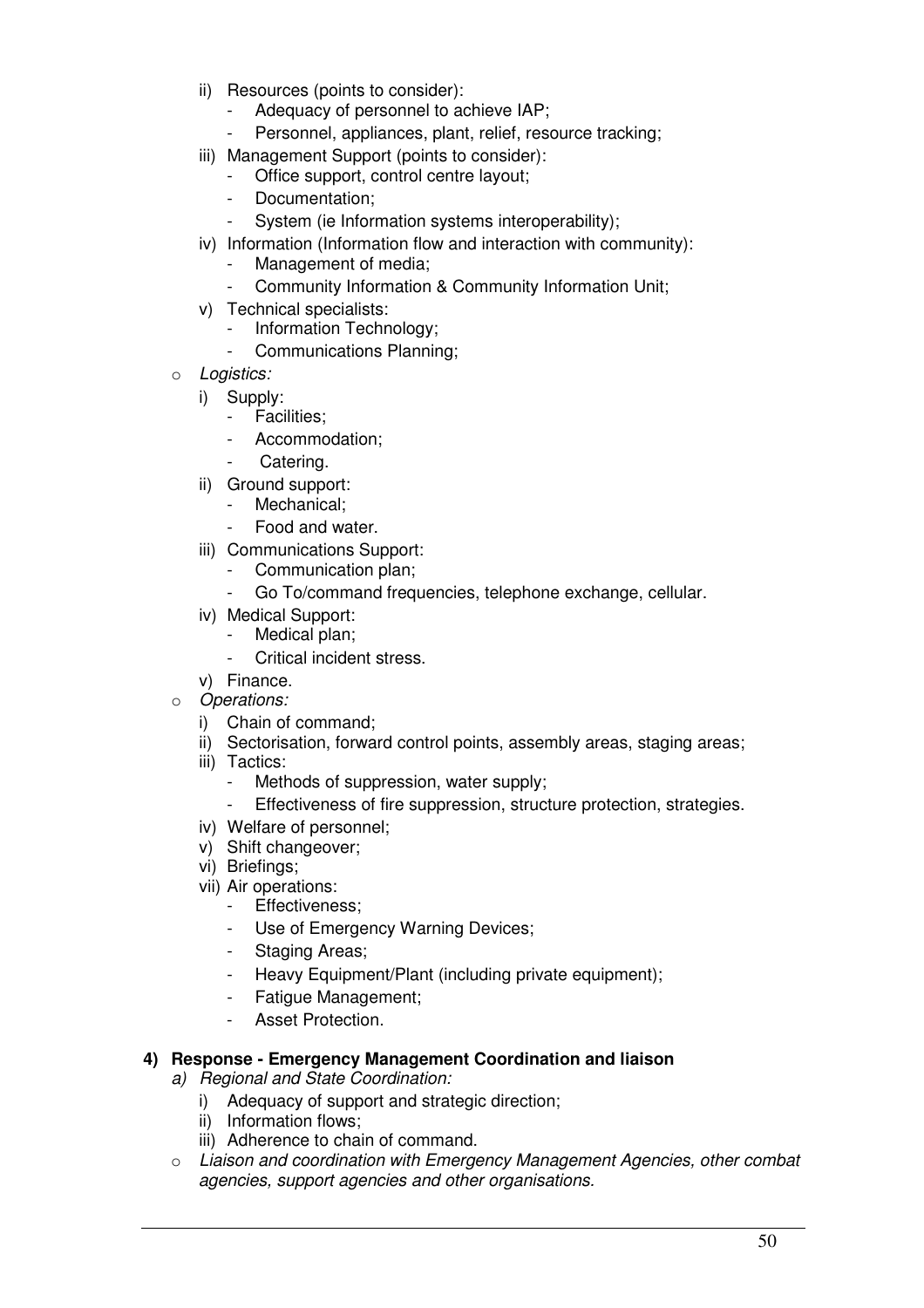- ii) Resources (points to consider):
	- Adequacy of personnel to achieve IAP;
	- Personnel, appliances, plant, relief, resource tracking;
- iii) Management Support (points to consider):
	- Office support, control centre layout;
	- Documentation:
	- System (ie Information systems interoperability);
- iv) Information (Information flow and interaction with community):
	- Management of media;
		- Community Information & Community Information Unit;
- v) Technical specialists:
	- Information Technology;
	- Communications Planning;
- o Logistics:
	- i) Supply:
		- Facilities;
		- Accommodation:
		- Catering.
	- ii) Ground support:
		- Mechanical:
		- Food and water.
	- iii) Communications Support:
		- Communication plan;
		- Go To/command frequencies, telephone exchange, cellular.
	- iv) Medical Support:
		- Medical plan;
		- Critical incident stress.
	- v) Finance.
- o Operations:
	- i) Chain of command;
	- ii) Sectorisation, forward control points, assembly areas, staging areas;
	- iii) Tactics:
		- Methods of suppression, water supply:
		- Effectiveness of fire suppression, structure protection, strategies.
	- iv) Welfare of personnel;
	- v) Shift changeover;
	- vi) Briefings;
	- vii) Air operations:
		- Effectiveness;
		- Use of Emergency Warning Devices;
		- Staging Areas;
		- Heavy Equipment/Plant (including private equipment);
		- Fatigue Management:
		- Asset Protection.

### **4) Response - Emergency Management Coordination and liaison**

- a) Regional and State Coordination:
	- i) Adequacy of support and strategic direction;
	- ii) Information flows;
	- iii) Adherence to chain of command.
- o Liaison and coordination with Emergency Management Agencies, other combat agencies, support agencies and other organisations.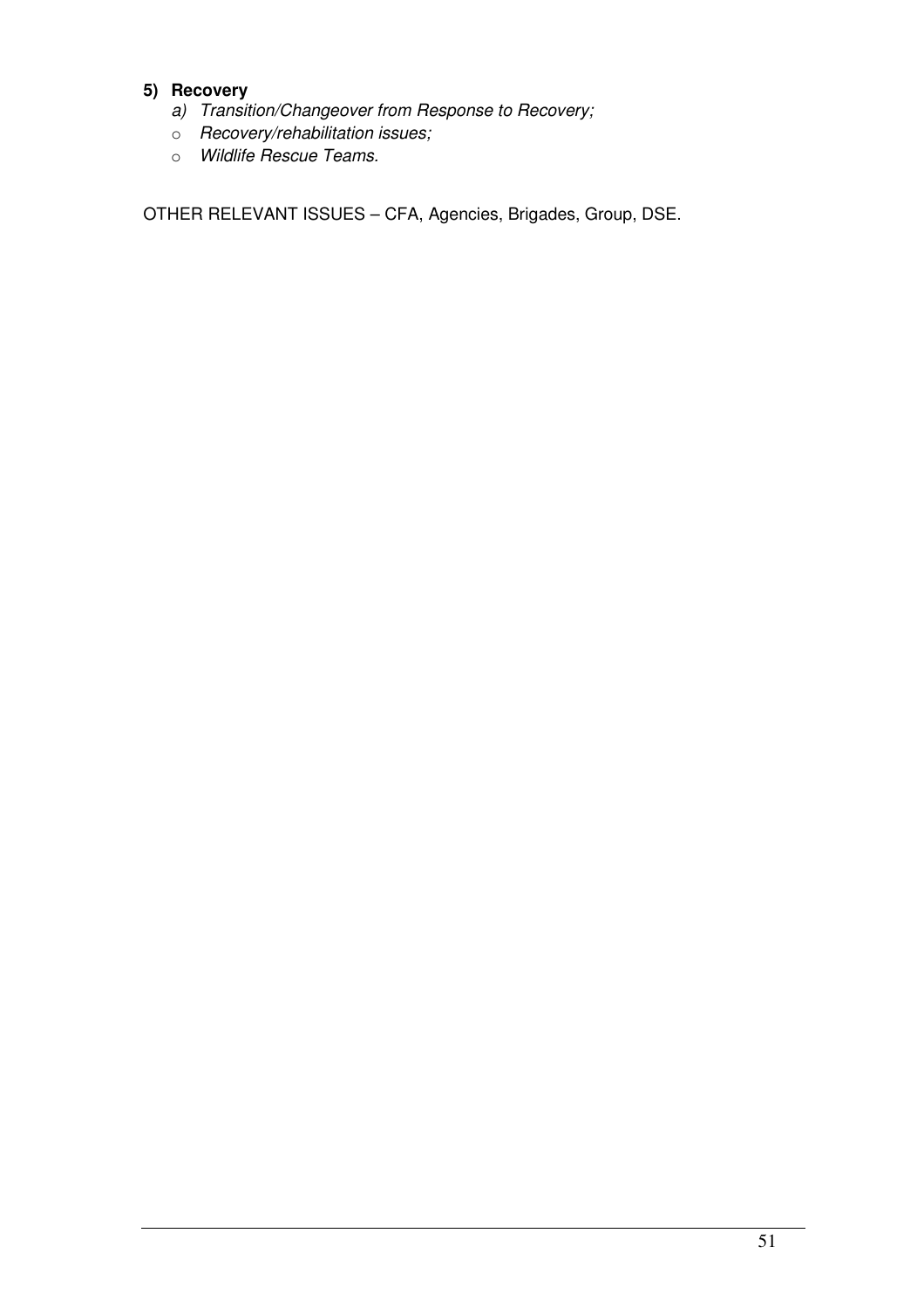### **5) Recovery**

- a) Transition/Changeover from Response to Recovery;
- o Recovery/rehabilitation issues;
- o Wildlife Rescue Teams.

OTHER RELEVANT ISSUES – CFA, Agencies, Brigades, Group, DSE.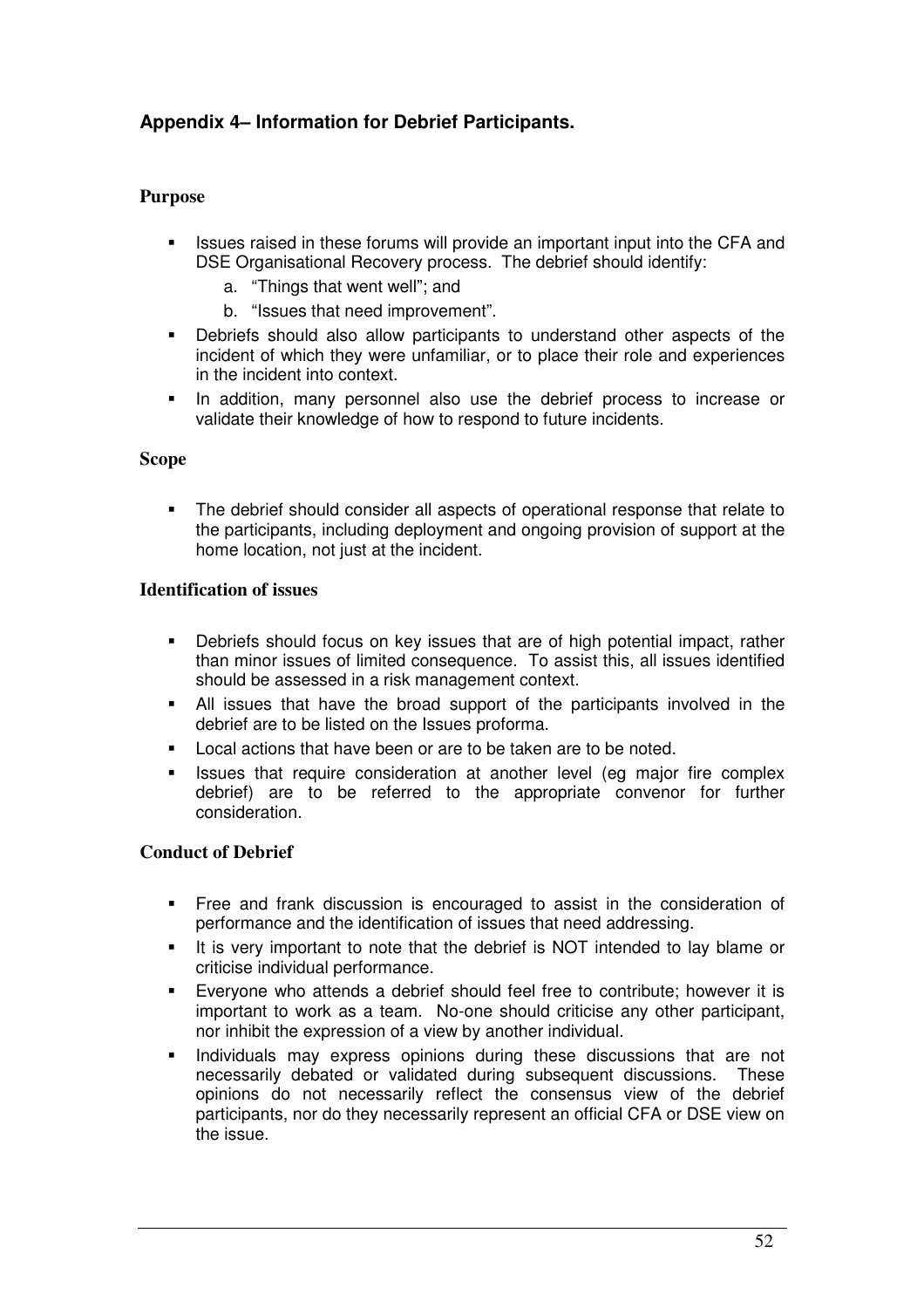## **Appendix 4– Information for Debrief Participants.**

### **Purpose**

- - Issues raised in these forums will provide an important input into the CFA and DSE Organisational Recovery process. The debrief should identify:
	- a. "Things that went well"; and
	- b. "Issues that need improvement".
- - Debriefs should also allow participants to understand other aspects of the incident of which they were unfamiliar, or to place their role and experiences in the incident into context.
- - In addition, many personnel also use the debrief process to increase or validate their knowledge of how to respond to future incidents.

#### **Scope**

- The debrief should consider all aspects of operational response that relate to the participants, including deployment and ongoing provision of support at the home location, not just at the incident.

#### **Identification of issues**

- - Debriefs should focus on key issues that are of high potential impact, rather than minor issues of limited consequence. To assist this, all issues identified should be assessed in a risk management context.
- - All issues that have the broad support of the participants involved in the debrief are to be listed on the Issues proforma.
- -Local actions that have been or are to be taken are to be noted.
- - Issues that require consideration at another level (eg major fire complex debrief) are to be referred to the appropriate convenor for further consideration.

### **Conduct of Debrief**

- - Free and frank discussion is encouraged to assist in the consideration of performance and the identification of issues that need addressing.
- - It is very important to note that the debrief is NOT intended to lay blame or criticise individual performance.
- - Everyone who attends a debrief should feel free to contribute; however it is important to work as a team. No-one should criticise any other participant, nor inhibit the expression of a view by another individual.
- - Individuals may express opinions during these discussions that are not necessarily debated or validated during subsequent discussions. These opinions do not necessarily reflect the consensus view of the debrief participants, nor do they necessarily represent an official CFA or DSE view on the issue.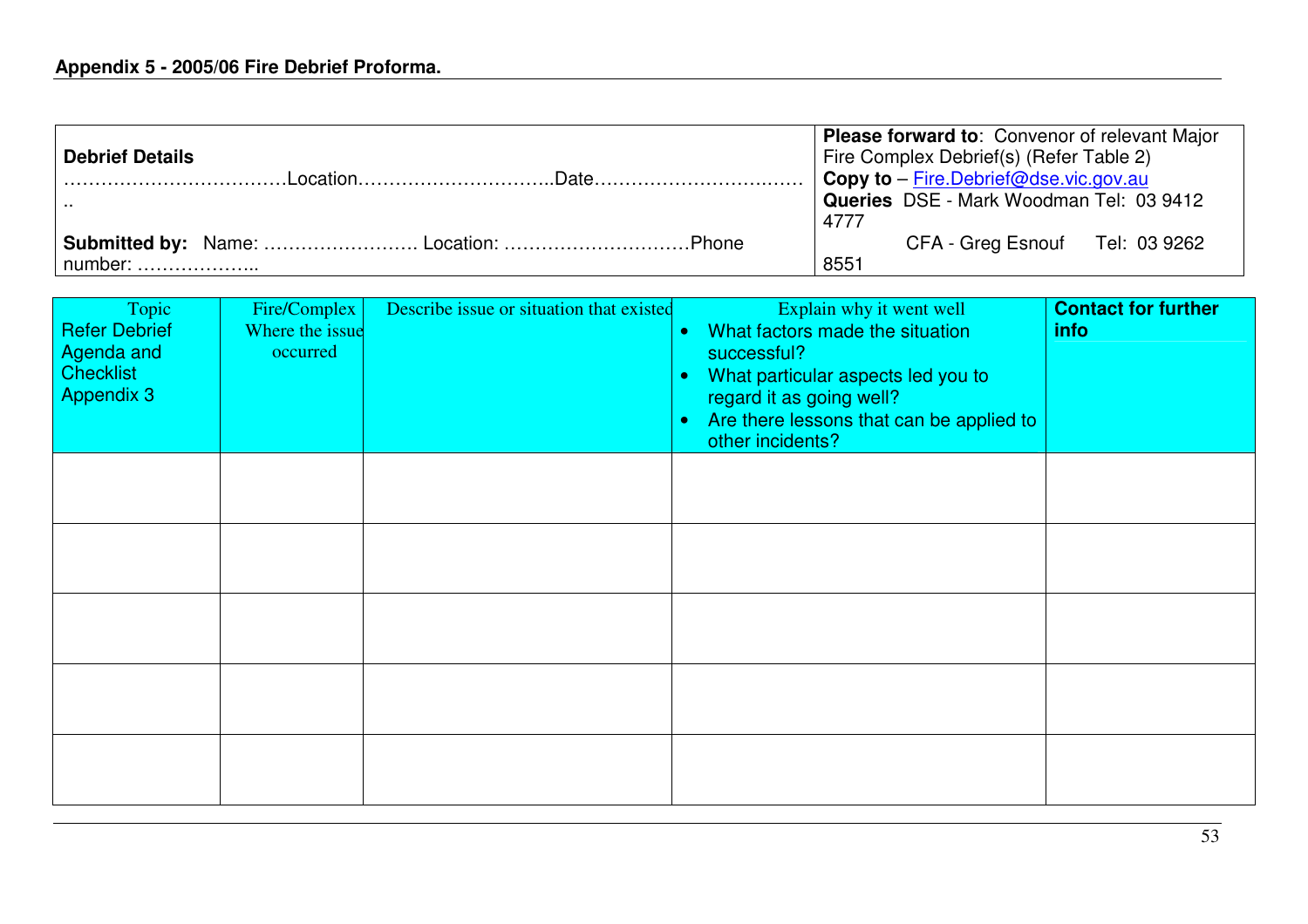| <b>Debrief Details</b> | <b>Please forward to: Convenor of relevant Major</b><br>Fire Complex Debrief(s) (Refer Table 2)<br>Copy to - Fire.Debrief@dse.vic.gov.au |
|------------------------|------------------------------------------------------------------------------------------------------------------------------------------|
|                        | Queries DSE - Mark Woodman Tel: 03 9412<br>4777                                                                                          |
| $number:$              | CFA - Greg Esnouf Tel: 03 9262<br>8551                                                                                                   |

| Topic<br><b>Refer Debrief</b><br>Agenda and<br><b>Checklist</b><br>Appendix 3 | Fire/Complex<br>Where the issue<br>occurred | Describe issue or situation that existed | Explain why it went well<br>What factors made the situation<br>$\bullet$<br>successful?<br>What particular aspects led you to<br>$\bullet$<br>regard it as going well?<br>Are there lessons that can be applied to<br>۰<br>other incidents? | <b>Contact for further</b><br><i>info</i> |
|-------------------------------------------------------------------------------|---------------------------------------------|------------------------------------------|---------------------------------------------------------------------------------------------------------------------------------------------------------------------------------------------------------------------------------------------|-------------------------------------------|
|                                                                               |                                             |                                          |                                                                                                                                                                                                                                             |                                           |
|                                                                               |                                             |                                          |                                                                                                                                                                                                                                             |                                           |
|                                                                               |                                             |                                          |                                                                                                                                                                                                                                             |                                           |
|                                                                               |                                             |                                          |                                                                                                                                                                                                                                             |                                           |
|                                                                               |                                             |                                          |                                                                                                                                                                                                                                             |                                           |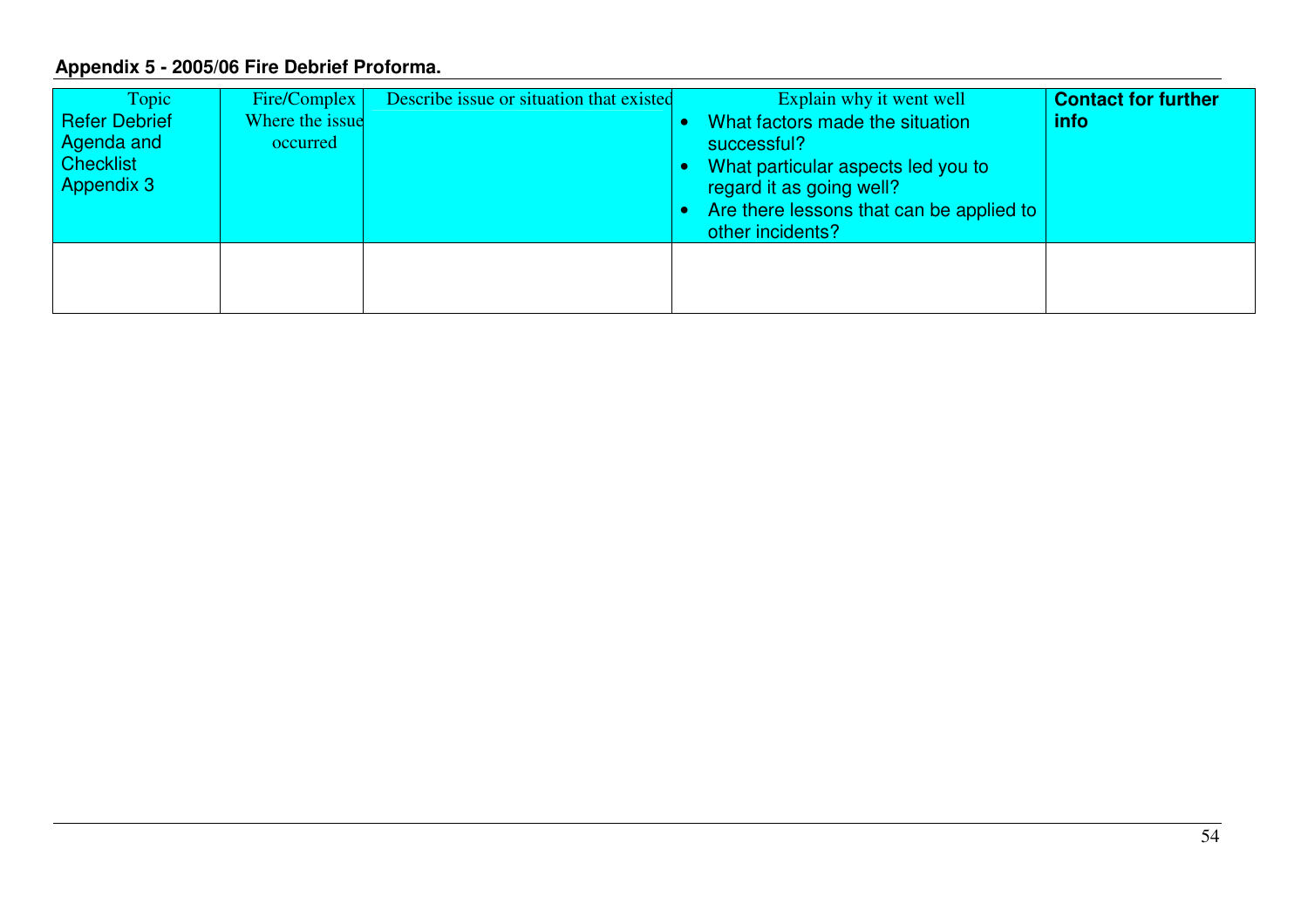## **Appendix 5 - 2005/06 Fire Debrief Proforma.**

| Topic<br><b>Refer Debrief</b><br>Agenda and<br><b>Checklist</b><br><b>Appendix 3</b> | Fire/Complex  <br>Where the issue<br>occurred | Describe issue or situation that existed | Explain why it went well<br>What factors made the situation<br>successful?<br>What particular aspects led you to<br>regard it as going well?<br>Are there lessons that can be applied to<br>other incidents? | <b>Contact for further</b><br>info |
|--------------------------------------------------------------------------------------|-----------------------------------------------|------------------------------------------|--------------------------------------------------------------------------------------------------------------------------------------------------------------------------------------------------------------|------------------------------------|
|                                                                                      |                                               |                                          |                                                                                                                                                                                                              |                                    |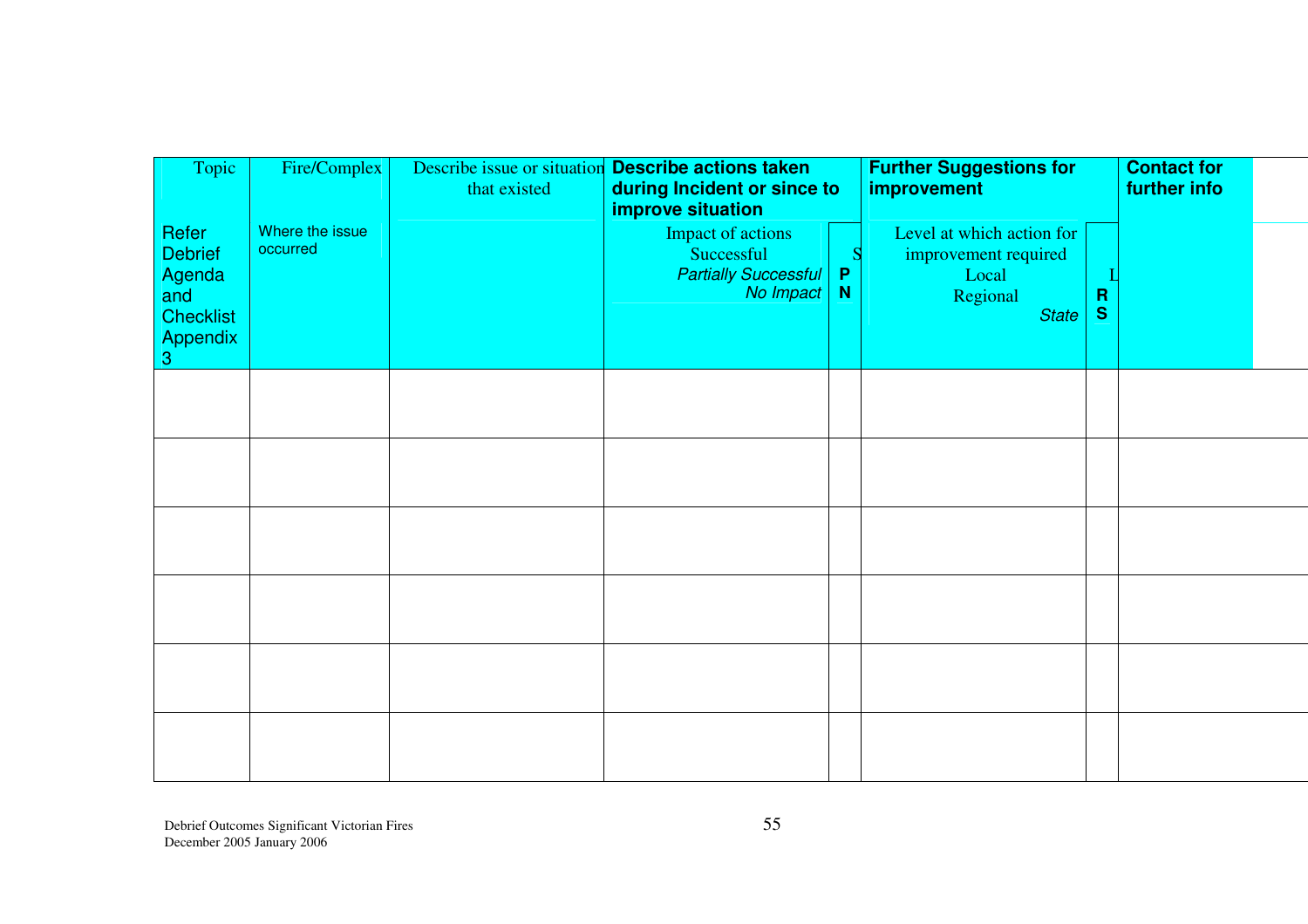| Topic                                                                                | Fire/Complex                | Describe issue or situation<br>that existed | <b>Describe actions taken</b><br>during Incident or since to<br>improve situation |                             | <b>Further Suggestions for</b><br>improvement                                          |                             | <b>Contact for</b><br>further info |  |
|--------------------------------------------------------------------------------------|-----------------------------|---------------------------------------------|-----------------------------------------------------------------------------------|-----------------------------|----------------------------------------------------------------------------------------|-----------------------------|------------------------------------|--|
| Refer<br><b>Debrief</b><br>Agenda<br>and<br><b>Checklist</b><br><b>Appendix</b><br>3 | Where the issue<br>occurred |                                             | Impact of actions<br>Successful<br><b>Partially Successful</b><br>No Impact       | $\mathsf{P}$<br>$\mathbf N$ | Level at which action for<br>improvement required<br>Local<br>Regional<br><b>State</b> | $\mathbf R$<br>$\mathbf{s}$ |                                    |  |
|                                                                                      |                             |                                             |                                                                                   |                             |                                                                                        |                             |                                    |  |
|                                                                                      |                             |                                             |                                                                                   |                             |                                                                                        |                             |                                    |  |
|                                                                                      |                             |                                             |                                                                                   |                             |                                                                                        |                             |                                    |  |
|                                                                                      |                             |                                             |                                                                                   |                             |                                                                                        |                             |                                    |  |
|                                                                                      |                             |                                             |                                                                                   |                             |                                                                                        |                             |                                    |  |
|                                                                                      |                             |                                             |                                                                                   |                             |                                                                                        |                             |                                    |  |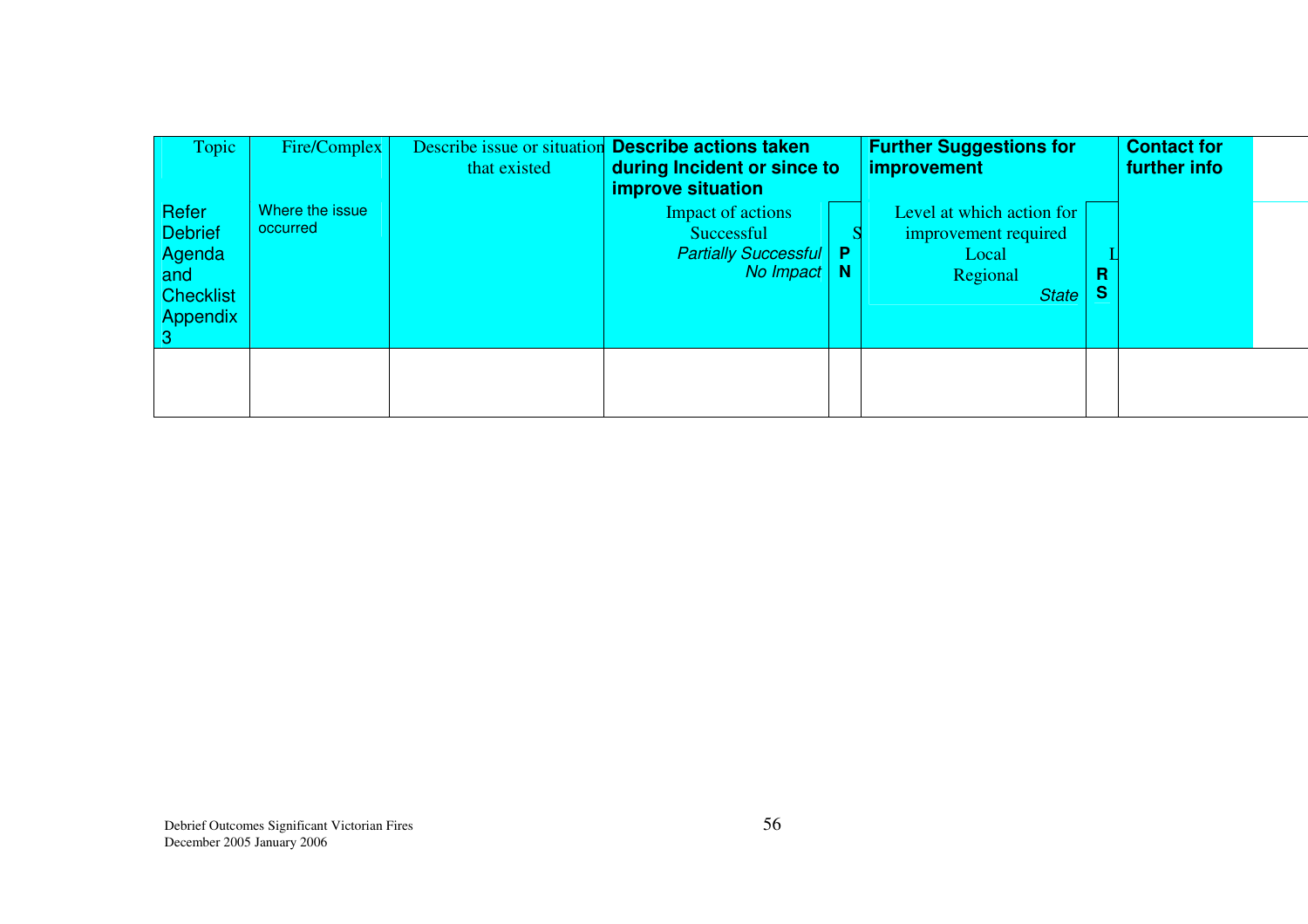| Topic                                                                    | Fire/Complex                | that existed | Describe issue or situation Describe actions taken<br>during Incident or since to<br><b>improve situation</b> |     | <b>Further Suggestions for</b><br><i>improvement</i>                                   |               | <b>Contact for</b><br>further info |  |
|--------------------------------------------------------------------------|-----------------------------|--------------|---------------------------------------------------------------------------------------------------------------|-----|----------------------------------------------------------------------------------------|---------------|------------------------------------|--|
| Refer<br><b>Debrief</b><br>Agenda<br>and<br><b>Checklist</b><br>Appendix | Where the issue<br>occurred |              | Impact of actions<br>Successful<br><b>Partially Successful</b><br>No Impact                                   | - N | Level at which action for<br>improvement required<br>Local<br>Regional<br><b>State</b> | R<br><b>S</b> |                                    |  |
|                                                                          |                             |              |                                                                                                               |     |                                                                                        |               |                                    |  |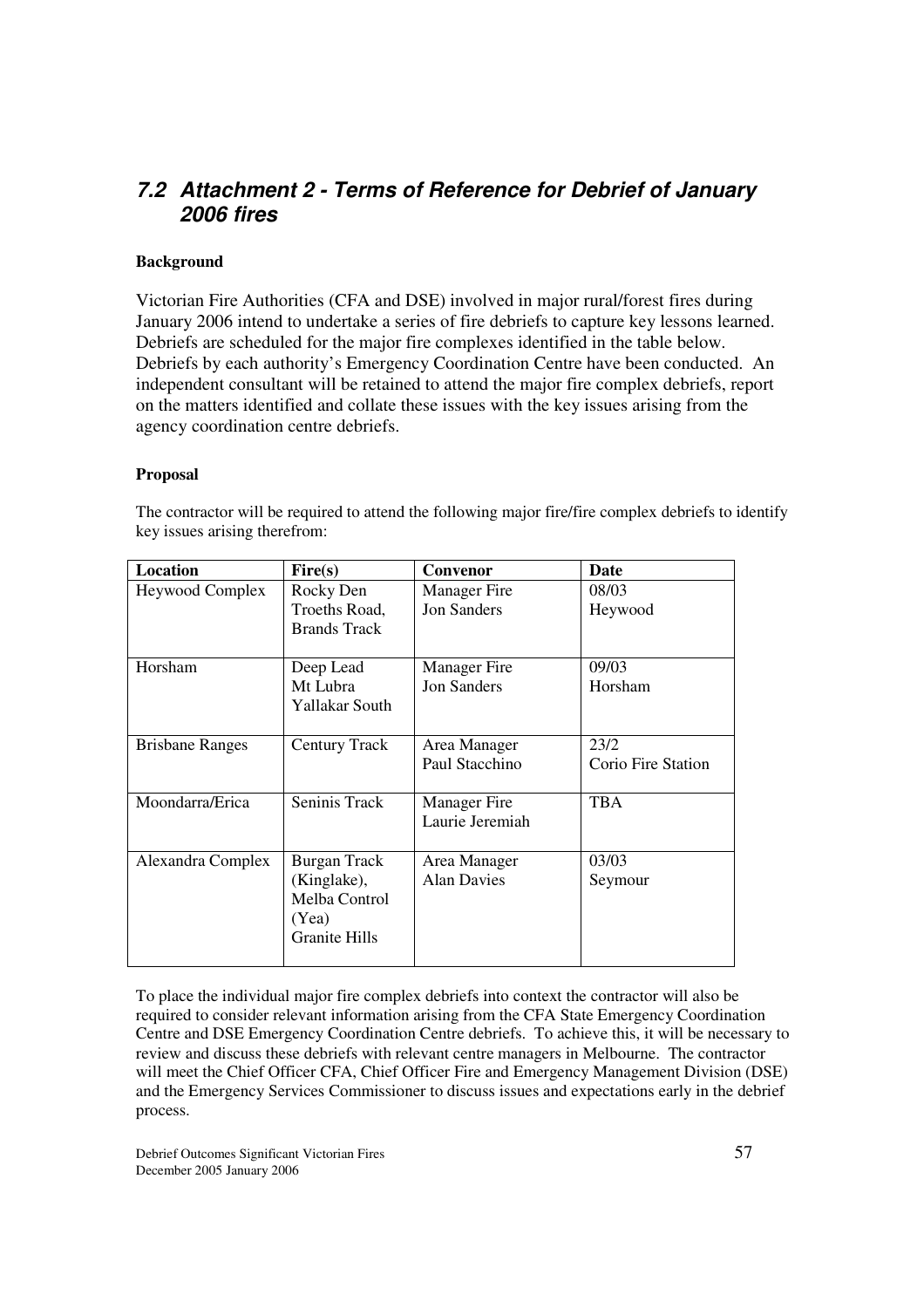## *7.2 Attachment 2 - Terms of Reference for Debrief of January 2006 fires*

#### **Background**

Victorian Fire Authorities (CFA and DSE) involved in major rural/forest fires during January 2006 intend to undertake a series of fire debriefs to capture key lessons learned. Debriefs are scheduled for the major fire complexes identified in the table below. Debriefs by each authority's Emergency Coordination Centre have been conducted. An independent consultant will be retained to attend the major fire complex debriefs, report on the matters identified and collate these issues with the key issues arising from the agency coordination centre debriefs.

#### **Proposal**

| Location               | Fire(s)                              | Convenor            | Date               |
|------------------------|--------------------------------------|---------------------|--------------------|
| Heywood Complex        | Rocky Den                            | <b>Manager</b> Fire | 08/03              |
|                        | Troeths Road,<br><b>Brands Track</b> | <b>Jon Sanders</b>  | Heywood            |
| Horsham                | Deep Lead                            | <b>Manager</b> Fire | 09/03              |
|                        | Mt Lubra<br>Yallakar South           | <b>Jon Sanders</b>  | Horsham            |
| <b>Brisbane Ranges</b> | Century Track                        | Area Manager        | 23/2               |
|                        |                                      | Paul Stacchino      | Corio Fire Station |
| Moondarra/Erica        | Seninis Track                        | <b>Manager</b> Fire | <b>TBA</b>         |
|                        |                                      | Laurie Jeremiah     |                    |
| Alexandra Complex      | <b>Burgan Track</b>                  | Area Manager        | 03/03              |
|                        | (Kinglake),                          | <b>Alan Davies</b>  | Seymour            |
|                        | Melba Control                        |                     |                    |
|                        | (Yea)                                |                     |                    |
|                        | <b>Granite Hills</b>                 |                     |                    |

The contractor will be required to attend the following major fire/fire complex debriefs to identify key issues arising therefrom:

To place the individual major fire complex debriefs into context the contractor will also be required to consider relevant information arising from the CFA State Emergency Coordination Centre and DSE Emergency Coordination Centre debriefs. To achieve this, it will be necessary to review and discuss these debriefs with relevant centre managers in Melbourne. The contractor will meet the Chief Officer CFA, Chief Officer Fire and Emergency Management Division (DSE) and the Emergency Services Commissioner to discuss issues and expectations early in the debrief process.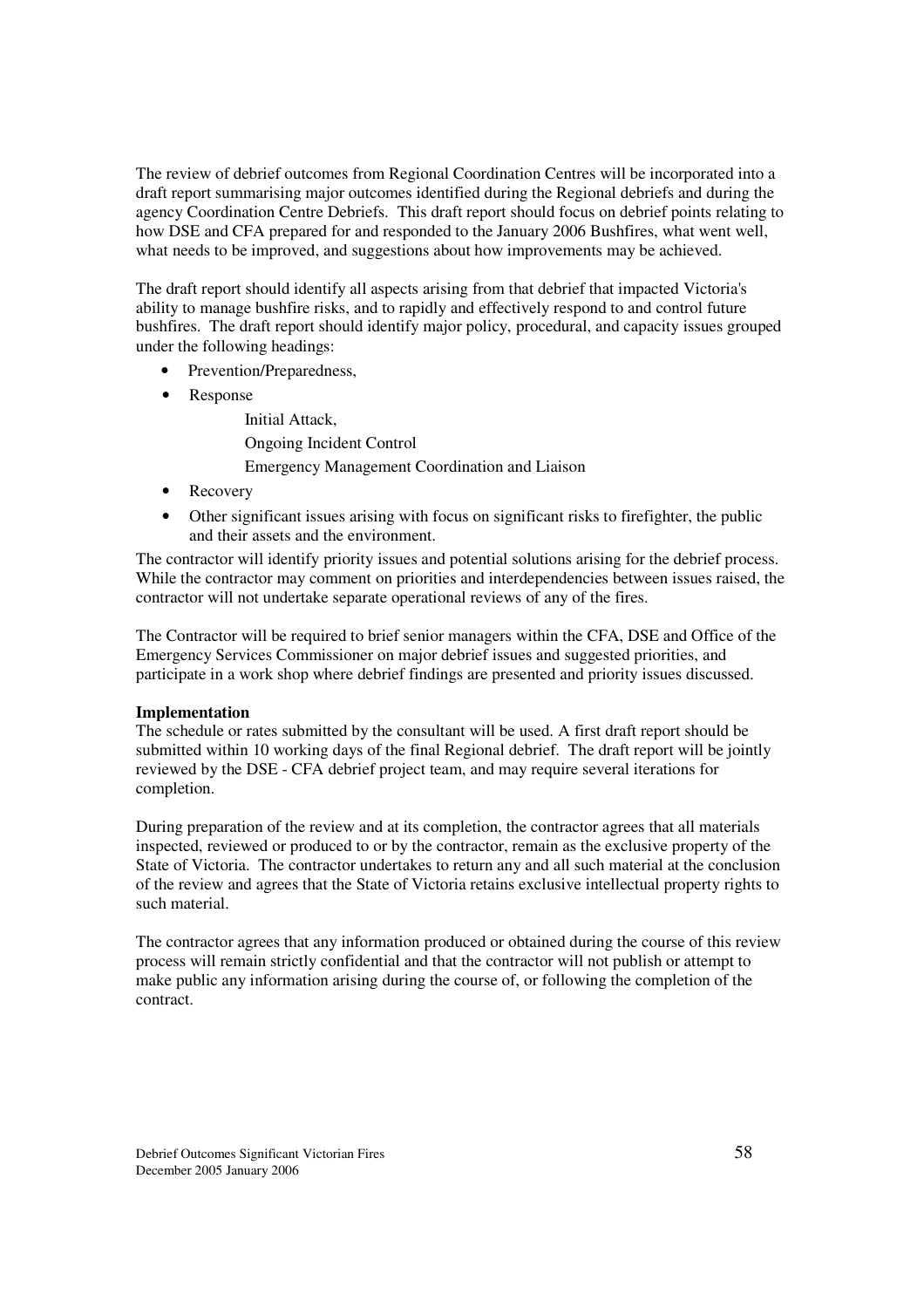The review of debrief outcomes from Regional Coordination Centres will be incorporated into a draft report summarising major outcomes identified during the Regional debriefs and during the agency Coordination Centre Debriefs. This draft report should focus on debrief points relating to how DSE and CFA prepared for and responded to the January 2006 Bushfires, what went well, what needs to be improved, and suggestions about how improvements may be achieved.

The draft report should identify all aspects arising from that debrief that impacted Victoria's ability to manage bushfire risks, and to rapidly and effectively respond to and control future bushfires. The draft report should identify major policy, procedural, and capacity issues grouped under the following headings:

- Prevention/Preparedness,
- Response

Initial Attack, Ongoing Incident Control Emergency Management Coordination and Liaison

- Recovery
- Other significant issues arising with focus on significant risks to firefighter, the public and their assets and the environment.

The contractor will identify priority issues and potential solutions arising for the debrief process. While the contractor may comment on priorities and interdependencies between issues raised, the contractor will not undertake separate operational reviews of any of the fires.

The Contractor will be required to brief senior managers within the CFA, DSE and Office of the Emergency Services Commissioner on major debrief issues and suggested priorities, and participate in a work shop where debrief findings are presented and priority issues discussed.

#### **Implementation**

The schedule or rates submitted by the consultant will be used. A first draft report should be submitted within 10 working days of the final Regional debrief. The draft report will be jointly reviewed by the DSE - CFA debrief project team, and may require several iterations for completion.

During preparation of the review and at its completion, the contractor agrees that all materials inspected, reviewed or produced to or by the contractor, remain as the exclusive property of the State of Victoria. The contractor undertakes to return any and all such material at the conclusion of the review and agrees that the State of Victoria retains exclusive intellectual property rights to such material.

The contractor agrees that any information produced or obtained during the course of this review process will remain strictly confidential and that the contractor will not publish or attempt to make public any information arising during the course of, or following the completion of the contract.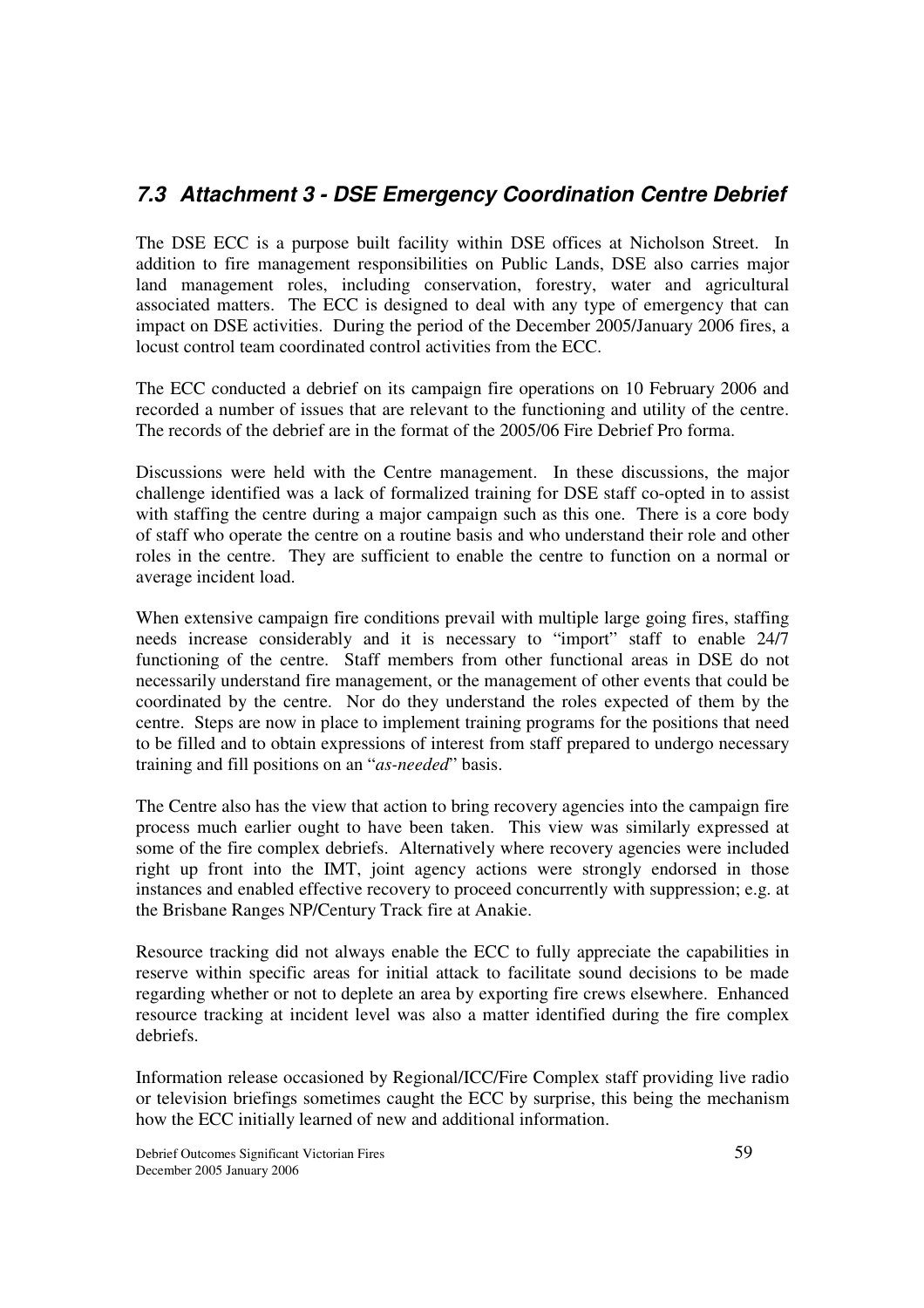## *7.3 Attachment 3 - DSE Emergency Coordination Centre Debrief*

The DSE ECC is a purpose built facility within DSE offices at Nicholson Street. In addition to fire management responsibilities on Public Lands, DSE also carries major land management roles, including conservation, forestry, water and agricultural associated matters. The ECC is designed to deal with any type of emergency that can impact on DSE activities. During the period of the December 2005/January 2006 fires, a locust control team coordinated control activities from the ECC.

The ECC conducted a debrief on its campaign fire operations on 10 February 2006 and recorded a number of issues that are relevant to the functioning and utility of the centre. The records of the debrief are in the format of the 2005/06 Fire Debrief Pro forma.

Discussions were held with the Centre management. In these discussions, the major challenge identified was a lack of formalized training for DSE staff co-opted in to assist with staffing the centre during a major campaign such as this one. There is a core body of staff who operate the centre on a routine basis and who understand their role and other roles in the centre. They are sufficient to enable the centre to function on a normal or average incident load.

When extensive campaign fire conditions prevail with multiple large going fires, staffing needs increase considerably and it is necessary to "import" staff to enable 24/7 functioning of the centre. Staff members from other functional areas in DSE do not necessarily understand fire management, or the management of other events that could be coordinated by the centre. Nor do they understand the roles expected of them by the centre. Steps are now in place to implement training programs for the positions that need to be filled and to obtain expressions of interest from staff prepared to undergo necessary training and fill positions on an "*as-needed*" basis.

The Centre also has the view that action to bring recovery agencies into the campaign fire process much earlier ought to have been taken. This view was similarly expressed at some of the fire complex debriefs. Alternatively where recovery agencies were included right up front into the IMT, joint agency actions were strongly endorsed in those instances and enabled effective recovery to proceed concurrently with suppression; e.g. at the Brisbane Ranges NP/Century Track fire at Anakie.

Resource tracking did not always enable the ECC to fully appreciate the capabilities in reserve within specific areas for initial attack to facilitate sound decisions to be made regarding whether or not to deplete an area by exporting fire crews elsewhere. Enhanced resource tracking at incident level was also a matter identified during the fire complex debriefs.

Information release occasioned by Regional/ICC/Fire Complex staff providing live radio or television briefings sometimes caught the ECC by surprise, this being the mechanism how the ECC initially learned of new and additional information.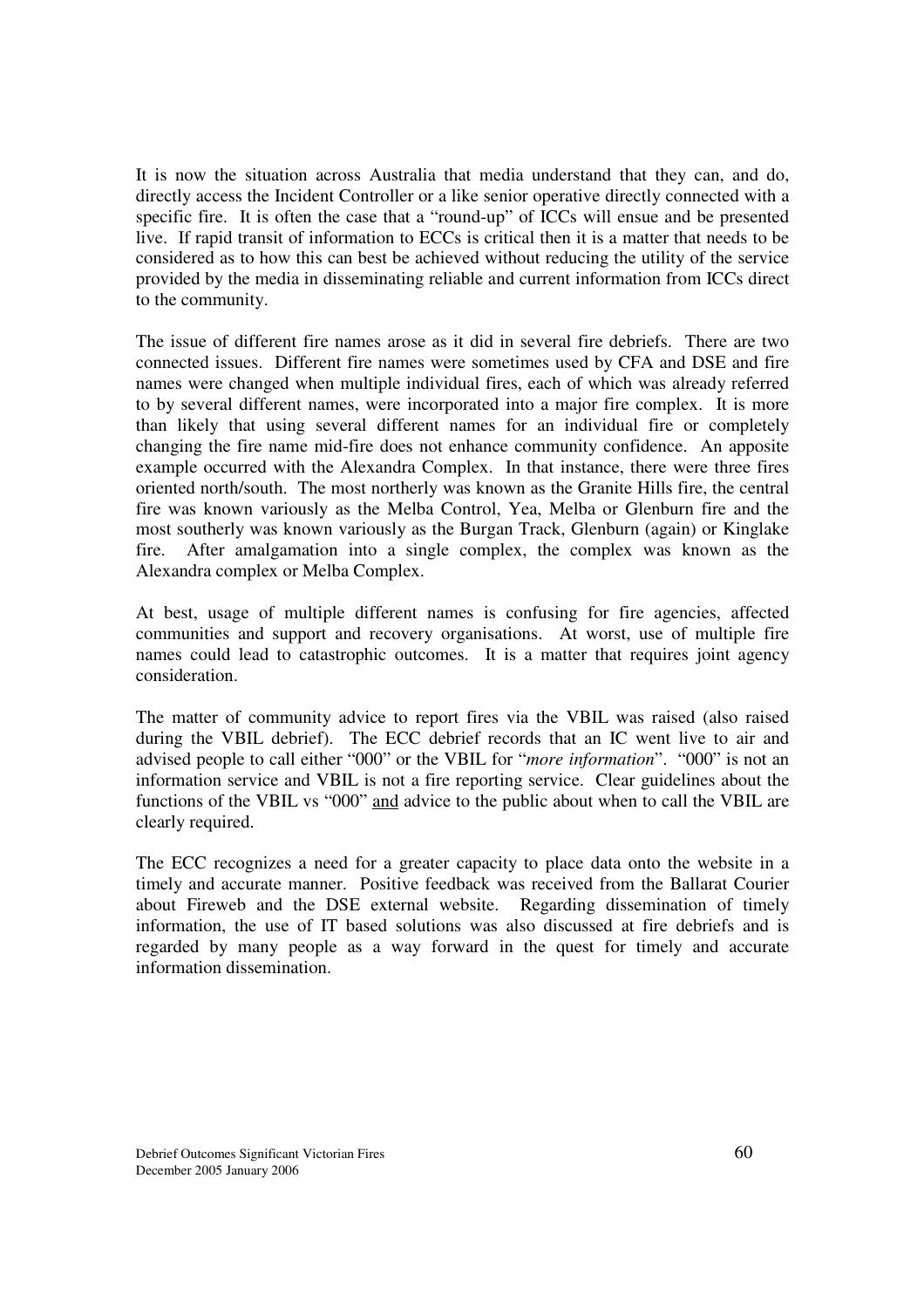It is now the situation across Australia that media understand that they can, and do, directly access the Incident Controller or a like senior operative directly connected with a specific fire. It is often the case that a "round-up" of ICCs will ensue and be presented live. If rapid transit of information to ECCs is critical then it is a matter that needs to be considered as to how this can best be achieved without reducing the utility of the service provided by the media in disseminating reliable and current information from ICCs direct to the community.

The issue of different fire names arose as it did in several fire debriefs. There are two connected issues. Different fire names were sometimes used by CFA and DSE and fire names were changed when multiple individual fires, each of which was already referred to by several different names, were incorporated into a major fire complex. It is more than likely that using several different names for an individual fire or completely changing the fire name mid-fire does not enhance community confidence. An apposite example occurred with the Alexandra Complex. In that instance, there were three fires oriented north/south. The most northerly was known as the Granite Hills fire, the central fire was known variously as the Melba Control, Yea, Melba or Glenburn fire and the most southerly was known variously as the Burgan Track, Glenburn (again) or Kinglake fire. After amalgamation into a single complex, the complex was known as the Alexandra complex or Melba Complex.

At best, usage of multiple different names is confusing for fire agencies, affected communities and support and recovery organisations. At worst, use of multiple fire names could lead to catastrophic outcomes. It is a matter that requires joint agency consideration.

The matter of community advice to report fires via the VBIL was raised (also raised during the VBIL debrief). The ECC debrief records that an IC went live to air and advised people to call either "000" or the VBIL for "*more information*". "000" is not an information service and VBIL is not a fire reporting service. Clear guidelines about the functions of the VBIL vs "000" and advice to the public about when to call the VBIL are clearly required.

The ECC recognizes a need for a greater capacity to place data onto the website in a timely and accurate manner. Positive feedback was received from the Ballarat Courier about Fireweb and the DSE external website. Regarding dissemination of timely information, the use of IT based solutions was also discussed at fire debriefs and is regarded by many people as a way forward in the quest for timely and accurate information dissemination.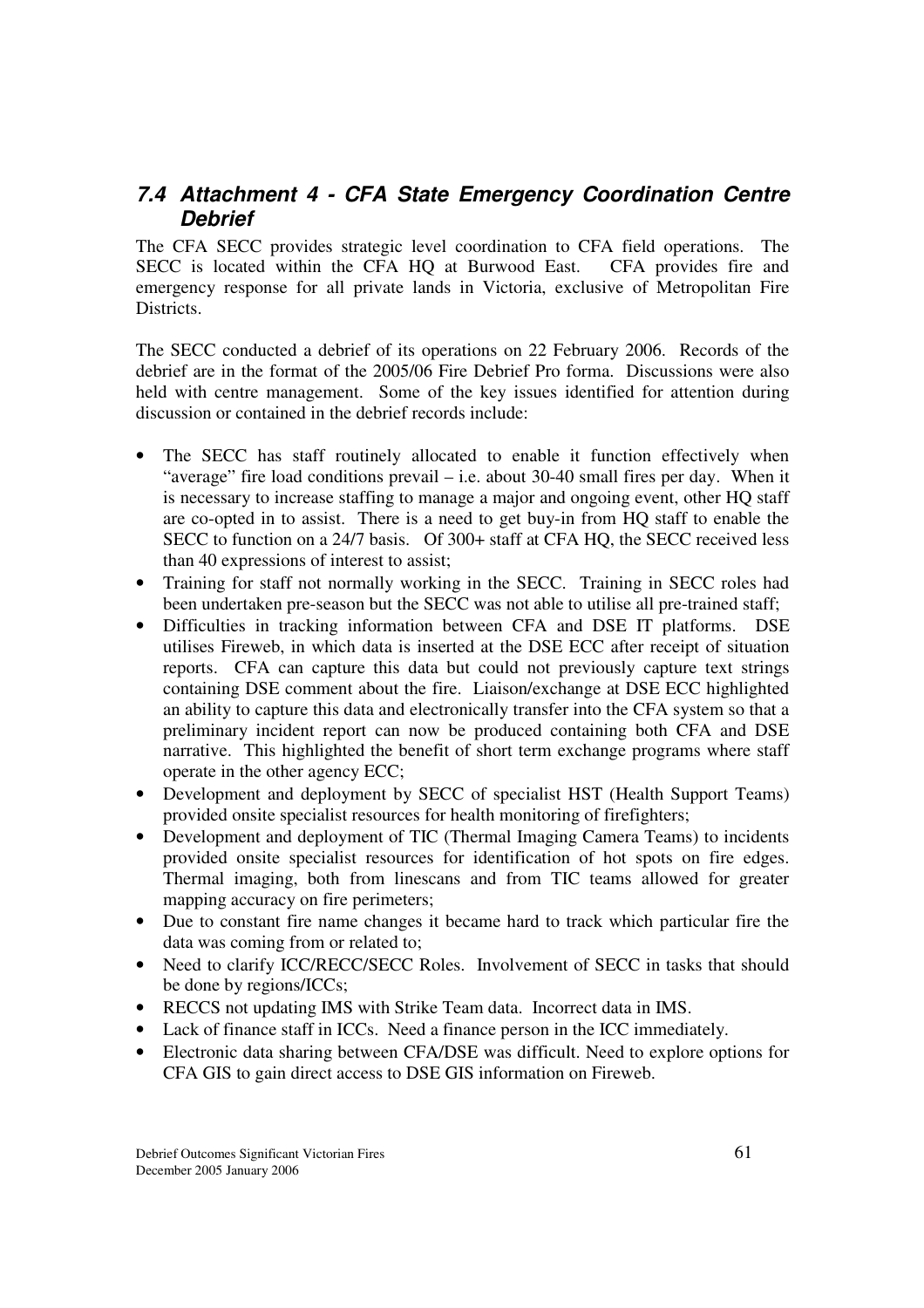## *7.4 Attachment 4 - CFA State Emergency Coordination Centre Debrief*

The CFA SECC provides strategic level coordination to CFA field operations. The SECC is located within the CFA HQ at Burwood East. CFA provides fire and emergency response for all private lands in Victoria, exclusive of Metropolitan Fire Districts.

The SECC conducted a debrief of its operations on 22 February 2006. Records of the debrief are in the format of the 2005/06 Fire Debrief Pro forma. Discussions were also held with centre management. Some of the key issues identified for attention during discussion or contained in the debrief records include:

- The SECC has staff routinely allocated to enable it function effectively when "average" fire load conditions prevail – i.e. about 30-40 small fires per day. When it is necessary to increase staffing to manage a major and ongoing event, other HQ staff are co-opted in to assist. There is a need to get buy-in from HQ staff to enable the SECC to function on a 24/7 basis. Of 300+ staff at CFA HO, the SECC received less than 40 expressions of interest to assist;
- Training for staff not normally working in the SECC. Training in SECC roles had been undertaken pre-season but the SECC was not able to utilise all pre-trained staff;
- Difficulties in tracking information between CFA and DSE IT platforms. DSE utilises Fireweb, in which data is inserted at the DSE ECC after receipt of situation reports. CFA can capture this data but could not previously capture text strings containing DSE comment about the fire. Liaison/exchange at DSE ECC highlighted an ability to capture this data and electronically transfer into the CFA system so that a preliminary incident report can now be produced containing both CFA and DSE narrative. This highlighted the benefit of short term exchange programs where staff operate in the other agency ECC;
- Development and deployment by SECC of specialist HST (Health Support Teams) provided onsite specialist resources for health monitoring of firefighters;
- Development and deployment of TIC (Thermal Imaging Camera Teams) to incidents provided onsite specialist resources for identification of hot spots on fire edges. Thermal imaging, both from linescans and from TIC teams allowed for greater mapping accuracy on fire perimeters;
- Due to constant fire name changes it became hard to track which particular fire the data was coming from or related to;
- Need to clarify ICC/RECC/SECC Roles. Involvement of SECC in tasks that should be done by regions/ICCs;
- RECCS not updating IMS with Strike Team data. Incorrect data in IMS.
- Lack of finance staff in ICCs. Need a finance person in the ICC immediately.
- Electronic data sharing between CFA/DSE was difficult. Need to explore options for CFA GIS to gain direct access to DSE GIS information on Fireweb.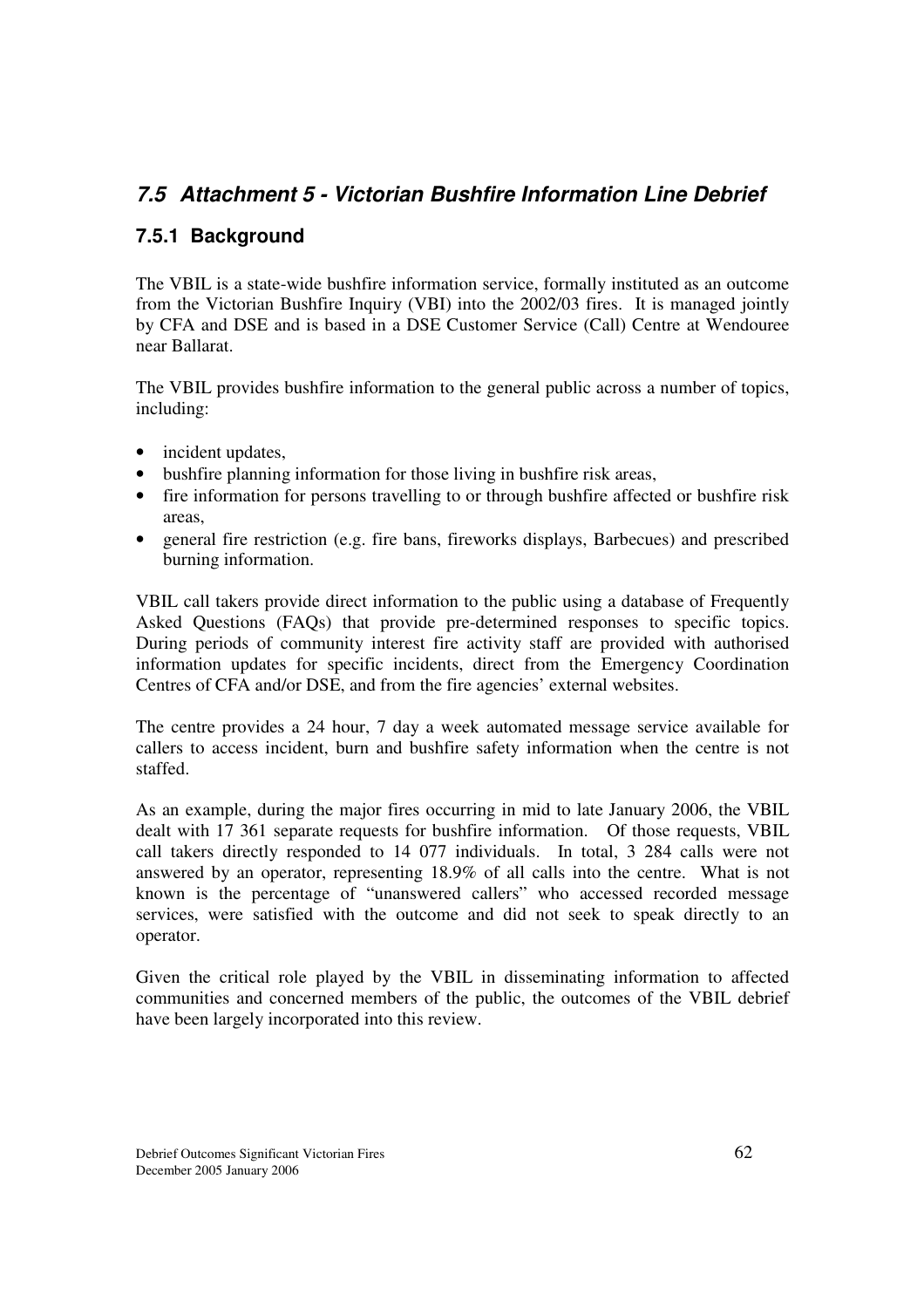## *7.5 Attachment 5 - Victorian Bushfire Information Line Debrief*

## **7.5.1 Background**

The VBIL is a state-wide bushfire information service, formally instituted as an outcome from the Victorian Bushfire Inquiry (VBI) into the 2002/03 fires. It is managed jointly by CFA and DSE and is based in a DSE Customer Service (Call) Centre at Wendouree near Ballarat.

The VBIL provides bushfire information to the general public across a number of topics, including:

- incident updates,
- bushfire planning information for those living in bushfire risk areas,
- fire information for persons travelling to or through bushfire affected or bushfire risk areas,
- general fire restriction (e.g. fire bans, fireworks displays, Barbecues) and prescribed burning information.

VBIL call takers provide direct information to the public using a database of Frequently Asked Questions (FAQs) that provide pre-determined responses to specific topics. During periods of community interest fire activity staff are provided with authorised information updates for specific incidents, direct from the Emergency Coordination Centres of CFA and/or DSE, and from the fire agencies' external websites.

The centre provides a 24 hour, 7 day a week automated message service available for callers to access incident, burn and bushfire safety information when the centre is not staffed.

As an example, during the major fires occurring in mid to late January 2006, the VBIL dealt with 17 361 separate requests for bushfire information. Of those requests, VBIL call takers directly responded to 14 077 individuals. In total, 3 284 calls were not answered by an operator, representing 18.9% of all calls into the centre. What is not known is the percentage of "unanswered callers" who accessed recorded message services, were satisfied with the outcome and did not seek to speak directly to an operator.

Given the critical role played by the VBIL in disseminating information to affected communities and concerned members of the public, the outcomes of the VBIL debrief have been largely incorporated into this review.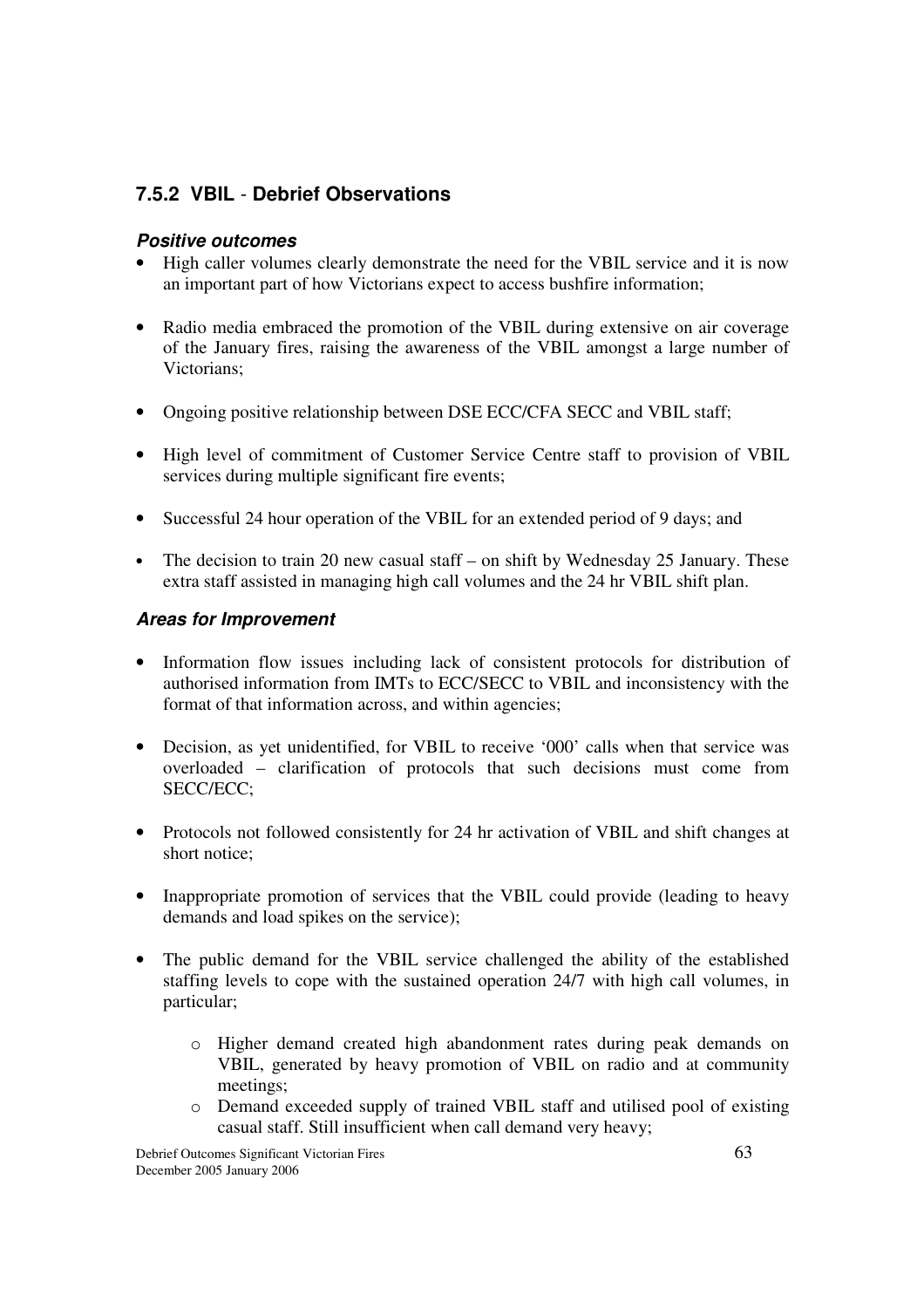## **7.5.2 VBIL** - **Debrief Observations**

### *Positive outcomes*

- High caller volumes clearly demonstrate the need for the VBIL service and it is now an important part of how Victorians expect to access bushfire information;
- Radio media embraced the promotion of the VBIL during extensive on air coverage of the January fires, raising the awareness of the VBIL amongst a large number of Victorians;
- Ongoing positive relationship between DSE ECC/CFA SECC and VBIL staff;
- High level of commitment of Customer Service Centre staff to provision of VBIL services during multiple significant fire events;
- Successful 24 hour operation of the VBIL for an extended period of 9 days; and
- The decision to train 20 new casual staff on shift by Wednesday 25 January. These extra staff assisted in managing high call volumes and the 24 hr VBIL shift plan.

### *Areas for Improvement*

- Information flow issues including lack of consistent protocols for distribution of authorised information from IMTs to ECC/SECC to VBIL and inconsistency with the format of that information across, and within agencies;
- Decision, as yet unidentified, for VBIL to receive '000' calls when that service was overloaded – clarification of protocols that such decisions must come from SECC/ECC;
- Protocols not followed consistently for 24 hr activation of VBIL and shift changes at short notice;
- Inappropriate promotion of services that the VBIL could provide (leading to heavy demands and load spikes on the service);
- The public demand for the VBIL service challenged the ability of the established staffing levels to cope with the sustained operation 24/7 with high call volumes, in particular;
	- o Higher demand created high abandonment rates during peak demands on VBIL, generated by heavy promotion of VBIL on radio and at community meetings;
	- o Demand exceeded supply of trained VBIL staff and utilised pool of existing casual staff. Still insufficient when call demand very heavy;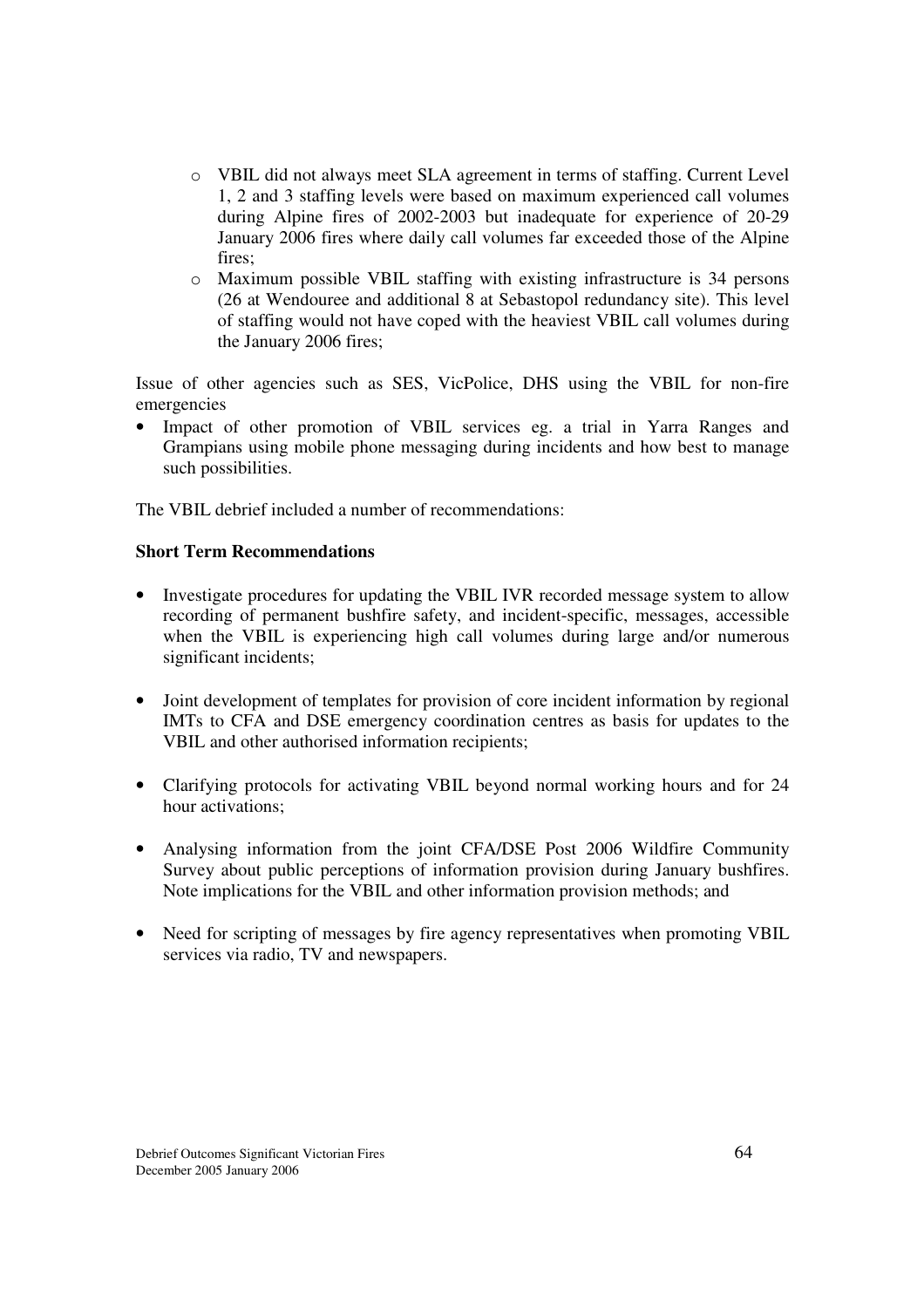- o VBIL did not always meet SLA agreement in terms of staffing. Current Level 1, 2 and 3 staffing levels were based on maximum experienced call volumes during Alpine fires of 2002-2003 but inadequate for experience of 20-29 January 2006 fires where daily call volumes far exceeded those of the Alpine fires;
- o Maximum possible VBIL staffing with existing infrastructure is 34 persons (26 at Wendouree and additional 8 at Sebastopol redundancy site). This level of staffing would not have coped with the heaviest VBIL call volumes during the January 2006 fires;

Issue of other agencies such as SES, VicPolice, DHS using the VBIL for non-fire emergencies

• Impact of other promotion of VBIL services eg. a trial in Yarra Ranges and Grampians using mobile phone messaging during incidents and how best to manage such possibilities.

The VBIL debrief included a number of recommendations:

### **Short Term Recommendations**

- Investigate procedures for updating the VBIL IVR recorded message system to allow recording of permanent bushfire safety, and incident-specific, messages, accessible when the VBIL is experiencing high call volumes during large and/or numerous significant incidents;
- Joint development of templates for provision of core incident information by regional IMTs to CFA and DSE emergency coordination centres as basis for updates to the VBIL and other authorised information recipients;
- Clarifying protocols for activating VBIL beyond normal working hours and for 24 hour activations;
- Analysing information from the joint CFA/DSE Post 2006 Wildfire Community Survey about public perceptions of information provision during January bushfires. Note implications for the VBIL and other information provision methods; and
- Need for scripting of messages by fire agency representatives when promoting VBIL services via radio, TV and newspapers.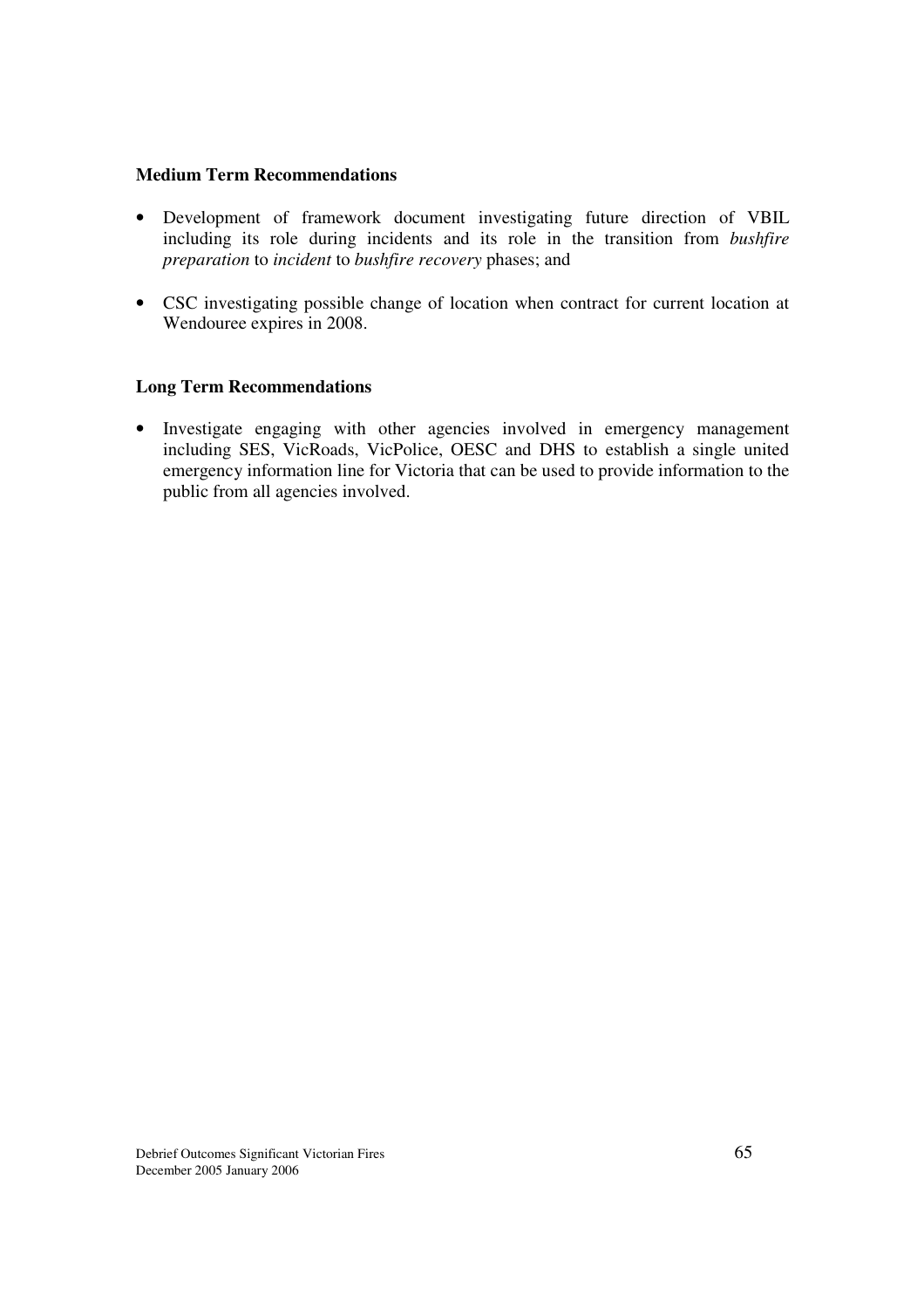### **Medium Term Recommendations**

- Development of framework document investigating future direction of VBIL including its role during incidents and its role in the transition from *bushfire preparation* to *incident* to *bushfire recovery* phases; and
- CSC investigating possible change of location when contract for current location at Wendouree expires in 2008.

### **Long Term Recommendations**

• Investigate engaging with other agencies involved in emergency management including SES, VicRoads, VicPolice, OESC and DHS to establish a single united emergency information line for Victoria that can be used to provide information to the public from all agencies involved.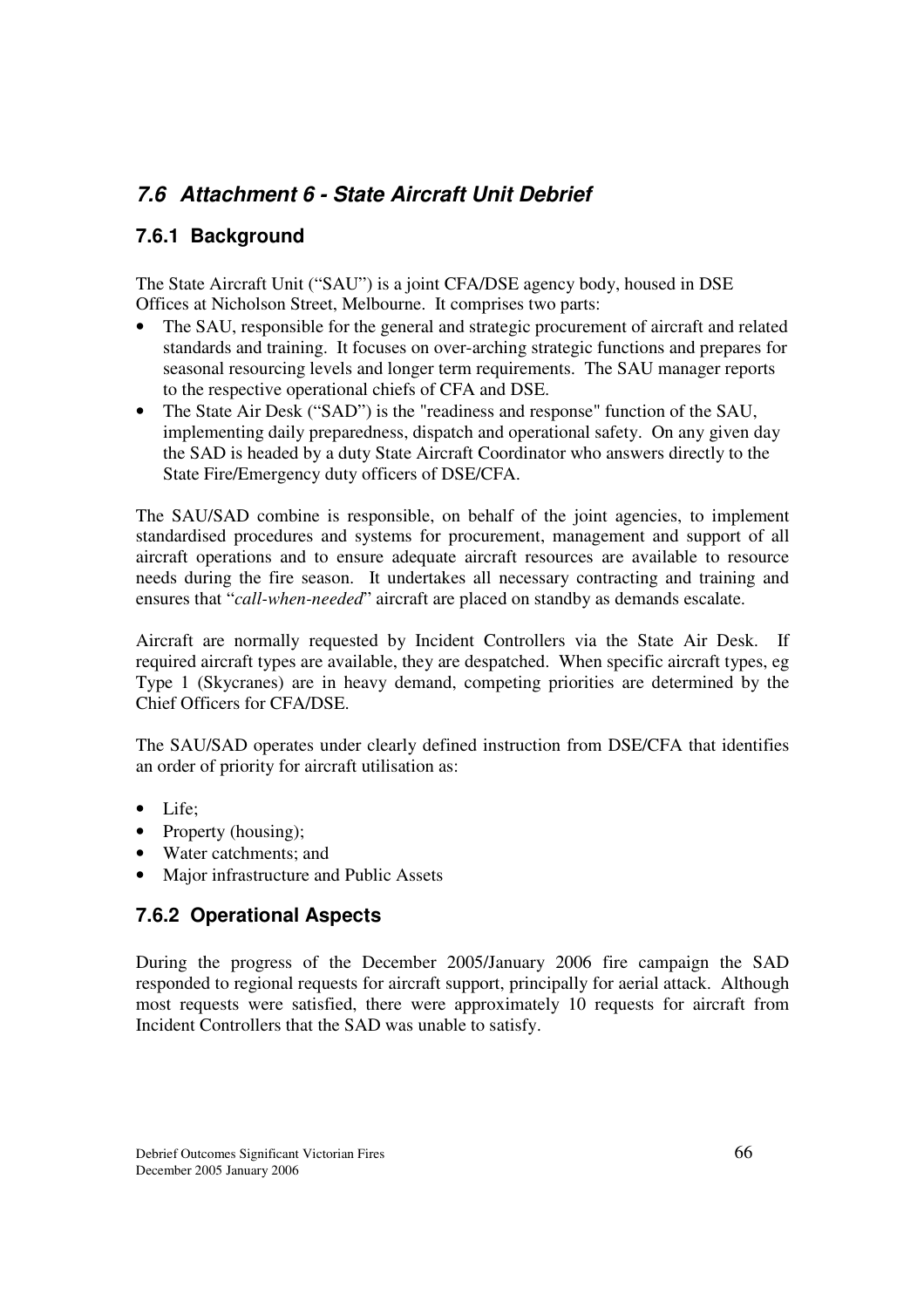## *7.6 Attachment 6 - State Aircraft Unit Debrief*

### **7.6.1 Background**

The State Aircraft Unit ("SAU") is a joint CFA/DSE agency body, housed in DSE Offices at Nicholson Street, Melbourne. It comprises two parts:

- The SAU, responsible for the general and strategic procurement of aircraft and related standards and training. It focuses on over-arching strategic functions and prepares for seasonal resourcing levels and longer term requirements. The SAU manager reports to the respective operational chiefs of CFA and DSE.
- The State Air Desk ("SAD") is the "readiness and response" function of the SAU, implementing daily preparedness, dispatch and operational safety. On any given day the SAD is headed by a duty State Aircraft Coordinator who answers directly to the State Fire/Emergency duty officers of DSE/CFA.

The SAU/SAD combine is responsible, on behalf of the joint agencies, to implement standardised procedures and systems for procurement, management and support of all aircraft operations and to ensure adequate aircraft resources are available to resource needs during the fire season. It undertakes all necessary contracting and training and ensures that "*call-when-needed*" aircraft are placed on standby as demands escalate.

Aircraft are normally requested by Incident Controllers via the State Air Desk. If required aircraft types are available, they are despatched. When specific aircraft types, eg Type 1 (Skycranes) are in heavy demand, competing priorities are determined by the Chief Officers for CFA/DSE.

The SAU/SAD operates under clearly defined instruction from DSE/CFA that identifies an order of priority for aircraft utilisation as:

- Life;
- Property (housing);
- Water catchments; and
- Major infrastructure and Public Assets

### **7.6.2 Operational Aspects**

During the progress of the December 2005/January 2006 fire campaign the SAD responded to regional requests for aircraft support, principally for aerial attack. Although most requests were satisfied, there were approximately 10 requests for aircraft from Incident Controllers that the SAD was unable to satisfy.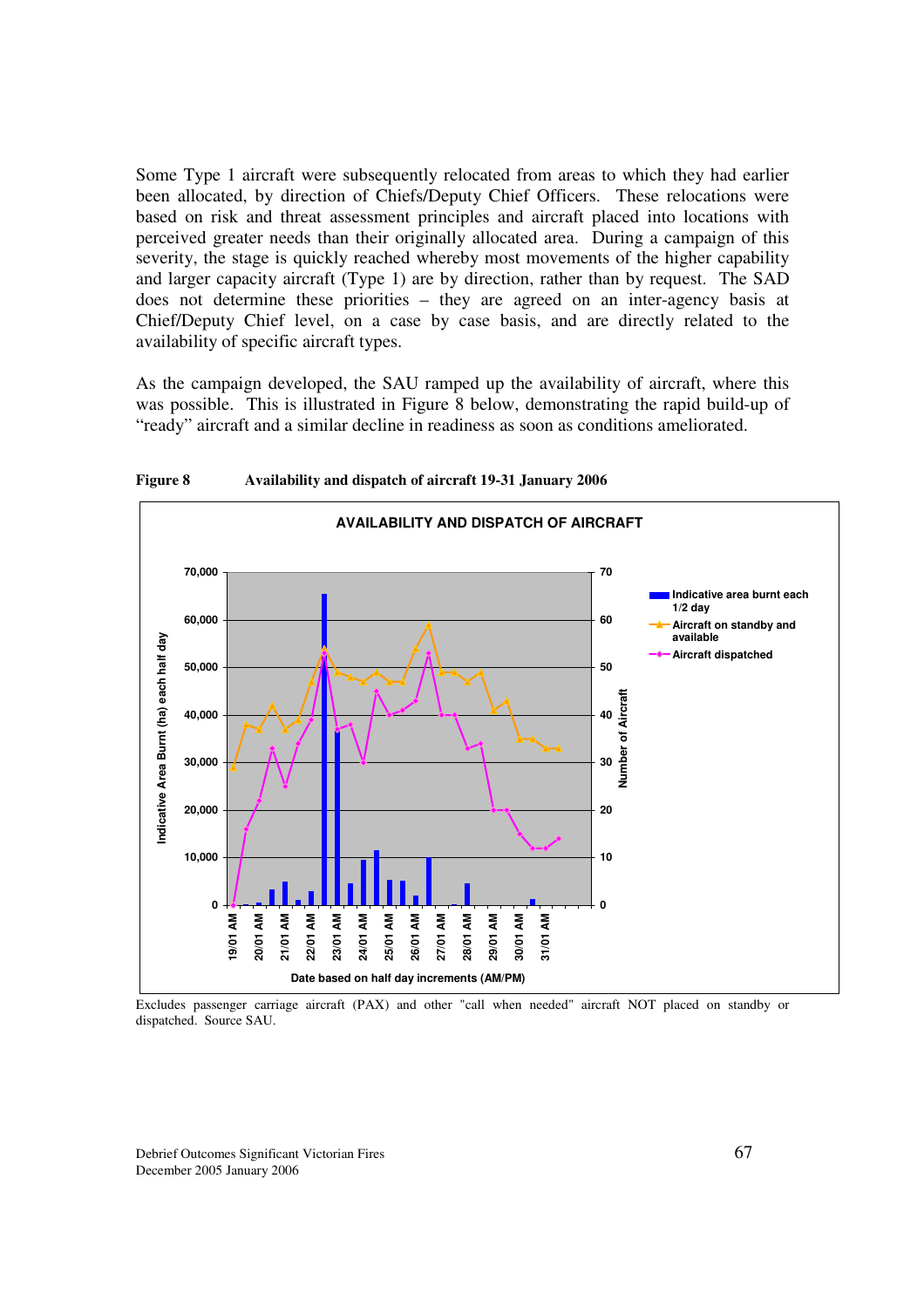Some Type 1 aircraft were subsequently relocated from areas to which they had earlier been allocated, by direction of Chiefs/Deputy Chief Officers. These relocations were based on risk and threat assessment principles and aircraft placed into locations with perceived greater needs than their originally allocated area. During a campaign of this severity, the stage is quickly reached whereby most movements of the higher capability and larger capacity aircraft (Type 1) are by direction, rather than by request. The SAD does not determine these priorities – they are agreed on an inter-agency basis at Chief/Deputy Chief level, on a case by case basis, and are directly related to the availability of specific aircraft types.

As the campaign developed, the SAU ramped up the availability of aircraft, where this was possible. This is illustrated in Figure 8 below, demonstrating the rapid build-up of "ready" aircraft and a similar decline in readiness as soon as conditions ameliorated.



**Figure 8 Availability and dispatch of aircraft 19-31 January 2006**

Excludes passenger carriage aircraft (PAX) and other "call when needed" aircraft NOT placed on standby or dispatched. Source SAU.

Debrief Outcomes Significant Victorian Fires 67 December 2005 January 2006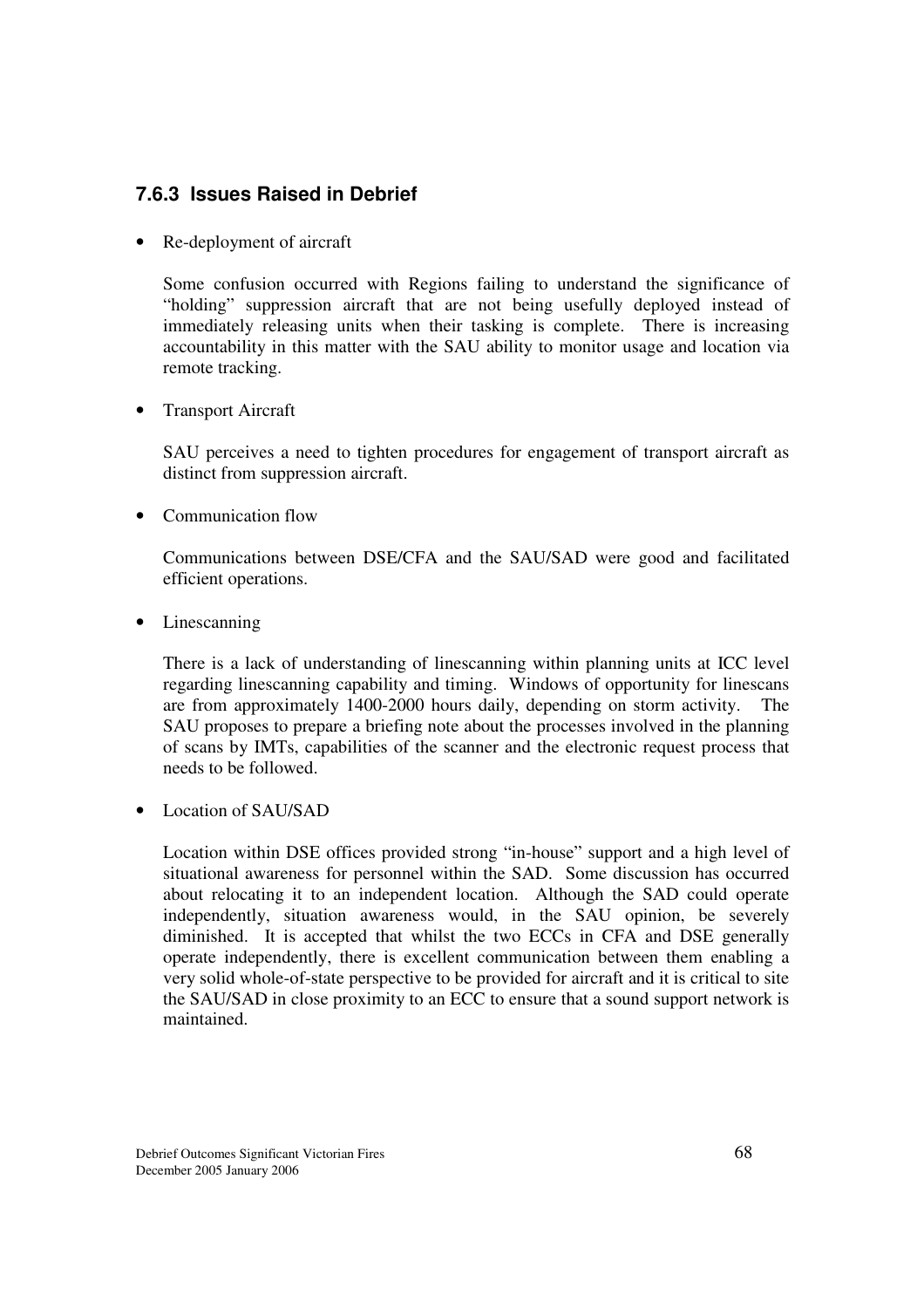## **7.6.3 Issues Raised in Debrief**

• Re-deployment of aircraft

Some confusion occurred with Regions failing to understand the significance of "holding" suppression aircraft that are not being usefully deployed instead of immediately releasing units when their tasking is complete. There is increasing accountability in this matter with the SAU ability to monitor usage and location via remote tracking.

• Transport Aircraft

SAU perceives a need to tighten procedures for engagement of transport aircraft as distinct from suppression aircraft.

• Communication flow

Communications between DSE/CFA and the SAU/SAD were good and facilitated efficient operations.

• Linescanning

There is a lack of understanding of linescanning within planning units at ICC level regarding linescanning capability and timing. Windows of opportunity for linescans are from approximately 1400-2000 hours daily, depending on storm activity. The SAU proposes to prepare a briefing note about the processes involved in the planning of scans by IMTs, capabilities of the scanner and the electronic request process that needs to be followed.

• Location of SAU/SAD

Location within DSE offices provided strong "in-house" support and a high level of situational awareness for personnel within the SAD. Some discussion has occurred about relocating it to an independent location. Although the SAD could operate independently, situation awareness would, in the SAU opinion, be severely diminished. It is accepted that whilst the two ECCs in CFA and DSE generally operate independently, there is excellent communication between them enabling a very solid whole-of-state perspective to be provided for aircraft and it is critical to site the SAU/SAD in close proximity to an ECC to ensure that a sound support network is maintained.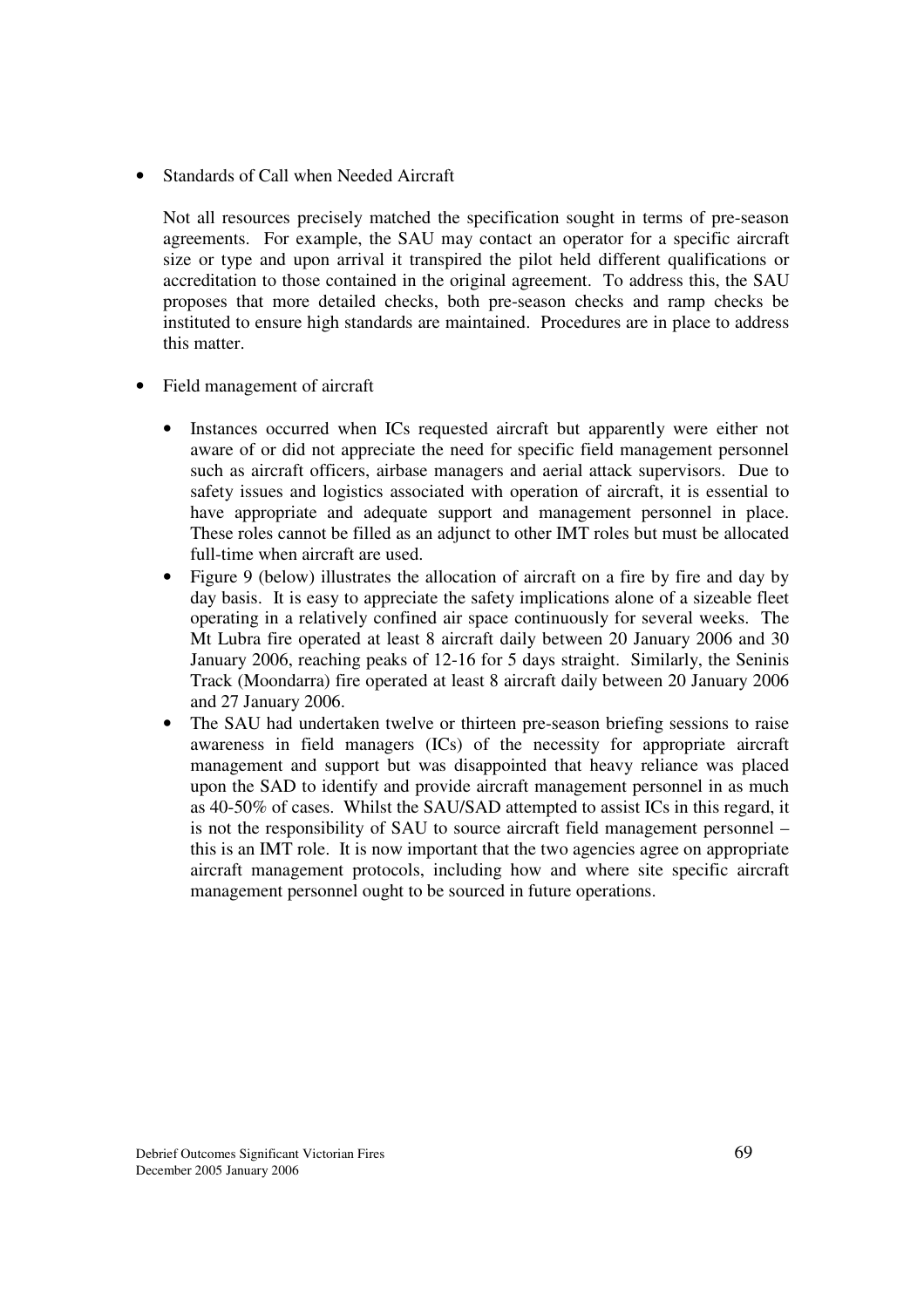• Standards of Call when Needed Aircraft

Not all resources precisely matched the specification sought in terms of pre-season agreements. For example, the SAU may contact an operator for a specific aircraft size or type and upon arrival it transpired the pilot held different qualifications or accreditation to those contained in the original agreement. To address this, the SAU proposes that more detailed checks, both pre-season checks and ramp checks be instituted to ensure high standards are maintained. Procedures are in place to address this matter.

- Field management of aircraft
	- Instances occurred when ICs requested aircraft but apparently were either not aware of or did not appreciate the need for specific field management personnel such as aircraft officers, airbase managers and aerial attack supervisors. Due to safety issues and logistics associated with operation of aircraft, it is essential to have appropriate and adequate support and management personnel in place. These roles cannot be filled as an adjunct to other IMT roles but must be allocated full-time when aircraft are used.
	- Figure 9 (below) illustrates the allocation of aircraft on a fire by fire and day by day basis. It is easy to appreciate the safety implications alone of a sizeable fleet operating in a relatively confined air space continuously for several weeks. The Mt Lubra fire operated at least 8 aircraft daily between 20 January 2006 and 30 January 2006, reaching peaks of 12-16 for 5 days straight. Similarly, the Seninis Track (Moondarra) fire operated at least 8 aircraft daily between 20 January 2006 and 27 January 2006.
	- The SAU had undertaken twelve or thirteen pre-season briefing sessions to raise awareness in field managers (ICs) of the necessity for appropriate aircraft management and support but was disappointed that heavy reliance was placed upon the SAD to identify and provide aircraft management personnel in as much as 40-50% of cases. Whilst the SAU/SAD attempted to assist ICs in this regard, it is not the responsibility of SAU to source aircraft field management personnel – this is an IMT role. It is now important that the two agencies agree on appropriate aircraft management protocols, including how and where site specific aircraft management personnel ought to be sourced in future operations.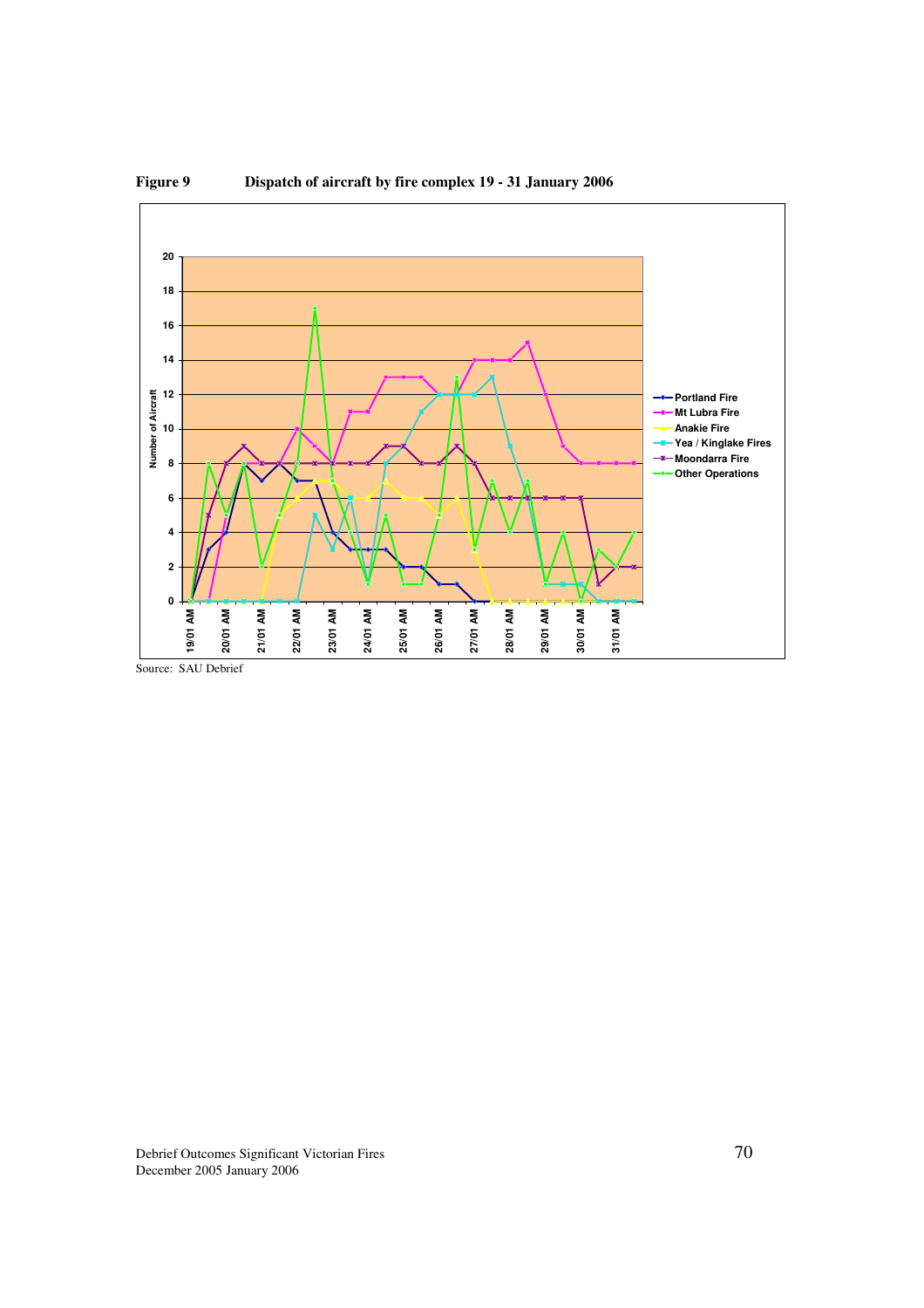

**Figure 9 Dispatch of aircraft by fire complex 19 - 31 January 2006**

Source: SAU Debrief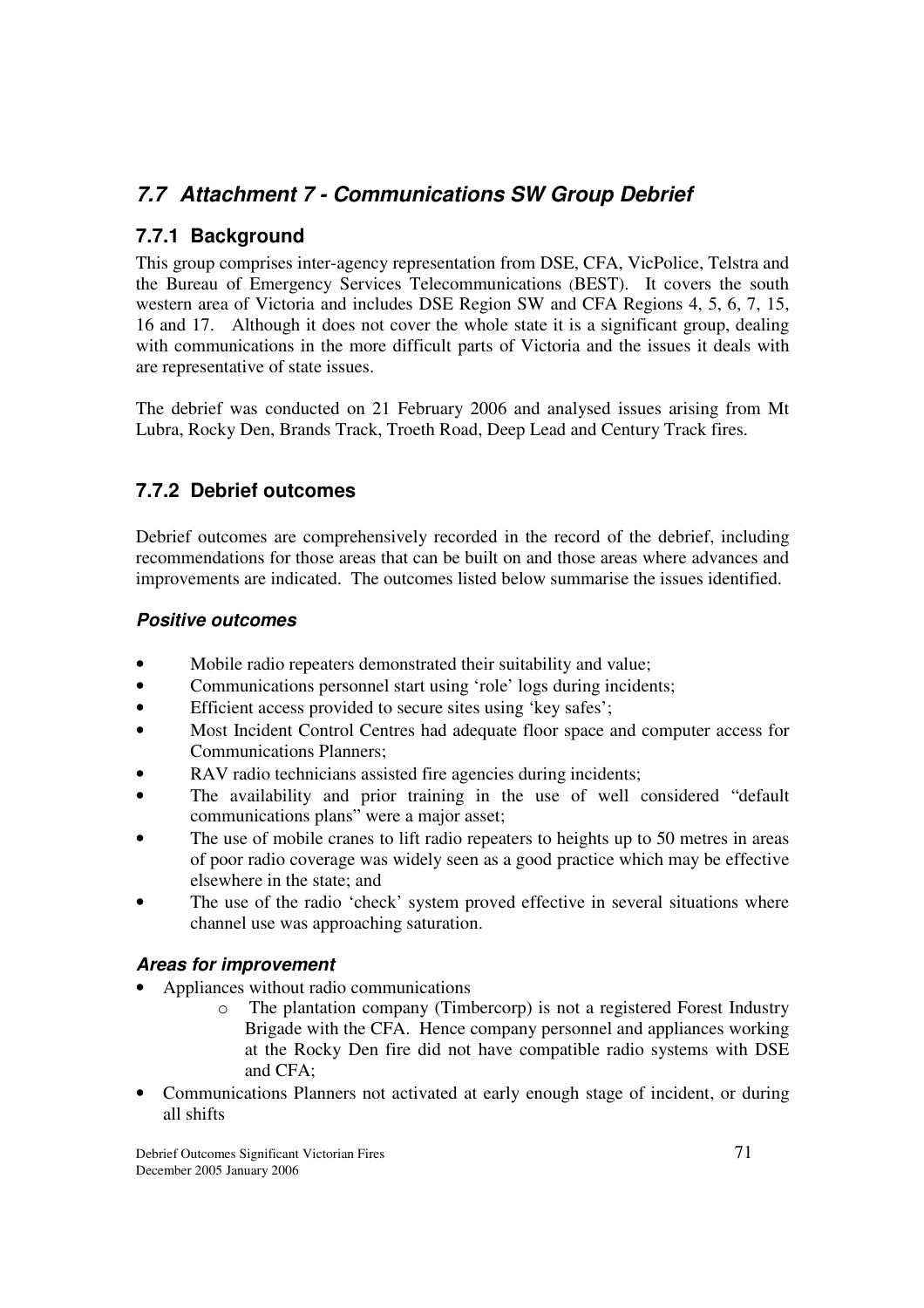## *7.7 Attachment 7 - Communications SW Group Debrief*

## **7.7.1 Background**

This group comprises inter-agency representation from DSE, CFA, VicPolice, Telstra and the Bureau of Emergency Services Telecommunications (BEST). It covers the south western area of Victoria and includes DSE Region SW and CFA Regions 4, 5, 6, 7, 15, 16 and 17. Although it does not cover the whole state it is a significant group, dealing with communications in the more difficult parts of Victoria and the issues it deals with are representative of state issues.

The debrief was conducted on 21 February 2006 and analysed issues arising from Mt Lubra, Rocky Den, Brands Track, Troeth Road, Deep Lead and Century Track fires.

## **7.7.2 Debrief outcomes**

Debrief outcomes are comprehensively recorded in the record of the debrief, including recommendations for those areas that can be built on and those areas where advances and improvements are indicated. The outcomes listed below summarise the issues identified.

### *Positive outcomes*

- Mobile radio repeaters demonstrated their suitability and value;
- Communications personnel start using 'role' logs during incidents;
- Efficient access provided to secure sites using 'key safes';
- Most Incident Control Centres had adequate floor space and computer access for Communications Planners;
- RAV radio technicians assisted fire agencies during incidents;
- The availability and prior training in the use of well considered "default" communications plans" were a major asset;
- The use of mobile cranes to lift radio repeaters to heights up to 50 metres in areas of poor radio coverage was widely seen as a good practice which may be effective elsewhere in the state; and
- The use of the radio 'check' system proved effective in several situations where channel use was approaching saturation.

### *Areas for improvement*

- Appliances without radio communications
	- o The plantation company (Timbercorp) is not a registered Forest Industry Brigade with the CFA. Hence company personnel and appliances working at the Rocky Den fire did not have compatible radio systems with DSE and CFA;
- Communications Planners not activated at early enough stage of incident, or during all shifts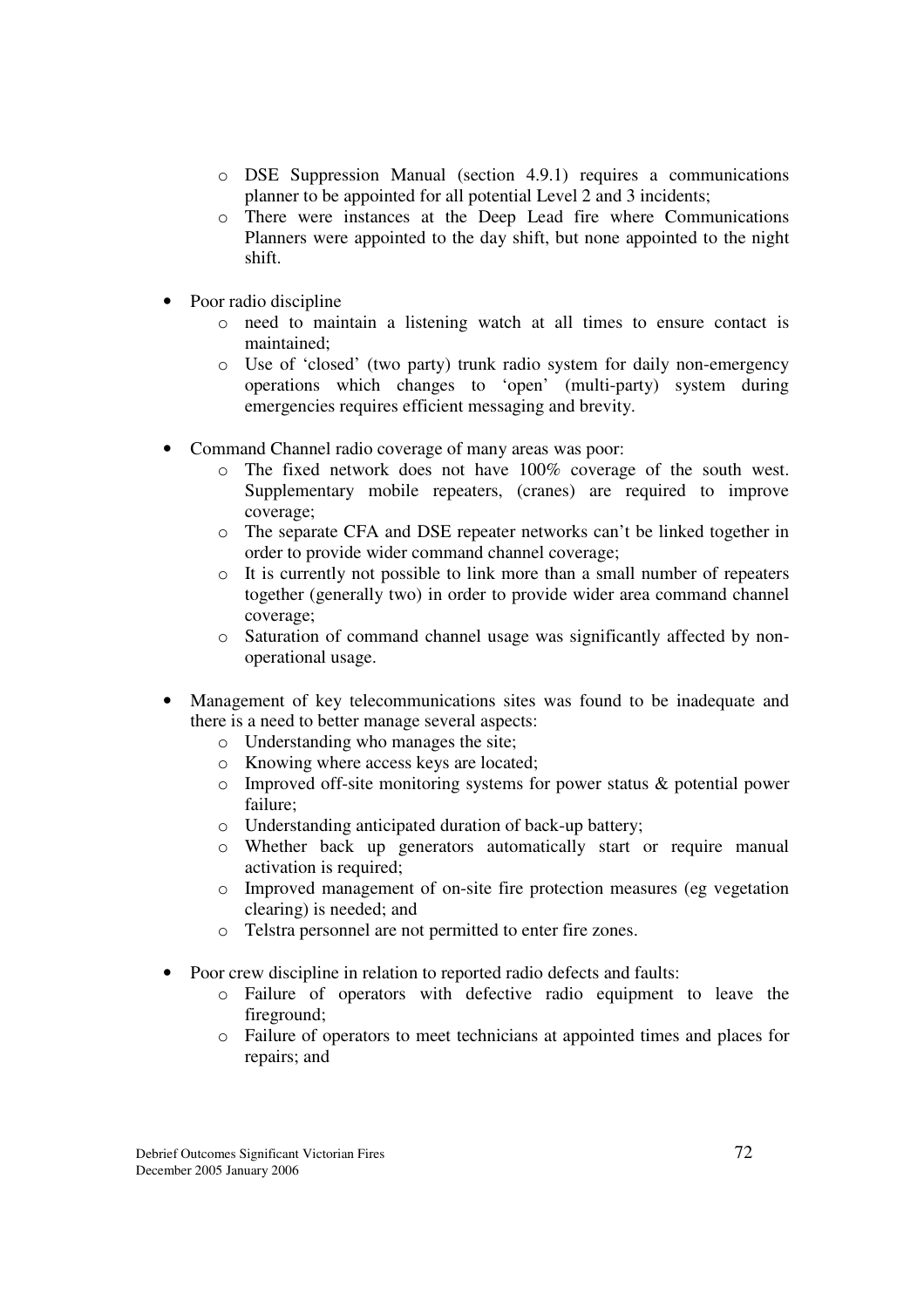- o DSE Suppression Manual (section 4.9.1) requires a communications planner to be appointed for all potential Level 2 and 3 incidents;
- o There were instances at the Deep Lead fire where Communications Planners were appointed to the day shift, but none appointed to the night shift.
- Poor radio discipline
	- o need to maintain a listening watch at all times to ensure contact is maintained;
	- o Use of 'closed' (two party) trunk radio system for daily non-emergency operations which changes to 'open' (multi-party) system during emergencies requires efficient messaging and brevity.
- Command Channel radio coverage of many areas was poor:
	- o The fixed network does not have 100% coverage of the south west. Supplementary mobile repeaters, (cranes) are required to improve coverage;
	- o The separate CFA and DSE repeater networks can't be linked together in order to provide wider command channel coverage;
	- o It is currently not possible to link more than a small number of repeaters together (generally two) in order to provide wider area command channel coverage;
	- o Saturation of command channel usage was significantly affected by nonoperational usage.
- Management of key telecommunications sites was found to be inadequate and there is a need to better manage several aspects:
	- o Understanding who manages the site;
	- o Knowing where access keys are located;
	- o Improved off-site monitoring systems for power status & potential power failure;
	- o Understanding anticipated duration of back-up battery;
	- o Whether back up generators automatically start or require manual activation is required;
	- o Improved management of on-site fire protection measures (eg vegetation clearing) is needed; and
	- o Telstra personnel are not permitted to enter fire zones.
- Poor crew discipline in relation to reported radio defects and faults:
	- o Failure of operators with defective radio equipment to leave the fireground;
	- o Failure of operators to meet technicians at appointed times and places for repairs; and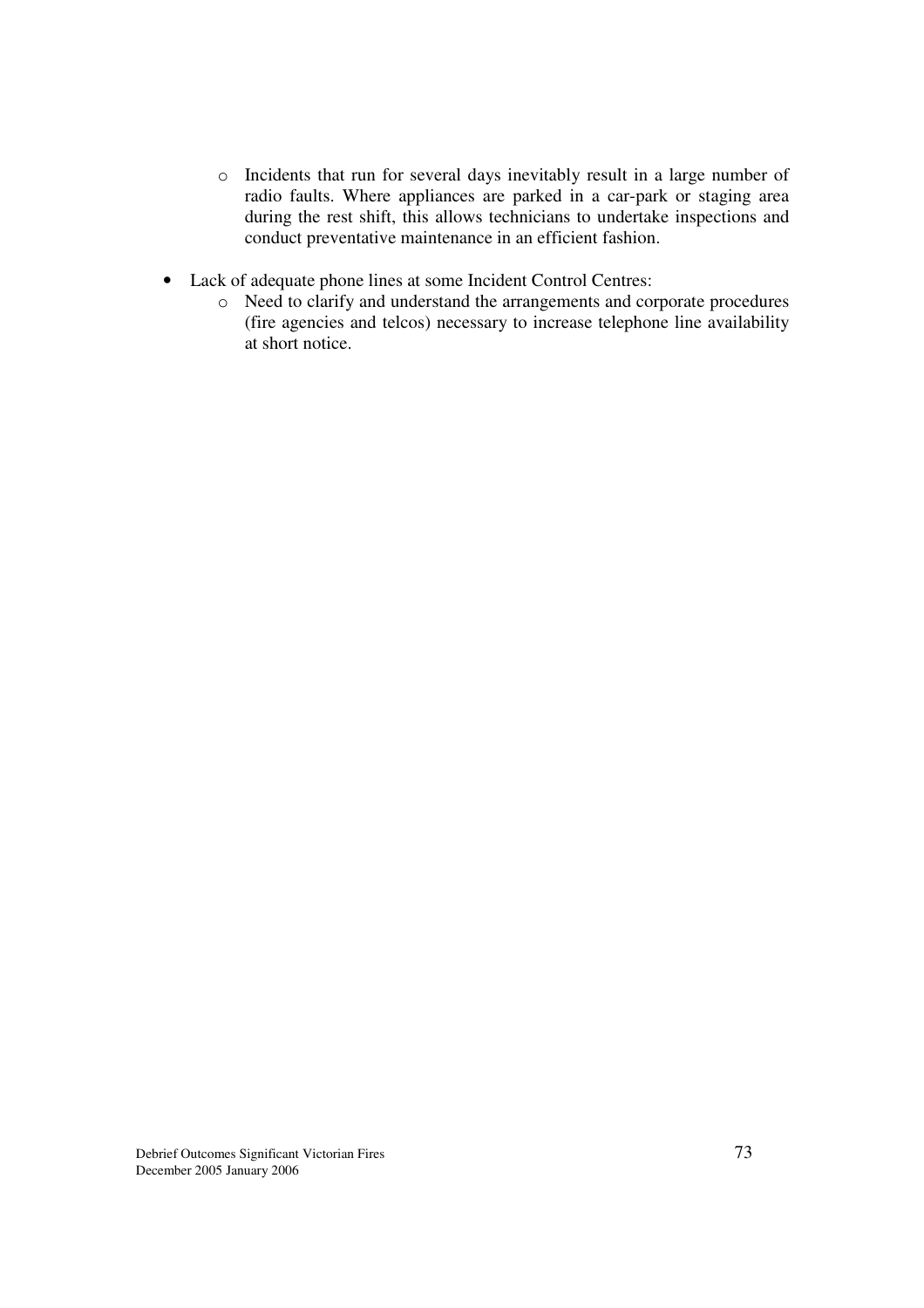- o Incidents that run for several days inevitably result in a large number of radio faults. Where appliances are parked in a car-park or staging area during the rest shift, this allows technicians to undertake inspections and conduct preventative maintenance in an efficient fashion.
- Lack of adequate phone lines at some Incident Control Centres:
	- o Need to clarify and understand the arrangements and corporate procedures (fire agencies and telcos) necessary to increase telephone line availability at short notice.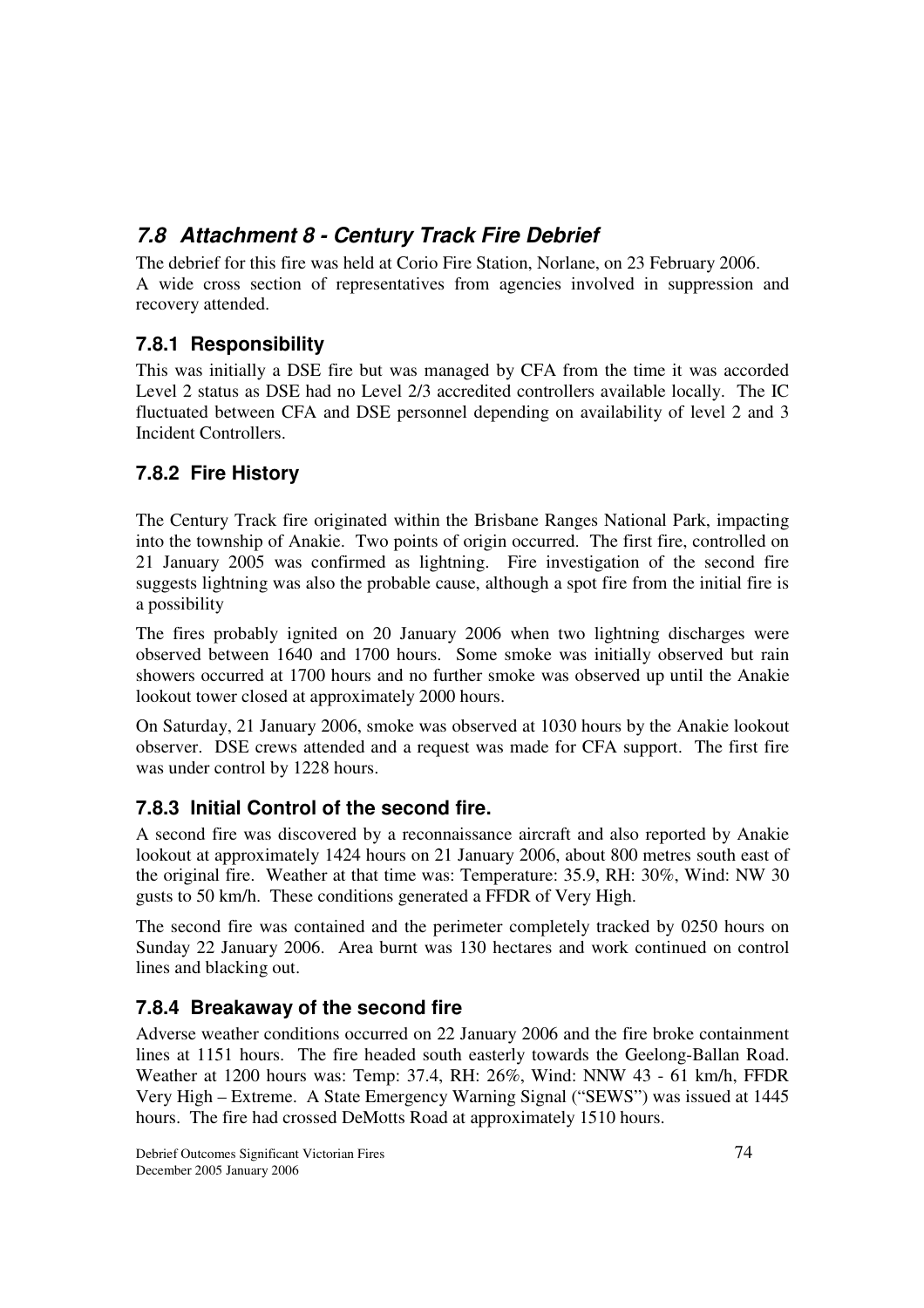# *7.8 Attachment 8 - Century Track Fire Debrief*

The debrief for this fire was held at Corio Fire Station, Norlane, on 23 February 2006. A wide cross section of representatives from agencies involved in suppression and recovery attended.

## **7.8.1 Responsibility**

This was initially a DSE fire but was managed by CFA from the time it was accorded Level 2 status as DSE had no Level 2/3 accredited controllers available locally. The IC fluctuated between CFA and DSE personnel depending on availability of level 2 and 3 Incident Controllers.

## **7.8.2 Fire History**

The Century Track fire originated within the Brisbane Ranges National Park, impacting into the township of Anakie. Two points of origin occurred. The first fire, controlled on 21 January 2005 was confirmed as lightning. Fire investigation of the second fire suggests lightning was also the probable cause, although a spot fire from the initial fire is a possibility

The fires probably ignited on 20 January 2006 when two lightning discharges were observed between 1640 and 1700 hours. Some smoke was initially observed but rain showers occurred at 1700 hours and no further smoke was observed up until the Anakie lookout tower closed at approximately 2000 hours.

On Saturday, 21 January 2006, smoke was observed at 1030 hours by the Anakie lookout observer. DSE crews attended and a request was made for CFA support. The first fire was under control by 1228 hours.

## **7.8.3 Initial Control of the second fire.**

A second fire was discovered by a reconnaissance aircraft and also reported by Anakie lookout at approximately 1424 hours on 21 January 2006, about 800 metres south east of the original fire. Weather at that time was: Temperature: 35.9, RH: 30%, Wind: NW 30 gusts to 50 km/h. These conditions generated a FFDR of Very High.

The second fire was contained and the perimeter completely tracked by 0250 hours on Sunday 22 January 2006. Area burnt was 130 hectares and work continued on control lines and blacking out.

## **7.8.4 Breakaway of the second fire**

Adverse weather conditions occurred on 22 January 2006 and the fire broke containment lines at 1151 hours. The fire headed south easterly towards the Geelong-Ballan Road. Weather at 1200 hours was: Temp: 37.4, RH: 26%, Wind: NNW 43 - 61 km/h, FFDR Very High – Extreme. A State Emergency Warning Signal ("SEWS") was issued at 1445 hours. The fire had crossed DeMotts Road at approximately 1510 hours.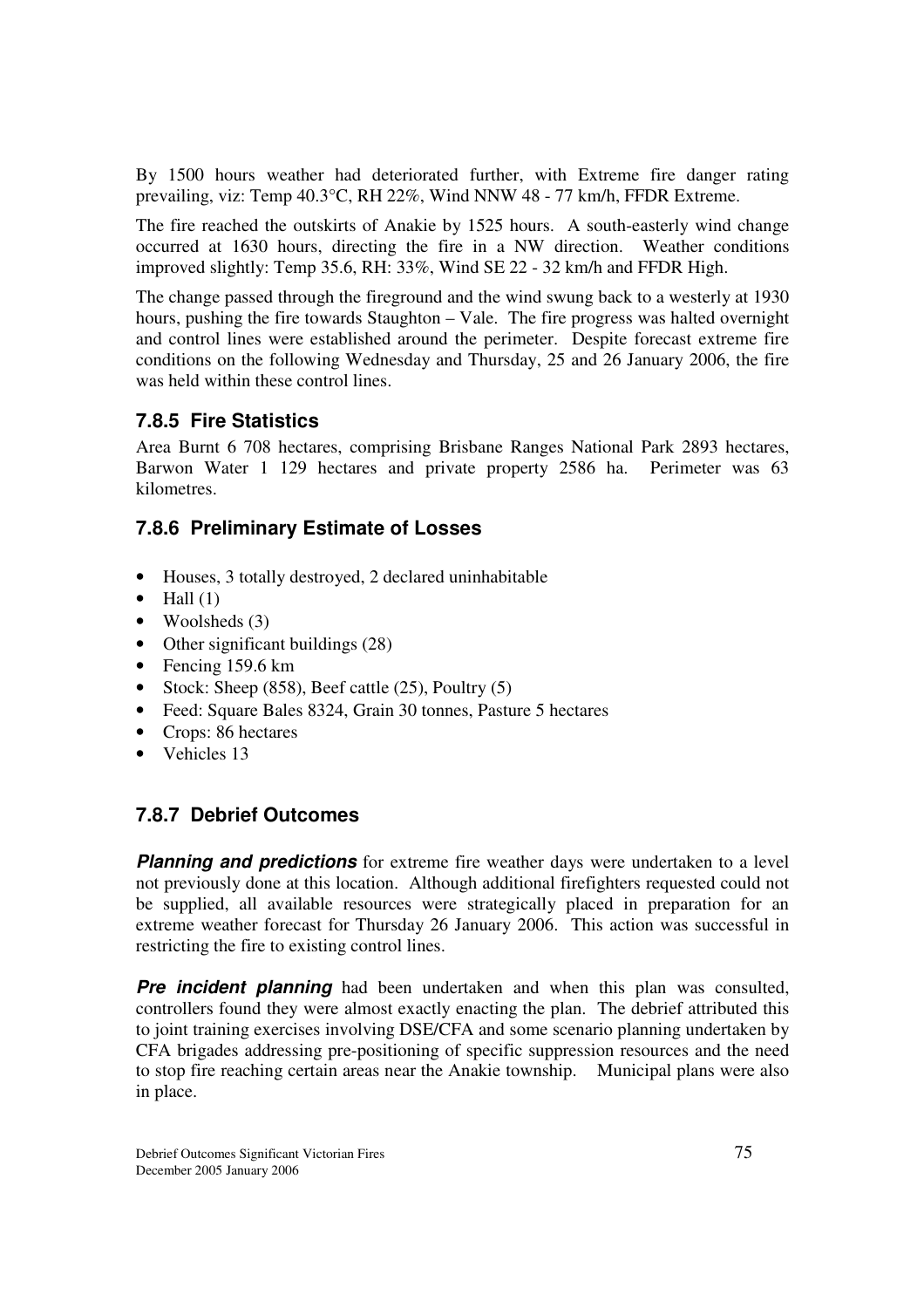By 1500 hours weather had deteriorated further, with Extreme fire danger rating prevailing, viz: Temp 40.3°C, RH 22%, Wind NNW 48 - 77 km/h, FFDR Extreme.

The fire reached the outskirts of Anakie by 1525 hours. A south-easterly wind change occurred at 1630 hours, directing the fire in a NW direction. Weather conditions improved slightly: Temp 35.6, RH: 33%, Wind SE 22 - 32 km/h and FFDR High.

The change passed through the fireground and the wind swung back to a westerly at 1930 hours, pushing the fire towards Staughton – Vale. The fire progress was halted overnight and control lines were established around the perimeter. Despite forecast extreme fire conditions on the following Wednesday and Thursday, 25 and 26 January 2006, the fire was held within these control lines.

#### **7.8.5 Fire Statistics**

Area Burnt 6 708 hectares, comprising Brisbane Ranges National Park 2893 hectares, Barwon Water 1 129 hectares and private property 2586 ha. Perimeter was 63 kilometres.

## **7.8.6 Preliminary Estimate of Losses**

- Houses, 3 totally destroyed, 2 declared uninhabitable
- $\bullet$  Hall (1)
- Woolsheds  $(3)$
- Other significant buildings (28)
- Fencing 159.6 km
- Stock: Sheep  $(858)$ , Beef cattle  $(25)$ , Poultry  $(5)$
- Feed: Square Bales 8324, Grain 30 tonnes, Pasture 5 hectares
- Crops: 86 hectares
- Vehicles 13

## **7.8.7 Debrief Outcomes**

**Planning and predictions** for extreme fire weather days were undertaken to a level not previously done at this location. Although additional firefighters requested could not be supplied, all available resources were strategically placed in preparation for an extreme weather forecast for Thursday 26 January 2006. This action was successful in restricting the fire to existing control lines.

**Pre incident planning** had been undertaken and when this plan was consulted, controllers found they were almost exactly enacting the plan. The debrief attributed this to joint training exercises involving DSE/CFA and some scenario planning undertaken by CFA brigades addressing pre-positioning of specific suppression resources and the need to stop fire reaching certain areas near the Anakie township. Municipal plans were also in place.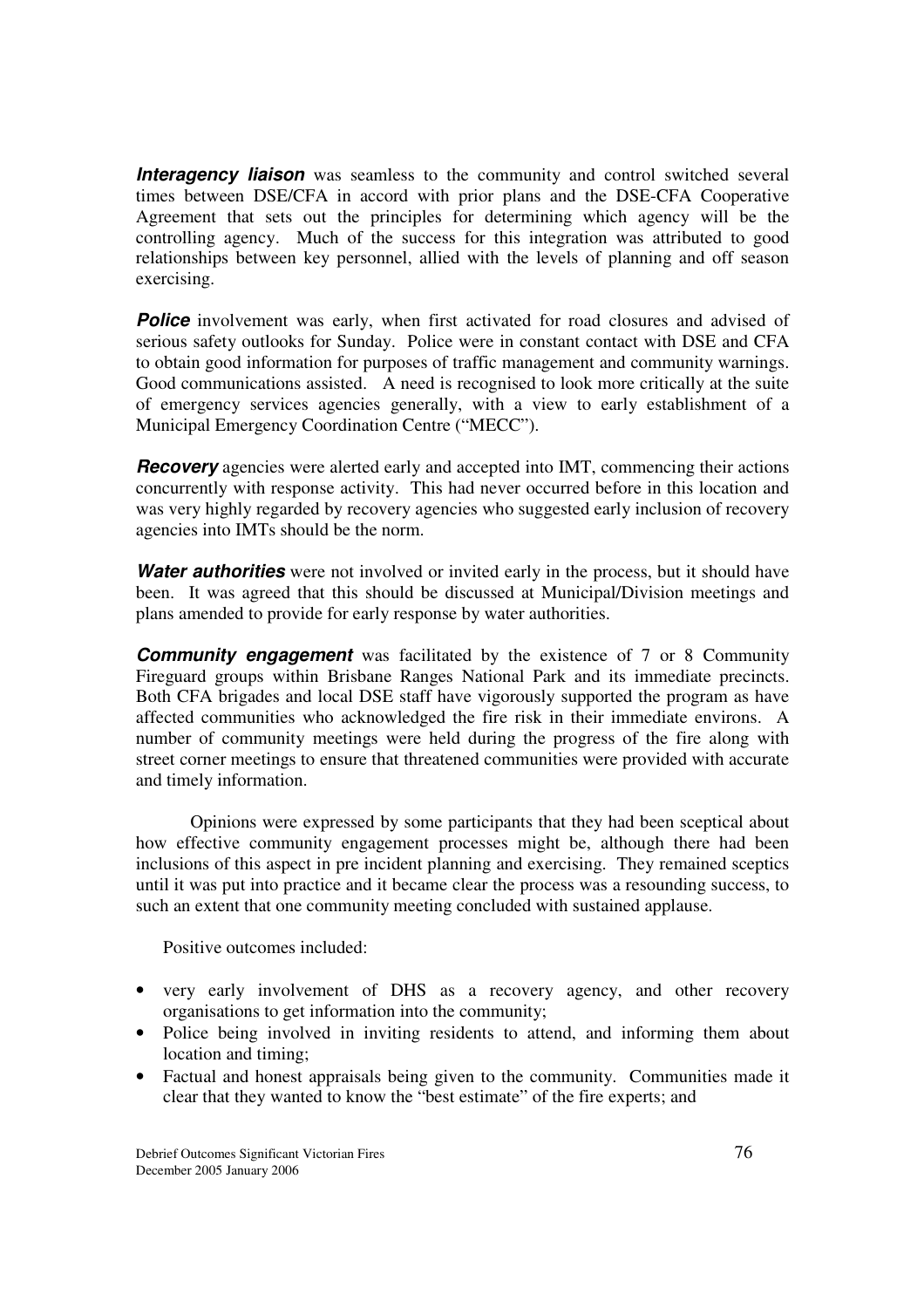**Interagency liaison** was seamless to the community and control switched several times between DSE/CFA in accord with prior plans and the DSE-CFA Cooperative Agreement that sets out the principles for determining which agency will be the controlling agency. Much of the success for this integration was attributed to good relationships between key personnel, allied with the levels of planning and off season exercising.

**Police** involvement was early, when first activated for road closures and advised of serious safety outlooks for Sunday. Police were in constant contact with DSE and CFA to obtain good information for purposes of traffic management and community warnings. Good communications assisted. A need is recognised to look more critically at the suite of emergency services agencies generally, with a view to early establishment of a Municipal Emergency Coordination Centre ("MECC").

*Recovery* agencies were alerted early and accepted into IMT, commencing their actions concurrently with response activity. This had never occurred before in this location and was very highly regarded by recovery agencies who suggested early inclusion of recovery agencies into IMTs should be the norm.

**Water authorities** were not involved or invited early in the process, but it should have been. It was agreed that this should be discussed at Municipal/Division meetings and plans amended to provide for early response by water authorities.

**Community engagement** was facilitated by the existence of 7 or 8 Community Fireguard groups within Brisbane Ranges National Park and its immediate precincts. Both CFA brigades and local DSE staff have vigorously supported the program as have affected communities who acknowledged the fire risk in their immediate environs. A number of community meetings were held during the progress of the fire along with street corner meetings to ensure that threatened communities were provided with accurate and timely information.

Opinions were expressed by some participants that they had been sceptical about how effective community engagement processes might be, although there had been inclusions of this aspect in pre incident planning and exercising. They remained sceptics until it was put into practice and it became clear the process was a resounding success, to such an extent that one community meeting concluded with sustained applause.

Positive outcomes included:

- very early involvement of DHS as a recovery agency, and other recovery organisations to get information into the community;
- Police being involved in inviting residents to attend, and informing them about location and timing;
- Factual and honest appraisals being given to the community. Communities made it clear that they wanted to know the "best estimate" of the fire experts; and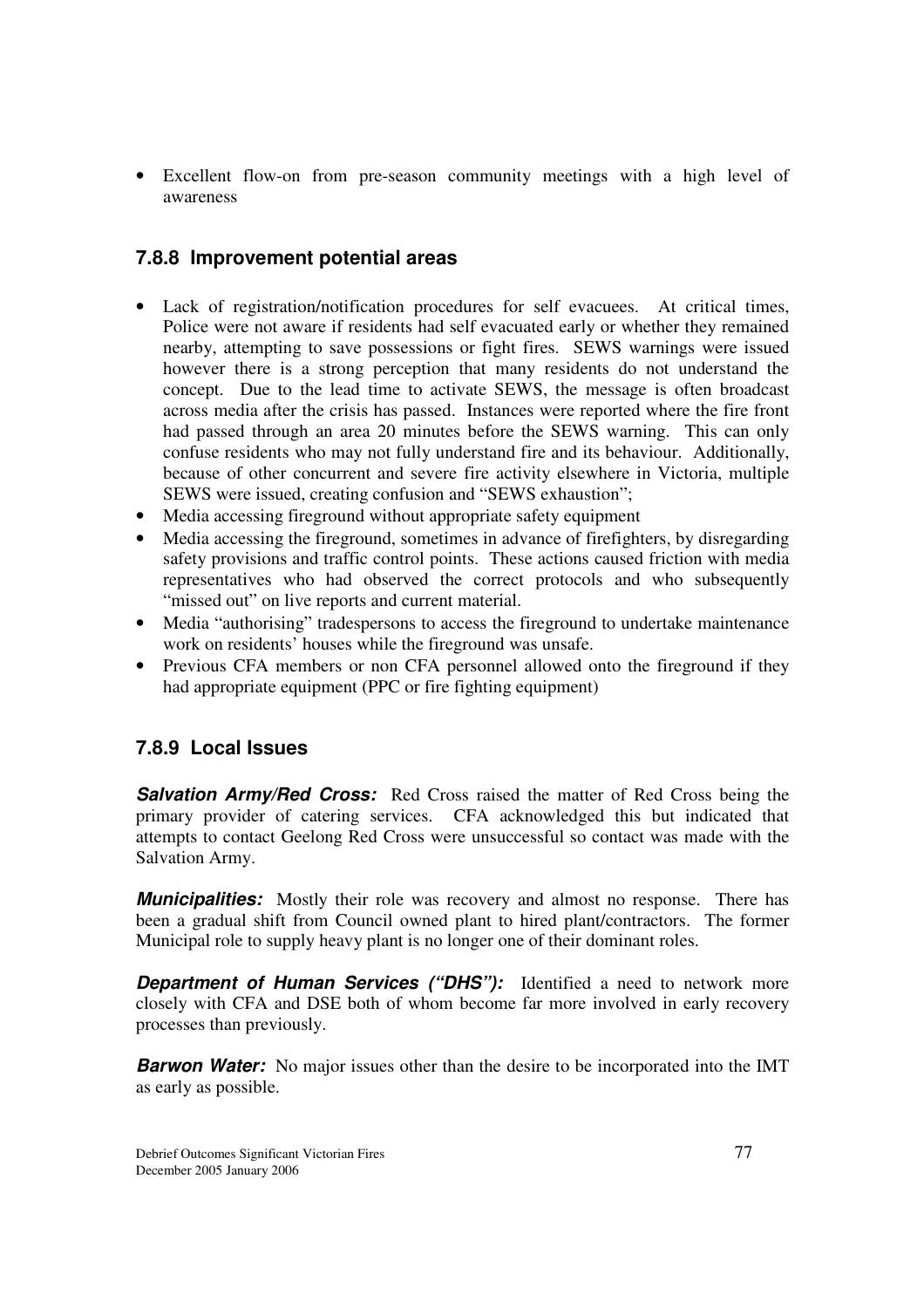• Excellent flow-on from pre-season community meetings with a high level of awareness

#### **7.8.8 Improvement potential areas**

- Lack of registration/notification procedures for self evacuees. At critical times, Police were not aware if residents had self evacuated early or whether they remained nearby, attempting to save possessions or fight fires. SEWS warnings were issued however there is a strong perception that many residents do not understand the concept. Due to the lead time to activate SEWS, the message is often broadcast across media after the crisis has passed. Instances were reported where the fire front had passed through an area 20 minutes before the SEWS warning. This can only confuse residents who may not fully understand fire and its behaviour. Additionally, because of other concurrent and severe fire activity elsewhere in Victoria, multiple SEWS were issued, creating confusion and "SEWS exhaustion";
- Media accessing fireground without appropriate safety equipment
- Media accessing the fireground, sometimes in advance of firefighters, by disregarding safety provisions and traffic control points. These actions caused friction with media representatives who had observed the correct protocols and who subsequently "missed out" on live reports and current material.
- Media "authorising" tradespersons to access the fireground to undertake maintenance work on residents' houses while the fireground was unsafe.
- Previous CFA members or non CFA personnel allowed onto the fireground if they had appropriate equipment (PPC or fire fighting equipment)

#### **7.8.9 Local Issues**

**Salvation Army/Red Cross:** Red Cross raised the matter of Red Cross being the primary provider of catering services. CFA acknowledged this but indicated that attempts to contact Geelong Red Cross were unsuccessful so contact was made with the Salvation Army.

*Municipalities:* Mostly their role was recovery and almost no response. There has been a gradual shift from Council owned plant to hired plant/contractors. The former Municipal role to supply heavy plant is no longer one of their dominant roles.

**Department of Human Services ("DHS"):** Identified a need to network more closely with CFA and DSE both of whom become far more involved in early recovery processes than previously.

**Barwon Water:** No major issues other than the desire to be incorporated into the IMT as early as possible.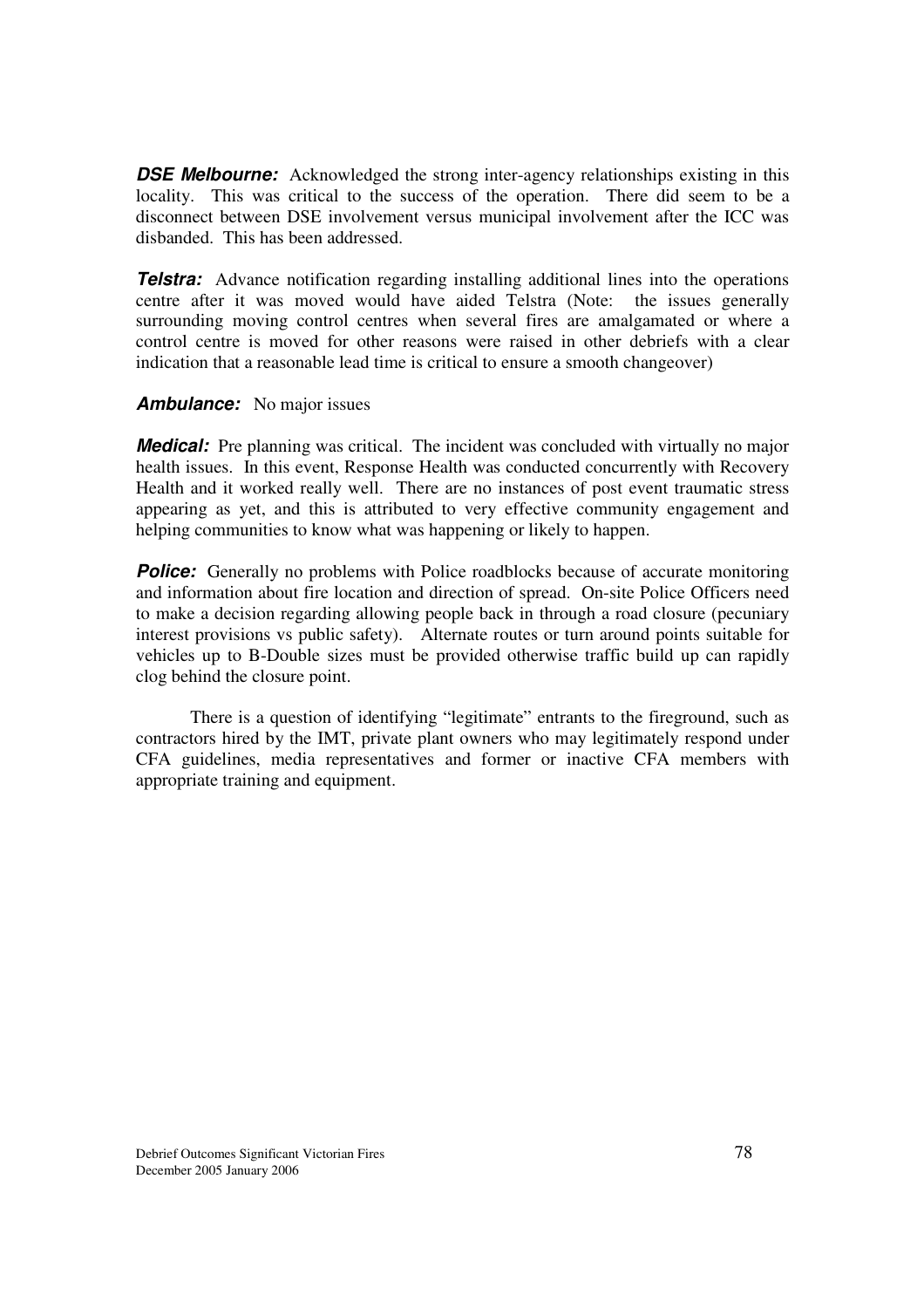**DSE Melbourne:** Acknowledged the strong inter-agency relationships existing in this locality. This was critical to the success of the operation. There did seem to be a disconnect between DSE involvement versus municipal involvement after the ICC was disbanded. This has been addressed.

**Telstra:** Advance notification regarding installing additional lines into the operations centre after it was moved would have aided Telstra (Note: the issues generally surrounding moving control centres when several fires are amalgamated or where a control centre is moved for other reasons were raised in other debriefs with a clear indication that a reasonable lead time is critical to ensure a smooth changeover)

#### *Ambulance:* No major issues

*Medical:* Pre planning was critical. The incident was concluded with virtually no major health issues. In this event, Response Health was conducted concurrently with Recovery Health and it worked really well. There are no instances of post event traumatic stress appearing as yet, and this is attributed to very effective community engagement and helping communities to know what was happening or likely to happen.

**Police:** Generally no problems with Police roadblocks because of accurate monitoring and information about fire location and direction of spread. On-site Police Officers need to make a decision regarding allowing people back in through a road closure (pecuniary interest provisions vs public safety). Alternate routes or turn around points suitable for vehicles up to B-Double sizes must be provided otherwise traffic build up can rapidly clog behind the closure point.

There is a question of identifying "legitimate" entrants to the fireground, such as contractors hired by the IMT, private plant owners who may legitimately respond under CFA guidelines, media representatives and former or inactive CFA members with appropriate training and equipment.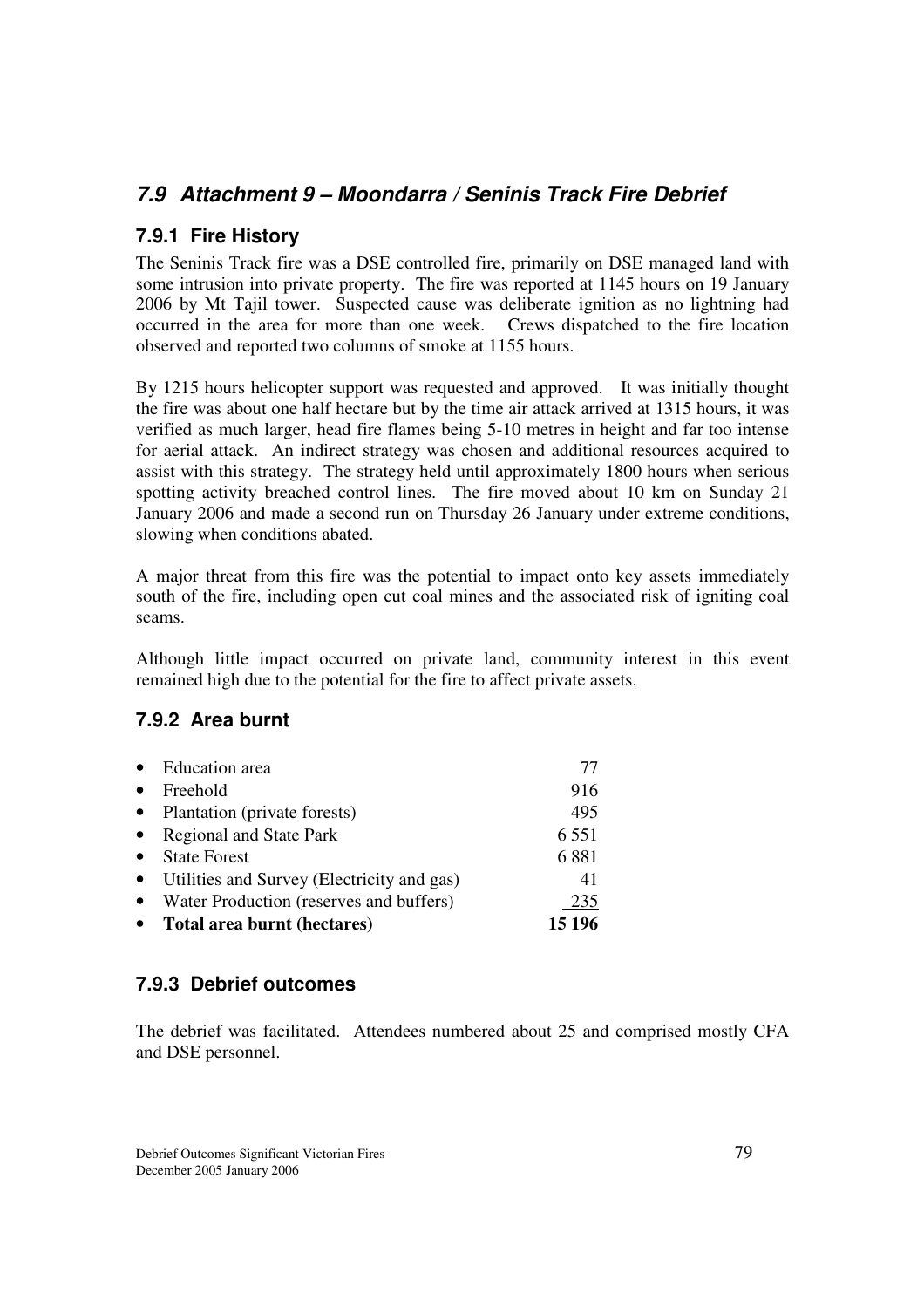## *7.9 Attachment 9 – Moondarra / Seninis Track Fire Debrief*

#### **7.9.1 Fire History**

The Seninis Track fire was a DSE controlled fire, primarily on DSE managed land with some intrusion into private property. The fire was reported at 1145 hours on 19 January 2006 by Mt Tajil tower. Suspected cause was deliberate ignition as no lightning had occurred in the area for more than one week. Crews dispatched to the fire location observed and reported two columns of smoke at 1155 hours.

By 1215 hours helicopter support was requested and approved. It was initially thought the fire was about one half hectare but by the time air attack arrived at 1315 hours, it was verified as much larger, head fire flames being 5-10 metres in height and far too intense for aerial attack. An indirect strategy was chosen and additional resources acquired to assist with this strategy. The strategy held until approximately 1800 hours when serious spotting activity breached control lines. The fire moved about 10 km on Sunday 21 January 2006 and made a second run on Thursday 26 January under extreme conditions, slowing when conditions abated.

A major threat from this fire was the potential to impact onto key assets immediately south of the fire, including open cut coal mines and the associated risk of igniting coal seams.

Although little impact occurred on private land, community interest in this event remained high due to the potential for the fire to affect private assets.

#### **7.9.2 Area burnt**

| $\bullet$ | <b>Education</b> area                      | 77      |
|-----------|--------------------------------------------|---------|
| $\bullet$ | Freehold                                   | 916     |
| $\bullet$ | Plantation (private forests)               | 495     |
| $\bullet$ | Regional and State Park                    | 6 5 5 1 |
| $\bullet$ | <b>State Forest</b>                        | 6881    |
| $\bullet$ | Utilities and Survey (Electricity and gas) | 41      |
|           | Water Production (reserves and buffers)    | 235     |
|           | Total area burnt (hectares)                | 15 196  |

#### **7.9.3 Debrief outcomes**

The debrief was facilitated. Attendees numbered about 25 and comprised mostly CFA and DSE personnel.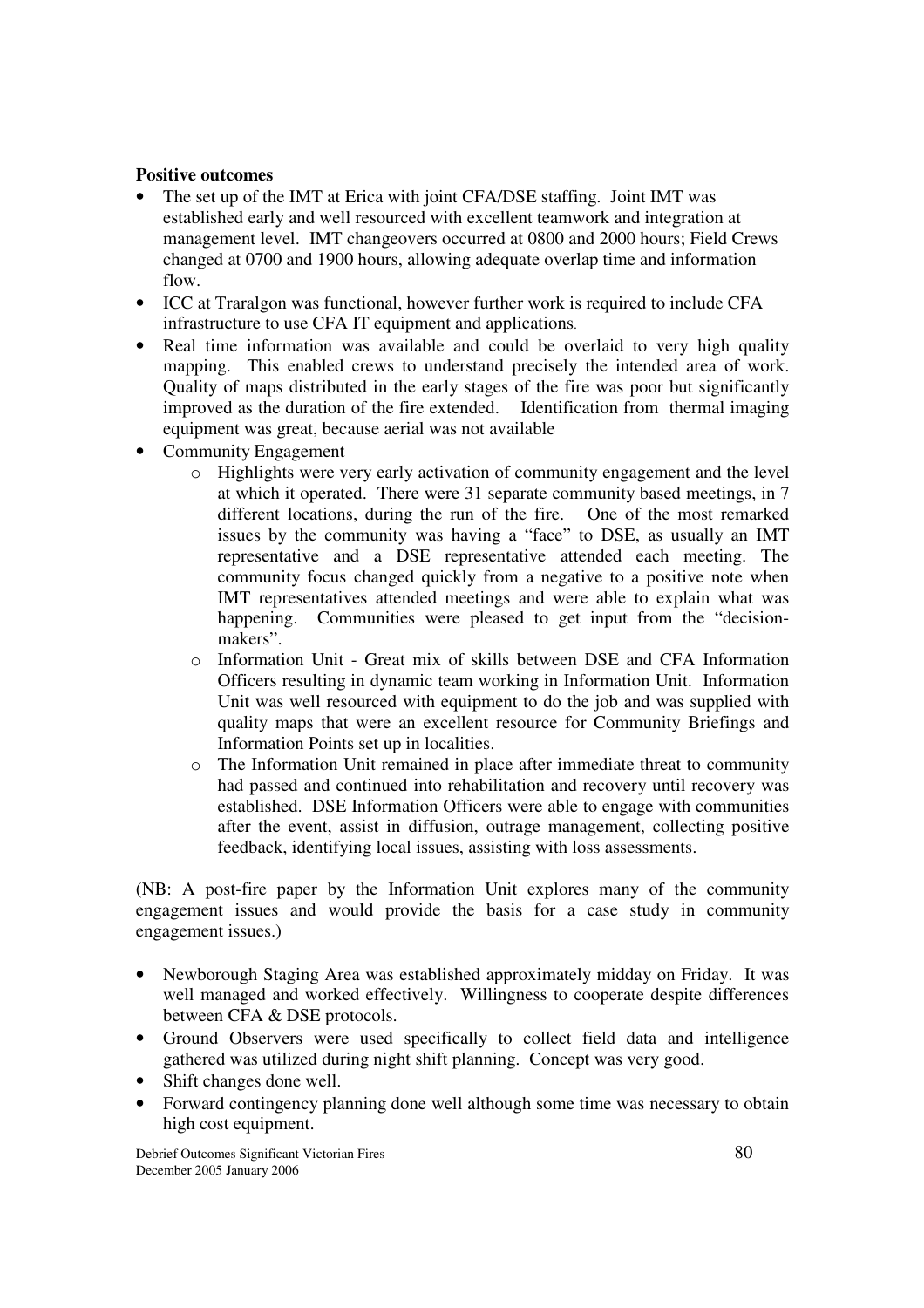#### **Positive outcomes**

- The set up of the IMT at Erica with joint CFA/DSE staffing. Joint IMT was established early and well resourced with excellent teamwork and integration at management level. IMT changeovers occurred at 0800 and 2000 hours; Field Crews changed at 0700 and 1900 hours, allowing adequate overlap time and information flow.
- ICC at Traralgon was functional, however further work is required to include CFA infrastructure to use CFA IT equipment and applications.
- Real time information was available and could be overlaid to very high quality mapping. This enabled crews to understand precisely the intended area of work. Quality of maps distributed in the early stages of the fire was poor but significantly improved as the duration of the fire extended. Identification from thermal imaging equipment was great, because aerial was not available
- Community Engagement
	- o Highlights were very early activation of community engagement and the level at which it operated. There were 31 separate community based meetings, in 7 different locations, during the run of the fire. One of the most remarked issues by the community was having a "face" to DSE, as usually an IMT representative and a DSE representative attended each meeting. The community focus changed quickly from a negative to a positive note when IMT representatives attended meetings and were able to explain what was happening. Communities were pleased to get input from the "decisionmakers".
	- o Information Unit Great mix of skills between DSE and CFA Information Officers resulting in dynamic team working in Information Unit. Information Unit was well resourced with equipment to do the job and was supplied with quality maps that were an excellent resource for Community Briefings and Information Points set up in localities.
	- o The Information Unit remained in place after immediate threat to community had passed and continued into rehabilitation and recovery until recovery was established. DSE Information Officers were able to engage with communities after the event, assist in diffusion, outrage management, collecting positive feedback, identifying local issues, assisting with loss assessments.

(NB: A post-fire paper by the Information Unit explores many of the community engagement issues and would provide the basis for a case study in community engagement issues.)

- Newborough Staging Area was established approximately midday on Friday. It was well managed and worked effectively. Willingness to cooperate despite differences between CFA & DSE protocols.
- Ground Observers were used specifically to collect field data and intelligence gathered was utilized during night shift planning. Concept was very good.
- Shift changes done well.
- Forward contingency planning done well although some time was necessary to obtain high cost equipment.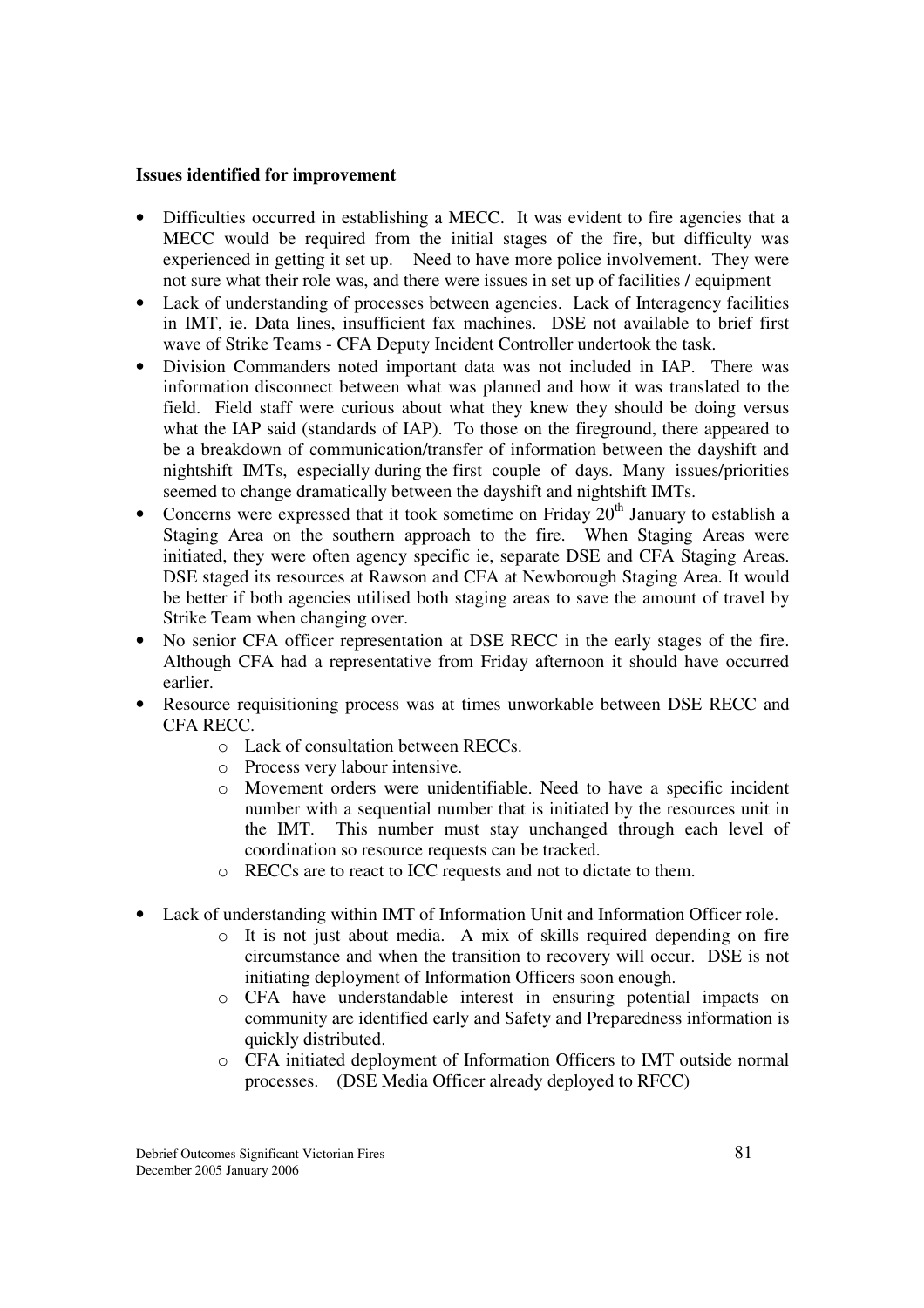#### **Issues identified for improvement**

- Difficulties occurred in establishing a MECC. It was evident to fire agencies that a MECC would be required from the initial stages of the fire, but difficulty was experienced in getting it set up. Need to have more police involvement. They were not sure what their role was, and there were issues in set up of facilities / equipment
- Lack of understanding of processes between agencies. Lack of Interagency facilities in IMT, ie. Data lines, insufficient fax machines. DSE not available to brief first wave of Strike Teams - CFA Deputy Incident Controller undertook the task.
- Division Commanders noted important data was not included in IAP. There was information disconnect between what was planned and how it was translated to the field. Field staff were curious about what they knew they should be doing versus what the IAP said (standards of IAP). To those on the fireground, there appeared to be a breakdown of communication/transfer of information between the dayshift and nightshift IMTs, especially during the first couple of days. Many issues/priorities seemed to change dramatically between the dayshift and nightshift IMTs.
- Concerns were expressed that it took sometime on Friday  $20<sup>th</sup>$  January to establish a Staging Area on the southern approach to the fire. When Staging Areas were initiated, they were often agency specific ie, separate DSE and CFA Staging Areas. DSE staged its resources at Rawson and CFA at Newborough Staging Area. It would be better if both agencies utilised both staging areas to save the amount of travel by Strike Team when changing over.
- No senior CFA officer representation at DSE RECC in the early stages of the fire. Although CFA had a representative from Friday afternoon it should have occurred earlier.
- Resource requisitioning process was at times unworkable between DSE RECC and CFA RECC.
	- o Lack of consultation between RECCs.
	- o Process very labour intensive.
	- o Movement orders were unidentifiable. Need to have a specific incident number with a sequential number that is initiated by the resources unit in the IMT. This number must stay unchanged through each level of coordination so resource requests can be tracked.
	- o RECCs are to react to ICC requests and not to dictate to them.
- Lack of understanding within IMT of Information Unit and Information Officer role.
	- o It is not just about media. A mix of skills required depending on fire circumstance and when the transition to recovery will occur. DSE is not initiating deployment of Information Officers soon enough.
	- o CFA have understandable interest in ensuring potential impacts on community are identified early and Safety and Preparedness information is quickly distributed.
	- o CFA initiated deployment of Information Officers to IMT outside normal processes. (DSE Media Officer already deployed to RFCC)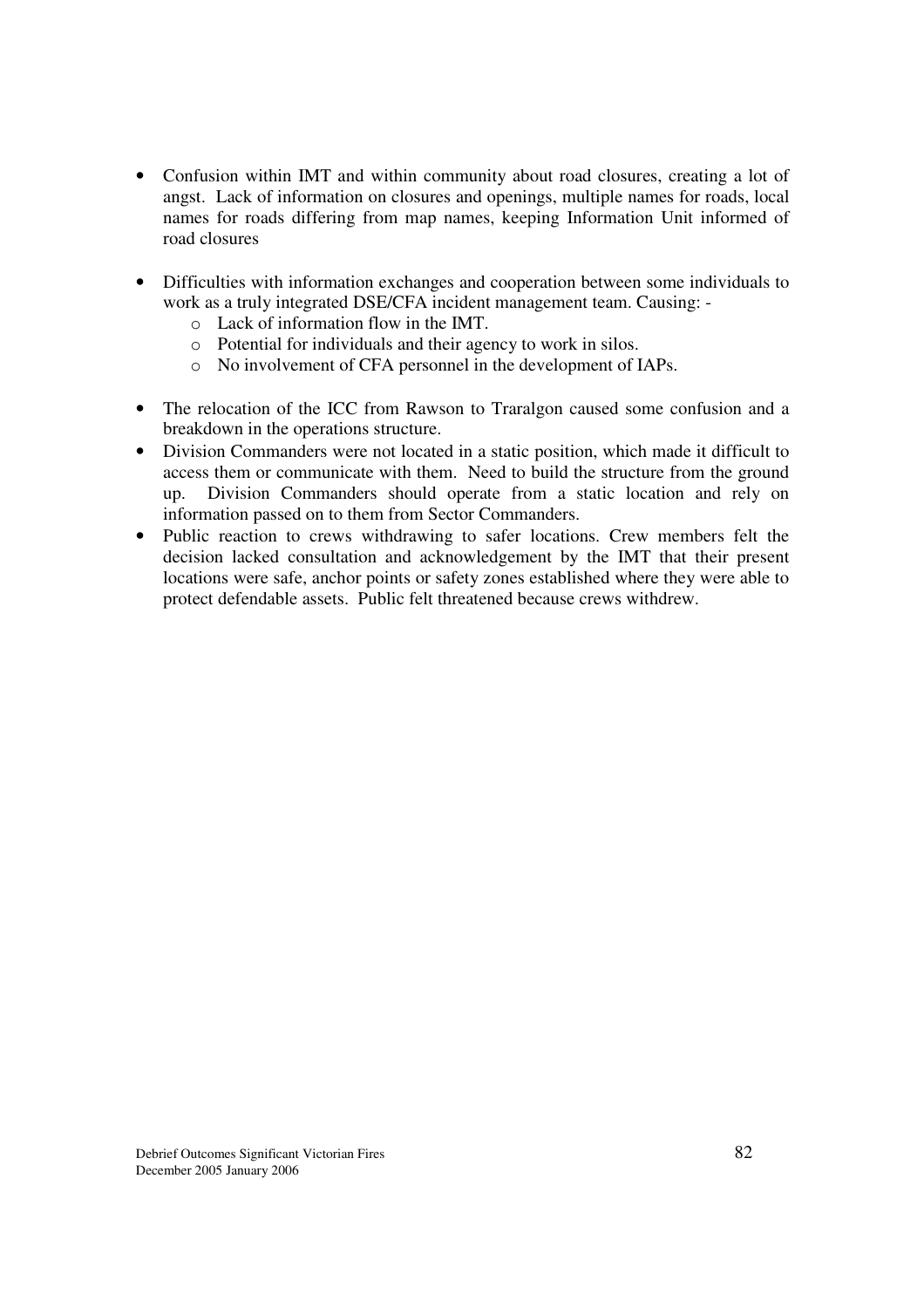- Confusion within IMT and within community about road closures, creating a lot of angst. Lack of information on closures and openings, multiple names for roads, local names for roads differing from map names, keeping Information Unit informed of road closures
- Difficulties with information exchanges and cooperation between some individuals to work as a truly integrated DSE/CFA incident management team. Causing:
	- o Lack of information flow in the IMT.
	- o Potential for individuals and their agency to work in silos.
	- o No involvement of CFA personnel in the development of IAPs.
- The relocation of the ICC from Rawson to Traralgon caused some confusion and a breakdown in the operations structure.
- Division Commanders were not located in a static position, which made it difficult to access them or communicate with them. Need to build the structure from the ground up. Division Commanders should operate from a static location and rely on information passed on to them from Sector Commanders.
- Public reaction to crews withdrawing to safer locations. Crew members felt the decision lacked consultation and acknowledgement by the IMT that their present locations were safe, anchor points or safety zones established where they were able to protect defendable assets. Public felt threatened because crews withdrew.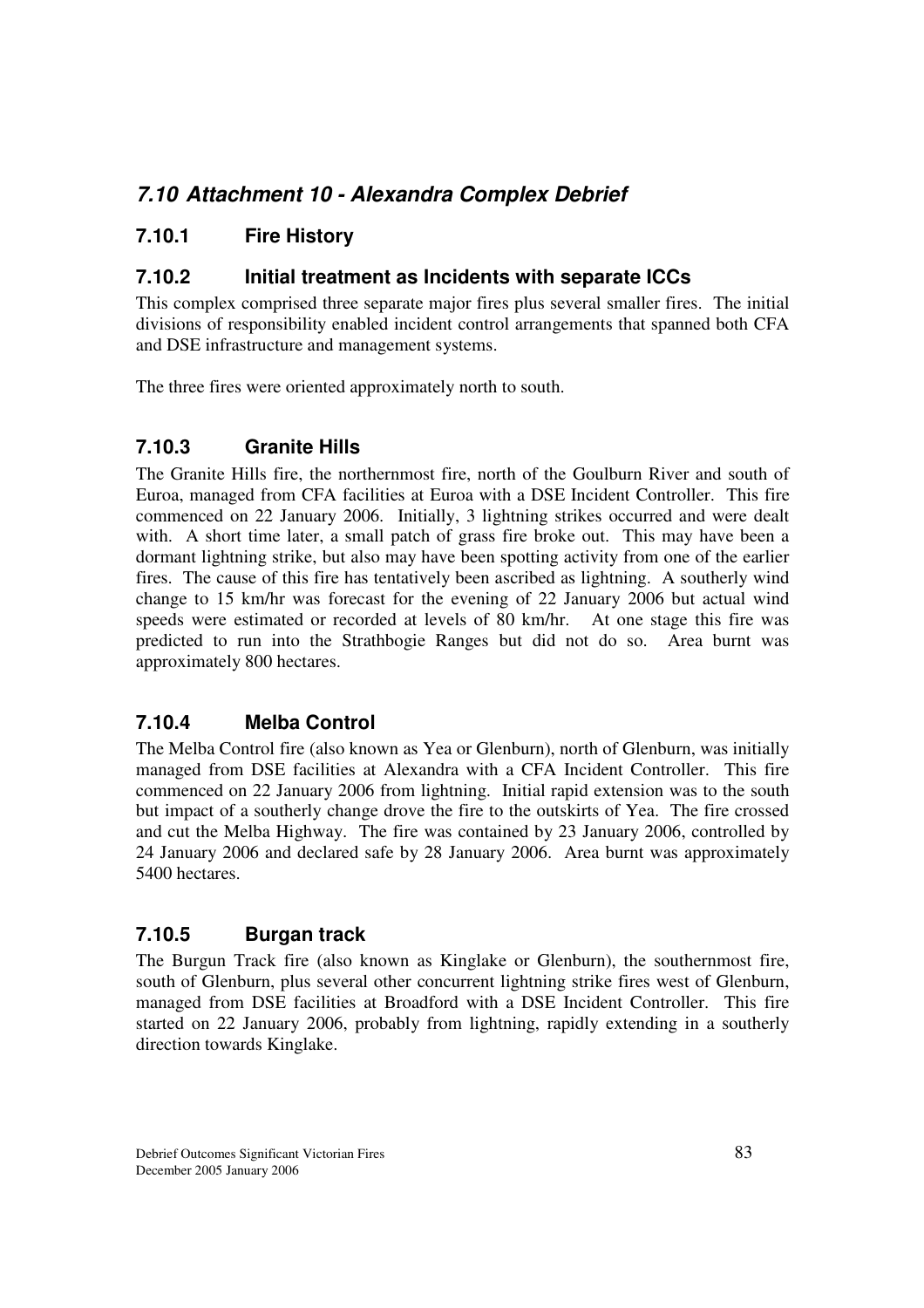# *7.10 Attachment 10 - Alexandra Complex Debrief*

## **7.10.1 Fire History**

#### **7.10.2 Initial treatment as Incidents with separate ICCs**

This complex comprised three separate major fires plus several smaller fires. The initial divisions of responsibility enabled incident control arrangements that spanned both CFA and DSE infrastructure and management systems.

The three fires were oriented approximately north to south.

## **7.10.3 Granite Hills**

The Granite Hills fire, the northernmost fire, north of the Goulburn River and south of Euroa, managed from CFA facilities at Euroa with a DSE Incident Controller. This fire commenced on 22 January 2006. Initially, 3 lightning strikes occurred and were dealt with. A short time later, a small patch of grass fire broke out. This may have been a dormant lightning strike, but also may have been spotting activity from one of the earlier fires. The cause of this fire has tentatively been ascribed as lightning. A southerly wind change to 15 km/hr was forecast for the evening of 22 January 2006 but actual wind speeds were estimated or recorded at levels of 80 km/hr. At one stage this fire was predicted to run into the Strathbogie Ranges but did not do so. Area burnt was approximately 800 hectares.

#### **7.10.4 Melba Control**

The Melba Control fire (also known as Yea or Glenburn), north of Glenburn, was initially managed from DSE facilities at Alexandra with a CFA Incident Controller. This fire commenced on 22 January 2006 from lightning. Initial rapid extension was to the south but impact of a southerly change drove the fire to the outskirts of Yea. The fire crossed and cut the Melba Highway. The fire was contained by 23 January 2006, controlled by 24 January 2006 and declared safe by 28 January 2006. Area burnt was approximately 5400 hectares.

#### **7.10.5 Burgan track**

The Burgun Track fire (also known as Kinglake or Glenburn), the southernmost fire, south of Glenburn, plus several other concurrent lightning strike fires west of Glenburn, managed from DSE facilities at Broadford with a DSE Incident Controller. This fire started on 22 January 2006, probably from lightning, rapidly extending in a southerly direction towards Kinglake.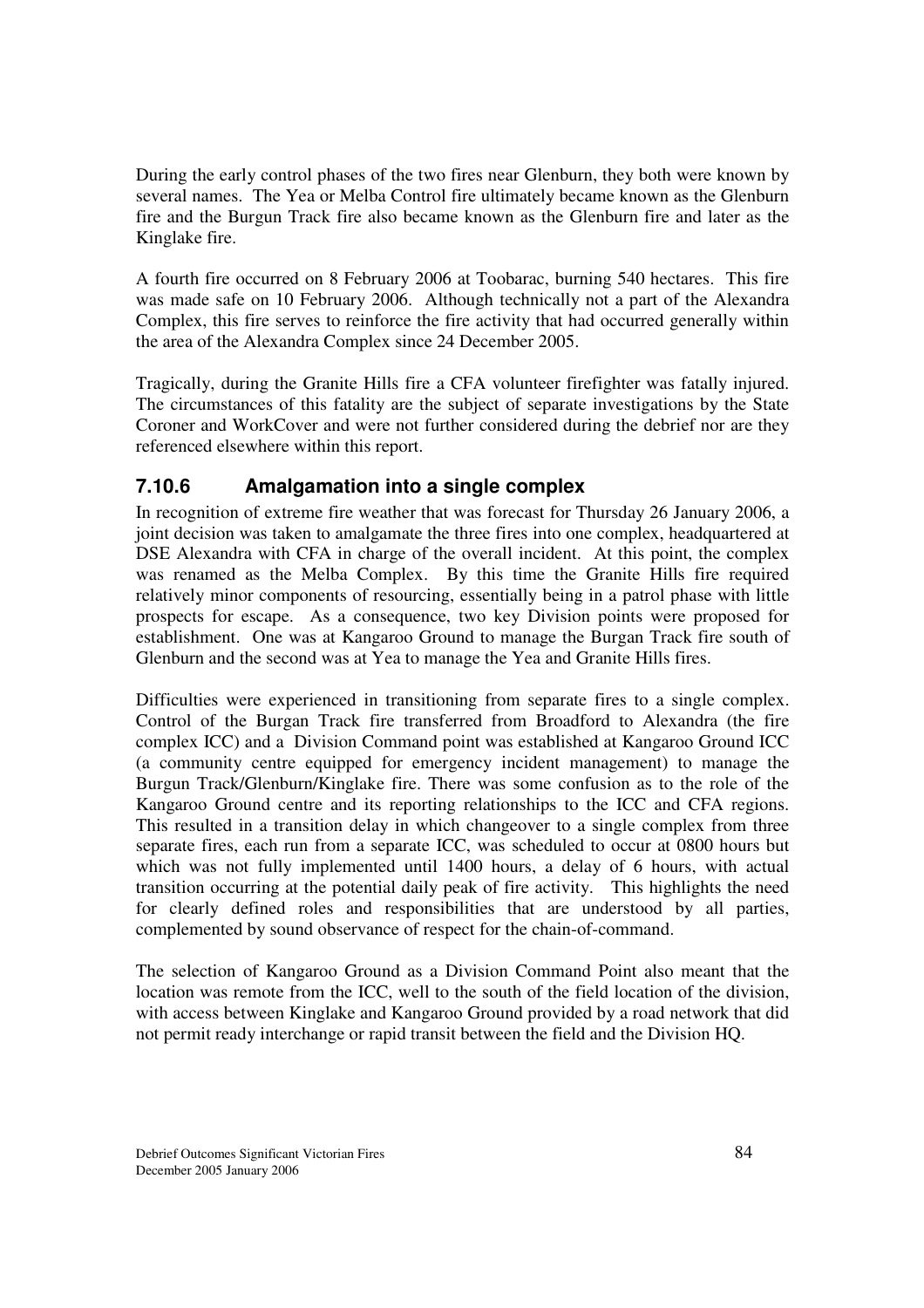During the early control phases of the two fires near Glenburn, they both were known by several names. The Yea or Melba Control fire ultimately became known as the Glenburn fire and the Burgun Track fire also became known as the Glenburn fire and later as the Kinglake fire.

A fourth fire occurred on 8 February 2006 at Toobarac, burning 540 hectares. This fire was made safe on 10 February 2006. Although technically not a part of the Alexandra Complex, this fire serves to reinforce the fire activity that had occurred generally within the area of the Alexandra Complex since 24 December 2005.

Tragically, during the Granite Hills fire a CFA volunteer firefighter was fatally injured. The circumstances of this fatality are the subject of separate investigations by the State Coroner and WorkCover and were not further considered during the debrief nor are they referenced elsewhere within this report.

## **7.10.6 Amalgamation into a single complex**

In recognition of extreme fire weather that was forecast for Thursday 26 January 2006, a joint decision was taken to amalgamate the three fires into one complex, headquartered at DSE Alexandra with CFA in charge of the overall incident. At this point, the complex was renamed as the Melba Complex. By this time the Granite Hills fire required relatively minor components of resourcing, essentially being in a patrol phase with little prospects for escape. As a consequence, two key Division points were proposed for establishment. One was at Kangaroo Ground to manage the Burgan Track fire south of Glenburn and the second was at Yea to manage the Yea and Granite Hills fires.

Difficulties were experienced in transitioning from separate fires to a single complex. Control of the Burgan Track fire transferred from Broadford to Alexandra (the fire complex ICC) and a Division Command point was established at Kangaroo Ground ICC (a community centre equipped for emergency incident management) to manage the Burgun Track/Glenburn/Kinglake fire. There was some confusion as to the role of the Kangaroo Ground centre and its reporting relationships to the ICC and CFA regions. This resulted in a transition delay in which changeover to a single complex from three separate fires, each run from a separate ICC, was scheduled to occur at 0800 hours but which was not fully implemented until 1400 hours, a delay of 6 hours, with actual transition occurring at the potential daily peak of fire activity. This highlights the need for clearly defined roles and responsibilities that are understood by all parties, complemented by sound observance of respect for the chain-of-command.

The selection of Kangaroo Ground as a Division Command Point also meant that the location was remote from the ICC, well to the south of the field location of the division, with access between Kinglake and Kangaroo Ground provided by a road network that did not permit ready interchange or rapid transit between the field and the Division HQ.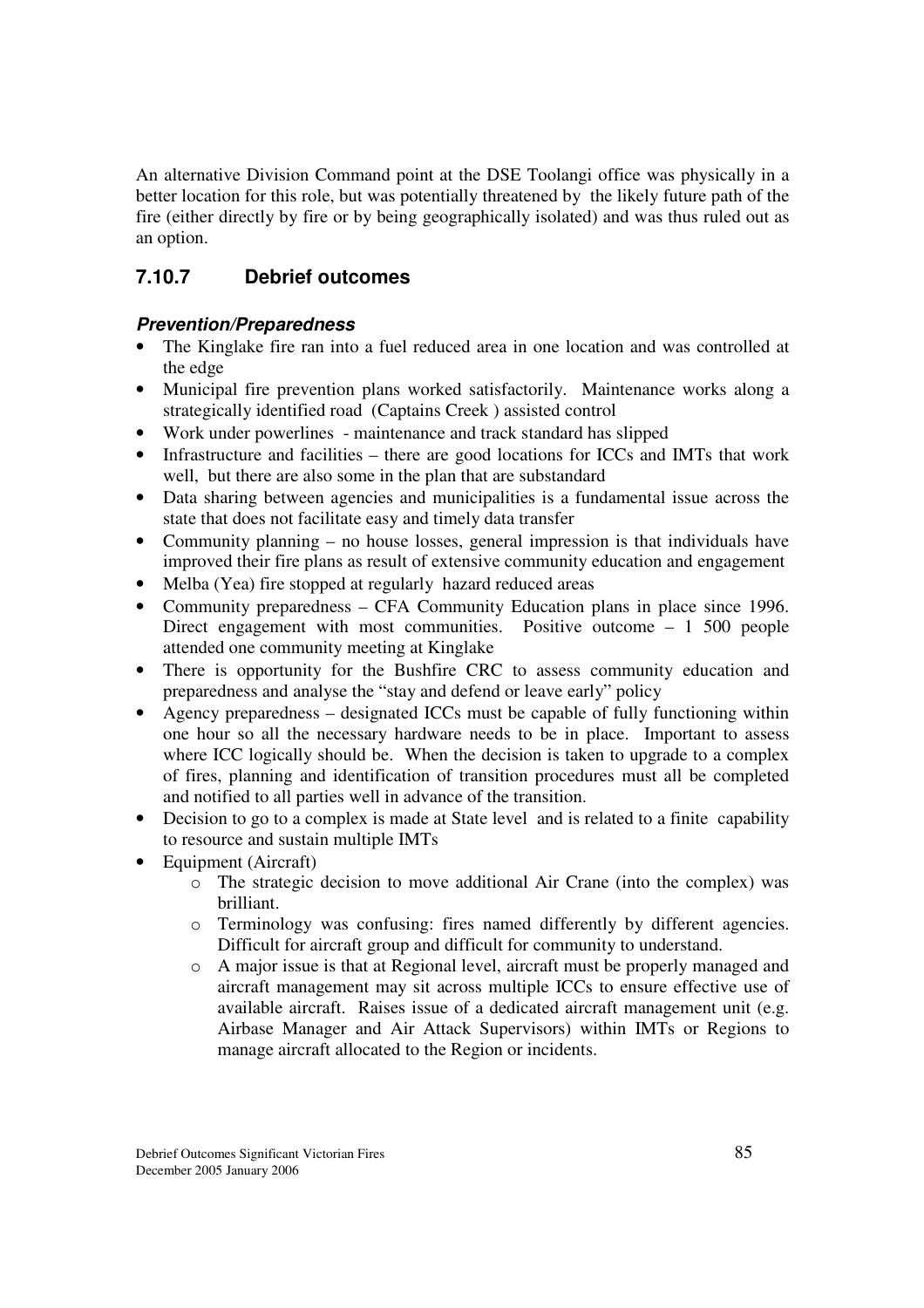An alternative Division Command point at the DSE Toolangi office was physically in a better location for this role, but was potentially threatened by the likely future path of the fire (either directly by fire or by being geographically isolated) and was thus ruled out as an option.

## **7.10.7 Debrief outcomes**

#### *Prevention/Preparedness*

- The Kinglake fire ran into a fuel reduced area in one location and was controlled at the edge
- Municipal fire prevention plans worked satisfactorily. Maintenance works along a strategically identified road (Captains Creek ) assisted control
- Work under powerlines maintenance and track standard has slipped
- Infrastructure and facilities there are good locations for ICCs and IMTs that work well, but there are also some in the plan that are substandard
- Data sharing between agencies and municipalities is a fundamental issue across the state that does not facilitate easy and timely data transfer
- Community planning no house losses, general impression is that individuals have improved their fire plans as result of extensive community education and engagement
- Melba (Yea) fire stopped at regularly hazard reduced areas
- Community preparedness CFA Community Education plans in place since 1996. Direct engagement with most communities. Positive outcome – 1 500 people attended one community meeting at Kinglake
- There is opportunity for the Bushfire CRC to assess community education and preparedness and analyse the "stay and defend or leave early" policy
- Agency preparedness designated ICCs must be capable of fully functioning within one hour so all the necessary hardware needs to be in place. Important to assess where ICC logically should be. When the decision is taken to upgrade to a complex of fires, planning and identification of transition procedures must all be completed and notified to all parties well in advance of the transition.
- Decision to go to a complex is made at State level and is related to a finite capability to resource and sustain multiple IMTs
- Equipment (Aircraft)
	- o The strategic decision to move additional Air Crane (into the complex) was brilliant.
	- o Terminology was confusing: fires named differently by different agencies. Difficult for aircraft group and difficult for community to understand.
	- o A major issue is that at Regional level, aircraft must be properly managed and aircraft management may sit across multiple ICCs to ensure effective use of available aircraft. Raises issue of a dedicated aircraft management unit (e.g. Airbase Manager and Air Attack Supervisors) within IMTs or Regions to manage aircraft allocated to the Region or incidents.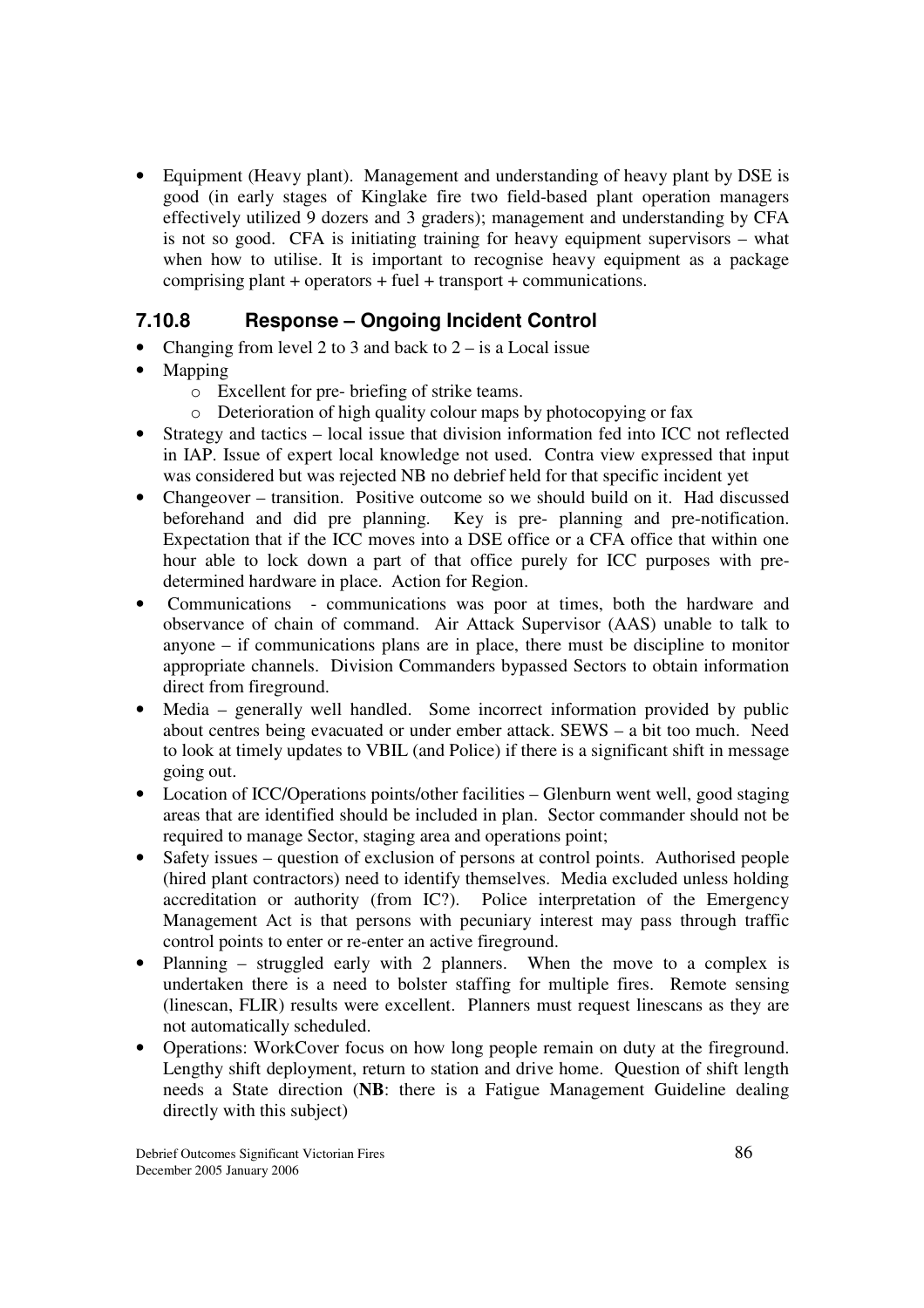• Equipment (Heavy plant). Management and understanding of heavy plant by DSE is good (in early stages of Kinglake fire two field-based plant operation managers effectively utilized 9 dozers and 3 graders); management and understanding by CFA is not so good. CFA is initiating training for heavy equipment supervisors – what when how to utilise. It is important to recognise heavy equipment as a package comprising plant + operators + fuel + transport + communications.

#### **7.10.8 Response – Ongoing Incident Control**

- Changing from level 2 to 3 and back to  $2 is a Local issue$
- Mapping
	- o Excellent for pre- briefing of strike teams.
	- o Deterioration of high quality colour maps by photocopying or fax
- Strategy and tactics local issue that division information fed into ICC not reflected in IAP. Issue of expert local knowledge not used. Contra view expressed that input was considered but was rejected NB no debrief held for that specific incident yet
- Changeover transition. Positive outcome so we should build on it. Had discussed beforehand and did pre planning. Key is pre- planning and pre-notification. Expectation that if the ICC moves into a DSE office or a CFA office that within one hour able to lock down a part of that office purely for ICC purposes with predetermined hardware in place. Action for Region.
- Communications communications was poor at times, both the hardware and observance of chain of command. Air Attack Supervisor (AAS) unable to talk to anyone – if communications plans are in place, there must be discipline to monitor appropriate channels. Division Commanders bypassed Sectors to obtain information direct from fireground.
- Media generally well handled. Some incorrect information provided by public about centres being evacuated or under ember attack. SEWS – a bit too much. Need to look at timely updates to VBIL (and Police) if there is a significant shift in message going out.
- Location of ICC/Operations points/other facilities Glenburn went well, good staging areas that are identified should be included in plan. Sector commander should not be required to manage Sector, staging area and operations point;
- Safety issues question of exclusion of persons at control points. Authorised people (hired plant contractors) need to identify themselves. Media excluded unless holding accreditation or authority (from IC?). Police interpretation of the Emergency Management Act is that persons with pecuniary interest may pass through traffic control points to enter or re-enter an active fireground.
- Planning struggled early with 2 planners. When the move to a complex is undertaken there is a need to bolster staffing for multiple fires. Remote sensing (linescan, FLIR) results were excellent. Planners must request linescans as they are not automatically scheduled.
- Operations: WorkCover focus on how long people remain on duty at the fireground. Lengthy shift deployment, return to station and drive home. Question of shift length needs a State direction (**NB**: there is a Fatigue Management Guideline dealing directly with this subject)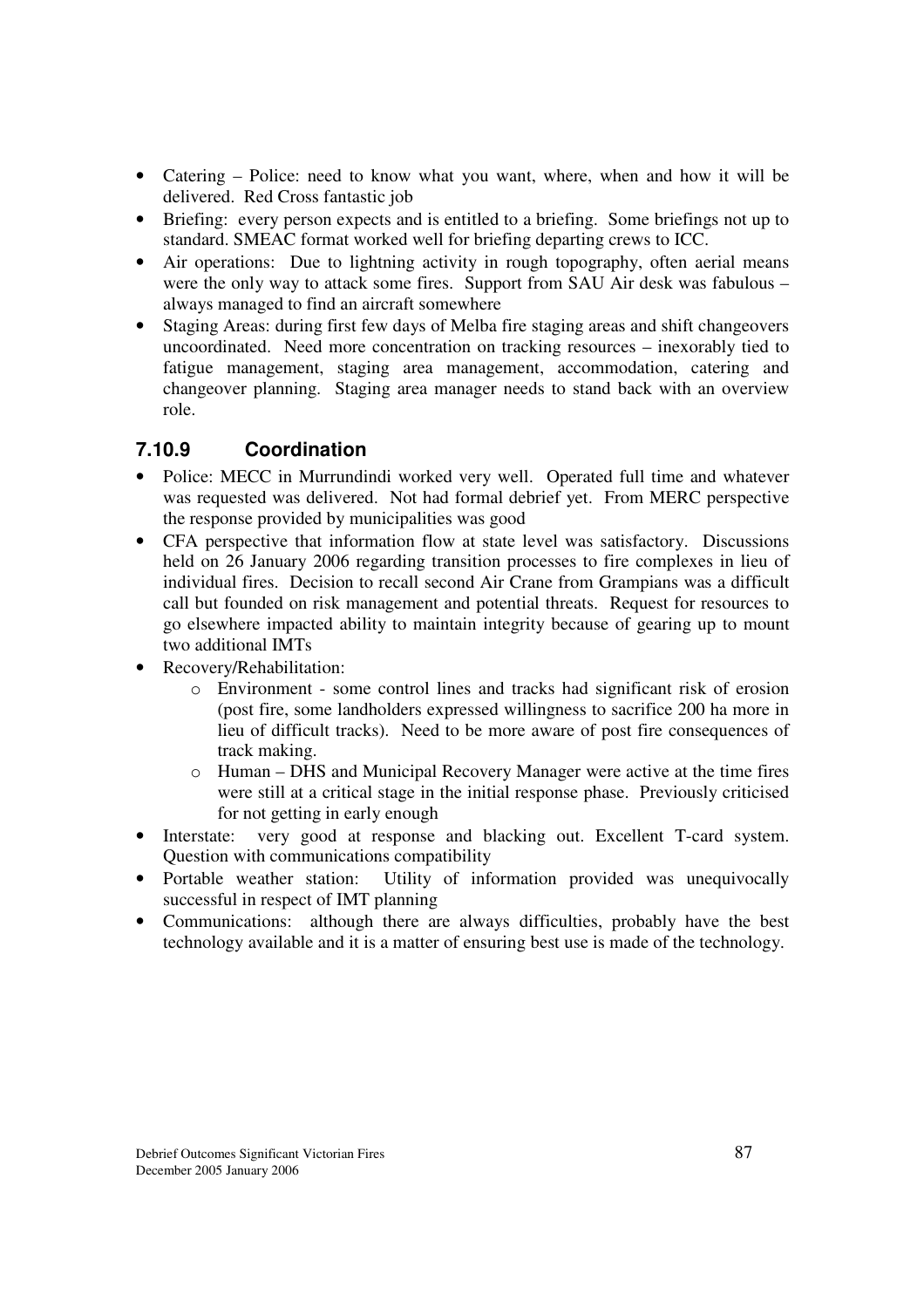- Catering Police: need to know what you want, where, when and how it will be delivered. Red Cross fantastic job
- Briefing: every person expects and is entitled to a briefing. Some briefings not up to standard. SMEAC format worked well for briefing departing crews to ICC.
- Air operations: Due to lightning activity in rough topography, often aerial means were the only way to attack some fires. Support from SAU Air desk was fabulous – always managed to find an aircraft somewhere
- Staging Areas: during first few days of Melba fire staging areas and shift changeovers uncoordinated. Need more concentration on tracking resources – inexorably tied to fatigue management, staging area management, accommodation, catering and changeover planning. Staging area manager needs to stand back with an overview role.

## **7.10.9 Coordination**

- Police: MECC in Murrundindi worked very well. Operated full time and whatever was requested was delivered. Not had formal debrief yet. From MERC perspective the response provided by municipalities was good
- CFA perspective that information flow at state level was satisfactory. Discussions held on 26 January 2006 regarding transition processes to fire complexes in lieu of individual fires. Decision to recall second Air Crane from Grampians was a difficult call but founded on risk management and potential threats. Request for resources to go elsewhere impacted ability to maintain integrity because of gearing up to mount two additional IMTs
- Recovery/Rehabilitation:
	- o Environment some control lines and tracks had significant risk of erosion (post fire, some landholders expressed willingness to sacrifice 200 ha more in lieu of difficult tracks). Need to be more aware of post fire consequences of track making.
	- o Human DHS and Municipal Recovery Manager were active at the time fires were still at a critical stage in the initial response phase. Previously criticised for not getting in early enough
- Interstate: very good at response and blacking out. Excellent T-card system. Question with communications compatibility
- Portable weather station: Utility of information provided was unequivocally successful in respect of IMT planning
- Communications: although there are always difficulties, probably have the best technology available and it is a matter of ensuring best use is made of the technology.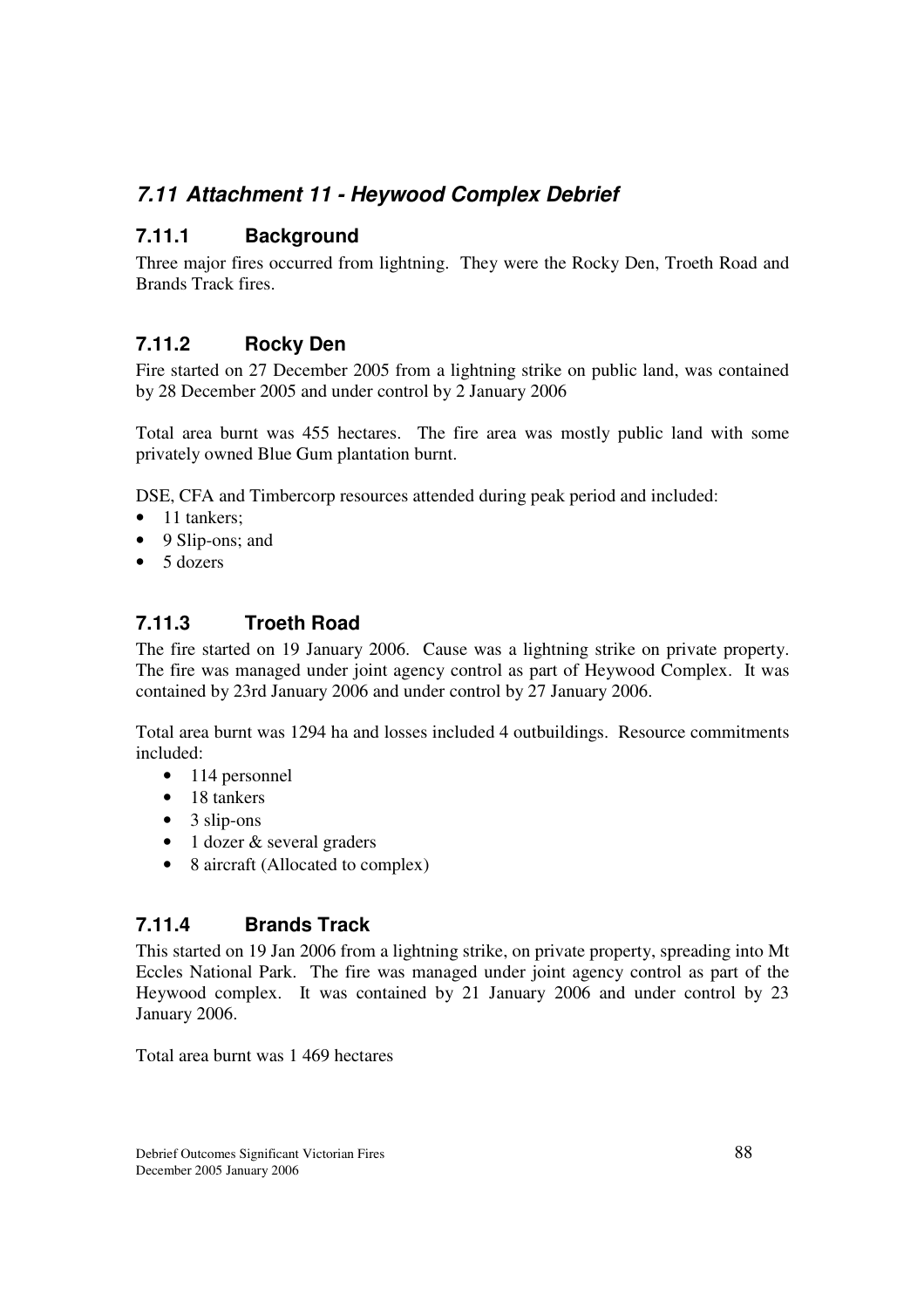# *7.11 Attachment 11 - Heywood Complex Debrief*

## **7.11.1 Background**

Three major fires occurred from lightning. They were the Rocky Den, Troeth Road and Brands Track fires.

## **7.11.2 Rocky Den**

Fire started on 27 December 2005 from a lightning strike on public land, was contained by 28 December 2005 and under control by 2 January 2006

Total area burnt was 455 hectares. The fire area was mostly public land with some privately owned Blue Gum plantation burnt.

DSE, CFA and Timbercorp resources attended during peak period and included:

- 11 tankers;
- 9 Slip-ons; and
- 5 dozers

## **7.11.3 Troeth Road**

The fire started on 19 January 2006. Cause was a lightning strike on private property. The fire was managed under joint agency control as part of Heywood Complex. It was contained by 23rd January 2006 and under control by 27 January 2006.

Total area burnt was 1294 ha and losses included 4 outbuildings. Resource commitments included:

- 114 personnel
- 18 tankers
- $\bullet$  3 slip-ons
- 1 dozer & several graders
- 8 aircraft (Allocated to complex)

#### **7.11.4 Brands Track**

This started on 19 Jan 2006 from a lightning strike, on private property, spreading into Mt Eccles National Park. The fire was managed under joint agency control as part of the Heywood complex. It was contained by 21 January 2006 and under control by 23 January 2006.

Total area burnt was 1 469 hectares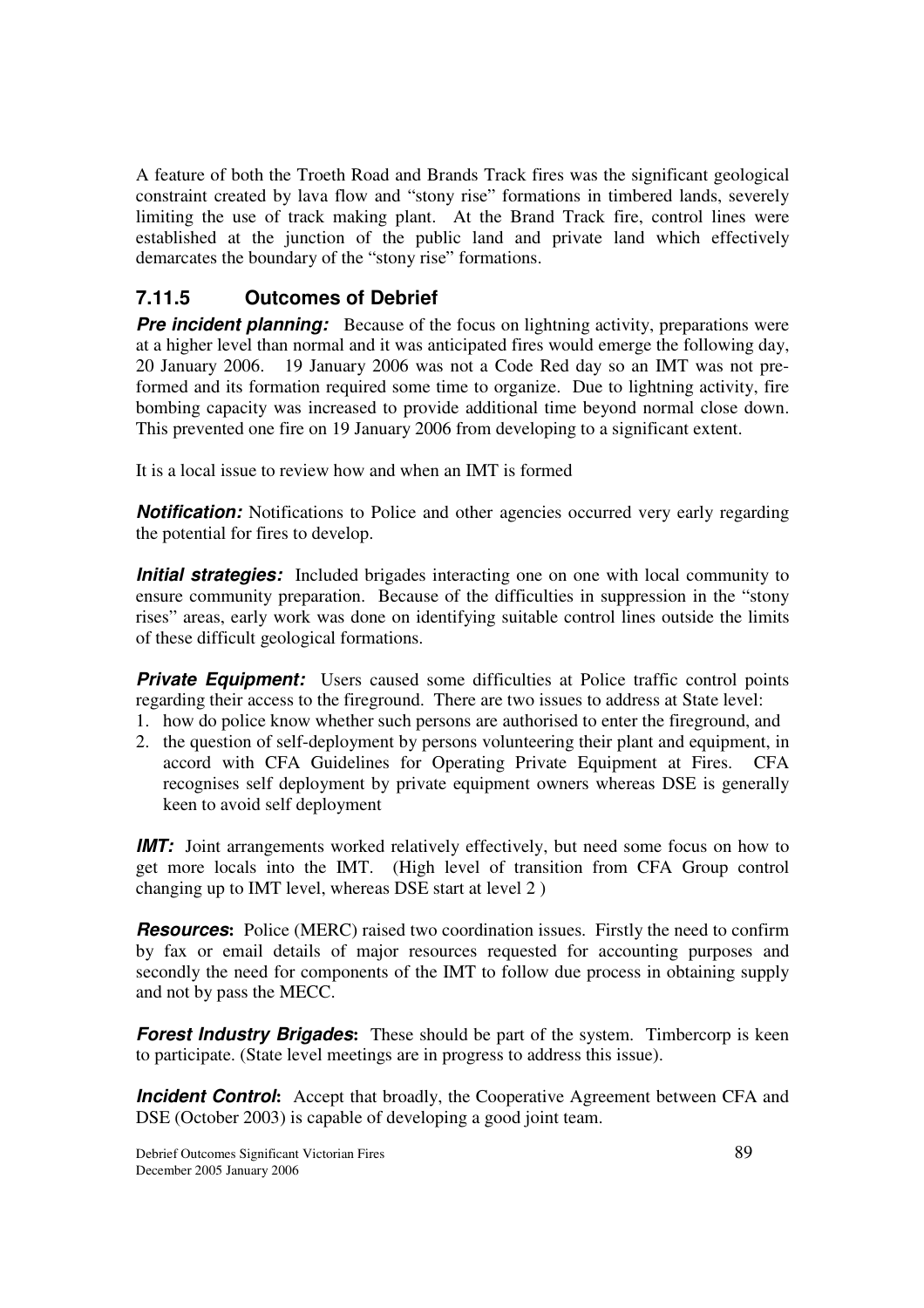A feature of both the Troeth Road and Brands Track fires was the significant geological constraint created by lava flow and "stony rise" formations in timbered lands, severely limiting the use of track making plant. At the Brand Track fire, control lines were established at the junction of the public land and private land which effectively demarcates the boundary of the "stony rise" formations.

## **7.11.5 Outcomes of Debrief**

**Pre incident planning:** Because of the focus on lightning activity, preparations were at a higher level than normal and it was anticipated fires would emerge the following day, 20 January 2006. 19 January 2006 was not a Code Red day so an IMT was not preformed and its formation required some time to organize. Due to lightning activity, fire bombing capacity was increased to provide additional time beyond normal close down. This prevented one fire on 19 January 2006 from developing to a significant extent.

It is a local issue to review how and when an IMT is formed

**Notification:** Notifications to Police and other agencies occurred very early regarding the potential for fires to develop.

*Initial strategies:* Included brigades interacting one on one with local community to ensure community preparation. Because of the difficulties in suppression in the "stony rises" areas, early work was done on identifying suitable control lines outside the limits of these difficult geological formations.

**Private Equipment:** Users caused some difficulties at Police traffic control points regarding their access to the fireground. There are two issues to address at State level:

- 1. how do police know whether such persons are authorised to enter the fireground, and
- 2. the question of self-deployment by persons volunteering their plant and equipment, in accord with CFA Guidelines for Operating Private Equipment at Fires. CFA recognises self deployment by private equipment owners whereas DSE is generally keen to avoid self deployment

*IMT:* Joint arrangements worked relatively effectively, but need some focus on how to get more locals into the IMT. (High level of transition from CFA Group control changing up to IMT level, whereas DSE start at level 2 )

*Resources*: Police (MERC) raised two coordination issues. Firstly the need to confirm by fax or email details of major resources requested for accounting purposes and secondly the need for components of the IMT to follow due process in obtaining supply and not by pass the MECC.

*Forest Industry Brigades:* These should be part of the system. Timbercorp is keen to participate. (State level meetings are in progress to address this issue).

*Incident Control*: Accept that broadly, the Cooperative Agreement between CFA and DSE (October 2003) is capable of developing a good joint team.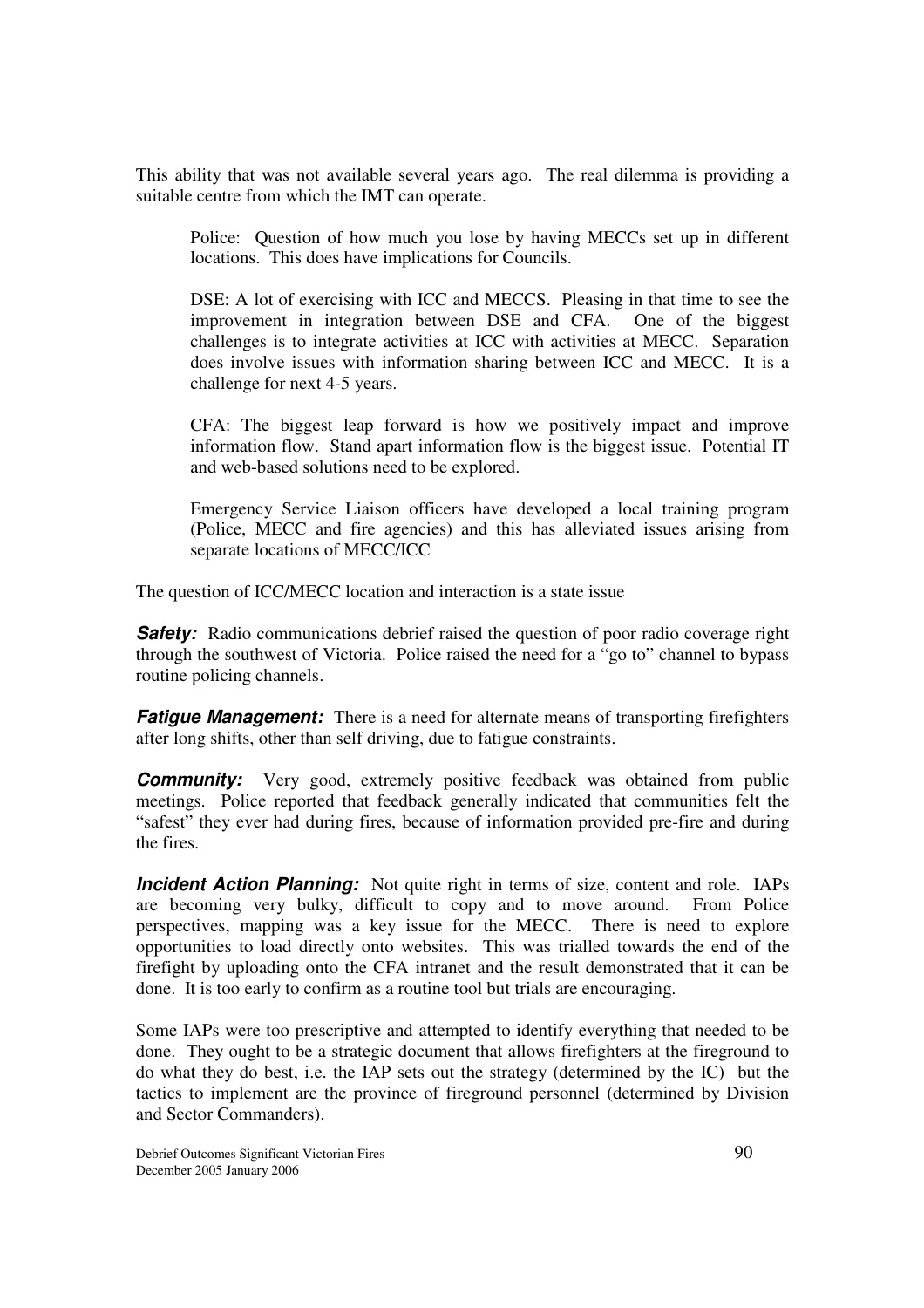This ability that was not available several years ago. The real dilemma is providing a suitable centre from which the IMT can operate.

Police: Question of how much you lose by having MECCs set up in different locations. This does have implications for Councils.

DSE: A lot of exercising with ICC and MECCS. Pleasing in that time to see the improvement in integration between DSE and CFA. One of the biggest challenges is to integrate activities at ICC with activities at MECC. Separation does involve issues with information sharing between ICC and MECC. It is a challenge for next 4-5 years.

CFA: The biggest leap forward is how we positively impact and improve information flow. Stand apart information flow is the biggest issue. Potential IT and web-based solutions need to be explored.

Emergency Service Liaison officers have developed a local training program (Police, MECC and fire agencies) and this has alleviated issues arising from separate locations of MECC/ICC

The question of ICC/MECC location and interaction is a state issue

**Safety:** Radio communications debrief raised the question of poor radio coverage right through the southwest of Victoria. Police raised the need for a "go to" channel to bypass routine policing channels.

*Fatigue Management:* There is a need for alternate means of transporting firefighters after long shifts, other than self driving, due to fatigue constraints.

**Community:** Very good, extremely positive feedback was obtained from public meetings. Police reported that feedback generally indicated that communities felt the "safest" they ever had during fires, because of information provided pre-fire and during the fires.

*Incident Action Planning:* Not quite right in terms of size, content and role. IAPs are becoming very bulky, difficult to copy and to move around. From Police perspectives, mapping was a key issue for the MECC. There is need to explore opportunities to load directly onto websites. This was trialled towards the end of the firefight by uploading onto the CFA intranet and the result demonstrated that it can be done. It is too early to confirm as a routine tool but trials are encouraging.

Some IAPs were too prescriptive and attempted to identify everything that needed to be done. They ought to be a strategic document that allows firefighters at the fireground to do what they do best, i.e. the IAP sets out the strategy (determined by the IC) but the tactics to implement are the province of fireground personnel (determined by Division and Sector Commanders).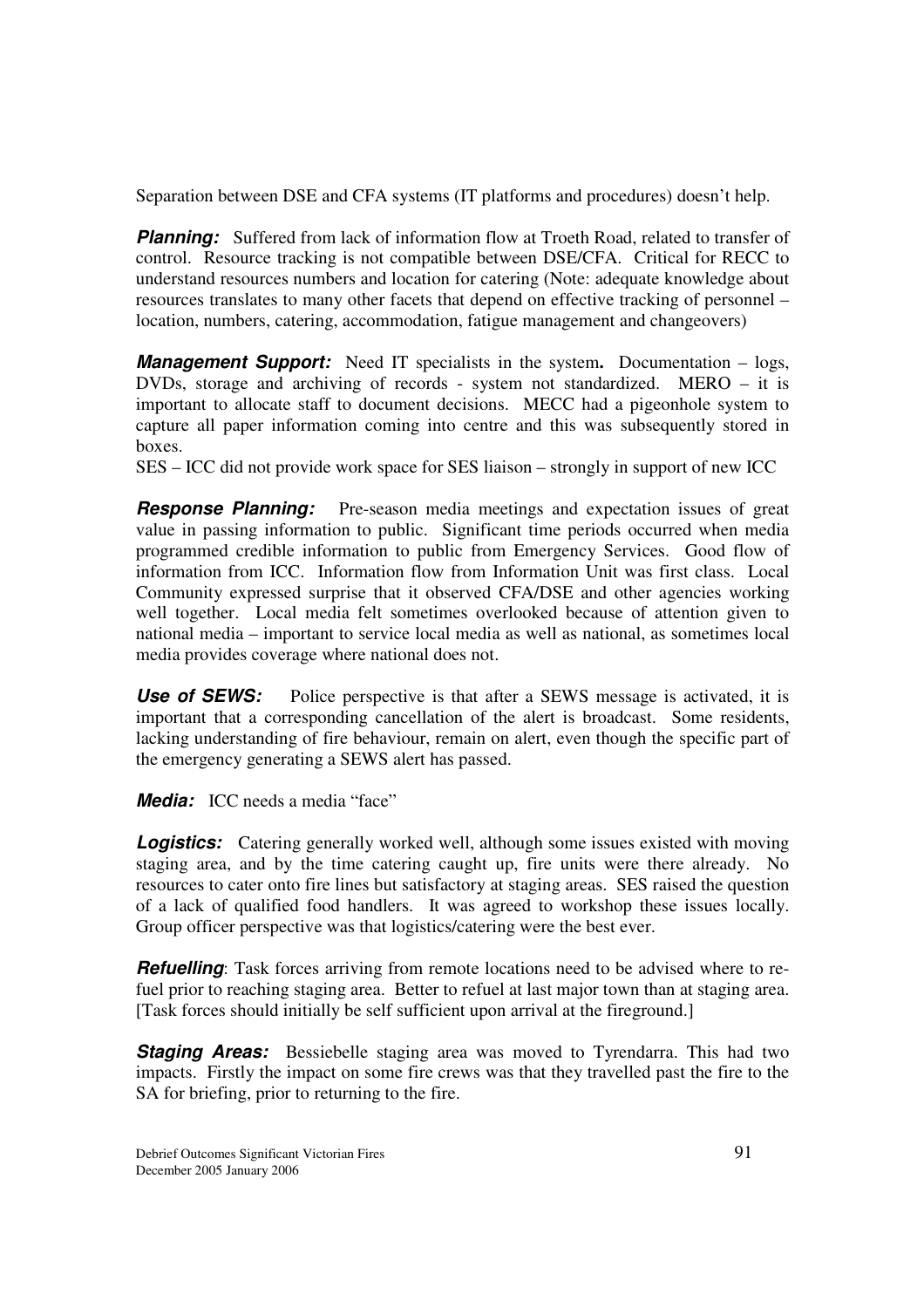Separation between DSE and CFA systems (IT platforms and procedures) doesn't help.

**Planning:** Suffered from lack of information flow at Troeth Road, related to transfer of control. Resource tracking is not compatible between DSE/CFA. Critical for RECC to understand resources numbers and location for catering (Note: adequate knowledge about resources translates to many other facets that depend on effective tracking of personnel – location, numbers, catering, accommodation, fatigue management and changeovers)

*Management Support:* Need IT specialists in the system**.** Documentation – logs, DVDs, storage and archiving of records - system not standardized. MERO – it is important to allocate staff to document decisions. MECC had a pigeonhole system to capture all paper information coming into centre and this was subsequently stored in boxes.

SES – ICC did not provide work space for SES liaison – strongly in support of new ICC

*Response Planning:* Pre-season media meetings and expectation issues of great value in passing information to public. Significant time periods occurred when media programmed credible information to public from Emergency Services. Good flow of information from ICC. Information flow from Information Unit was first class. Local Community expressed surprise that it observed CFA/DSE and other agencies working well together. Local media felt sometimes overlooked because of attention given to national media – important to service local media as well as national, as sometimes local media provides coverage where national does not.

**Use of SEWS:** Police perspective is that after a SEWS message is activated, it is important that a corresponding cancellation of the alert is broadcast. Some residents, lacking understanding of fire behaviour, remain on alert, even though the specific part of the emergency generating a SEWS alert has passed.

*Media:* ICC needs a media "face"

**Logistics:** Catering generally worked well, although some issues existed with moving staging area, and by the time catering caught up, fire units were there already. No resources to cater onto fire lines but satisfactory at staging areas. SES raised the question of a lack of qualified food handlers. It was agreed to workshop these issues locally. Group officer perspective was that logistics/catering were the best ever.

*Refuelling*: Task forces arriving from remote locations need to be advised where to refuel prior to reaching staging area. Better to refuel at last major town than at staging area. [Task forces should initially be self sufficient upon arrival at the fireground.]

**Staging Areas:** Bessiebelle staging area was moved to Tyrendarra. This had two impacts. Firstly the impact on some fire crews was that they travelled past the fire to the SA for briefing, prior to returning to the fire.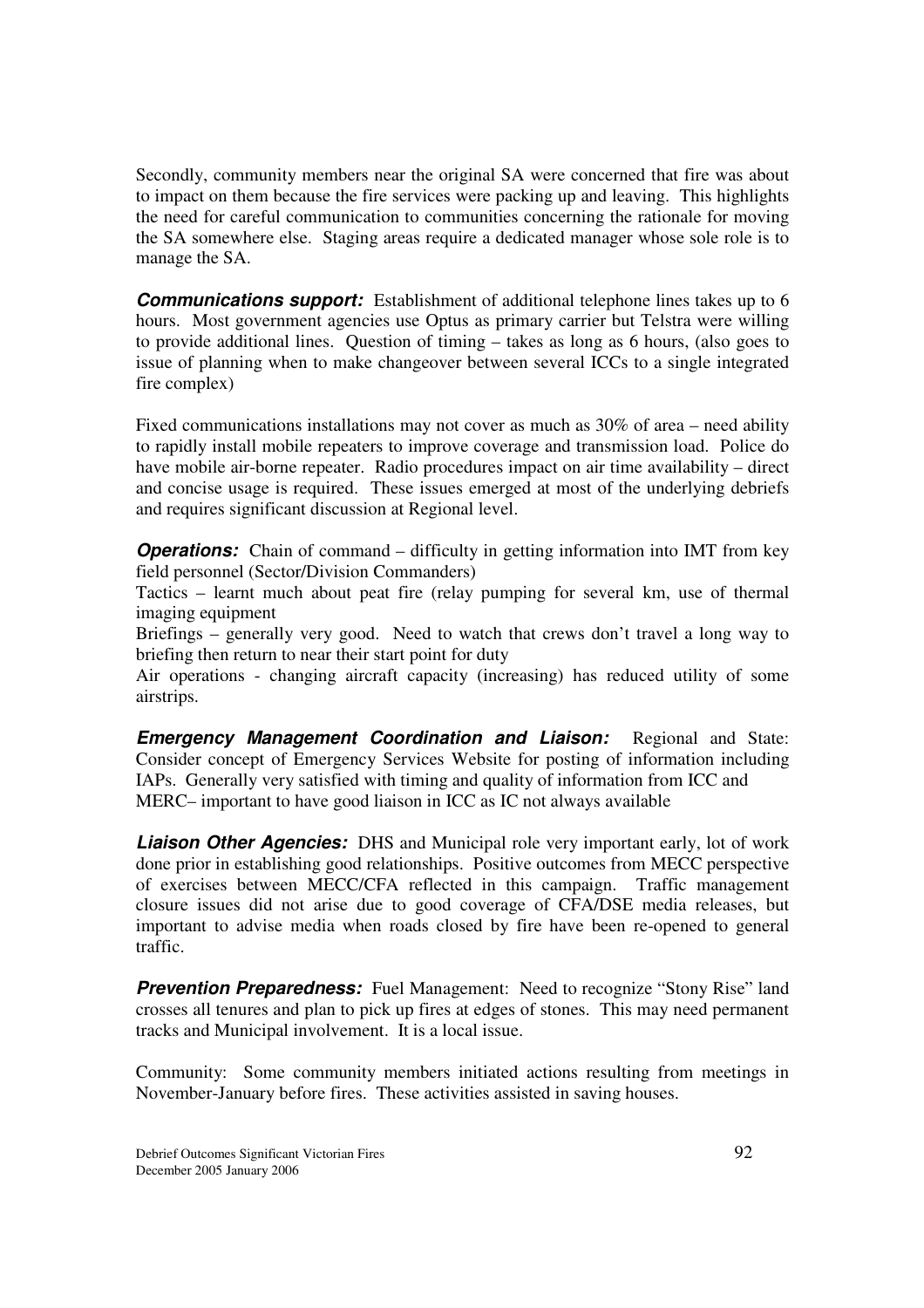Secondly, community members near the original SA were concerned that fire was about to impact on them because the fire services were packing up and leaving. This highlights the need for careful communication to communities concerning the rationale for moving the SA somewhere else. Staging areas require a dedicated manager whose sole role is to manage the SA.

**Communications support:** Establishment of additional telephone lines takes up to 6 hours. Most government agencies use Optus as primary carrier but Telstra were willing to provide additional lines. Question of timing – takes as long as 6 hours, (also goes to issue of planning when to make changeover between several ICCs to a single integrated fire complex)

Fixed communications installations may not cover as much as 30% of area – need ability to rapidly install mobile repeaters to improve coverage and transmission load. Police do have mobile air-borne repeater. Radio procedures impact on air time availability – direct and concise usage is required. These issues emerged at most of the underlying debriefs and requires significant discussion at Regional level.

*Operations:* Chain of command – difficulty in getting information into IMT from key field personnel (Sector/Division Commanders)

Tactics – learnt much about peat fire (relay pumping for several km, use of thermal imaging equipment

Briefings – generally very good. Need to watch that crews don't travel a long way to briefing then return to near their start point for duty

Air operations - changing aircraft capacity (increasing) has reduced utility of some airstrips.

*Emergency Management Coordination and Liaison:* Regional and State: Consider concept of Emergency Services Website for posting of information including IAPs. Generally very satisfied with timing and quality of information from ICC and MERC– important to have good liaison in ICC as IC not always available

*Liaison Other Agencies:* DHS and Municipal role very important early, lot of work done prior in establishing good relationships. Positive outcomes from MECC perspective of exercises between MECC/CFA reflected in this campaign. Traffic management closure issues did not arise due to good coverage of CFA/DSE media releases, but important to advise media when roads closed by fire have been re-opened to general traffic.

**Prevention Preparedness:** Fuel Management: Need to recognize "Stony Rise" land crosses all tenures and plan to pick up fires at edges of stones. This may need permanent tracks and Municipal involvement. It is a local issue.

Community: Some community members initiated actions resulting from meetings in November-January before fires. These activities assisted in saving houses.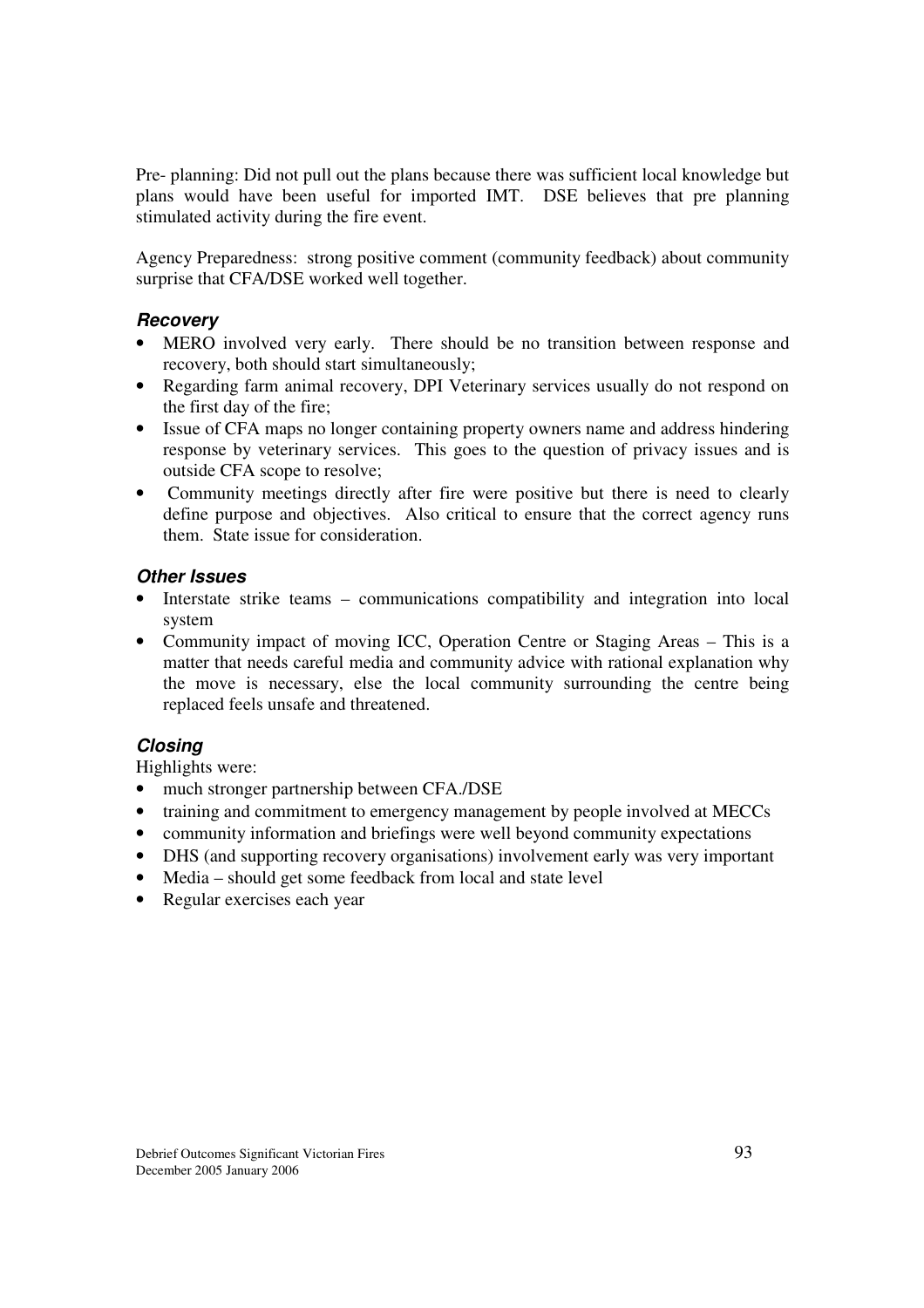Pre- planning: Did not pull out the plans because there was sufficient local knowledge but plans would have been useful for imported IMT. DSE believes that pre planning stimulated activity during the fire event.

Agency Preparedness: strong positive comment (community feedback) about community surprise that CFA/DSE worked well together.

#### *Recovery*

- MERO involved very early. There should be no transition between response and recovery, both should start simultaneously;
- Regarding farm animal recovery, DPI Veterinary services usually do not respond on the first day of the fire;
- Issue of CFA maps no longer containing property owners name and address hindering response by veterinary services. This goes to the question of privacy issues and is outside CFA scope to resolve;
- Community meetings directly after fire were positive but there is need to clearly define purpose and objectives. Also critical to ensure that the correct agency runs them. State issue for consideration.

#### *Other Issues*

- Interstate strike teams communications compatibility and integration into local system
- Community impact of moving ICC, Operation Centre or Staging Areas This is a matter that needs careful media and community advice with rational explanation why the move is necessary, else the local community surrounding the centre being replaced feels unsafe and threatened.

#### *Closing*

Highlights were:

- much stronger partnership between CFA./DSE
- training and commitment to emergency management by people involved at MECCs
- community information and briefings were well beyond community expectations
- DHS (and supporting recovery organisations) involvement early was very important
- Media should get some feedback from local and state level
- Regular exercises each year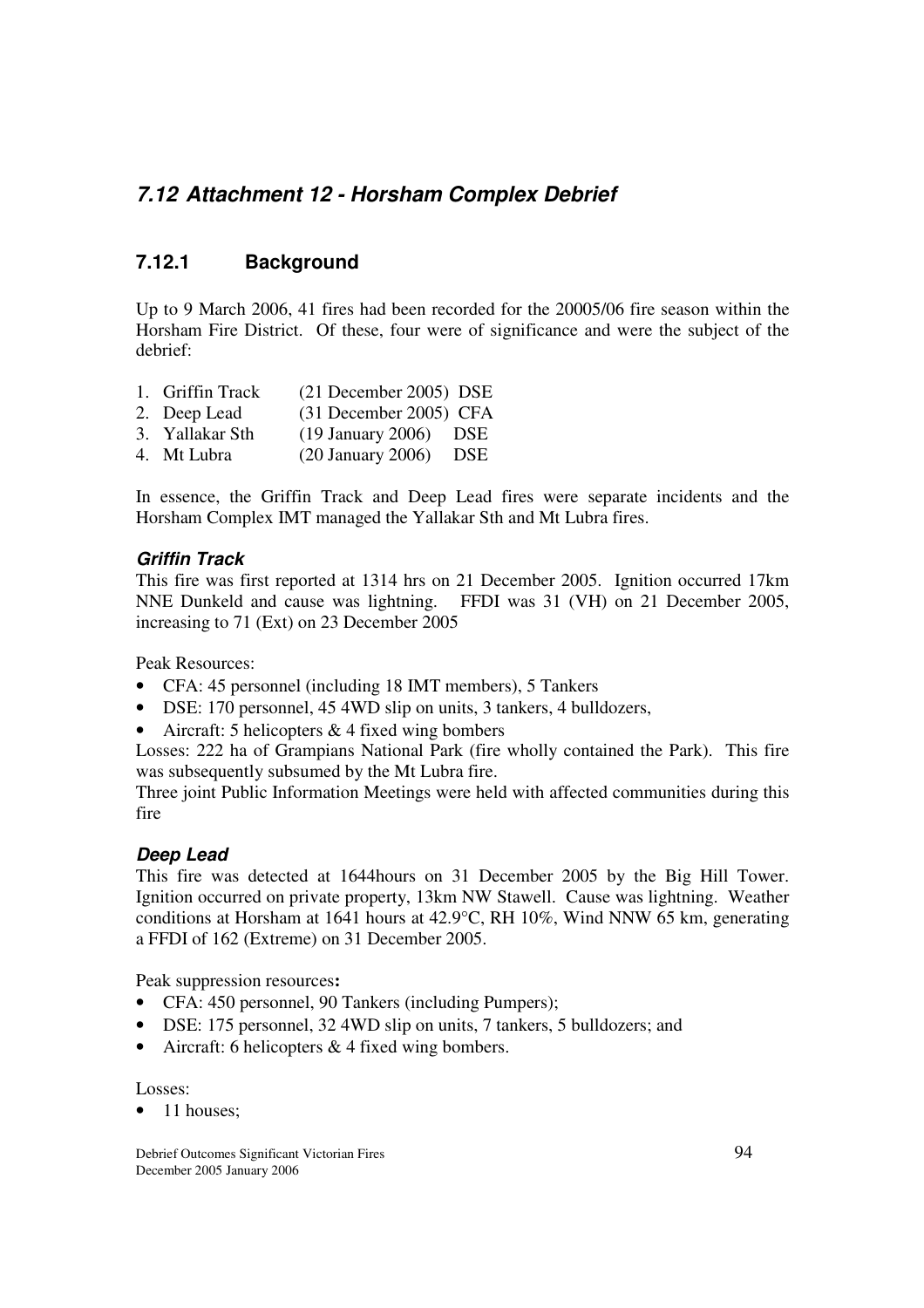# *7.12 Attachment 12 - Horsham Complex Debrief*

#### **7.12.1 Background**

Up to 9 March 2006, 41 fires had been recorded for the 20005/06 fire season within the Horsham Fire District. Of these, four were of significance and were the subject of the debrief:

- 1. Griffin Track (21 December 2005) DSE
- 2. Deep Lead (31 December 2005) CFA
- 3. Yallakar Sth (19 January 2006) DSE
- 4. Mt Lubra (20 January 2006) DSE

In essence, the Griffin Track and Deep Lead fires were separate incidents and the Horsham Complex IMT managed the Yallakar Sth and Mt Lubra fires.

#### *Griffin Track*

This fire was first reported at 1314 hrs on 21 December 2005. Ignition occurred 17km NNE Dunkeld and cause was lightning. FFDI was 31 (VH) on 21 December 2005, increasing to 71 (Ext) on 23 December 2005

Peak Resources:

- CFA: 45 personnel (including 18 IMT members), 5 Tankers
- DSE: 170 personnel, 45 4WD slip on units, 3 tankers, 4 bulldozers,
- Aircraft: 5 helicopters  $& 4$  fixed wing bombers

Losses: 222 ha of Grampians National Park (fire wholly contained the Park). This fire was subsequently subsumed by the Mt Lubra fire.

Three joint Public Information Meetings were held with affected communities during this fire

#### *Deep Lead*

This fire was detected at 1644hours on 31 December 2005 by the Big Hill Tower. Ignition occurred on private property, 13km NW Stawell. Cause was lightning. Weather conditions at Horsham at 1641 hours at 42.9°C, RH 10%, Wind NNW 65 km, generating a FFDI of 162 (Extreme) on 31 December 2005.

Peak suppression resources**:**

- CFA: 450 personnel, 90 Tankers (including Pumpers);
- DSE: 175 personnel, 32 4WD slip on units, 7 tankers, 5 bulldozers; and
- Aircraft: 6 helicopters & 4 fixed wing bombers.

Losses:

• 11 houses;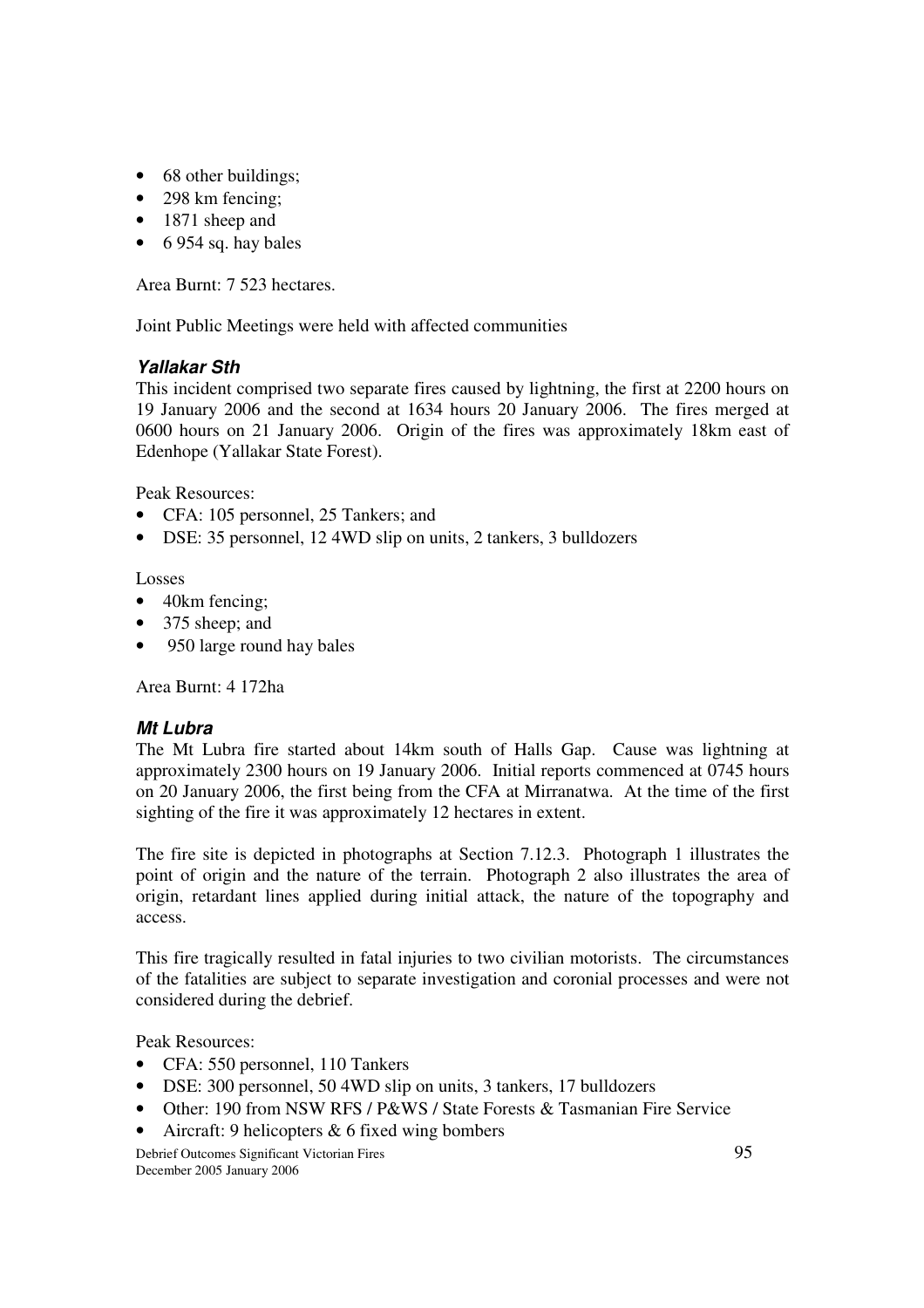- 68 other buildings;
- 298 km fencing:
- 1871 sheep and
- $\bullet$  6 954 sq. hay bales

Area Burnt: 7 523 hectares.

Joint Public Meetings were held with affected communities

#### *Yallakar Sth*

This incident comprised two separate fires caused by lightning, the first at 2200 hours on 19 January 2006 and the second at 1634 hours 20 January 2006. The fires merged at 0600 hours on 21 January 2006. Origin of the fires was approximately 18km east of Edenhope (Yallakar State Forest).

Peak Resources:

- CFA: 105 personnel, 25 Tankers; and
- DSE: 35 personnel, 12 4WD slip on units, 2 tankers, 3 bulldozers

Losses

- 40km fencing;
- 375 sheep; and
- 950 large round hay bales

Area Burnt: 4 172ha

#### *Mt Lubra*

The Mt Lubra fire started about 14km south of Halls Gap. Cause was lightning at approximately 2300 hours on 19 January 2006. Initial reports commenced at 0745 hours on 20 January 2006, the first being from the CFA at Mirranatwa. At the time of the first sighting of the fire it was approximately 12 hectares in extent.

The fire site is depicted in photographs at Section 7.12.3. Photograph 1 illustrates the point of origin and the nature of the terrain. Photograph 2 also illustrates the area of origin, retardant lines applied during initial attack, the nature of the topography and access.

This fire tragically resulted in fatal injuries to two civilian motorists. The circumstances of the fatalities are subject to separate investigation and coronial processes and were not considered during the debrief.

Peak Resources:

- CFA: 550 personnel, 110 Tankers
- DSE: 300 personnel, 50 4WD slip on units, 3 tankers, 17 bulldozers
- Other: 190 from NSW RFS / P&WS / State Forests & Tasmanian Fire Service
- Aircraft: 9 helicopters  $& 6$  fixed wing bombers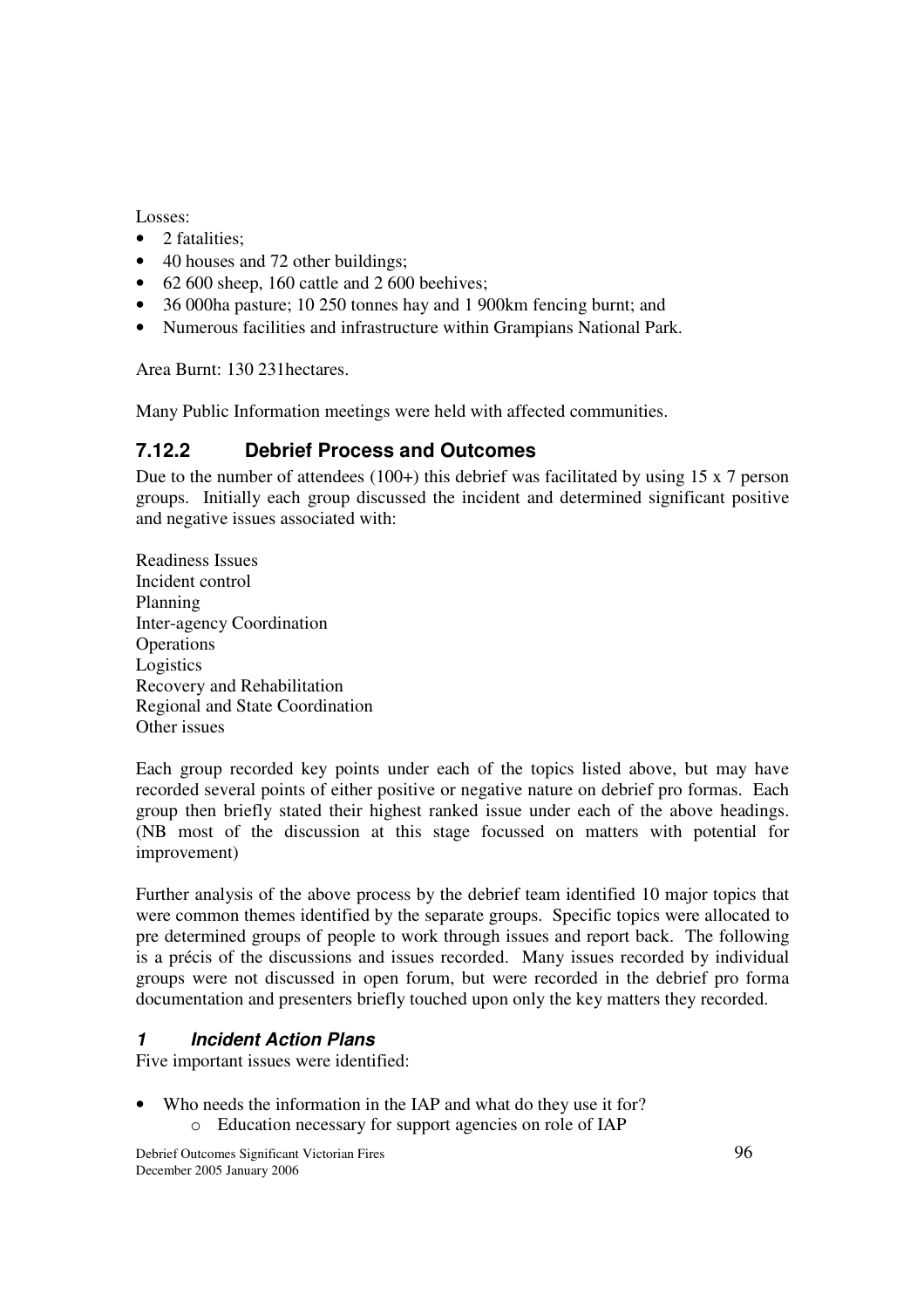Losses:

- 2 fatalities:
- 40 houses and 72 other buildings;
- 62 600 sheep, 160 cattle and 2 600 beenives:
- 36 000ha pasture; 10 250 tonnes hay and 1 900km fencing burnt; and
- Numerous facilities and infrastructure within Grampians National Park.

Area Burnt: 130 231hectares.

Many Public Information meetings were held with affected communities.

## **7.12.2 Debrief Process and Outcomes**

Due to the number of attendees (100+) this debrief was facilitated by using 15 x 7 person groups. Initially each group discussed the incident and determined significant positive and negative issues associated with:

Readiness Issues Incident control Planning Inter-agency Coordination **Operations** Logistics Recovery and Rehabilitation Regional and State Coordination Other issues

Each group recorded key points under each of the topics listed above, but may have recorded several points of either positive or negative nature on debrief pro formas. Each group then briefly stated their highest ranked issue under each of the above headings. (NB most of the discussion at this stage focussed on matters with potential for improvement)

Further analysis of the above process by the debrief team identified 10 major topics that were common themes identified by the separate groups. Specific topics were allocated to pre determined groups of people to work through issues and report back. The following is a précis of the discussions and issues recorded. Many issues recorded by individual groups were not discussed in open forum, but were recorded in the debrief pro forma documentation and presenters briefly touched upon only the key matters they recorded.

#### *1 Incident Action Plans*

Five important issues were identified:

- Who needs the information in the IAP and what do they use it for?
	- o Education necessary for support agencies on role of IAP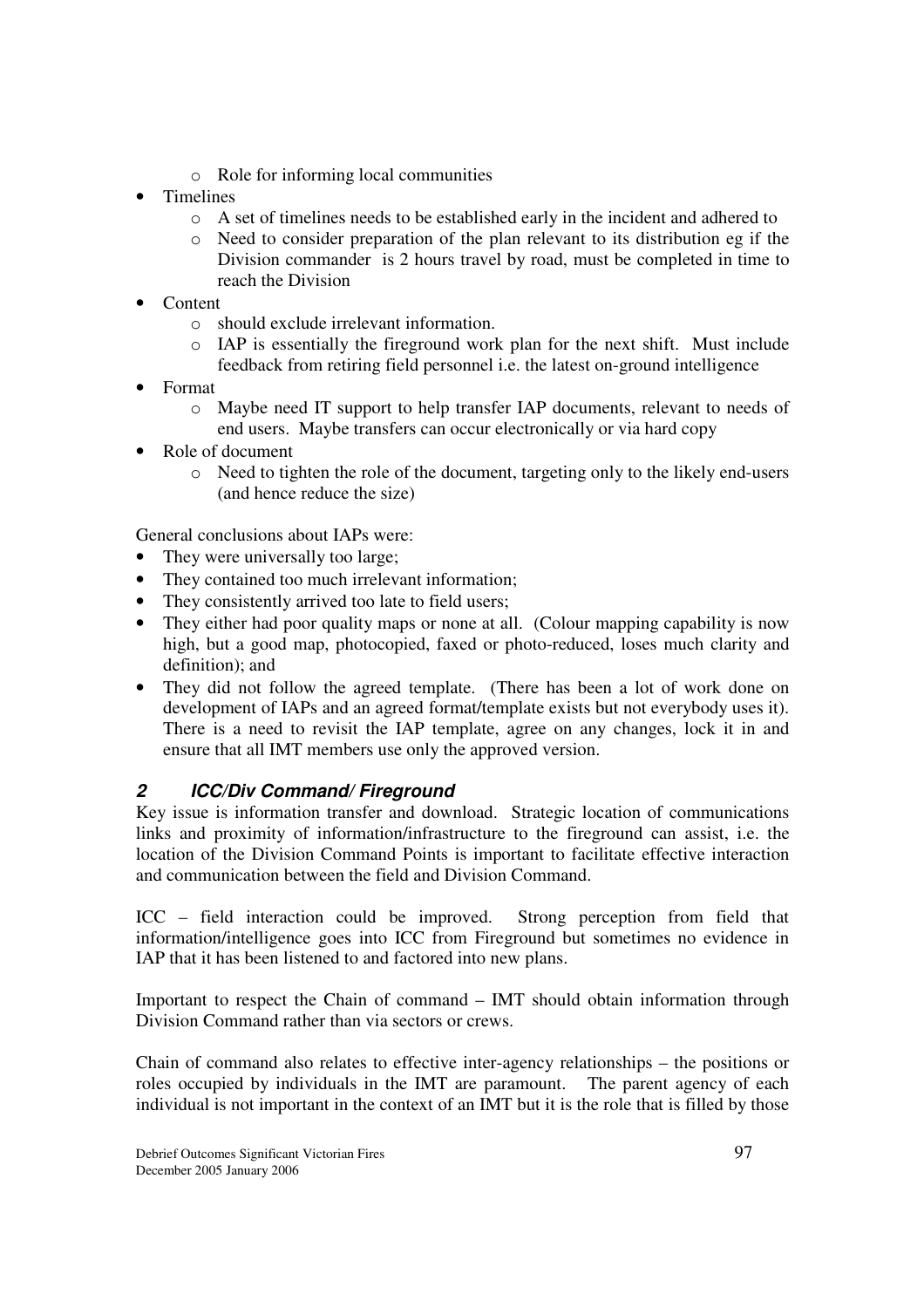- o Role for informing local communities
- Timelines
	- o A set of timelines needs to be established early in the incident and adhered to
	- o Need to consider preparation of the plan relevant to its distribution eg if the Division commander is 2 hours travel by road, must be completed in time to reach the Division
- Content
	- o should exclude irrelevant information.
	- o IAP is essentially the fireground work plan for the next shift. Must include feedback from retiring field personnel i.e. the latest on-ground intelligence
- Format
	- o Maybe need IT support to help transfer IAP documents, relevant to needs of end users. Maybe transfers can occur electronically or via hard copy
- Role of document
	- o Need to tighten the role of the document, targeting only to the likely end-users (and hence reduce the size)

General conclusions about IAPs were:

- They were universally too large:
- They contained too much irrelevant information:
- They consistently arrived too late to field users;
- They either had poor quality maps or none at all. (Colour mapping capability is now high, but a good map, photocopied, faxed or photo-reduced, loses much clarity and definition); and
- They did not follow the agreed template. (There has been a lot of work done on development of IAPs and an agreed format/template exists but not everybody uses it). There is a need to revisit the IAP template, agree on any changes, lock it in and ensure that all IMT members use only the approved version.

#### *2 ICC/Div Command/ Fireground*

Key issue is information transfer and download. Strategic location of communications links and proximity of information/infrastructure to the fireground can assist, i.e. the location of the Division Command Points is important to facilitate effective interaction and communication between the field and Division Command.

ICC – field interaction could be improved. Strong perception from field that information/intelligence goes into ICC from Fireground but sometimes no evidence in IAP that it has been listened to and factored into new plans.

Important to respect the Chain of command – IMT should obtain information through Division Command rather than via sectors or crews.

Chain of command also relates to effective inter-agency relationships – the positions or roles occupied by individuals in the IMT are paramount. The parent agency of each individual is not important in the context of an IMT but it is the role that is filled by those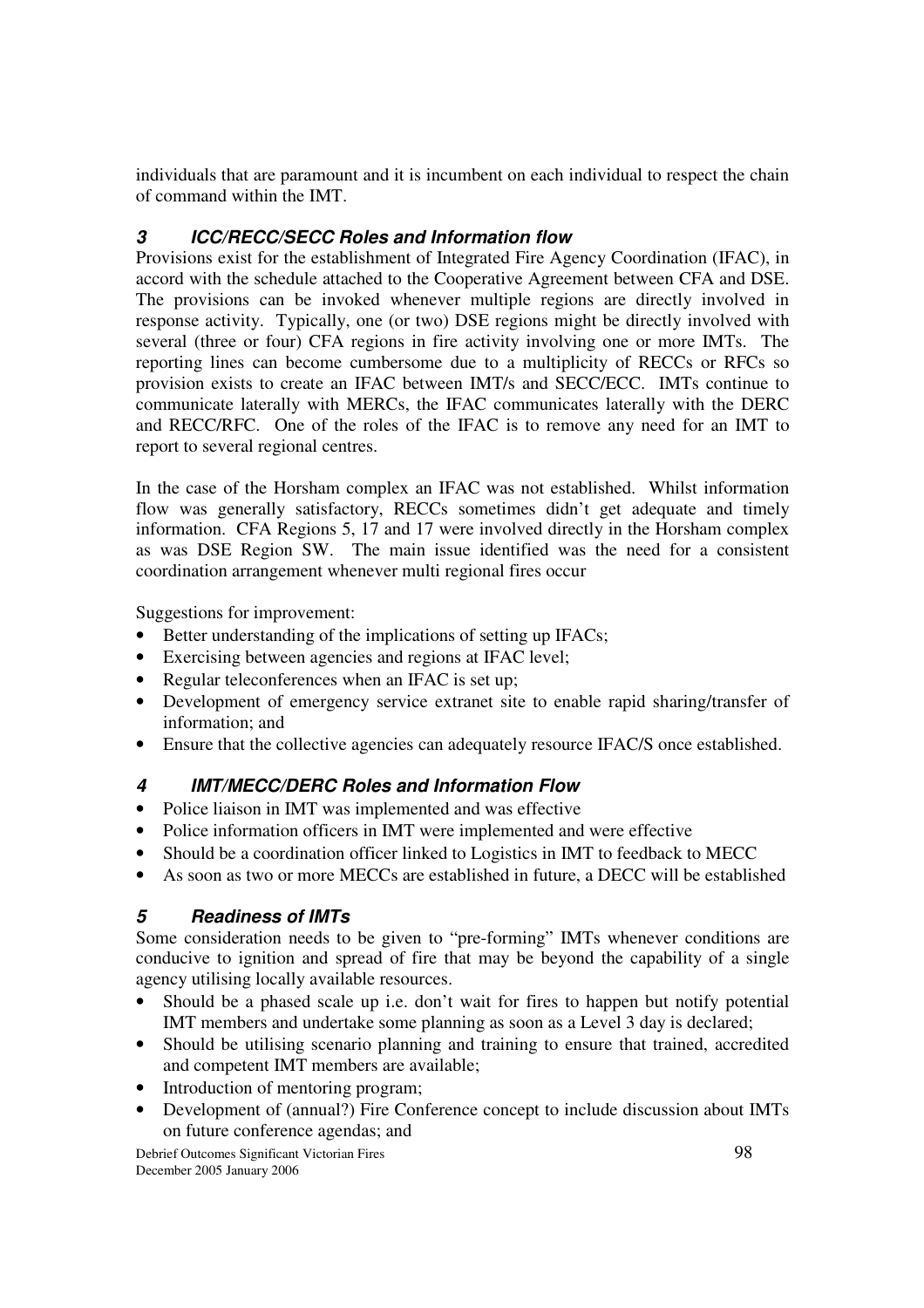individuals that are paramount and it is incumbent on each individual to respect the chain of command within the IMT.

## *3 ICC/RECC/SECC Roles and Information flow*

Provisions exist for the establishment of Integrated Fire Agency Coordination (IFAC), in accord with the schedule attached to the Cooperative Agreement between CFA and DSE. The provisions can be invoked whenever multiple regions are directly involved in response activity. Typically, one (or two) DSE regions might be directly involved with several (three or four) CFA regions in fire activity involving one or more IMTs. The reporting lines can become cumbersome due to a multiplicity of RECCs or RFCs so provision exists to create an IFAC between IMT/s and SECC/ECC. IMTs continue to communicate laterally with MERCs, the IFAC communicates laterally with the DERC and RECC/RFC. One of the roles of the IFAC is to remove any need for an IMT to report to several regional centres.

In the case of the Horsham complex an IFAC was not established. Whilst information flow was generally satisfactory, RECCs sometimes didn't get adequate and timely information. CFA Regions 5, 17 and 17 were involved directly in the Horsham complex as was DSE Region SW. The main issue identified was the need for a consistent coordination arrangement whenever multi regional fires occur

Suggestions for improvement:

- Better understanding of the implications of setting up IFACs;
- Exercising between agencies and regions at IFAC level;
- Regular teleconferences when an IFAC is set up;
- Development of emergency service extranet site to enable rapid sharing/transfer of information; and
- Ensure that the collective agencies can adequately resource IFAC/S once established.

#### *4 IMT/MECC/DERC Roles and Information Flow*

- Police liaison in IMT was implemented and was effective
- Police information officers in IMT were implemented and were effective
- Should be a coordination officer linked to Logistics in IMT to feedback to MECC
- As soon as two or more MECCs are established in future, a DECC will be established

#### *5 Readiness of IMTs*

Some consideration needs to be given to "pre-forming" IMTs whenever conditions are conducive to ignition and spread of fire that may be beyond the capability of a single agency utilising locally available resources.

- Should be a phased scale up i.e. don't wait for fires to happen but notify potential IMT members and undertake some planning as soon as a Level 3 day is declared;
- Should be utilising scenario planning and training to ensure that trained, accredited and competent IMT members are available;
- Introduction of mentoring program;
- Development of (annual?) Fire Conference concept to include discussion about IMTs on future conference agendas; and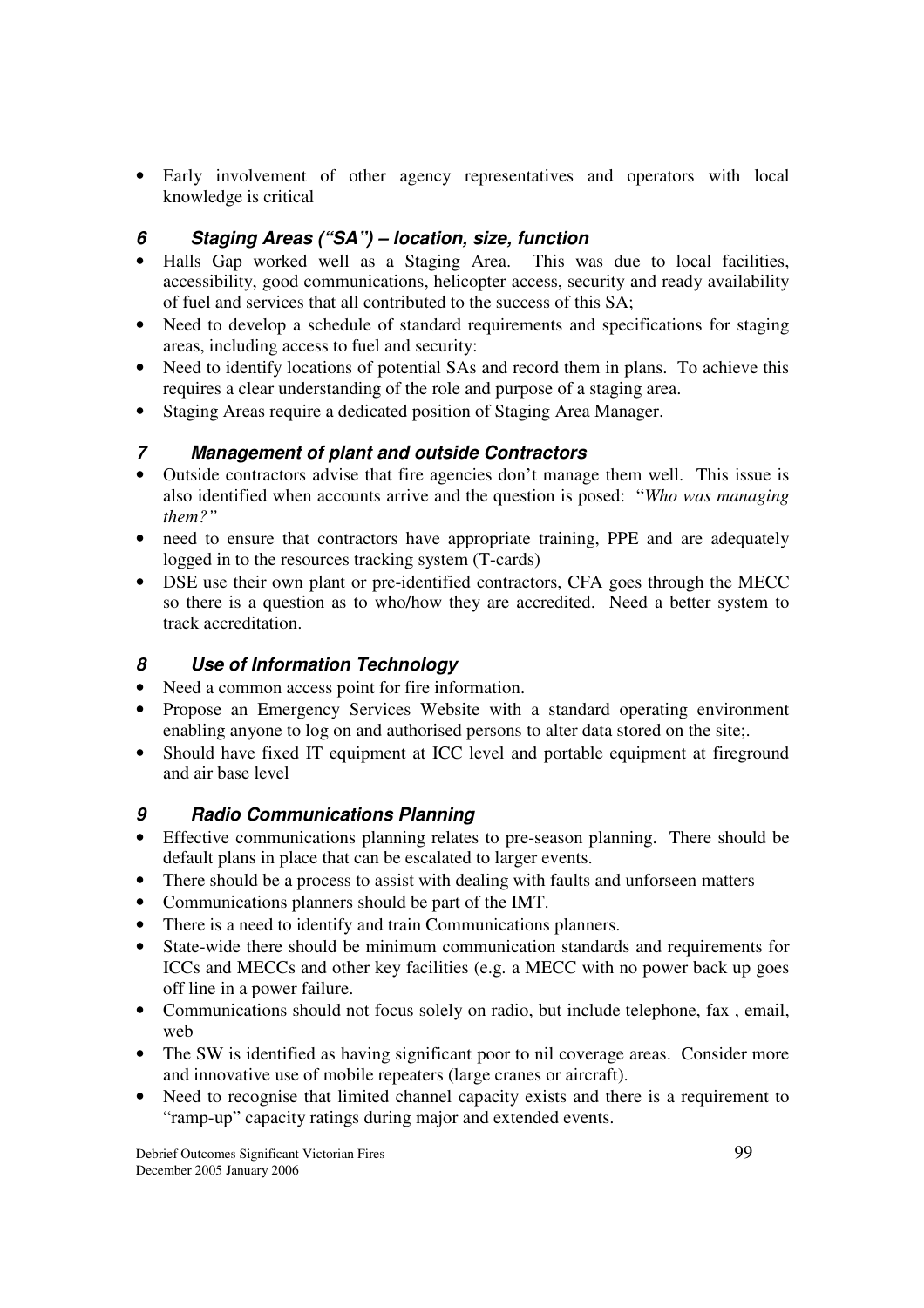• Early involvement of other agency representatives and operators with local knowledge is critical

#### *6 Staging Areas ("SA") – location, size, function*

- Halls Gap worked well as a Staging Area. This was due to local facilities, accessibility, good communications, helicopter access, security and ready availability of fuel and services that all contributed to the success of this SA;
- Need to develop a schedule of standard requirements and specifications for staging areas, including access to fuel and security:
- Need to identify locations of potential SAs and record them in plans. To achieve this requires a clear understanding of the role and purpose of a staging area.
- Staging Areas require a dedicated position of Staging Area Manager.

#### *7 Management of plant and outside Contractors*

- Outside contractors advise that fire agencies don't manage them well. This issue is also identified when accounts arrive and the question is posed: "*Who was managing them?"*
- need to ensure that contractors have appropriate training, PPE and are adequately logged in to the resources tracking system (T-cards)
- DSE use their own plant or pre-identified contractors, CFA goes through the MECC so there is a question as to who/how they are accredited. Need a better system to track accreditation.

#### *8 Use of Information Technology*

- Need a common access point for fire information.
- Propose an Emergency Services Website with a standard operating environment enabling anyone to log on and authorised persons to alter data stored on the site;.
- Should have fixed IT equipment at ICC level and portable equipment at fireground and air base level

#### *9 Radio Communications Planning*

- Effective communications planning relates to pre-season planning. There should be default plans in place that can be escalated to larger events.
- There should be a process to assist with dealing with faults and unforseen matters
- Communications planners should be part of the IMT.
- There is a need to identify and train Communications planners.
- State-wide there should be minimum communication standards and requirements for ICCs and MECCs and other key facilities (e.g. a MECC with no power back up goes off line in a power failure.
- Communications should not focus solely on radio, but include telephone, fax, email, web
- The SW is identified as having significant poor to nil coverage areas. Consider more and innovative use of mobile repeaters (large cranes or aircraft).
- Need to recognise that limited channel capacity exists and there is a requirement to "ramp-up" capacity ratings during major and extended events.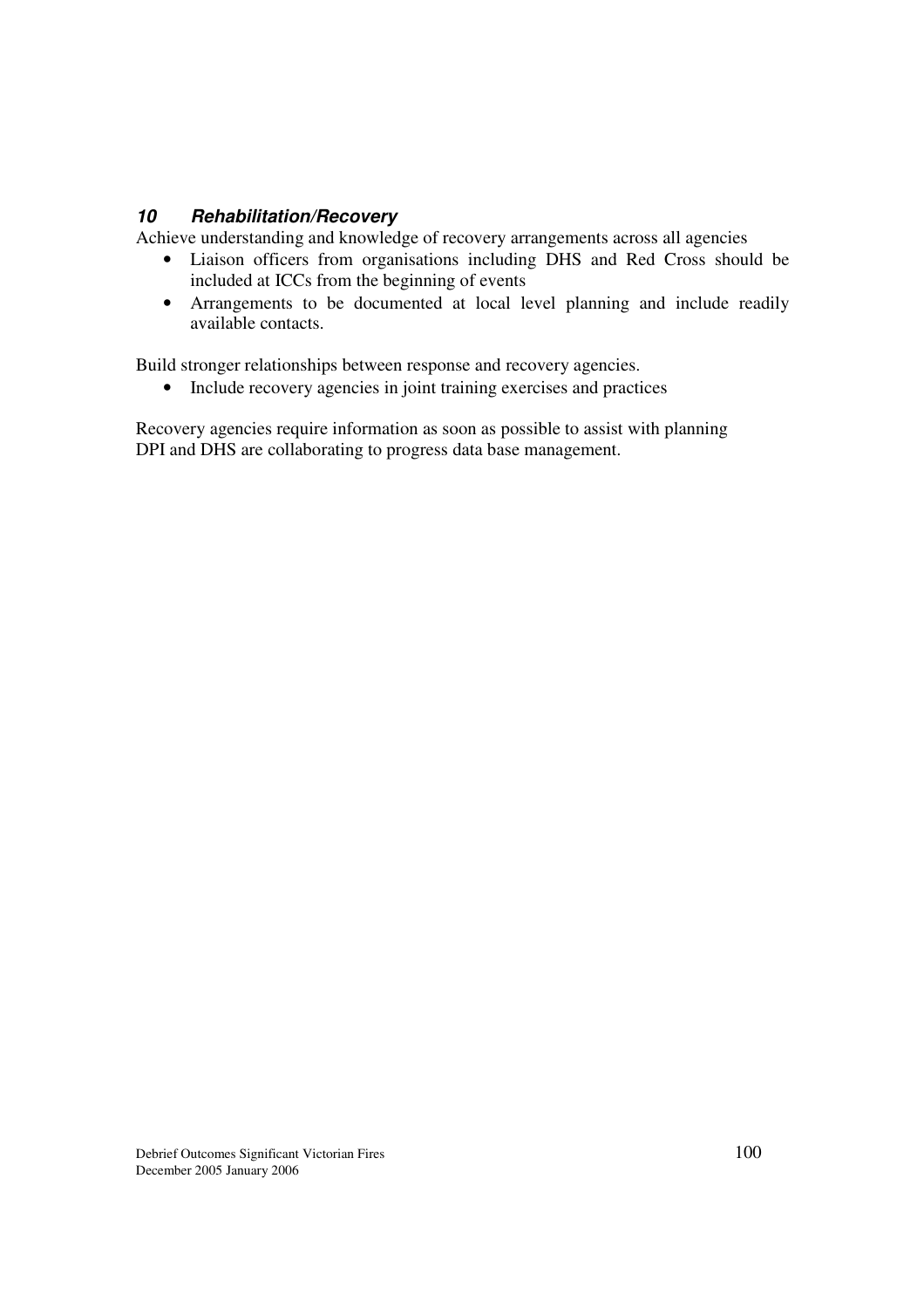#### *10 Rehabilitation/Recovery*

Achieve understanding and knowledge of recovery arrangements across all agencies

- Liaison officers from organisations including DHS and Red Cross should be included at ICCs from the beginning of events
- Arrangements to be documented at local level planning and include readily available contacts.

Build stronger relationships between response and recovery agencies.

• Include recovery agencies in joint training exercises and practices

Recovery agencies require information as soon as possible to assist with planning DPI and DHS are collaborating to progress data base management.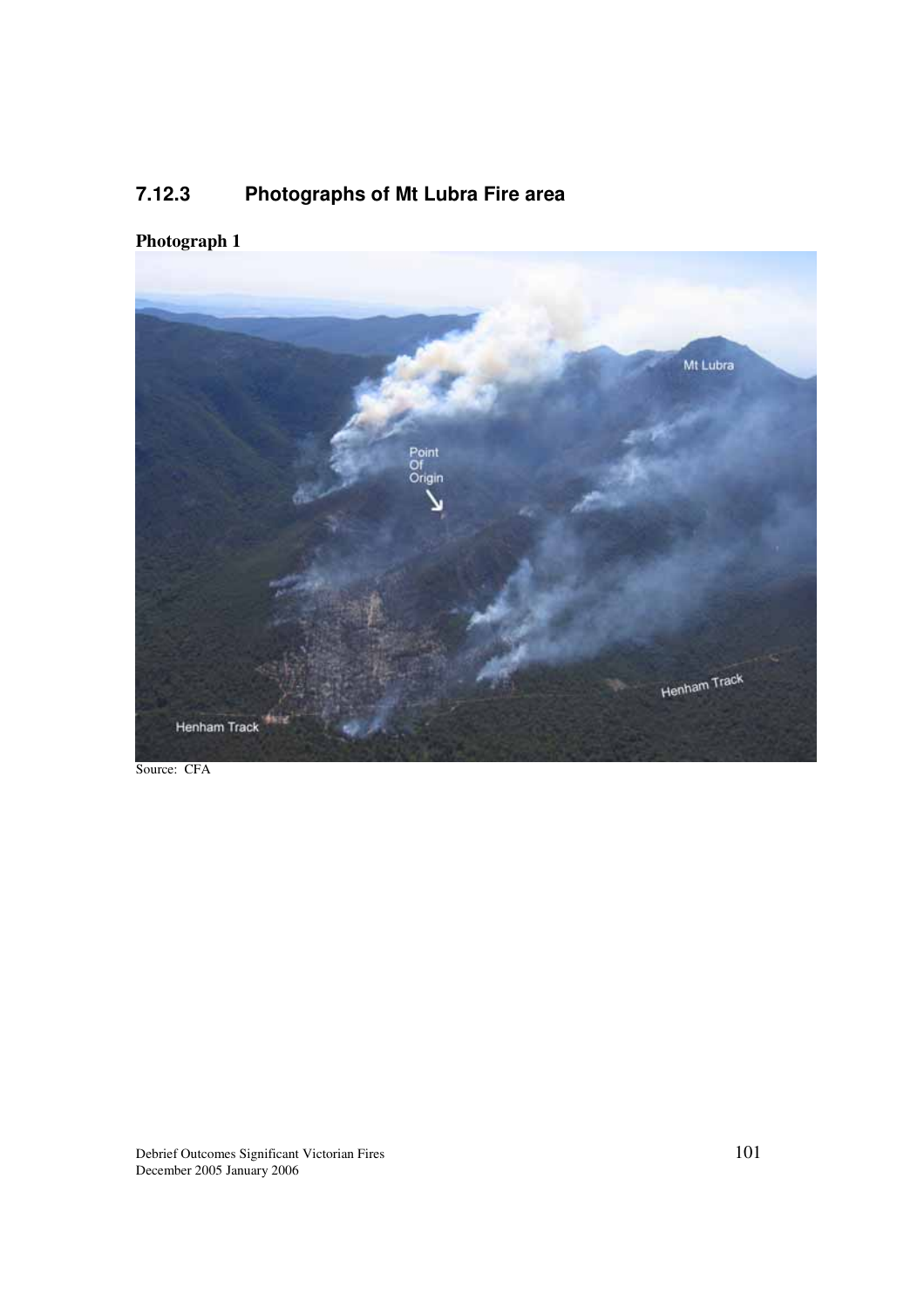# **7.12.3 Photographs of Mt Lubra Fire area**

## **Photograph 1**



Source: CFA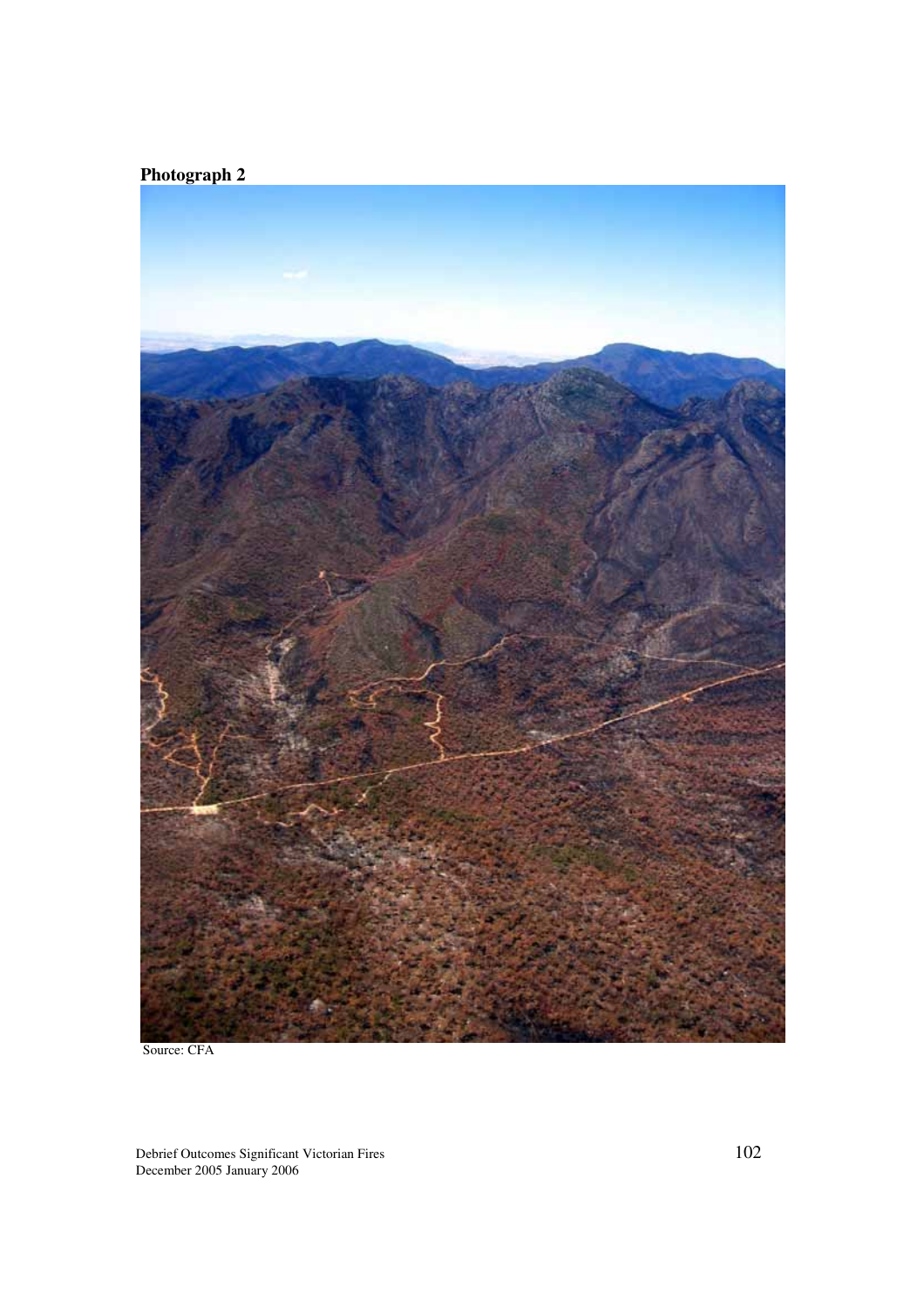

Source: CFA

Debrief Outcomes Significant Victorian Fires  $102$ December 2005 January 2006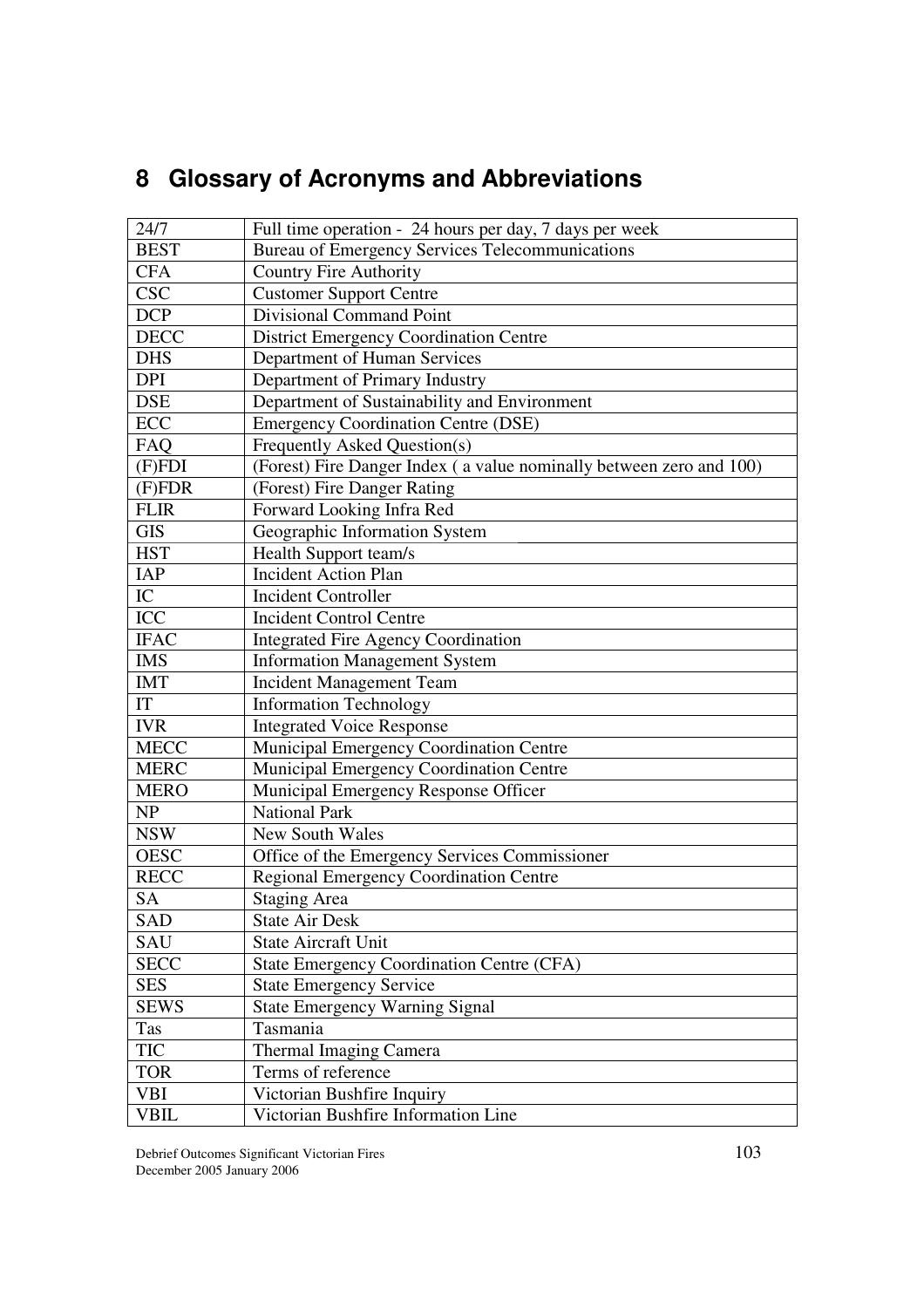# **8 Glossary of Acronyms and Abbreviations**

| 24/7                | Full time operation - 24 hours per day, 7 days per week             |
|---------------------|---------------------------------------------------------------------|
| <b>BEST</b>         | Bureau of Emergency Services Telecommunications                     |
| <b>CFA</b>          | <b>Country Fire Authority</b>                                       |
| <b>CSC</b>          | <b>Customer Support Centre</b>                                      |
| <b>DCP</b>          | <b>Divisional Command Point</b>                                     |
| <b>DECC</b>         | <b>District Emergency Coordination Centre</b>                       |
| <b>DHS</b>          | Department of Human Services                                        |
| <b>DPI</b>          | Department of Primary Industry                                      |
| <b>DSE</b>          | Department of Sustainability and Environment                        |
| ECC                 | <b>Emergency Coordination Centre (DSE)</b>                          |
| FAQ                 | Frequently Asked Question(s)                                        |
| $(F)FD\overline{I}$ | (Forest) Fire Danger Index (a value nominally between zero and 100) |
| (F)FDR              | (Forest) Fire Danger Rating                                         |
| <b>FLIR</b>         | Forward Looking Infra Red                                           |
| <b>GIS</b>          | Geographic Information System                                       |
| <b>HST</b>          | Health Support team/s                                               |
| <b>IAP</b>          | <b>Incident Action Plan</b>                                         |
| IC                  | <b>Incident Controller</b>                                          |
| ICC                 | <b>Incident Control Centre</b>                                      |
| <b>IFAC</b>         | <b>Integrated Fire Agency Coordination</b>                          |
| <b>IMS</b>          | <b>Information Management System</b>                                |
| <b>IMT</b>          | <b>Incident Management Team</b>                                     |
| IT                  | <b>Information Technology</b>                                       |
| <b>IVR</b>          | <b>Integrated Voice Response</b>                                    |
| <b>MECC</b>         | Municipal Emergency Coordination Centre                             |
| <b>MERC</b>         | Municipal Emergency Coordination Centre                             |
| <b>MERO</b>         | Municipal Emergency Response Officer                                |
| <b>NP</b>           | <b>National Park</b>                                                |
| <b>NSW</b>          | <b>New South Wales</b>                                              |
| <b>OESC</b>         | Office of the Emergency Services Commissioner                       |
| <b>RECC</b>         | <b>Regional Emergency Coordination Centre</b>                       |
| <b>SA</b>           | <b>Staging Area</b>                                                 |
| SAD                 | <b>State Air Desk</b>                                               |
| <b>SAU</b>          | <b>State Aircraft Unit</b>                                          |
| <b>SECC</b>         | <b>State Emergency Coordination Centre (CFA)</b>                    |
| <b>SES</b>          | <b>State Emergency Service</b>                                      |
| <b>SEWS</b>         | <b>State Emergency Warning Signal</b>                               |
| Tas                 | Tasmania                                                            |
| TIC                 | Thermal Imaging Camera                                              |
| <b>TOR</b>          | Terms of reference                                                  |
| <b>VBI</b>          | Victorian Bushfire Inquiry                                          |
| <b>VBIL</b>         | Victorian Bushfire Information Line                                 |

Debrief Outcomes Significant Victorian Fires 103 December 2005 January 2006